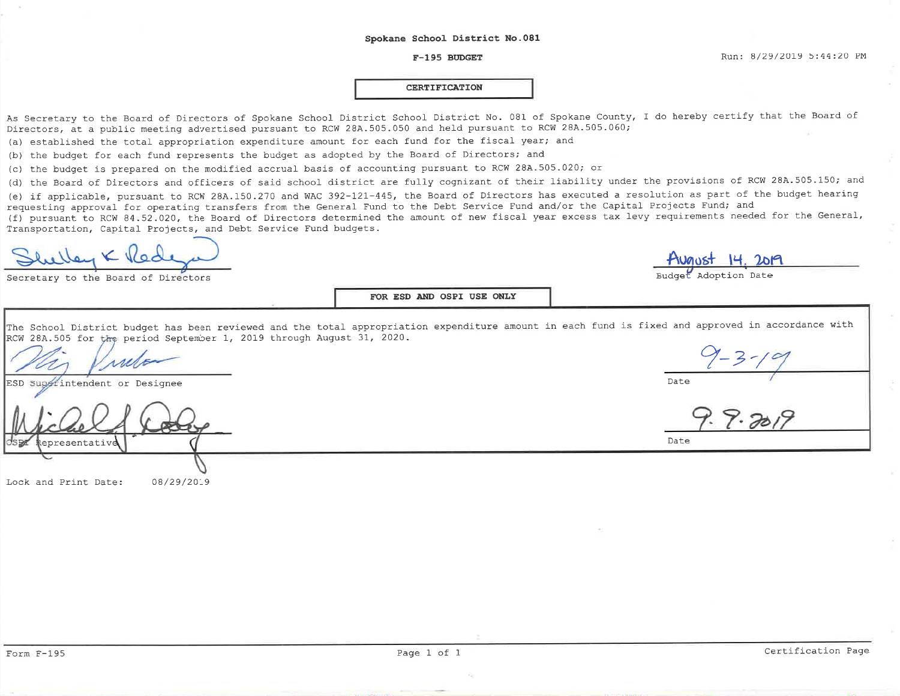#### $F-195$  BUDGET

Budget Adoption Date

Date

Date

 $9 - 3 - 19$ <br>7. 9. 2019

#### **CERTIFICATION**

As Secretary to the Board of Directors of Spokane School District School District No. 081 of Spokane County, I do hereby certify that the Board of Directors, at a public meeting advertised pursuant to RCW 28A.505.050 and held pursuant to RCW 28A.505.060;

(a) established the total appropriation expenditure amount for each fund for the fiscal year; and

(b) the budget for each fund represents the budget as adopted by the Board of Directors; and

(c) the budget is prepared on the modified accrual basis of accounting pursuant to RCW 28A.505.020; or

(d) the Board of Directors and officers of said school district are fully cognizant of their liability under the provisions of RCW 28A.505.150; and

(e) if applicable, pursuant to RCW 28A.150.270 and WAC 392-121-445, the Board of Directors has executed a resolution as part of the budget hearing requesting approval for operating transfers from the General Fund to the Debt Service Fund and/or the Capital Projects Fund; and

(f) pursuant to RCW 84.52.020, the Board of Directors determined the amount of new fiscal year excess tax levy requirements needed for the General, Transportation, Capital Projects, and Debt Service Fund budgets.

Secretary to the Board of Directors

FOR ESD AND OSPI USE ONLY

The School District budget has been reviewed and the total appropriation expenditure amount in each fund is fixed and approved in accordance with RCW 28A.505 for the period September 1, 2019 through August 31, 2020.

Superintendent or Designee ESD

epresentativ

Lock and Print Date: 08/29/2019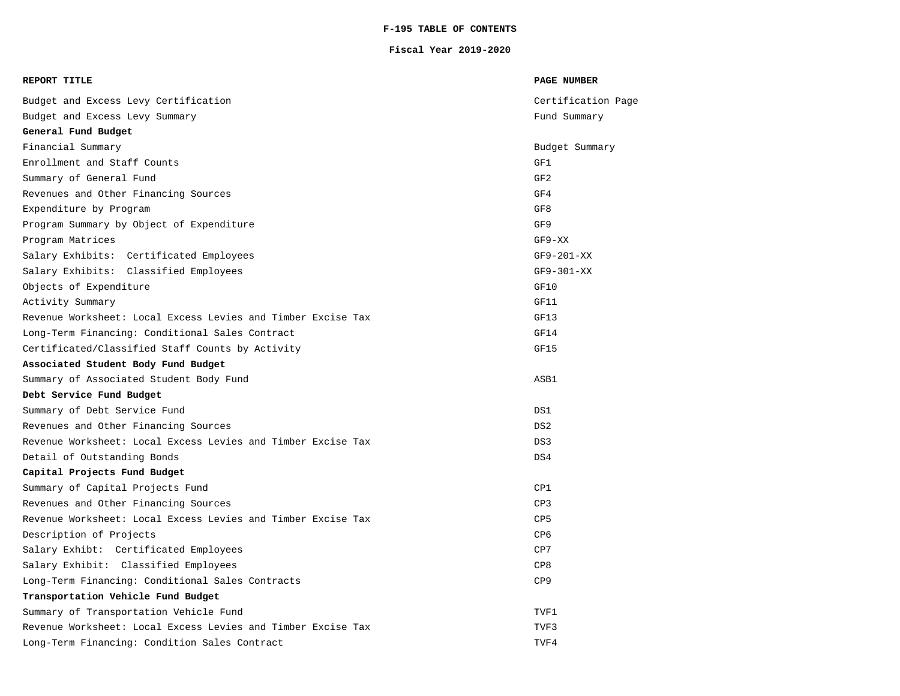### **F-195 TABLE OF CONTENTS**

#### **Fiscal Year 2019-2020**

| REPORT TITLE                                                 | <b>PAGE NUMBER</b> |
|--------------------------------------------------------------|--------------------|
| Budget and Excess Levy Certification                         | Certification Page |
| Budget and Excess Levy Summary                               | Fund Summary       |
| General Fund Budget                                          |                    |
| Financial Summary                                            | Budget Summary     |
| Enrollment and Staff Counts                                  | GF1                |
| Summary of General Fund                                      | GF <sub>2</sub>    |
| Revenues and Other Financing Sources                         | GF4                |
| Expenditure by Program                                       | GF8                |
| Program Summary by Object of Expenditure                     | GF9                |
| Program Matrices                                             | $GF9-XX$           |
| Salary Exhibits: Certificated Employees                      | $GF9-201-XX$       |
| Salary Exhibits: Classified Employees                        | $GF9-301-XX$       |
| Objects of Expenditure                                       | GF10               |
| Activity Summary                                             | GF11               |
| Revenue Worksheet: Local Excess Levies and Timber Excise Tax | GF13               |
| Long-Term Financing: Conditional Sales Contract              | GF14               |
| Certificated/Classified Staff Counts by Activity             | GF15               |
| Associated Student Body Fund Budget                          |                    |
| Summary of Associated Student Body Fund                      | ASB1               |
| Debt Service Fund Budget                                     |                    |
| Summary of Debt Service Fund                                 | DS1                |
| Revenues and Other Financing Sources                         | DS <sub>2</sub>    |
| Revenue Worksheet: Local Excess Levies and Timber Excise Tax | DS3                |
| Detail of Outstanding Bonds                                  | DS4                |
| Capital Projects Fund Budget                                 |                    |
| Summary of Capital Projects Fund                             | CP1                |
| Revenues and Other Financing Sources                         | CP3                |
| Revenue Worksheet: Local Excess Levies and Timber Excise Tax | CP5                |
| Description of Projects                                      | CP <sub>6</sub>    |
| Salary Exhibt: Certificated Employees                        | CP7                |
| Salary Exhibit: Classified Employees                         | CP8                |
| Long-Term Financing: Conditional Sales Contracts             | CP9                |
| Transportation Vehicle Fund Budget                           |                    |
| Summary of Transportation Vehicle Fund                       | TVF1               |
| Revenue Worksheet: Local Excess Levies and Timber Excise Tax | TVF3               |
| Long-Term Financing: Condition Sales Contract                | TVF4               |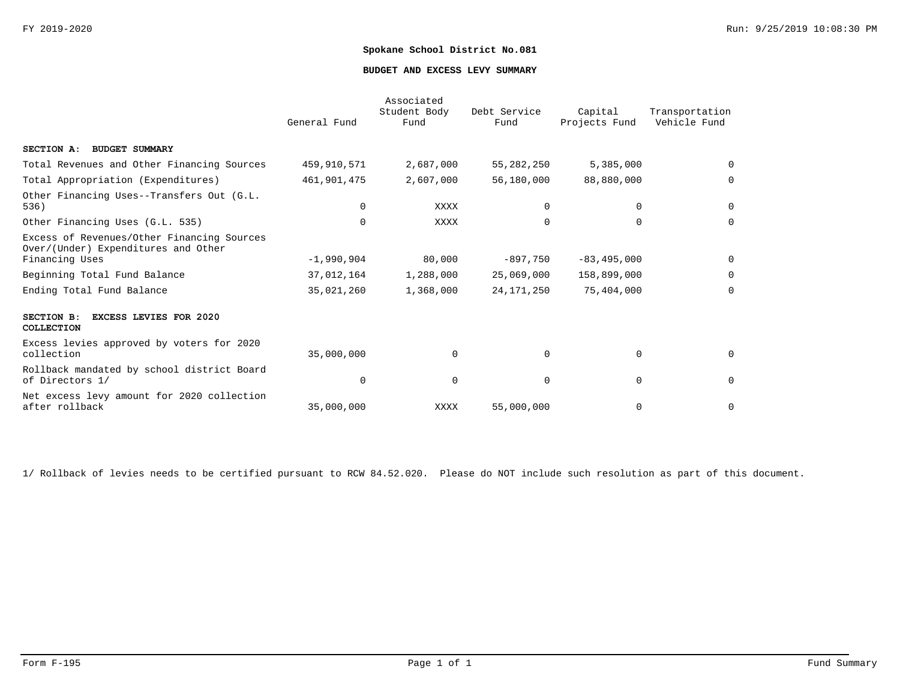#### **BUDGET AND EXCESS LEVY SUMMARY**

|                                                                                                     | General Fund | Associated<br>Student Body<br>Fund | Debt Service<br>Fund | Capital<br>Projects Fund | Transportation<br>Vehicle Fund |
|-----------------------------------------------------------------------------------------------------|--------------|------------------------------------|----------------------|--------------------------|--------------------------------|
| SECTION A: BUDGET SUMMARY                                                                           |              |                                    |                      |                          |                                |
| Total Revenues and Other Financing Sources                                                          | 459,910,571  | 2,687,000                          | 55,282,250           | 5,385,000                | $\Omega$                       |
| Total Appropriation (Expenditures)                                                                  | 461,901,475  | 2,607,000                          | 56,180,000           | 88,880,000               | $\Omega$                       |
| Other Financing Uses--Transfers Out (G.L.<br>536)                                                   | $\Omega$     | <b>XXXX</b>                        | $\Omega$             | 0                        | $\mathbf 0$                    |
| Other Financing Uses (G.L. 535)                                                                     | $\Omega$     | <b>XXXX</b>                        | $\Omega$             | 0                        | $\Omega$                       |
| Excess of Revenues/Other Financing Sources<br>Over/(Under) Expenditures and Other<br>Financing Uses | $-1,990,904$ | 80,000                             | $-897,750$           | $-83, 495, 000$          | $\Omega$                       |
| Beginning Total Fund Balance                                                                        | 37,012,164   | 1,288,000                          | 25,069,000           | 158,899,000              | $\Omega$                       |
| Ending Total Fund Balance                                                                           | 35,021,260   | 1,368,000                          | 24, 171, 250         | 75,404,000               | $\Omega$                       |
| <b>EXCESS LEVIES FOR 2020</b><br>SECTION B:<br>COLLECTION                                           |              |                                    |                      |                          |                                |
| Excess levies approved by voters for 2020<br>collection                                             | 35,000,000   | $\Omega$                           | $\Omega$             | $\mathbf 0$              | $\Omega$                       |
| Rollback mandated by school district Board<br>of Directors 1/                                       | $\Omega$     | $\mathbf 0$                        | $\Omega$             | 0                        | $\Omega$                       |
| Net excess levy amount for 2020 collection<br>after rollback                                        | 35,000,000   | XXXX                               | 55,000,000           | $\mathbf 0$              | $\mathbf 0$                    |

1/ Rollback of levies needs to be certified pursuant to RCW 84.52.020. Please do NOT include such resolution as part of this document.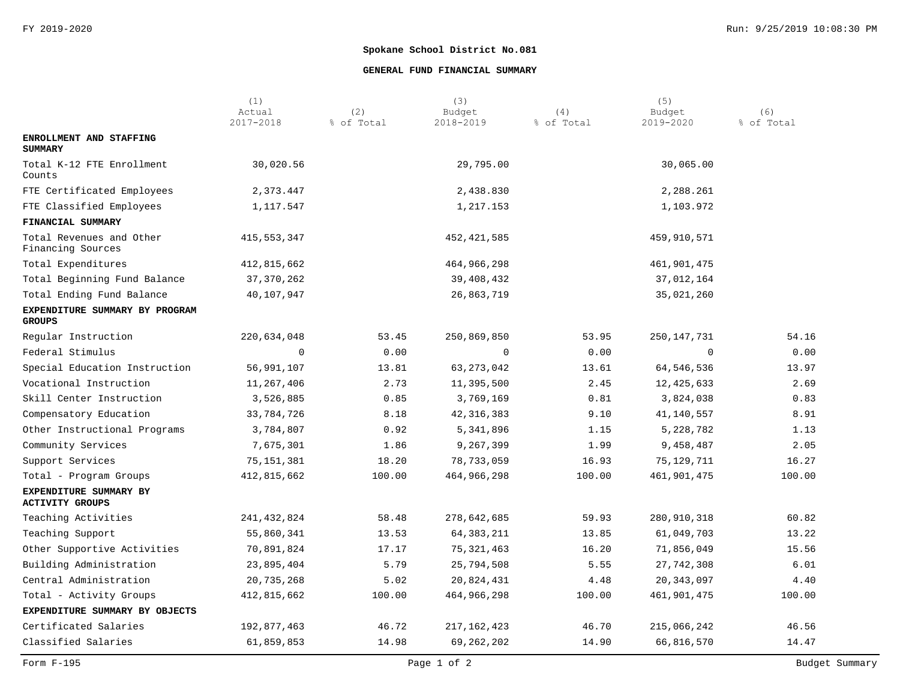### **GENERAL FUND FINANCIAL SUMMARY**

|                                                  | (1)<br>Actual | (2)        | (3)<br>Budget | (4)        | (5)<br>Budget | (6)        |
|--------------------------------------------------|---------------|------------|---------------|------------|---------------|------------|
|                                                  | 2017-2018     | % of Total | 2018-2019     | % of Total | 2019-2020     | % of Total |
| ENROLLMENT AND STAFFING<br><b>SUMMARY</b>        |               |            |               |            |               |            |
| Total K-12 FTE Enrollment<br>Counts              | 30,020.56     |            | 29,795.00     |            | 30,065.00     |            |
| FTE Certificated Employees                       | 2,373.447     |            | 2,438.830     |            | 2,288.261     |            |
| FTE Classified Employees                         | 1,117.547     |            | 1,217.153     |            | 1,103.972     |            |
| FINANCIAL SUMMARY                                |               |            |               |            |               |            |
| Total Revenues and Other<br>Financing Sources    | 415,553,347   |            | 452,421,585   |            | 459,910,571   |            |
| Total Expenditures                               | 412,815,662   |            | 464,966,298   |            | 461,901,475   |            |
| Total Beginning Fund Balance                     | 37, 370, 262  |            | 39,408,432    |            | 37,012,164    |            |
| Total Ending Fund Balance                        | 40,107,947    |            | 26,863,719    |            | 35,021,260    |            |
| EXPENDITURE SUMMARY BY PROGRAM<br><b>GROUPS</b>  |               |            |               |            |               |            |
| Regular Instruction                              | 220,634,048   | 53.45      | 250,869,850   | 53.95      | 250,147,731   | 54.16      |
| Federal Stimulus                                 | $\mathbf 0$   | 0.00       | 0             | 0.00       | $\mathbf{0}$  | 0.00       |
| Special Education Instruction                    | 56,991,107    | 13.81      | 63, 273, 042  | 13.61      | 64,546,536    | 13.97      |
| Vocational Instruction                           | 11,267,406    | 2.73       | 11,395,500    | 2.45       | 12,425,633    | 2.69       |
| Skill Center Instruction                         | 3,526,885     | 0.85       | 3,769,169     | 0.81       | 3,824,038     | 0.83       |
| Compensatory Education                           | 33,784,726    | 8.18       | 42, 316, 383  | 9.10       | 41,140,557    | 8.91       |
| Other Instructional Programs                     | 3,784,807     | 0.92       | 5,341,896     | 1.15       | 5,228,782     | 1.13       |
| Community Services                               | 7,675,301     | 1.86       | 9,267,399     | 1.99       | 9,458,487     | 2.05       |
| Support Services                                 | 75,151,381    | 18.20      | 78,733,059    | 16.93      | 75,129,711    | 16.27      |
| Total - Program Groups                           | 412,815,662   | 100.00     | 464,966,298   | 100.00     | 461,901,475   | 100.00     |
| EXPENDITURE SUMMARY BY<br><b>ACTIVITY GROUPS</b> |               |            |               |            |               |            |
| Teaching Activities                              | 241, 432, 824 | 58.48      | 278,642,685   | 59.93      | 280,910,318   | 60.82      |
| Teaching Support                                 | 55,860,341    | 13.53      | 64, 383, 211  | 13.85      | 61,049,703    | 13.22      |
| Other Supportive Activities                      | 70,891,824    | 17.17      | 75, 321, 463  | 16.20      | 71,856,049    | 15.56      |
| Building Administration                          | 23,895,404    | 5.79       | 25,794,508    | 5.55       | 27, 742, 308  | 6.01       |
| Central Administration                           | 20,735,268    | 5.02       | 20,824,431    | 4.48       | 20, 343, 097  | 4.40       |
| Total - Activity Groups                          | 412,815,662   | 100.00     | 464,966,298   | 100.00     | 461,901,475   | 100.00     |
| EXPENDITURE SUMMARY BY OBJECTS                   |               |            |               |            |               |            |
| Certificated Salaries                            | 192,877,463   | 46.72      | 217,162,423   | 46.70      | 215,066,242   | 46.56      |
| Classified Salaries                              | 61,859,853    | 14.98      | 69,262,202    | 14.90      | 66,816,570    | 14.47      |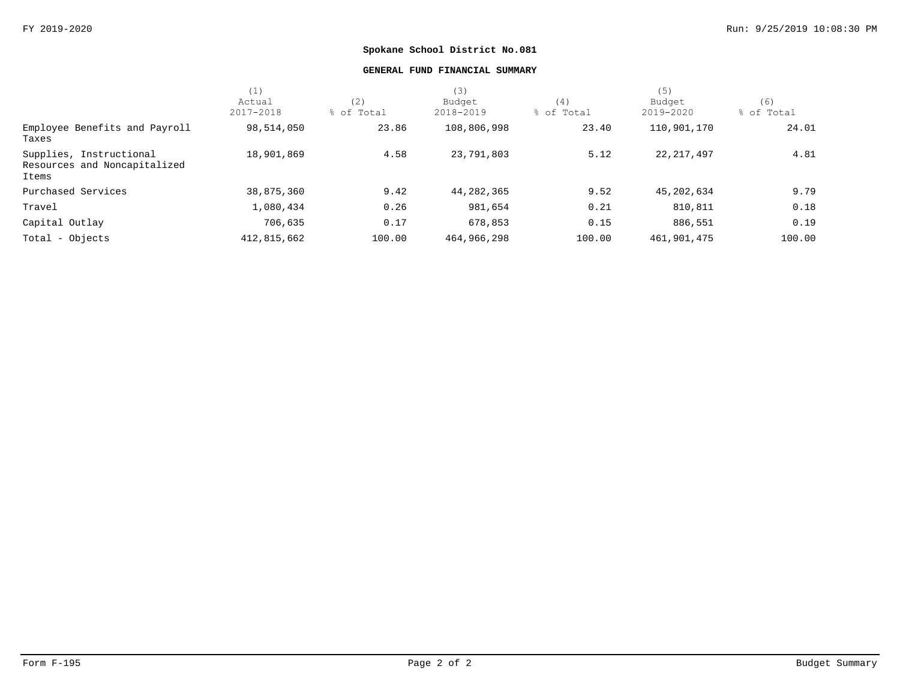#### **GENERAL FUND FINANCIAL SUMMARY**

|                                                                  | (1)         |            | (3)         |            | (5)          |            |
|------------------------------------------------------------------|-------------|------------|-------------|------------|--------------|------------|
|                                                                  | Actual      | (2)        | Budget      | (4)        | Budget       | (6)        |
|                                                                  | 2017-2018   | % of Total | 2018-2019   | % of Total | 2019-2020    | % of Total |
| Employee Benefits and Payroll<br>Taxes                           | 98,514,050  | 23.86      | 108,806,998 | 23.40      | 110,901,170  | 24.01      |
| Supplies, Instructional<br>Resources and Noncapitalized<br>Items | 18,901,869  | 4.58       | 23,791,803  | 5.12       | 22, 217, 497 | 4.81       |
| Purchased Services                                               | 38,875,360  | 9.42       | 44,282,365  | 9.52       | 45,202,634   | 9.79       |
| Travel                                                           | 1,080,434   | 0.26       | 981,654     | 0.21       | 810,811      | 0.18       |
| Capital Outlay                                                   | 706,635     | 0.17       | 678,853     | 0.15       | 886,551      | 0.19       |
| Total - Objects                                                  | 412,815,662 | 100.00     | 464,966,298 | 100.00     | 461,901,475  | 100.00     |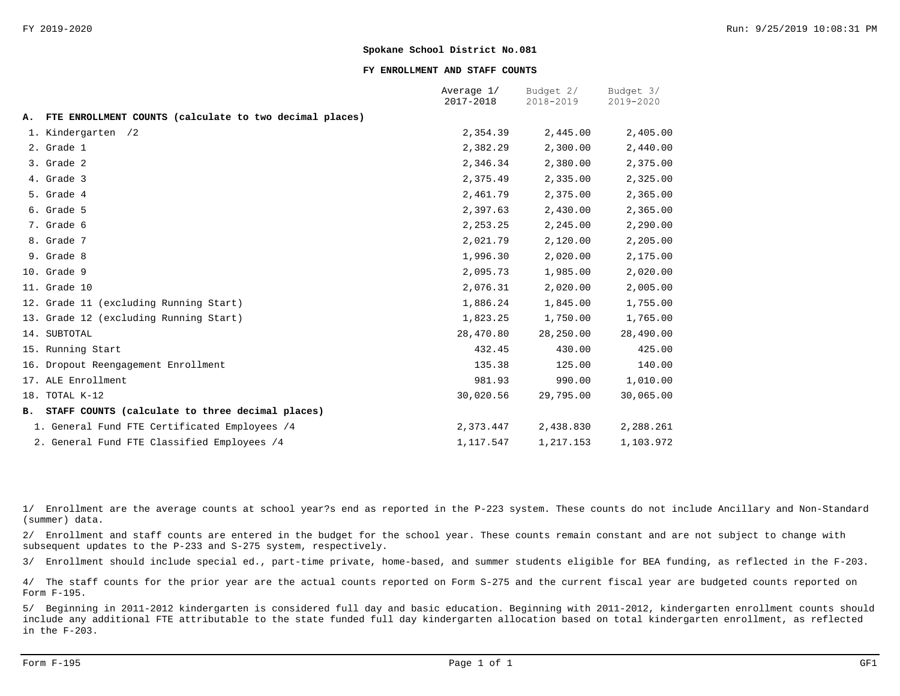#### **FY ENROLLMENT AND STAFF COUNTS**

|    |                                                         | Average 1/<br>2017-2018 | Budget 2/<br>2018-2019 | Budget 3/<br>2019-2020 |
|----|---------------------------------------------------------|-------------------------|------------------------|------------------------|
| А. | FTE ENROLLMENT COUNTS (calculate to two decimal places) |                         |                        |                        |
|    | 1. Kindergarten /2                                      | 2,354.39                | 2,445.00               | 2,405.00               |
|    | 2. Grade 1                                              | 2,382.29                | 2,300.00               | 2,440.00               |
|    | 3. Grade 2                                              | 2,346.34                | 2,380.00               | 2,375.00               |
|    | 4. Grade 3                                              | 2,375.49                | 2,335.00               | 2,325.00               |
|    | 5. Grade 4                                              | 2,461.79                | 2,375.00               | 2,365.00               |
|    | 6. Grade 5                                              | 2,397.63                | 2,430.00               | 2,365.00               |
|    | 7. Grade 6                                              | 2, 253.25               | 2,245.00               | 2,290.00               |
|    | 8. Grade 7                                              | 2,021.79                | 2,120.00               | 2,205.00               |
|    | 9. Grade 8                                              | 1,996.30                | 2,020.00               | 2,175.00               |
|    | 10. Grade 9                                             | 2,095.73                | 1,985.00               | 2,020.00               |
|    | 11. Grade 10                                            | 2,076.31                | 2,020.00               | 2,005.00               |
|    | 12. Grade 11 (excluding Running Start)                  | 1,886.24                | 1,845.00               | 1,755.00               |
|    | 13. Grade 12 (excluding Running Start)                  | 1,823.25                | 1,750.00               | 1,765.00               |
|    | 14. SUBTOTAL                                            | 28,470.80               | 28,250.00              | 28,490.00              |
|    | 15. Running Start                                       | 432.45                  | 430.00                 | 425.00                 |
|    | 16. Dropout Reengagement Enrollment                     | 135.38                  | 125.00                 | 140.00                 |
|    | 17. ALE Enrollment                                      | 981.93                  | 990.00                 | 1,010.00               |
|    | 18. TOTAL K-12                                          | 30,020.56               | 29,795.00              | 30,065.00              |
|    | B. STAFF COUNTS (calculate to three decimal places)     |                         |                        |                        |
|    | 1. General Fund FTE Certificated Employees /4           | 2,373.447               | 2,438.830              | 2,288.261              |
|    | 2. General Fund FTE Classified Employees /4             | 1,117.547               | 1,217.153              | 1,103.972              |

1/ Enrollment are the average counts at school year?s end as reported in the P-223 system. These counts do not include Ancillary and Non-Standard (summer) data.

2/ Enrollment and staff counts are entered in the budget for the school year. These counts remain constant and are not subject to change with subsequent updates to the P-233 and S-275 system, respectively.

3/ Enrollment should include special ed., part-time private, home-based, and summer students eligible for BEA funding, as reflected in the F-203.

4/ The staff counts for the prior year are the actual counts reported on Form S-275 and the current fiscal year are budgeted counts reported on Form F-195.

5/ Beginning in 2011-2012 kindergarten is considered full day and basic education. Beginning with 2011-2012, kindergarten enrollment counts should include any additional FTE attributable to the state funded full day kindergarten allocation based on total kindergarten enrollment, as reflected in the F-203.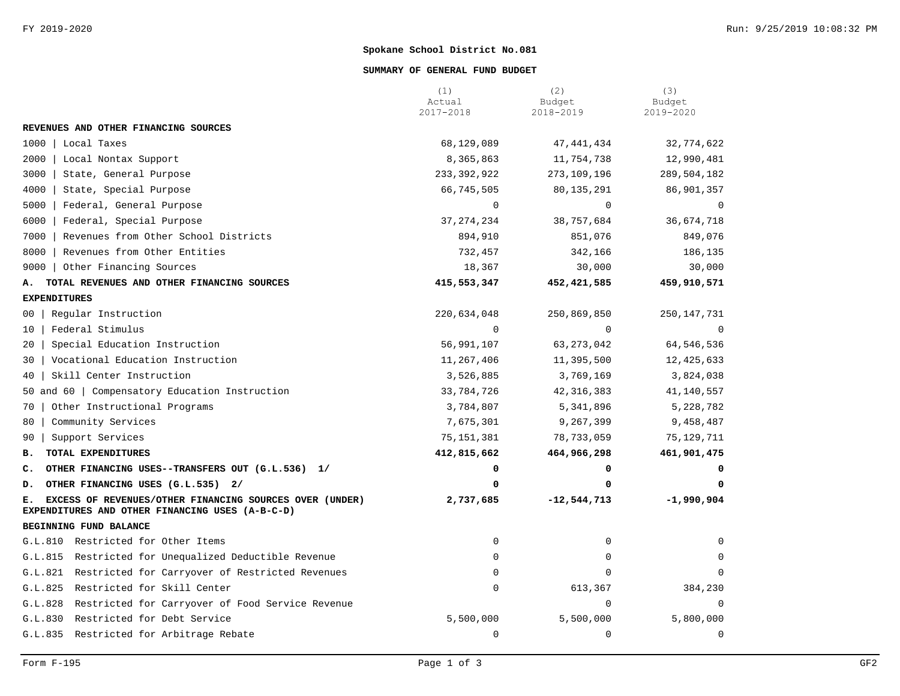#### **SUMMARY OF GENERAL FUND BUDGET**

|                                                                                                                  | (1)<br>Actual<br>2017-2018 | (2)<br>Budget<br>2018-2019 | (3)<br>Budget<br>2019-2020 |
|------------------------------------------------------------------------------------------------------------------|----------------------------|----------------------------|----------------------------|
| REVENUES AND OTHER FINANCING SOURCES                                                                             |                            |                            |                            |
| 1000<br>Local Taxes                                                                                              | 68,129,089                 | 47, 441, 434               | 32,774,622                 |
| 2000<br>Local Nontax Support                                                                                     | 8,365,863                  | 11,754,738                 | 12,990,481                 |
| 3000<br>State, General Purpose                                                                                   | 233, 392, 922              | 273,109,196                | 289,504,182                |
| 4000<br>State, Special Purpose                                                                                   | 66,745,505                 | 80,135,291                 | 86,901,357                 |
| 5000<br>Federal, General Purpose                                                                                 | $\mathbf 0$                | 0                          | $\mathbf 0$                |
| 6000<br>Federal, Special Purpose                                                                                 | 37, 274, 234               | 38,757,684                 | 36,674,718                 |
| 7000<br>Revenues from Other School Districts                                                                     | 894,910                    | 851,076                    | 849,076                    |
| 8000<br>Revenues from Other Entities                                                                             | 732,457                    | 342,166                    | 186,135                    |
| Other Financing Sources<br>$9000$                                                                                | 18,367                     | 30,000                     | 30,000                     |
| TOTAL REVENUES AND OTHER FINANCING SOURCES<br>А.                                                                 | 415,553,347                | 452, 421, 585              | 459,910,571                |
| <b>EXPENDITURES</b>                                                                                              |                            |                            |                            |
| Regular Instruction<br>00                                                                                        | 220,634,048                | 250,869,850                | 250,147,731                |
| Federal Stimulus<br>10 <sup>°</sup>                                                                              | $\Omega$                   | $\Omega$                   | $\Omega$                   |
| Special Education Instruction<br>20 <sub>1</sub>                                                                 | 56,991,107                 | 63, 273, 042               | 64,546,536                 |
| Vocational Education Instruction<br>30                                                                           | 11,267,406                 | 11,395,500                 | 12, 425, 633               |
| Skill Center Instruction<br>40                                                                                   | 3,526,885                  | 3,769,169                  | 3,824,038                  |
| 50 and 60   Compensatory Education Instruction                                                                   | 33,784,726                 | 42, 316, 383               | 41,140,557                 |
| Other Instructional Programs<br>70                                                                               | 3,784,807                  | 5,341,896                  | 5,228,782                  |
| Community Services<br>80                                                                                         | 7,675,301                  | 9,267,399                  | 9,458,487                  |
| Support Services<br>90                                                                                           | 75, 151, 381               | 78,733,059                 | 75,129,711                 |
| TOTAL EXPENDITURES<br>в.                                                                                         | 412,815,662                | 464,966,298                | 461,901,475                |
| OTHER FINANCING USES--TRANSFERS OUT (G.L.536) 1/<br>c.                                                           | 0                          | 0                          | 0                          |
| OTHER FINANCING USES (G.L.535) 2/<br>D.                                                                          | 0                          | 0                          | 0                          |
| EXCESS OF REVENUES/OTHER FINANCING SOURCES OVER (UNDER)<br>Е.<br>EXPENDITURES AND OTHER FINANCING USES (A-B-C-D) | 2,737,685                  | $-12,544,713$              | $-1,990,904$               |
| BEGINNING FUND BALANCE                                                                                           |                            |                            |                            |
| G.L.810 Restricted for Other Items                                                                               | 0                          | 0                          | 0                          |
| G.L.815 Restricted for Unequalized Deductible Revenue                                                            | $\Omega$                   | 0                          | 0                          |
| G.L.821 Restricted for Carryover of Restricted Revenues                                                          | $\Omega$                   | $\Omega$                   | $\mathbf 0$                |
| G.L.825<br>Restricted for Skill Center                                                                           | $\mathsf 0$                | 613,367                    | 384,230                    |
| G.L.828<br>Restricted for Carryover of Food Service Revenue                                                      |                            | 0                          | $\mathbf 0$                |
| G.L.830<br>Restricted for Debt Service                                                                           | 5,500,000                  | 5,500,000                  | 5,800,000                  |
| G.L.835 Restricted for Arbitrage Rebate                                                                          | $\mathsf 0$                | $\mathbf 0$                | $\mathbf 0$                |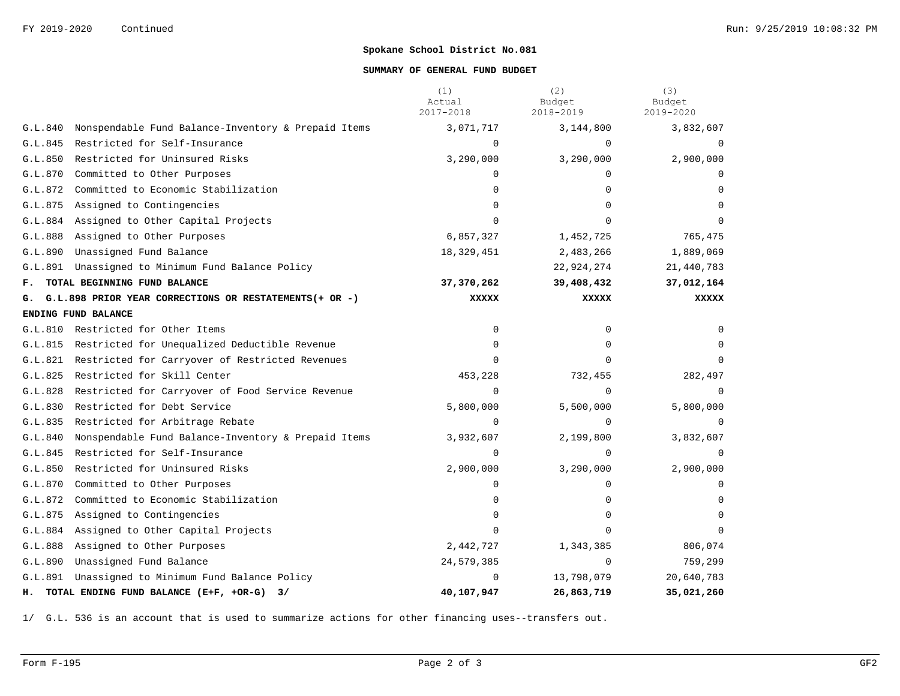#### **SUMMARY OF GENERAL FUND BUDGET**

|         |                                                           | (1)<br>Actual<br>2017-2018 | (2)<br>Budget<br>2018-2019 | (3)<br>Budget<br>2019-2020 |
|---------|-----------------------------------------------------------|----------------------------|----------------------------|----------------------------|
| G.L.840 | Nonspendable Fund Balance-Inventory & Prepaid Items       | 3,071,717                  | 3,144,800                  | 3,832,607                  |
| G.L.845 | Restricted for Self-Insurance                             | $\Omega$                   | $\cap$                     |                            |
| G.L.850 | Restricted for Uninsured Risks                            | 3,290,000                  | 3,290,000                  | 2,900,000                  |
| G.L.870 | Committed to Other Purposes                               | $\mathbf 0$                | $\Omega$                   |                            |
| G.L.872 | Committed to Economic Stabilization                       | 0                          | $\Omega$                   | $\Omega$                   |
| G.L.875 | Assigned to Contingencies                                 | $\Omega$                   | $\Omega$                   |                            |
|         | G.L.884 Assigned to Other Capital Projects                | $\Omega$                   | $\Omega$                   |                            |
|         | G.L.888 Assigned to Other Purposes                        | 6,857,327                  | 1,452,725                  | 765,475                    |
| G.L.890 | Unassigned Fund Balance                                   | 18,329,451                 | 2,483,266                  | 1,889,069                  |
| G.L.891 | Unassigned to Minimum Fund Balance Policy                 |                            | 22,924,274                 | 21,440,783                 |
| F.,     | TOTAL BEGINNING FUND BALANCE                              | 37,370,262                 | 39,408,432                 | 37,012,164                 |
|         | G. G.L.898 PRIOR YEAR CORRECTIONS OR RESTATEMENTS(+ OR -) | <b>XXXXX</b>               | <b>XXXXX</b>               | <b>XXXXX</b>               |
|         | ENDING FUND BALANCE                                       |                            |                            |                            |
| G.L.810 | Restricted for Other Items                                | 0                          | $\Omega$                   | $\Omega$                   |
| G.L.815 | Restricted for Unequalized Deductible Revenue             | $\mathbf 0$                | $\Omega$                   | 0                          |
|         | G.L.821 Restricted for Carryover of Restricted Revenues   | $\Omega$                   | $\Omega$                   | $\Omega$                   |
| G.L.825 | Restricted for Skill Center                               | 453,228                    | 732,455                    | 282,497                    |
| G.L.828 | Restricted for Carryover of Food Service Revenue          | $\Omega$                   | $\Omega$                   | $\Omega$                   |
| G.L.830 | Restricted for Debt Service                               | 5,800,000                  | 5,500,000                  | 5,800,000                  |
| G.L.835 | Restricted for Arbitrage Rebate                           | $\Omega$                   | $\Omega$                   | $\Omega$                   |
| G.L.840 | Nonspendable Fund Balance-Inventory & Prepaid Items       | 3,932,607                  | 2,199,800                  | 3,832,607                  |
| G.L.845 | Restricted for Self-Insurance                             | $\Omega$                   | $\Omega$                   | $\Omega$                   |
| G.L.850 | Restricted for Uninsured Risks                            | 2,900,000                  | 3,290,000                  | 2,900,000                  |
| G.L.870 | Committed to Other Purposes                               | $\mathbf 0$                | 0                          | $\Omega$                   |
| G.L.872 | Committed to Economic Stabilization                       | 0                          | $\Omega$                   | $\Omega$                   |
| G.L.875 | Assigned to Contingencies                                 | $\Omega$                   | $\Omega$                   | $\Omega$                   |
|         | G.L.884 Assigned to Other Capital Projects                | $\Omega$                   | $\Omega$                   | $\Omega$                   |
| G.L.888 | Assigned to Other Purposes                                | 2,442,727                  | 1,343,385                  | 806,074                    |
| G.L.890 | Unassigned Fund Balance                                   | 24,579,385                 | $\Omega$                   | 759,299                    |
| G.L.891 | Unassigned to Minimum Fund Balance Policy                 | $\Omega$                   | 13,798,079                 | 20,640,783                 |
|         | H. TOTAL ENDING FUND BALANCE (E+F, +OR-G) 3/              | 40,107,947                 | 26,863,719                 | 35,021,260                 |

1/ G.L. 536 is an account that is used to summarize actions for other financing uses--transfers out.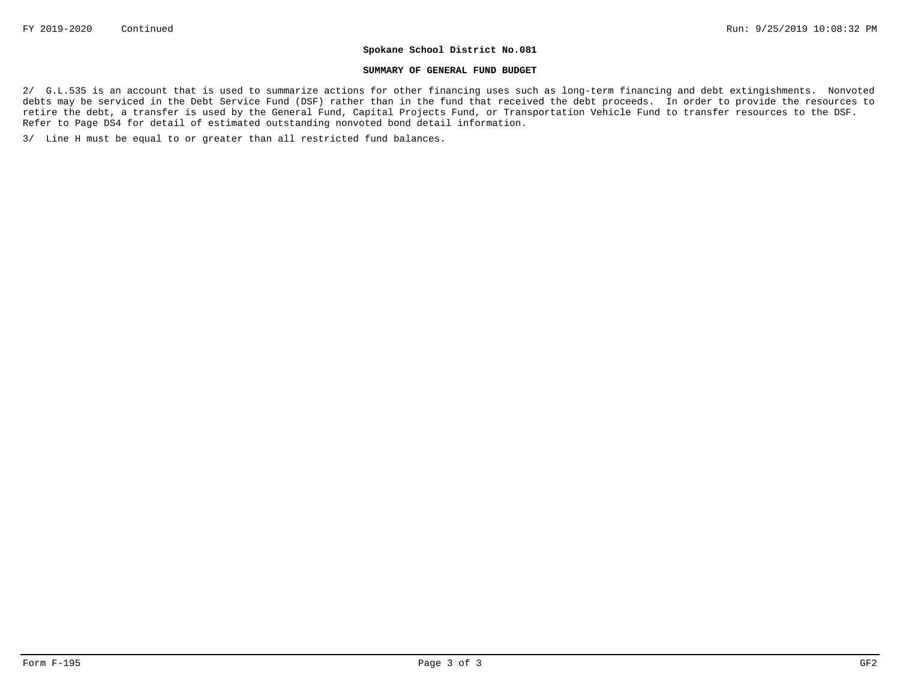#### **SUMMARY OF GENERAL FUND BUDGET**

2/ G.L.535 is an account that is used to summarize actions for other financing uses such as long-term financing and debt extingishments. Nonvoted debts may be serviced in the Debt Service Fund (DSF) rather than in the fund that received the debt proceeds. In order to provide the resources to retire the debt, a transfer is used by the General Fund, Capital Projects Fund, or Transportation Vehicle Fund to transfer resources to the DSF. Refer to Page DS4 for detail of estimated outstanding nonvoted bond detail information.

3/ Line H must be equal to or greater than all restricted fund balances.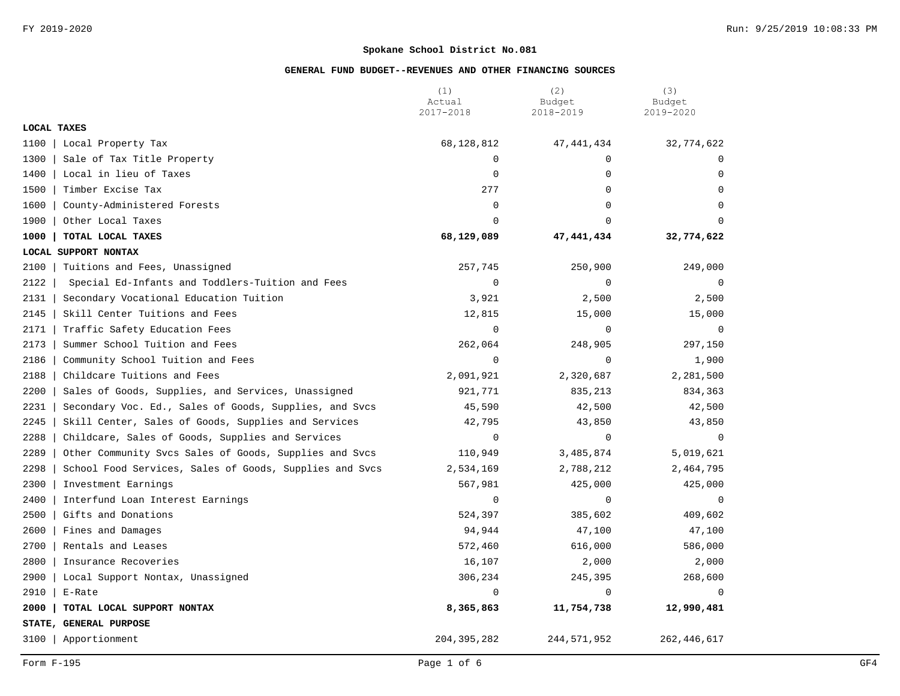|                    |                                                         | (1)<br>Actual | (2)<br>Budget | (3)<br>Budget |
|--------------------|---------------------------------------------------------|---------------|---------------|---------------|
|                    |                                                         | 2017-2018     | 2018-2019     | 2019-2020     |
| <b>LOCAL TAXES</b> |                                                         |               |               |               |
| 1100               | Local Property Tax                                      | 68, 128, 812  | 47, 441, 434  | 32,774,622    |
| 1300               | Sale of Tax Title Property                              | $\Omega$      | $\Omega$      | $\Omega$      |
| 1400               | Local in lieu of Taxes                                  | $\Omega$      | $\mathbf 0$   | $\Omega$      |
| 1500               | Timber Excise Tax                                       | 277           | $\mathbf 0$   | $\mathbf 0$   |
| 1600               | County-Administered Forests                             | $\mathbf 0$   | $\Omega$      | 0             |
| 1900               | Other Local Taxes                                       | $\Omega$      | $\Omega$      | $\Omega$      |
| 1000               | TOTAL LOCAL TAXES                                       | 68,129,089    | 47,441,434    | 32,774,622    |
|                    | LOCAL SUPPORT NONTAX                                    |               |               |               |
| 2100               | Tuitions and Fees, Unassigned                           | 257,745       | 250,900       | 249,000       |
| 2122               | Special Ed-Infants and Toddlers-Tuition and Fees        | $\mathbf 0$   | 0             | 0             |
| 2131               | Secondary Vocational Education Tuition                  | 3,921         | 2,500         | 2,500         |
| 2145               | Skill Center Tuitions and Fees                          | 12,815        | 15,000        | 15,000        |
| 2171               | Traffic Safety Education Fees                           | $\Omega$      | $\Omega$      | $\mathbf 0$   |
| 2173               | Summer School Tuition and Fees                          | 262,064       | 248,905       | 297,150       |
| 2186               | Community School Tuition and Fees                       | $\mathbf 0$   | $\mathbf 0$   | 1,900         |
| 2188               | Childcare Tuitions and Fees                             | 2,091,921     | 2,320,687     | 2,281,500     |
| 2200               | Sales of Goods, Supplies, and Services, Unassigned      | 921,771       | 835,213       | 834,363       |
| 2231               | Secondary Voc. Ed., Sales of Goods, Supplies, and Svcs  | 45,590        | 42,500        | 42,500        |
| 2245               | Skill Center, Sales of Goods, Supplies and Services     | 42,795        | 43,850        | 43,850        |
| 2288               | Childcare, Sales of Goods, Supplies and Services        | $\mathbf 0$   | $\mathbf 0$   | $\mathbf 0$   |
| 2289               | Other Community Svcs Sales of Goods, Supplies and Svcs  | 110,949       | 3,485,874     | 5,019,621     |
| 2298               | School Food Services, Sales of Goods, Supplies and Svcs | 2,534,169     | 2,788,212     | 2,464,795     |
| 2300               | Investment Earnings                                     | 567,981       | 425,000       | 425,000       |
| 2400               | Interfund Loan Interest Earnings                        | $\Omega$      | $\mathbf 0$   | $\mathbf 0$   |
| 2500               | Gifts and Donations                                     | 524,397       | 385,602       | 409,602       |
| 2600               | Fines and Damages                                       | 94,944        | 47,100        | 47,100        |
| 2700               | Rentals and Leases                                      | 572,460       | 616,000       | 586,000       |
| 2800               | Insurance Recoveries                                    | 16,107        | 2,000         | 2,000         |
| 2900               | Local Support Nontax, Unassigned                        | 306,234       | 245,395       | 268,600       |
| 2910               | E-Rate                                                  | $\Omega$      | $\Omega$      | $\mathbf 0$   |
| 2000               | TOTAL LOCAL SUPPORT NONTAX                              | 8,365,863     | 11,754,738    | 12,990,481    |
|                    | STATE, GENERAL PURPOSE                                  |               |               |               |
| 3100               | Apportionment                                           | 204, 395, 282 | 244, 571, 952 | 262, 446, 617 |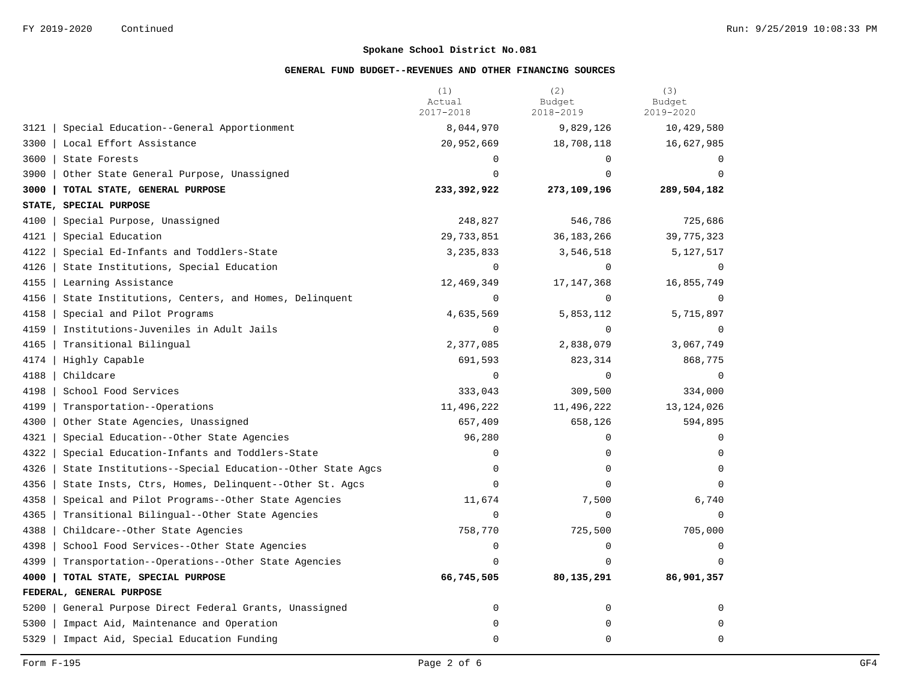|      |                                                         | (1)<br>Actual<br>2017-2018 | (2)<br>Budget<br>2018-2019 | (3)<br>Budget<br>2019-2020 |
|------|---------------------------------------------------------|----------------------------|----------------------------|----------------------------|
| 3121 | Special Education--General Apportionment                | 8,044,970                  | 9,829,126                  | 10,429,580                 |
| 3300 | Local Effort Assistance                                 | 20,952,669                 | 18,708,118                 | 16,627,985                 |
| 3600 | State Forests                                           | $\Omega$                   | $\Omega$                   | $\Omega$                   |
| 3900 | Other State General Purpose, Unassigned                 | $\Omega$                   | $\Omega$                   | $\Omega$                   |
| 3000 | TOTAL STATE, GENERAL PURPOSE                            | 233,392,922                | 273,109,196                | 289,504,182                |
|      | STATE, SPECIAL PURPOSE                                  |                            |                            |                            |
| 4100 | Special Purpose, Unassigned                             | 248,827                    | 546,786                    | 725,686                    |
| 4121 | Special Education                                       | 29,733,851                 | 36, 183, 266               | 39,775,323                 |
| 4122 | Special Ed-Infants and Toddlers-State                   | 3, 235, 833                | 3,546,518                  | 5,127,517                  |
| 4126 | State Institutions, Special Education                   | $\mathbf 0$                | $\Omega$                   | $\mathbf 0$                |
| 4155 | Learning Assistance                                     | 12,469,349                 | 17, 147, 368               | 16,855,749                 |
| 4156 | State Institutions, Centers, and Homes, Delinquent      | $\Omega$                   | $\Omega$                   | $\Omega$                   |
| 4158 | Special and Pilot Programs                              | 4,635,569                  | 5,853,112                  | 5,715,897                  |
| 4159 | Institutions-Juveniles in Adult Jails                   | $\Omega$                   | $\Omega$                   | $\Omega$                   |
| 4165 | Transitional Bilingual                                  | 2,377,085                  | 2,838,079                  | 3,067,749                  |
| 4174 | Highly Capable                                          | 691,593                    | 823,314                    | 868,775                    |
| 4188 | Childcare                                               | $\mathbf 0$                | $\Omega$                   | $\Omega$                   |
| 4198 | School Food Services                                    | 333,043                    | 309,500                    | 334,000                    |
| 4199 | Transportation--Operations                              | 11,496,222                 | 11,496,222                 | 13, 124, 026               |
| 4300 | Other State Agencies, Unassigned                        | 657,409                    | 658,126                    | 594,895                    |
| 4321 | Special Education--Other State Agencies                 | 96,280                     | 0                          | $\Omega$                   |
| 4322 | Special Education-Infants and Toddlers-State            | $\mathbf 0$                | 0                          | 0                          |
| 4326 | State Institutions--Special Education--Other State Agcs | 0                          | 0                          | $\Omega$                   |
| 4356 | State Insts, Ctrs, Homes, Delinquent--Other St. Agcs    | $\mathbf 0$                | $\mathbf 0$                | $\Omega$                   |
| 4358 | Speical and Pilot Programs--Other State Agencies        | 11,674                     | 7,500                      | 6,740                      |
| 4365 | Transitional Bilingual--Other State Agencies            | $\Omega$                   | $\Omega$                   | $\Omega$                   |
| 4388 | Childcare--Other State Agencies                         | 758,770                    | 725,500                    | 705,000                    |
| 4398 | School Food Services--Other State Agencies              | $\mathbf 0$                | $\Omega$                   | $\Omega$                   |
| 4399 | Transportation--Operations--Other State Agencies        | 0                          | $\Omega$                   |                            |
| 4000 | TOTAL STATE, SPECIAL PURPOSE                            | 66,745,505                 | 80,135,291                 | 86,901,357                 |
|      | FEDERAL, GENERAL PURPOSE                                |                            |                            |                            |
| 5200 | General Purpose Direct Federal Grants, Unassigned       | $\mathbf 0$                | $\mathbf 0$                | 0                          |
| 5300 | Impact Aid, Maintenance and Operation                   | $\mathbf 0$                | 0                          | $\Omega$                   |
| 5329 | Impact Aid, Special Education Funding                   | 0                          | 0                          | $\mathbf 0$                |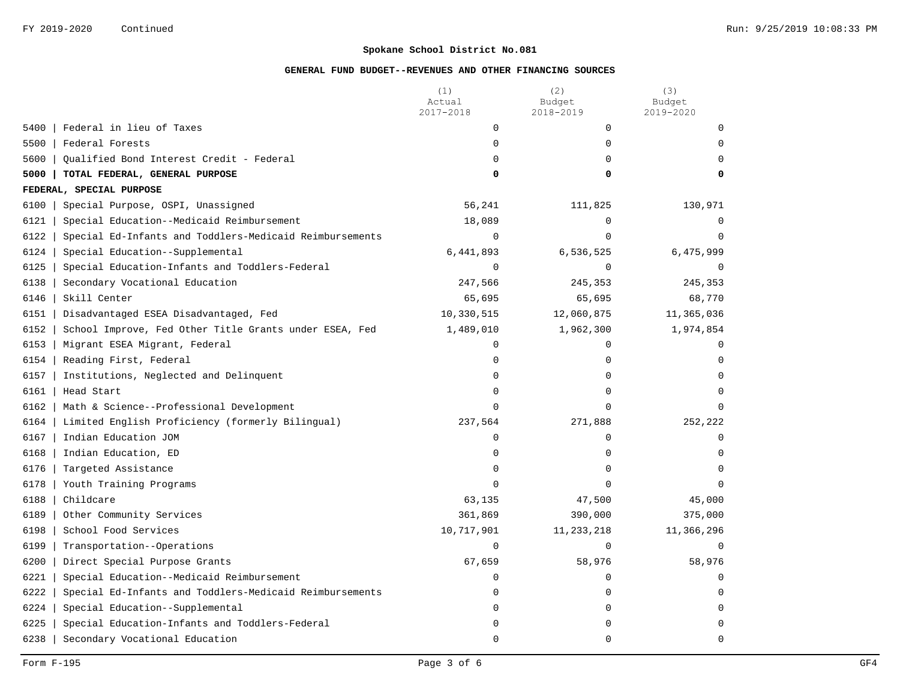|                                                                 | (1)<br>Actual | (2)<br>Budget | (3)<br>Budget |
|-----------------------------------------------------------------|---------------|---------------|---------------|
|                                                                 | 2017-2018     | 2018-2019     | 2019-2020     |
| Federal in lieu of Taxes<br>5400                                | 0             | $\mathbf 0$   | $\Omega$      |
| 5500<br>Federal Forests                                         | $\Omega$      | 0             | $\Omega$      |
| 5600<br>Qualified Bond Interest Credit - Federal                | 0             | $\mathbf 0$   | $\Omega$      |
| 5000<br>TOTAL FEDERAL, GENERAL PURPOSE                          | 0             | 0             | 0             |
| FEDERAL, SPECIAL PURPOSE                                        |               |               |               |
| 6100<br>Special Purpose, OSPI, Unassigned                       | 56,241        | 111,825       | 130,971       |
| Special Education--Medicaid Reimbursement<br>6121               | 18,089        | $\mathbf 0$   | $\Omega$      |
| Special Ed-Infants and Toddlers-Medicaid Reimbursements<br>6122 | $\mathbf 0$   | $\Omega$      | $\Omega$      |
| 6124<br>Special Education--Supplemental                         | 6,441,893     | 6,536,525     | 6,475,999     |
| 6125<br>Special Education-Infants and Toddlers-Federal          | $\mathbf 0$   | $\mathbf 0$   | 0             |
| 6138<br>Secondary Vocational Education                          | 247,566       | 245,353       | 245,353       |
| 6146<br>Skill Center                                            | 65,695        | 65,695        | 68,770        |
| 6151<br>Disadvantaged ESEA Disadvantaged, Fed                   | 10,330,515    | 12,060,875    | 11,365,036    |
| School Improve, Fed Other Title Grants under ESEA, Fed<br>6152  | 1,489,010     | 1,962,300     | 1,974,854     |
| Migrant ESEA Migrant, Federal<br>6153                           | 0             | $\Omega$      | $\Omega$      |
| 6154<br>Reading First, Federal                                  | $\mathbf 0$   | $\mathbf 0$   | $\Omega$      |
| 6157<br>Institutions, Neglected and Delinquent                  | 0             | $\mathbf 0$   | $\Omega$      |
| 6161<br>Head Start                                              | 0             | $\Omega$      | $\Omega$      |
| 6162<br>Math & Science--Professional Development                | $\mathbf 0$   | $\mathbf 0$   | $\Omega$      |
| 6164<br>Limited English Proficiency (formerly Bilingual)        | 237,564       | 271,888       | 252,222       |
| Indian Education JOM<br>6167                                    | $\mathbf 0$   | $\mathbf 0$   | $\Omega$      |
| 6168<br>Indian Education, ED                                    | $\mathsf 0$   | $\mathbf 0$   | $\Omega$      |
| 6176<br>Targeted Assistance                                     | 0             | $\mathbf 0$   | $\Omega$      |
| 6178<br>Youth Training Programs                                 | $\mathbf 0$   | $\Omega$      | $\Omega$      |
| 6188<br>Childcare                                               | 63,135        | 47,500        | 45,000        |
| 6189<br>Other Community Services                                | 361,869       | 390,000       | 375,000       |
| 6198<br>School Food Services                                    | 10,717,901    | 11, 233, 218  | 11,366,296    |
| 6199<br>Transportation--Operations                              | $\Omega$      | $\Omega$      | $\Omega$      |
| 6200<br>Direct Special Purpose Grants                           | 67,659        | 58,976        | 58,976        |
| 6221<br>Special Education--Medicaid Reimbursement               | 0             | 0             | $\Omega$      |
| 6222<br>Special Ed-Infants and Toddlers-Medicaid Reimbursements | 0             | 0             | $\Omega$      |
| 6224<br>Special Education--Supplemental                         | $\mathbf 0$   | 0             | $\mathbf 0$   |
| 6225<br>Special Education-Infants and Toddlers-Federal          | 0             | $\mathbf 0$   | $\Omega$      |
|                                                                 | 0             | $\mathbf 0$   | $\Omega$      |
| Secondary Vocational Education<br>6238                          |               |               |               |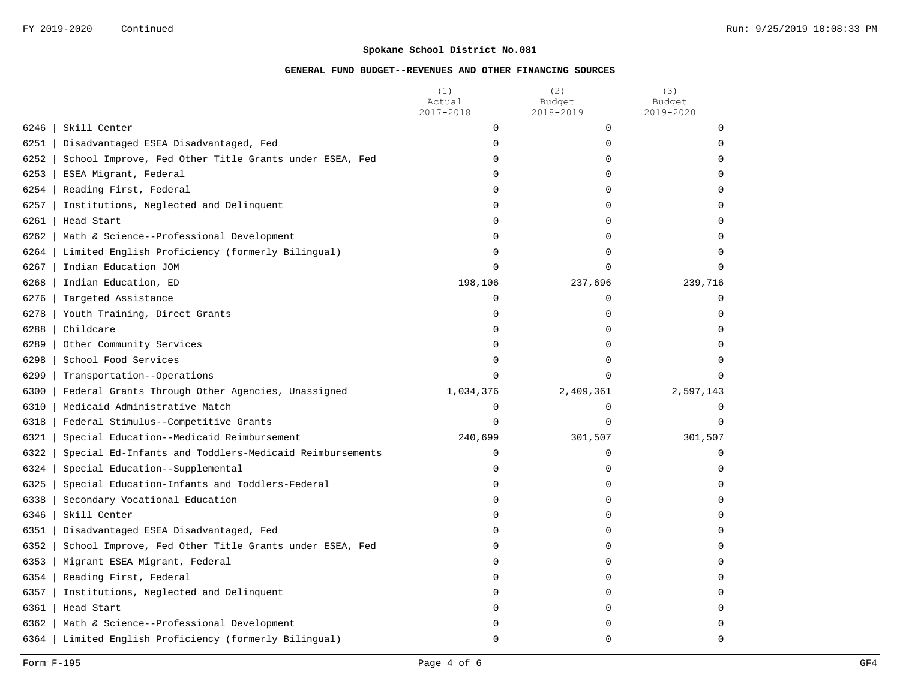|      |                                                         | (1)<br>Actual<br>2017-2018 | (2)<br>Budget<br>2018-2019 | (3)<br>Budget<br>2019-2020 |
|------|---------------------------------------------------------|----------------------------|----------------------------|----------------------------|
| 6246 | Skill Center                                            | $\mathbf 0$                | 0                          | $\Omega$                   |
| 6251 | Disadvantaged ESEA Disadvantaged, Fed                   | $\mathbf 0$                | 0                          | $\Omega$                   |
| 6252 | School Improve, Fed Other Title Grants under ESEA, Fed  | $\mathbf 0$                | 0                          | $\mathbf 0$                |
| 6253 | ESEA Migrant, Federal                                   | $\mathbf 0$                | $\mathbf 0$                | 0                          |
| 6254 | Reading First, Federal                                  | $\mathbf 0$                | 0                          | $\Omega$                   |
| 6257 | Institutions, Neglected and Delinquent                  | $\Omega$                   | $\Omega$                   | $\Omega$                   |
| 6261 | Head Start                                              | $\mathbf 0$                | $\mathbf 0$                | $\mathbf 0$                |
| 6262 | Math & Science--Professional Development                | $\mathbf 0$                | $\mathbf 0$                | $\mathbf 0$                |
| 6264 | Limited English Proficiency (formerly Bilingual)        | $\mathbf 0$                | 0                          | $\Omega$                   |
| 6267 | Indian Education JOM                                    | $\Omega$                   | $\Omega$                   | $\Omega$                   |
| 6268 | Indian Education, ED                                    | 198,106                    | 237,696                    | 239,716                    |
| 6276 | Targeted Assistance                                     | $\mathbf 0$                | $\mathbf 0$                | $\mathbf 0$                |
| 6278 | Youth Training, Direct Grants                           | $\mathbf 0$                | 0                          | $\Omega$                   |
| 6288 | Childcare                                               | $\mathbf 0$                | 0                          | $\Omega$                   |
| 6289 | Other Community Services                                | $\mathbf 0$                | $\mathbf 0$                | $\Omega$                   |
| 6298 | School Food Services                                    | $\mathbf 0$                | $\mathbf 0$                | $\Omega$                   |
| 6299 | Transportation--Operations                              | $\Omega$                   | $\Omega$                   | $\Omega$                   |
| 6300 | Federal Grants Through Other Agencies, Unassigned       | 1,034,376                  | 2,409,361                  | 2,597,143                  |
| 6310 | Medicaid Administrative Match                           | $\mathbf 0$                | $\mathbf 0$                | $\mathbf 0$                |
| 6318 | Federal Stimulus--Competitive Grants                    | $\Omega$                   | $\Omega$                   | $\Omega$                   |
| 6321 | Special Education--Medicaid Reimbursement               | 240,699                    | 301,507                    | 301,507                    |
| 6322 | Special Ed-Infants and Toddlers-Medicaid Reimbursements | $\mathbf 0$                | $\Omega$                   | $\Omega$                   |
| 6324 | Special Education--Supplemental                         | $\mathbf 0$                | $\mathbf 0$                | $\mathbf 0$                |
| 6325 | Special Education-Infants and Toddlers-Federal          | $\mathbf 0$                | $\mathbf 0$                | $\mathbf 0$                |
| 6338 | Secondary Vocational Education                          | $\Omega$                   | 0                          | $\Omega$                   |
| 6346 | Skill Center                                            | $\Omega$                   | 0                          | $\Omega$                   |
| 6351 | Disadvantaged ESEA Disadvantaged, Fed                   | $\mathbf 0$                | 0                          | $\Omega$                   |
| 6352 | School Improve, Fed Other Title Grants under ESEA, Fed  | 0                          | $\Omega$                   | $\Omega$                   |
| 6353 | Migrant ESEA Migrant, Federal                           | $\Omega$                   | 0                          | $\Omega$                   |
| 6354 | Reading First, Federal                                  | 0                          | $\Omega$                   | $\Omega$                   |
| 6357 | Institutions, Neglected and Delinquent                  | $\mathbf 0$                | $\mathbf 0$                | $\mathbf 0$                |
| 6361 | Head Start                                              | $\mathbf 0$                | 0                          | 0                          |
| 6362 | Math & Science--Professional Development                | 0                          | 0                          | $\mathbf 0$                |
| 6364 | Limited English Proficiency (formerly Bilingual)        | $\Omega$                   | $\Omega$                   | $\Omega$                   |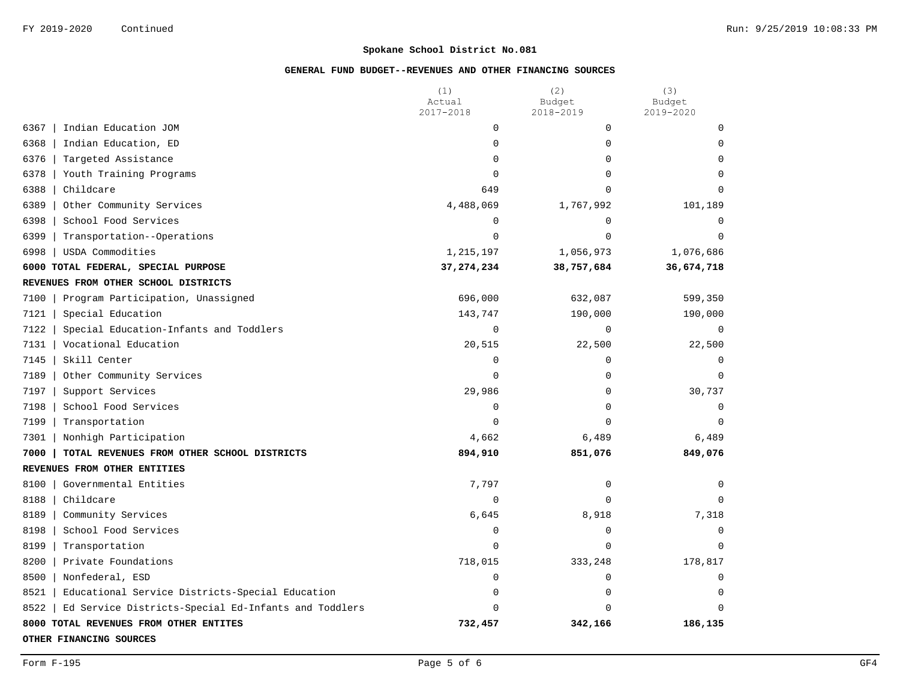|                                                              | (1)<br>Actual | (2)<br>Budget | (3)<br>Budget  |
|--------------------------------------------------------------|---------------|---------------|----------------|
|                                                              | 2017-2018     | 2018-2019     | 2019-2020      |
| Indian Education JOM<br>6367                                 | $\mathbf 0$   | 0             | $\Omega$       |
| 6368<br>Indian Education, ED                                 | $\mathbf 0$   | 0             | $\Omega$       |
| 6376<br>Targeted Assistance                                  | $\mathbf 0$   | 0             | $\Omega$       |
| 6378<br>Youth Training Programs                              | $\Omega$      | 0             | $\Omega$       |
| 6388<br>Childcare                                            | 649           | $\Omega$      | $\Omega$       |
| 6389<br>Other Community Services                             | 4,488,069     | 1,767,992     | 101,189        |
| 6398<br>School Food Services                                 | $\mathbf 0$   | 0             | $\Omega$       |
| 6399<br>Transportation--Operations                           | $\mathbf 0$   | $\Omega$      | $\Omega$       |
| 6998<br>USDA Commodities                                     | 1,215,197     | 1,056,973     | 1,076,686      |
| 6000 TOTAL FEDERAL, SPECIAL PURPOSE                          | 37, 274, 234  | 38,757,684    | 36,674,718     |
| REVENUES FROM OTHER SCHOOL DISTRICTS                         |               |               |                |
| 7100<br>Program Participation, Unassigned                    | 696,000       | 632,087       | 599,350        |
| 7121<br>Special Education                                    | 143,747       | 190,000       | 190,000        |
| 7122<br>Special Education-Infants and Toddlers               | $\mathbf 0$   | 0             | $\overline{0}$ |
| 7131<br>Vocational Education                                 | 20,515        | 22,500        | 22,500         |
| 7145<br>Skill Center                                         | $\mathbf 0$   | 0             | $\Omega$       |
| 7189<br>Other Community Services                             | $\Omega$      | 0             | $\Omega$       |
| 7197<br>Support Services                                     | 29,986        | 0             | 30,737         |
| 7198<br>School Food Services                                 | $\mathbf 0$   | 0             | $\mathbf 0$    |
| 7199<br>Transportation                                       | $\mathbf 0$   | 0             | $\Omega$       |
| 7301<br>Nonhigh Participation                                | 4,662         | 6,489         | 6,489          |
| 7000<br>TOTAL REVENUES FROM OTHER SCHOOL DISTRICTS           | 894,910       | 851,076       | 849,076        |
| REVENUES FROM OTHER ENTITIES                                 |               |               |                |
| 8100<br>Governmental Entities                                | 7,797         | 0             | $\Omega$       |
| 8188<br>Childcare                                            | $\Omega$      | $\Omega$      | $\Omega$       |
| 8189<br>Community Services                                   | 6,645         | 8,918         | 7,318          |
| 8198<br>School Food Services                                 | $\mathbf 0$   | 0             | $\Omega$       |
| 8199<br>Transportation                                       | $\Omega$      | $\Omega$      | $\Omega$       |
| 8200<br>Private Foundations                                  | 718,015       | 333,248       | 178,817        |
| 8500<br>Nonfederal, ESD                                      | $\mathbf 0$   | 0             | $\Omega$       |
| 8521<br>Educational Service Districts-Special Education      | $\mathbf 0$   | 0             | $\Omega$       |
| 8522<br>Ed Service Districts-Special Ed-Infants and Toddlers | $\Omega$      | $\Omega$      | $\Omega$       |
| 8000 TOTAL REVENUES FROM OTHER ENTITES                       | 732,457       | 342,166       | 186,135        |
| OTHER FINANCING SOURCES                                      |               |               |                |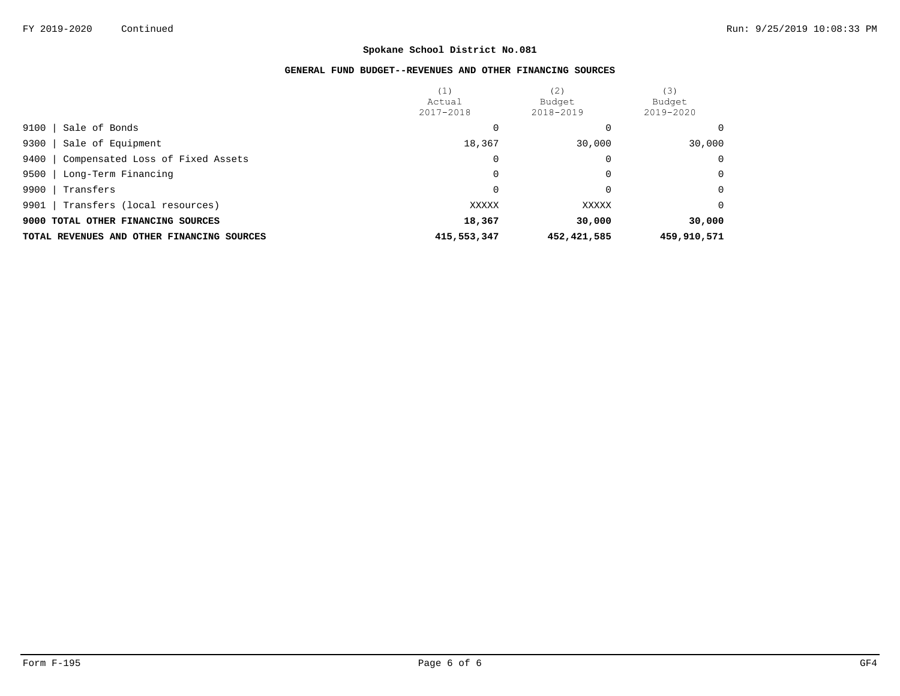|                                            | (1)<br>Actual<br>2017-2018 | (2)<br>Budget<br>2018-2019 | (3)<br>Budget<br>2019-2020 |
|--------------------------------------------|----------------------------|----------------------------|----------------------------|
| 9100<br>Sale of Bonds                      |                            |                            | $\Omega$                   |
| Sale of Equipment<br>9300                  | 18,367                     | 30,000                     | 30,000                     |
| Compensated Loss of Fixed Assets<br>9400   | 0                          | 0                          | $\mathbf 0$                |
| 9500<br>Long-Term Financing                | 0                          | 0                          | $\Omega$                   |
| 9900<br>Transfers                          | 0                          | 0                          | $\Omega$                   |
| 9901<br>Transfers (local resources)        | XXXXX                      | XXXXX                      | $\Omega$                   |
| 9000 TOTAL OTHER FINANCING SOURCES         | 18,367                     | 30,000                     | 30,000                     |
| TOTAL REVENUES AND OTHER FINANCING SOURCES | 415,553,347                | 452, 421, 585              | 459,910,571                |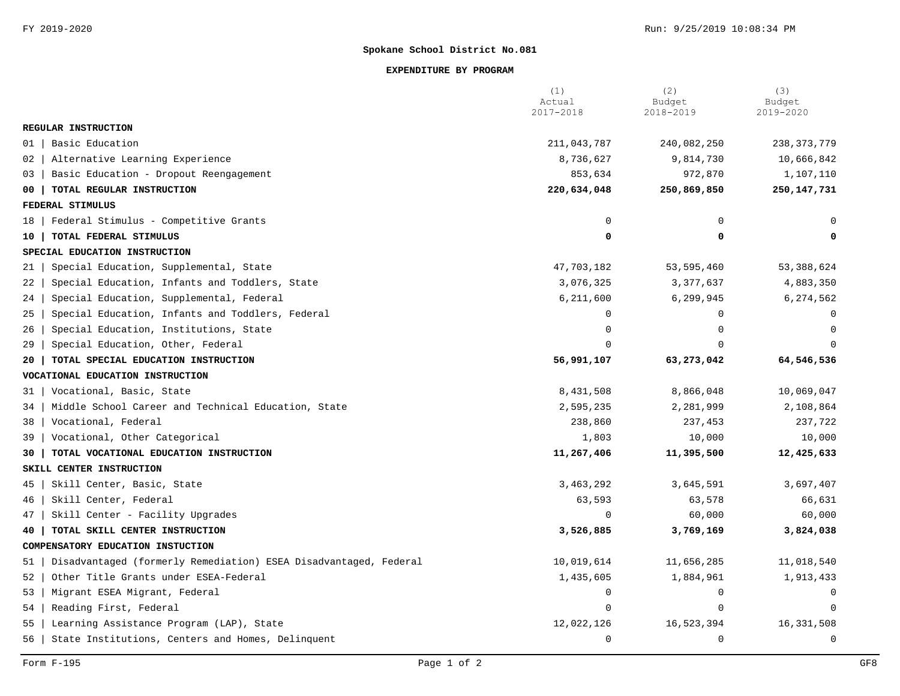### **EXPENDITURE BY PROGRAM**

|                                                                        | (1)<br>Actual<br>2017-2018 | (2)<br>Budget<br>2018-2019 | (3)<br>Budget<br>2019-2020 |
|------------------------------------------------------------------------|----------------------------|----------------------------|----------------------------|
| REGULAR INSTRUCTION                                                    |                            |                            |                            |
| Basic Education<br>01                                                  | 211,043,787                | 240,082,250                | 238, 373, 779              |
| Alternative Learning Experience<br>02                                  | 8,736,627                  | 9,814,730                  | 10,666,842                 |
| Basic Education - Dropout Reengagement<br>03                           | 853,634                    | 972,870                    | 1,107,110                  |
| TOTAL REGULAR INSTRUCTION<br>00                                        | 220,634,048                | 250,869,850                | 250, 147, 731              |
| FEDERAL STIMULUS                                                       |                            |                            |                            |
| Federal Stimulus - Competitive Grants<br>18                            | $\mathbf 0$                | 0                          | <sup>0</sup>               |
| TOTAL FEDERAL STIMULUS<br>10                                           | 0                          | 0                          | 0                          |
| SPECIAL EDUCATION INSTRUCTION                                          |                            |                            |                            |
| Special Education, Supplemental, State<br>21                           | 47,703,182                 | 53,595,460                 | 53, 388, 624               |
| Special Education, Infants and Toddlers, State<br>22                   | 3,076,325                  | 3,377,637                  | 4,883,350                  |
| Special Education, Supplemental, Federal<br>24                         | 6,211,600                  | 6,299,945                  | 6,274,562                  |
| Special Education, Infants and Toddlers, Federal<br>25                 | $\Omega$                   | $\Omega$                   | $\Omega$                   |
| Special Education, Institutions, State<br>26                           | $\mathbf 0$                | $\Omega$                   | 0                          |
| Special Education, Other, Federal<br>29                                | $\Omega$                   | $\Omega$                   | $\Omega$                   |
| TOTAL SPECIAL EDUCATION INSTRUCTION<br>20                              | 56,991,107                 | 63,273,042                 | 64,546,536                 |
| VOCATIONAL EDUCATION INSTRUCTION                                       |                            |                            |                            |
| Vocational, Basic, State<br>31                                         | 8,431,508                  | 8,866,048                  | 10,069,047                 |
| Middle School Career and Technical Education, State<br>34              | 2,595,235                  | 2,281,999                  | 2,108,864                  |
| Vocational, Federal<br>38                                              | 238,860                    | 237,453                    | 237,722                    |
| Vocational, Other Categorical<br>39                                    | 1,803                      | 10,000                     | 10,000                     |
| TOTAL VOCATIONAL EDUCATION INSTRUCTION<br>30                           | 11,267,406                 | 11,395,500                 | 12,425,633                 |
| SKILL CENTER INSTRUCTION                                               |                            |                            |                            |
| Skill Center, Basic, State<br>45                                       | 3,463,292                  | 3,645,591                  | 3,697,407                  |
| Skill Center, Federal<br>46                                            | 63,593                     | 63,578                     | 66,631                     |
| Skill Center - Facility Upgrades<br>47                                 | 0                          | 60,000                     | 60,000                     |
| TOTAL SKILL CENTER INSTRUCTION<br>40                                   | 3,526,885                  | 3,769,169                  | 3,824,038                  |
| COMPENSATORY EDUCATION INSTUCTION                                      |                            |                            |                            |
| Disadvantaged (formerly Remediation) ESEA Disadvantaged, Federal<br>51 | 10,019,614                 | 11,656,285                 | 11,018,540                 |
| Other Title Grants under ESEA-Federal<br>52                            | 1,435,605                  | 1,884,961                  | 1,913,433                  |
| Migrant ESEA Migrant, Federal<br>53                                    | 0                          | 0                          | 0                          |
| Reading First, Federal<br>54                                           | $\mathbf 0$                | $\mathbf 0$                | $\mathbf 0$                |
| Learning Assistance Program (LAP), State<br>55                         | 12,022,126                 | 16,523,394                 | 16,331,508                 |
| State Institutions, Centers and Homes, Delinquent<br>56                | $\Omega$                   | $\Omega$                   | $\mathbf 0$                |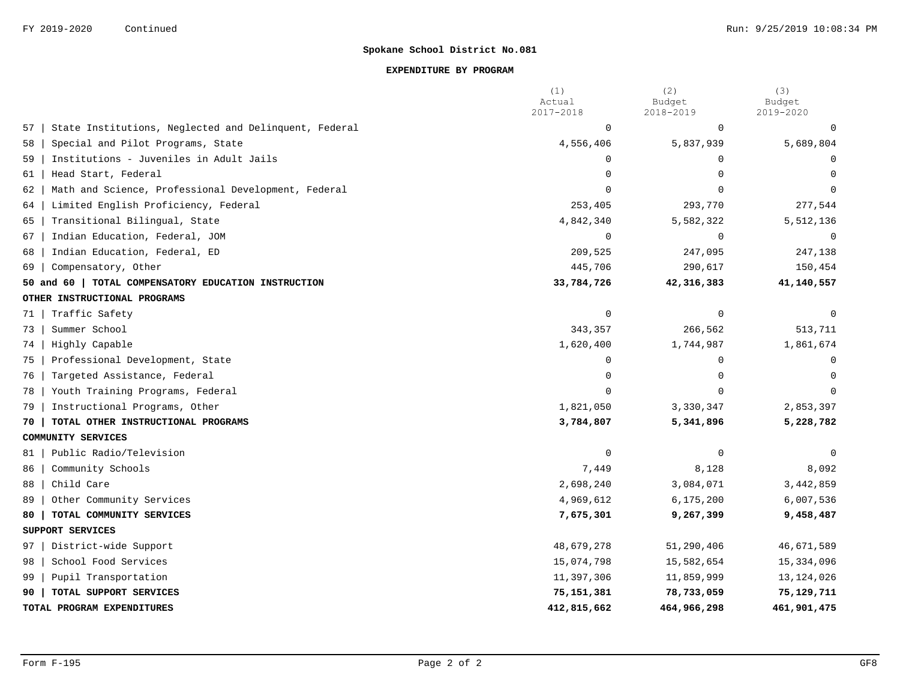### **EXPENDITURE BY PROGRAM**

|    |                                                       | (1)<br>Actual | (2)<br>Budget | (3)<br>Budget |
|----|-------------------------------------------------------|---------------|---------------|---------------|
|    |                                                       | 2017-2018     | 2018-2019     | 2019-2020     |
| 57 | State Institutions, Neglected and Delinquent, Federal | $\mathbf 0$   | 0             | 0             |
| 58 | Special and Pilot Programs, State                     | 4,556,406     | 5,837,939     | 5,689,804     |
| 59 | Institutions - Juveniles in Adult Jails               | $\mathbf 0$   | $\Omega$      | $\mathbf 0$   |
| 61 | Head Start, Federal                                   | $\mathbf 0$   | $\cap$        | $\Omega$      |
| 62 | Math and Science, Professional Development, Federal   | $\Omega$      | $\Omega$      |               |
| 64 | Limited English Proficiency, Federal                  | 253,405       | 293,770       | 277,544       |
| 65 | Transitional Bilingual, State                         | 4,842,340     | 5,582,322     | 5,512,136     |
| 67 | Indian Education, Federal, JOM                        | $\Omega$      | $\Omega$      | $\Omega$      |
| 68 | Indian Education, Federal, ED                         | 209,525       | 247,095       | 247,138       |
| 69 | Compensatory, Other                                   | 445,706       | 290,617       | 150,454       |
|    | 50 and 60   TOTAL COMPENSATORY EDUCATION INSTRUCTION  | 33,784,726    | 42, 316, 383  | 41,140,557    |
|    | OTHER INSTRUCTIONAL PROGRAMS                          |               |               |               |
| 71 | Traffic Safety                                        | $\mathbf 0$   | $\Omega$      | $\Omega$      |
| 73 | Summer School                                         | 343,357       | 266,562       | 513,711       |
| 74 | Highly Capable                                        | 1,620,400     | 1,744,987     | 1,861,674     |
| 75 | Professional Development, State                       | $\mathbf 0$   | $\Omega$      | $\mathbf 0$   |
| 76 | Targeted Assistance, Federal                          | $\Omega$      | $\Omega$      | $\Omega$      |
| 78 | Youth Training Programs, Federal                      | $\Omega$      | $\Omega$      | $\Omega$      |
| 79 | Instructional Programs, Other                         | 1,821,050     | 3,330,347     | 2,853,397     |
| 70 | TOTAL OTHER INSTRUCTIONAL PROGRAMS                    | 3,784,807     | 5,341,896     | 5,228,782     |
|    | COMMUNITY SERVICES                                    |               |               |               |
| 81 | Public Radio/Television                               | $\mathbf 0$   | $\Omega$      | $\Omega$      |
| 86 | Community Schools                                     | 7,449         | 8,128         | 8,092         |
| 88 | Child Care                                            | 2,698,240     | 3,084,071     | 3, 442, 859   |
| 89 | Other Community Services                              | 4,969,612     | 6, 175, 200   | 6,007,536     |
| 80 | TOTAL COMMUNITY SERVICES                              | 7,675,301     | 9,267,399     | 9,458,487     |
|    | SUPPORT SERVICES                                      |               |               |               |
| 97 | District-wide Support                                 | 48,679,278    | 51,290,406    | 46,671,589    |
| 98 | School Food Services                                  | 15,074,798    | 15,582,654    | 15,334,096    |
| 99 | Pupil Transportation                                  | 11,397,306    | 11,859,999    | 13, 124, 026  |
| 90 | TOTAL SUPPORT SERVICES                                | 75,151,381    | 78,733,059    | 75,129,711    |
|    | TOTAL PROGRAM EXPENDITURES                            | 412,815,662   | 464,966,298   | 461,901,475   |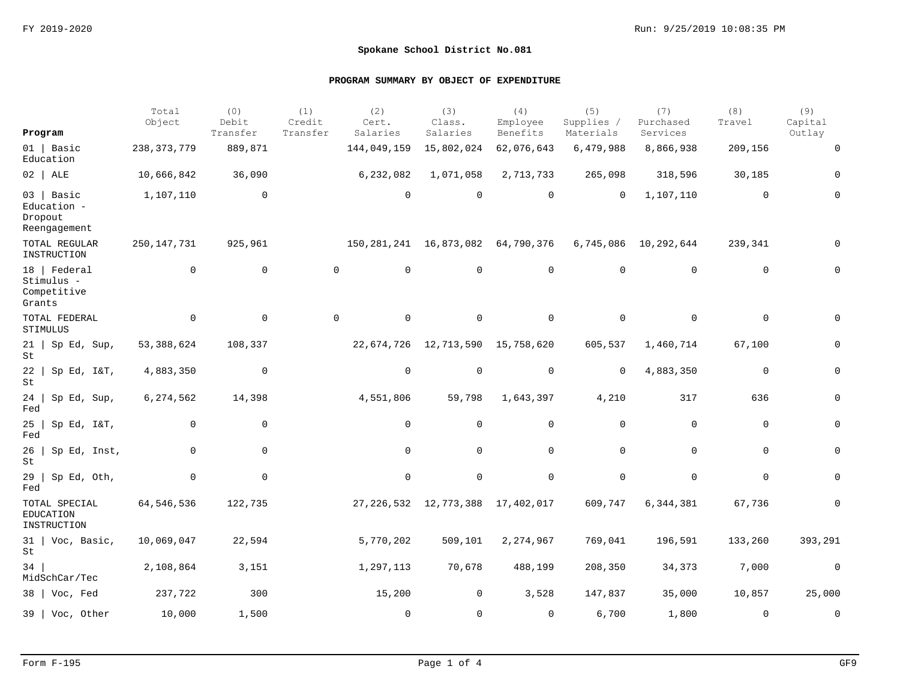|                                                        | Total<br>Object | (0)<br>Debit | (1)<br>Credit | (2)<br>Cert.                            | (3)<br>Class.                          | (4)<br>Employee | (5)<br>Supplies / | (7)<br>Purchased     | (8)<br>Travel | (9)<br>Capital |
|--------------------------------------------------------|-----------------|--------------|---------------|-----------------------------------------|----------------------------------------|-----------------|-------------------|----------------------|---------------|----------------|
| Program                                                |                 | Transfer     | Transfer      | Salaries                                | Salaries                               | Benefits        | Materials         | Services             |               | Outlay         |
| $01$   Basic<br>Education                              | 238, 373, 779   | 889,871      |               | 144,049,159                             | 15,802,024                             | 62,076,643      | 6,479,988         | 8,866,938            | 209,156       | 0              |
| $02$   ALE                                             | 10,666,842      | 36,090       |               | 6,232,082                               | 1,071,058                              | 2,713,733       | 265,098           | 318,596              | 30,185        | $\Omega$       |
| $03$   Basic<br>Education -<br>Dropout<br>Reengagement | 1,107,110       | 0            |               | 0                                       | $\overline{0}$                         | $\mathbf 0$     | $\mathbf 0$       | 1,107,110            | $\mathbf 0$   | 0              |
| TOTAL REGULAR<br>INSTRUCTION                           | 250,147,731     | 925,961      |               | 150, 281, 241 16, 873, 082 64, 790, 376 |                                        |                 |                   | 6,745,086 10,292,644 | 239,341       |                |
| 18   Federal<br>Stimulus -<br>Competitive<br>Grants    | $\mathbf 0$     | $\mathbf 0$  |               | $\mathbf 0$<br>$\mathsf{O}$             | $\mathbf 0$                            | $\mathbf 0$     | $\mathbf 0$       | $\mathbf 0$          | $\mathbf 0$   | $\Omega$       |
| TOTAL FEDERAL<br>STIMULUS                              | $\mathbf 0$     | $\mathbf 0$  |               | $\mathbf 0$<br>0                        | $\mathbf 0$                            | $\mathbf 0$     | $\mathbf 0$       | $\mathbf 0$          | $\mathbf 0$   | $\Omega$       |
| $21$   Sp Ed, Sup,<br>St                               | 53,388,624      | 108,337      |               |                                         | 22, 674, 726 12, 713, 590 15, 758, 620 |                 | 605,537           | 1,460,714            | 67,100        | 0              |
| $22$   Sp Ed, I&T,<br>St                               | 4,883,350       | $\mathbf 0$  |               | 0                                       | 0                                      | $\mathbf 0$     | $\mathbf 0$       | 4,883,350            | $\mathbf 0$   | 0              |
| 24  <br>Sp Ed, Sup,<br>Fed                             | 6,274,562       | 14,398       |               | 4,551,806                               | 59,798                                 | 1,643,397       | 4,210             | 317                  | 636           | 0              |
| 25<br>Sp Ed, I&T,<br>Fed                               | $\Omega$        | 0            |               | 0                                       | $\Omega$                               | $\mathbf 0$     | $\Omega$          | $\mathbf 0$          | $\mathbf 0$   | 0              |
| 26<br>Sp Ed, Inst,<br>St                               | 0               | $\mathsf{O}$ |               | 0                                       | $\mathbf 0$                            | 0               | 0                 | $\mathbf 0$          | $\mathbf 0$   | 0              |
| $29$  <br>Sp Ed, Oth,<br>Fed                           | $\mathbf 0$     | $\mathbf 0$  |               | 0                                       | $\mathbf 0$                            | $\mathbf 0$     | 0                 | $\mathbf 0$          | $\mathbf 0$   | 0              |
| TOTAL SPECIAL<br><b>EDUCATION</b><br>INSTRUCTION       | 64,546,536      | 122,735      |               |                                         | 27, 226, 532 12, 773, 388 17, 402, 017 |                 | 609,747           | 6,344,381            | 67,736        |                |
| 31   Voc, Basic,<br>St                                 | 10,069,047      | 22,594       |               | 5,770,202                               | 509,101                                | 2,274,967       | 769,041           | 196,591              | 133,260       | 393,291        |
| 34<br>MidSchCar/Tec                                    | 2,108,864       | 3,151        |               | 1,297,113                               | 70,678                                 | 488,199         | 208,350           | 34,373               | 7,000         | $\mathsf 0$    |
| $38$   Voc, Fed                                        | 237,722         | 300          |               | 15,200                                  | 0                                      | 3,528           | 147,837           | 35,000               | 10,857        | 25,000         |
| 39   Voc, Other                                        | 10,000          | 1,500        |               | $\mathbf 0$                             | $\Omega$                               | $\Omega$        | 6,700             | 1,800                | $\Omega$      | $\mathbf 0$    |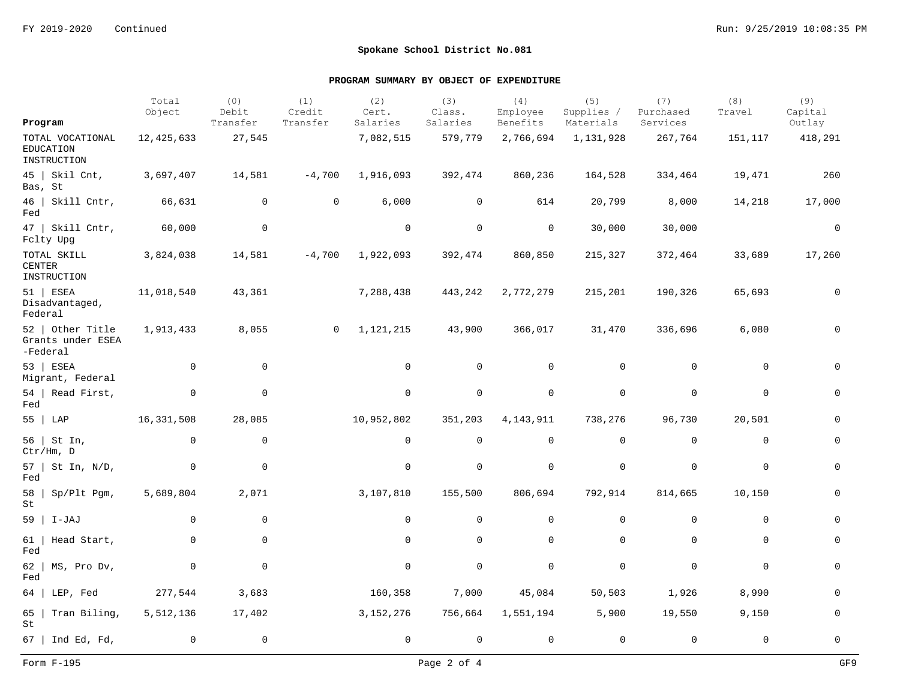|                                                     | Total<br>Object | (0)<br>Debit | (1)<br>Credit  | (2)<br>Cert. | (3)<br>Class. | (4)<br>Employee     | (5)<br>Supplies / | (7)<br>Purchased    | (8)<br>Travel | (9)<br>Capital      |
|-----------------------------------------------------|-----------------|--------------|----------------|--------------|---------------|---------------------|-------------------|---------------------|---------------|---------------------|
| Program                                             |                 | Transfer     | Transfer       | Salaries     | Salaries      | Benefits            | Materials         | Services            |               | Outlay              |
| TOTAL VOCATIONAL<br><b>EDUCATION</b><br>INSTRUCTION | 12,425,633      | 27,545       |                | 7,082,515    | 579,779       | 2,766,694           | 1,131,928         | 267,764             | 151,117       | 418,291             |
| $45$   Skil Cnt,<br>Bas, St                         | 3,697,407       | 14,581       | $-4,700$       | 1,916,093    | 392,474       | 860,236             | 164,528           | 334,464             | 19,471        | 260                 |
| $46$   Skill Cntr,<br>Fed                           | 66,631          | 0            | 0              | 6,000        | $\mathbf 0$   | 614                 | 20,799            | 8,000               | 14,218        | 17,000              |
| 47   Skill Cntr,<br>Fclty Upg                       | 60,000          | $\mathbf 0$  |                | $\mathbf 0$  | $\mathbf 0$   | 0                   | 30,000            | 30,000              |               | $\mathsf{O}\xspace$ |
| TOTAL SKILL<br><b>CENTER</b><br>INSTRUCTION         | 3,824,038       | 14,581       | $-4,700$       | 1,922,093    | 392,474       | 860,850             | 215,327           | 372,464             | 33,689        | 17,260              |
| $51$ ESEA<br>Disadvantaged,<br>Federal              | 11,018,540      | 43,361       |                | 7,288,438    | 443,242       | 2,772,279           | 215,201           | 190,326             | 65,693        | $\mathbf 0$         |
| 52   Other Title<br>Grants under ESEA<br>-Federal   | 1,913,433       | 8,055        | $\overline{0}$ | 1,121,215    | 43,900        | 366,017             | 31,470            | 336,696             | 6,080         | $\mathbf 0$         |
| 53   ESEA<br>Migrant, Federal                       | 0               | 0            |                | $\mathbf 0$  | $\mathbf 0$   | 0                   | $\mathbf 0$       | 0                   | $\mathbf 0$   | $\Omega$            |
| 54   Read First,<br>Fed                             | 0               | $\mathbf 0$  |                | $\mathsf{O}$ | $\mathbf 0$   | $\mathbf 0$         | $\mathbf 0$       | $\mathbf 0$         | $\mathbf 0$   | 0                   |
| 55   LAP                                            | 16, 331, 508    | 28,085       |                | 10,952,802   | 351,203       | 4, 143, 911         | 738,276           | 96,730              | 20,501        | 0                   |
| 56  <br>St In,<br>Ctr/Hm, D                         | $\mathbf 0$     | $\mathsf{O}$ |                | $\mathbf 0$  | $\mathbf 0$   | 0                   | $\mathbf 0$       | $\mathbf 0$         | $\mathbf 0$   | 0                   |
| $57$   St In, N/D,<br>Fed                           | 0               | $\mathbf 0$  |                | $\mathsf{O}$ | 0             | $\mathsf{O}\xspace$ | $\mathbf 0$       | $\mathsf{O}\xspace$ | $\mathbf 0$   | 0                   |
| 58<br>Sp/Plt Pgm,<br>St                             | 5,689,804       | 2,071        |                | 3,107,810    | 155,500       | 806,694             | 792,914           | 814,665             | 10,150        | $\overline{0}$      |
| 59<br>I-JAJ                                         | $\mathbf 0$     | 0            |                | 0            | 0             | $\mathbf 0$         | 0                 | 0                   | 0             | 0                   |
| 61<br>Head Start,<br>Fed                            | $\mathbf 0$     | $\mathbf 0$  |                | $\mathsf{O}$ | $\mathbf 0$   | $\mathsf{O}$        | $\mathbf 0$       | $\mathbf 0$         | $\mathbf 0$   | $\mathbf 0$         |
| 62<br>MS, Pro Dv,<br>Fed                            | 0               | $\mathsf{O}$ |                | 0            | $\mathbf 0$   | 0                   | $\mathbf 0$       | $\mathbf 0$         | $\mathbf 0$   | 0                   |
| LEP, Fed<br>64                                      | 277,544         | 3,683        |                | 160,358      | 7,000         | 45,084              | 50,503            | 1,926               | 8,990         | $\Omega$            |
| 65<br>Tran Biling,<br>St                            | 5,512,136       | 17,402       |                | 3, 152, 276  | 756,664       | 1,551,194           | 5,900             | 19,550              | 9,150         | $\mathbf 0$         |
| 67   Ind Ed, Fd,                                    | 0               | $\mathbf 0$  |                | $\mathbf 0$  | $\mathbf 0$   | 0                   | $\mathbf 0$       | $\mathbf 0$         | $\mathbf 0$   | 0                   |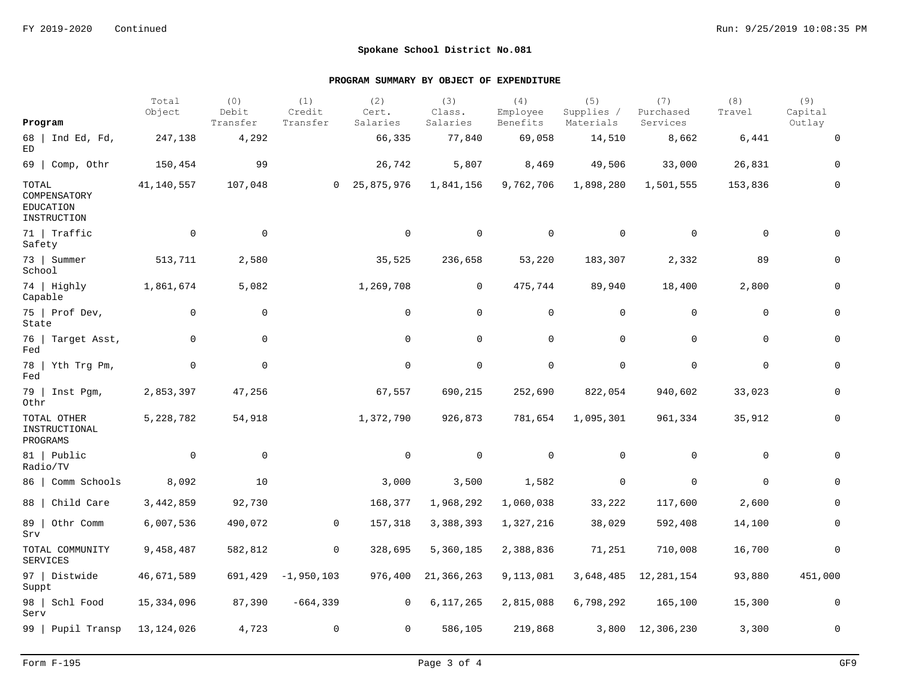|                                                          | Total<br>Object | (0)<br>Debit        | (1)<br>Credit  | (2)<br>Cert.   | (3)<br>Class.  | (4)<br>Employee | (5)<br>Supplies / | (7)<br>Purchased | (8)<br>Travel | (9)<br>Capital |
|----------------------------------------------------------|-----------------|---------------------|----------------|----------------|----------------|-----------------|-------------------|------------------|---------------|----------------|
| Program                                                  |                 | Transfer            | Transfer       | Salaries       | Salaries       | Benefits        | Materials         | Services         |               | Outlay         |
| 68   Ind Ed, Fd,<br>ED                                   | 247,138         | 4,292               |                | 66,335         | 77,840         | 69,058          | 14,510            | 8,662            | 6,441         | $\mathbf 0$    |
| $69$   Comp, Othr                                        | 150,454         | 99                  |                | 26,742         | 5,807          | 8,469           | 49,506            | 33,000           | 26,831        | 0              |
| TOTAL<br>COMPENSATORY<br><b>EDUCATION</b><br>INSTRUCTION | 41,140,557      | 107,048             | $\overline{0}$ | 25,875,976     | 1,841,156      | 9,762,706       | 1,898,280         | 1,501,555        | 153,836       | 0              |
| 71   Traffic<br>Safety                                   | $\mathbf 0$     | $\mathbf 0$         |                | $\mathbf 0$    | $\mathbf 0$    | $\mathbf 0$     | $\mathbf 0$       | $\mathbf 0$      | $\mathbf 0$   | $\Omega$       |
| 73   Summer<br>School                                    | 513,711         | 2,580               |                | 35,525         | 236,658        | 53,220          | 183,307           | 2,332            | 89            | 0              |
| 74 Highly<br>Capable                                     | 1,861,674       | 5,082               |                | 1,269,708      | $\overline{0}$ | 475,744         | 89,940            | 18,400           | 2,800         | $\Omega$       |
| 75   Prof Dev,<br>State                                  | $\mathbf 0$     | $\mathbf 0$         |                | $\mathbf 0$    | $\mathbf 0$    | $\mathbf 0$     | $\mathbf 0$       | 0                | $\mathbf 0$   | 0              |
| 76   Target Asst,<br>Fed                                 | $\mathbf 0$     | $\mathsf{O}\xspace$ |                | $\mathbf 0$    | $\mathbf 0$    | $\mathbf 0$     | $\mathbf 0$       | $\mathbf 0$      | $\mathbf 0$   | 0              |
| 78   Yth Trg Pm,<br>$_{\rm Fed}$                         | 0               | $\mathbf 0$         |                | $\mathsf{O}$   | $\mathbf 0$    | $\mathbf 0$     | $\mathbf 0$       | $\mathbf 0$      | 0             | 0              |
| 79   Inst Pgm,<br>Othr                                   | 2,853,397       | 47,256              |                | 67,557         | 690,215        | 252,690         | 822,054           | 940,602          | 33,023        | 0              |
| TOTAL OTHER<br>INSTRUCTIONAL<br>PROGRAMS                 | 5,228,782       | 54,918              |                | 1,372,790      | 926,873        | 781,654         | 1,095,301         | 961,334          | 35,912        | 0              |
| 81   Public<br>Radio/TV                                  | $\overline{0}$  | $\mathbf 0$         |                | $\mathbf 0$    | $\mathbf 0$    | $\mathbf 0$     | $\Omega$          | $\mathbf 0$      | $\Omega$      | $\Omega$       |
| 86   Comm Schools                                        | 8,092           | 10                  |                | 3,000          | 3,500          | 1,582           | 0                 | $\mathbf 0$      | $\Omega$      | $\Omega$       |
| 88   Child Care                                          | 3,442,859       | 92,730              |                | 168,377        | 1,968,292      | 1,060,038       | 33,222            | 117,600          | 2,600         | $\mathbf 0$    |
| 89   Othr Comm<br>Srv                                    | 6,007,536       | 490,072             | 0              | 157,318        | 3,388,393      | 1,327,216       | 38,029            | 592,408          | 14,100        | $\overline{0}$ |
| TOTAL COMMUNITY<br><b>SERVICES</b>                       | 9,458,487       | 582,812             | 0              | 328,695        | 5,360,185      | 2,388,836       | 71,251            | 710,008          | 16,700        | 0              |
| 97   Distwide<br>Suppt                                   | 46,671,589      | 691,429             | $-1,950,103$   | 976,400        | 21, 366, 263   | 9,113,081       | 3,648,485         | 12,281,154       | 93,880        | 451,000        |
| 98   Schl Food<br>Serv                                   | 15,334,096      | 87,390              | $-664, 339$    | $\overline{0}$ | 6,117,265      | 2,815,088       | 6,798,292         | 165,100          | 15,300        | 0              |
| 99   Pupil Transp                                        | 13,124,026      | 4,723               | $\mathbf 0$    | $\overline{0}$ | 586,105        | 219,868         |                   | 3,800 12,306,230 | 3,300         | $\mathbf 0$    |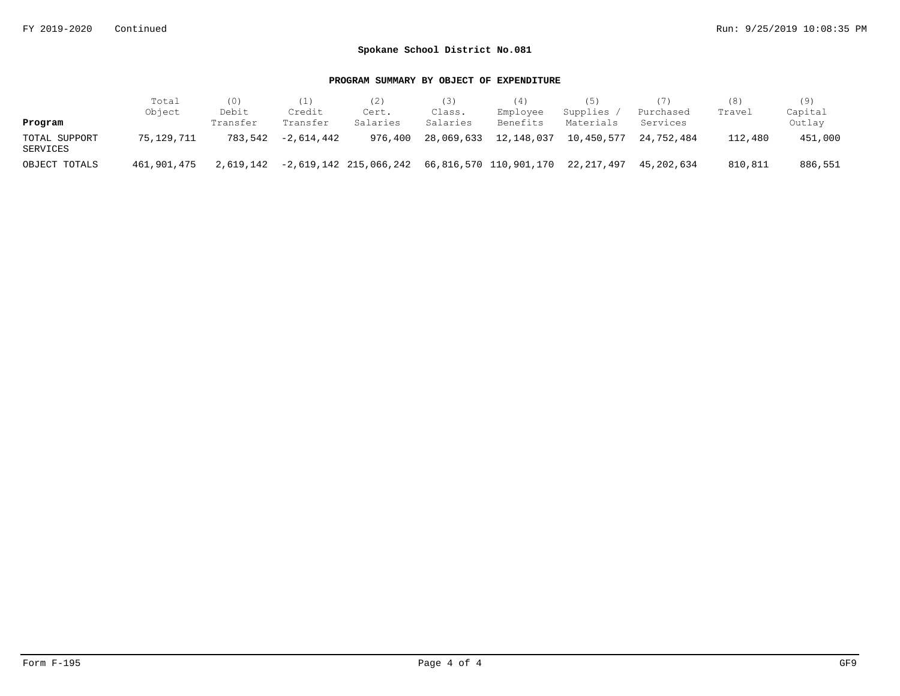|                           | Total       | (0)               | (1)                | (2)                    | 3)                 | (4)                               | (5)                   |                       | (8)     | (9)               |
|---------------------------|-------------|-------------------|--------------------|------------------------|--------------------|-----------------------------------|-----------------------|-----------------------|---------|-------------------|
| Program                   | Object      | Debit<br>Transfer | Credit<br>Transfer | Cert.<br>Salaries      | Class.<br>Salaries | Employee<br>Benefits              | Supplies<br>Materials | Purchased<br>Services | Travel  | Capital<br>Outlay |
| TOTAL SUPPORT<br>SERVICES | 75,129,711  | 783.542           | $-2.614.442$       | 976,400                | 28,069,633         | 12,148,037                        | 10,450,577            | 24,752,484            | 112,480 | 451,000           |
| OBJECT TOTALS             | 461,901,475 | 2,619,142         |                    | -2,619,142 215,066,242 |                    | 66,816,570 110,901,170 22,217,497 |                       | 45,202,634            | 810,811 | 886,551           |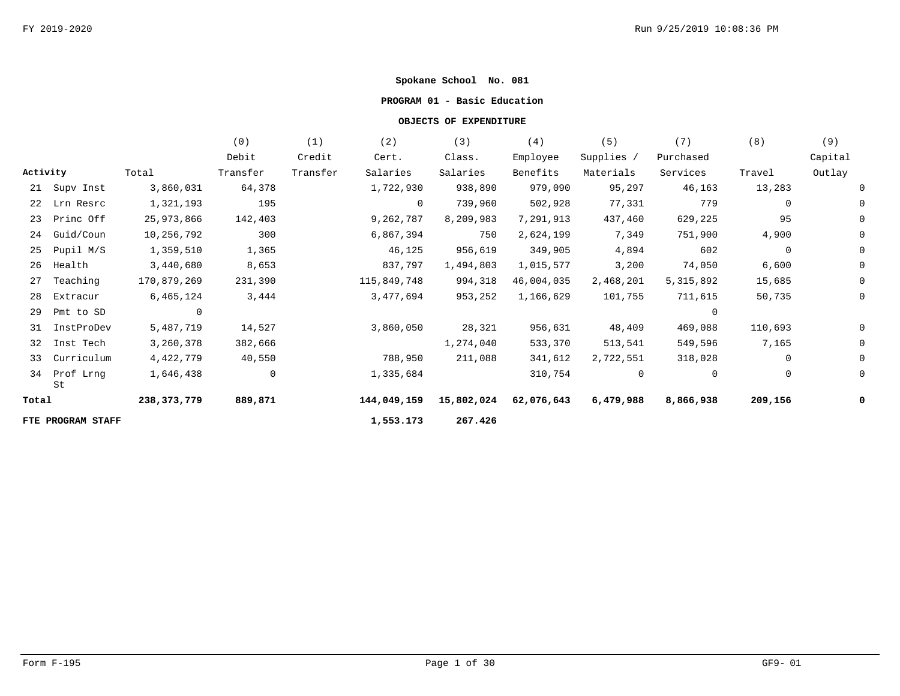### **PROGRAM 01 - Basic Education**

|          |                   |             | (0)         | (1)      | (2)         | (3)        | (4)        | (5)        | (7)         | (8)         | (9)     |
|----------|-------------------|-------------|-------------|----------|-------------|------------|------------|------------|-------------|-------------|---------|
|          |                   |             | Debit       | Credit   | Cert.       | Class.     | Employee   | Supplies / | Purchased   |             | Capital |
| Activity |                   | Total       | Transfer    | Transfer | Salaries    | Salaries   | Benefits   | Materials  | Services    | Travel      | Outlay  |
|          | 21 Supv Inst      | 3,860,031   | 64,378      |          | 1,722,930   | 938,890    | 979,090    | 95,297     | 46,163      | 13,283      |         |
| 22       | Lrn Resrc         | 1,321,193   | 195         |          | $\mathbf 0$ | 739,960    | 502,928    | 77,331     | 779         | $\mathbf 0$ |         |
| 23       | Princ Off         | 25,973,866  | 142,403     |          | 9,262,787   | 8,209,983  | 7,291,913  | 437,460    | 629,225     | 95          |         |
| 24       | Guid/Coun         | 10,256,792  | 300         |          | 6,867,394   | 750        | 2,624,199  | 7,349      | 751,900     | 4,900       |         |
| 25       | Pupil M/S         | 1,359,510   | 1,365       |          | 46,125      | 956,619    | 349,905    | 4,894      | 602         | $\mathbf 0$ |         |
| 26       | Health            | 3,440,680   | 8,653       |          | 837,797     | 1,494,803  | 1,015,577  | 3,200      | 74,050      | 6,600       |         |
| 27       | Teaching          | 170,879,269 | 231,390     |          | 115,849,748 | 994,318    | 46,004,035 | 2,468,201  | 5, 315, 892 | 15,685      |         |
| 28       | Extracur          | 6,465,124   | 3,444       |          | 3,477,694   | 953,252    | 1,166,629  | 101,755    | 711,615     | 50,735      |         |
| 29       | Pmt to SD         | $\Omega$    |             |          |             |            |            |            | $\Omega$    |             |         |
| 31       | InstProDev        | 5,487,719   | 14,527      |          | 3,860,050   | 28,321     | 956,631    | 48,409     | 469,088     | 110,693     |         |
|          | 32 Inst Tech      | 3,260,378   | 382,666     |          |             | 1,274,040  | 533,370    | 513,541    | 549,596     | 7,165       |         |
| 33       | Curriculum        | 4,422,779   | 40,550      |          | 788,950     | 211,088    | 341,612    | 2,722,551  | 318,028     | $\mathbf 0$ |         |
| 34       | Prof Lrng<br>St   | 1,646,438   | $\mathbf 0$ |          | 1,335,684   |            | 310,754    | $\Omega$   | $\Omega$    | 0           |         |
| Total    |                   | 238,373,779 | 889,871     |          | 144,049,159 | 15,802,024 | 62,076,643 | 6,479,988  | 8,866,938   | 209,156     |         |
|          | FTE PROGRAM STAFF |             |             |          | 1,553.173   | 267.426    |            |            |             |             |         |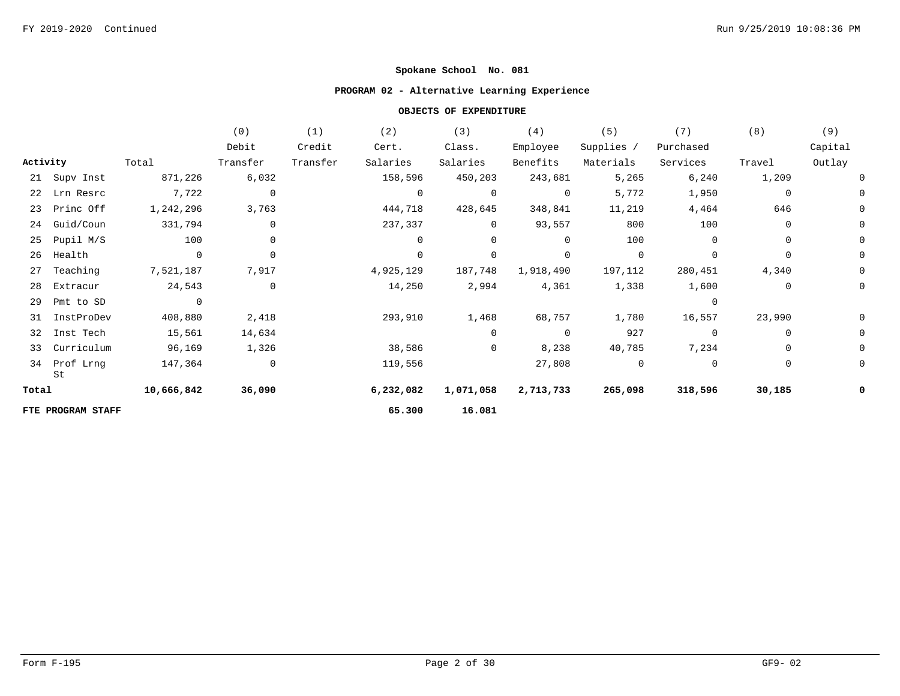## **PROGRAM 02 - Alternative Learning Experience**

|          |                    |                | (0)            | (1)      | (2)            | (3)       | (4)            | (5)         | (7)       | (8)         | (9)     |
|----------|--------------------|----------------|----------------|----------|----------------|-----------|----------------|-------------|-----------|-------------|---------|
|          |                    |                | Debit          | Credit   | Cert.          | Class.    | Employee       | Supplies /  | Purchased |             | Capital |
| Activity |                    | Total          | Transfer       | Transfer | Salaries       | Salaries  | Benefits       | Materials   | Services  | Travel      | Outlay  |
|          | 21 Supv Inst       | 871,226        | 6,032          |          | 158,596        | 450,203   | 243,681        | 5,265       | 6,240     | 1,209       |         |
|          | 22 Lrn Resrc       | 7,722          | $\overline{0}$ |          | $\overline{0}$ | 0         | $\overline{0}$ | 5,772       | 1,950     | 0           |         |
|          | 23 Princ Off       | 1,242,296      | 3,763          |          | 444,718        | 428,645   | 348,841        | 11,219      | 4,464     | 646         |         |
| 24       | Guid/Coun          | 331,794        | 0              |          | 237,337        | $\Omega$  | 93,557         | 800         | 100       | $\Omega$    |         |
| 25       | Pupil M/S          | 100            | 0              |          | $\Omega$       | 0         | $\mathbf 0$    | 100         |           | $\mathbf 0$ |         |
| 26       | Health             | $\overline{0}$ | $\mathsf{O}$   |          | $\Omega$       | 0         | 0              | $\mathbf 0$ |           | $\mathbf 0$ |         |
| 27       | Teaching           | 7,521,187      | 7,917          |          | 4,925,129      | 187,748   | 1,918,490      | 197,112     | 280,451   | 4,340       |         |
| 28       | Extracur           | 24,543         | 0              |          | 14,250         | 2,994     | 4,361          | 1,338       | 1,600     | 0           |         |
| 29       | Pmt to SD          |                |                |          |                |           |                |             |           |             |         |
| 31       | InstProDev         | 408,880        | 2,418          |          | 293,910        | 1,468     | 68,757         | 1,780       | 16,557    | 23,990      |         |
|          | 32 Inst Tech       | 15,561         | 14,634         |          |                | $\Omega$  | $\overline{0}$ | 927         |           | 0           |         |
|          | 33 Curriculum      | 96,169         | 1,326          |          | 38,586         | 0         | 8,238          | 40,785      | 7,234     | $\mathbf 0$ |         |
|          | 34 Prof Lrng<br>St | 147,364        | $\mathsf{O}$   |          | 119,556        |           | 27,808         | $\mathbf 0$ | $\Omega$  | $\mathbf 0$ |         |
| Total    |                    | 10,666,842     | 36,090         |          | 6,232,082      | 1,071,058 | 2,713,733      | 265,098     | 318,596   | 30,185      |         |
|          | FTE PROGRAM STAFF  |                |                |          | 65.300         | 16.081    |                |             |           |             |         |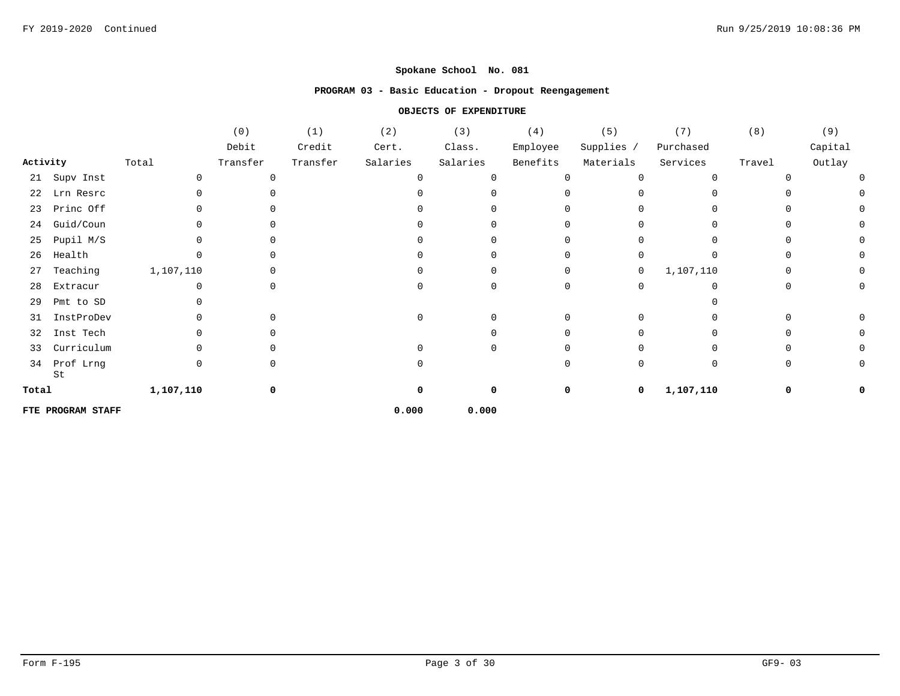### **PROGRAM 03 - Basic Education - Dropout Reengagement**

|          |                   |           | (0)      | (1)      | (2)      | (3)      | (4)      | (5)        | (7)         | (8)      | (9)     |
|----------|-------------------|-----------|----------|----------|----------|----------|----------|------------|-------------|----------|---------|
|          |                   |           | Debit    | Credit   | Cert.    | Class.   | Employee | Supplies / | Purchased   |          | Capital |
| Activity |                   | Total     | Transfer | Transfer | Salaries | Salaries | Benefits | Materials  | Services    | Travel   | Outlay  |
| 21       | Supv Inst         |           | 0        |          |          |          | O        |            | $\Omega$    |          |         |
| 22       | Lrn Resrc         |           |          |          |          |          |          |            |             |          |         |
| 23       | Princ Off         |           |          |          |          |          |          |            |             |          |         |
| 24       | Guid/Coun         |           |          |          |          |          |          |            |             |          |         |
| 25       | Pupil M/S         |           |          |          |          |          |          |            |             |          |         |
| 26       | Health            |           | O        |          |          |          |          |            |             |          |         |
| 27       | Teaching          | 1,107,110 |          |          |          |          |          | 0          | 1,107,110   |          |         |
| 28       | Extracur          |           | O        |          |          |          | ∩        |            |             |          |         |
| 29       | Pmt to SD         |           |          |          |          |          |          |            |             |          |         |
| 31       | InstProDev        |           | O.       |          |          |          |          |            |             |          |         |
| 32       | Inst Tech         |           | 0        |          |          |          |          |            |             |          |         |
| 33       | Curriculum        |           | O        |          |          |          |          |            |             |          |         |
| 34       | Prof Lrng<br>St   |           | 0        |          |          |          | ∩        |            | $\mathbf 0$ | $\Omega$ |         |
| Total    |                   | 1,107,110 | 0        |          |          |          | 0        | 0          | 1,107,110   | 0        |         |
|          | FTE PROGRAM STAFF |           |          |          | 0.000    | 0.000    |          |            |             |          |         |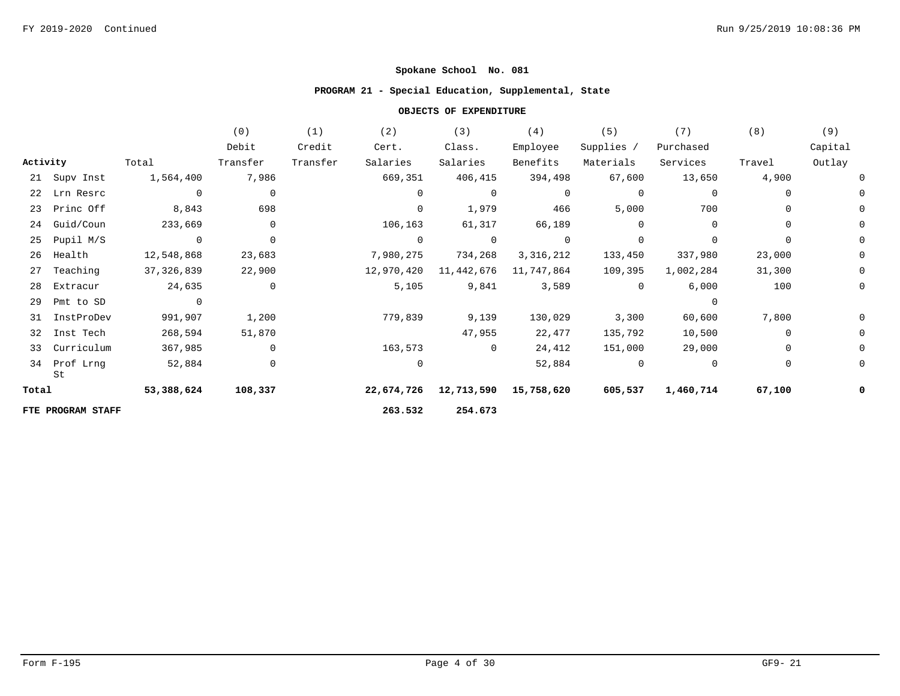## **PROGRAM 21 - Special Education, Supplemental, State**

|          |                    |                | (0)         | (1)      | (2)         | (3)         | (4)            | (5)         | (7)       | (8)         | (9)     |
|----------|--------------------|----------------|-------------|----------|-------------|-------------|----------------|-------------|-----------|-------------|---------|
|          |                    |                | Debit       | Credit   | Cert.       | Class.      | Employee       | Supplies /  | Purchased |             | Capital |
| Activity |                    | Total          | Transfer    | Transfer | Salaries    | Salaries    | Benefits       | Materials   | Services  | Travel      | Outlay  |
|          | 21 Supv Inst       | 1,564,400      | 7,986       |          | 669,351     | 406,415     | 394,498        | 67,600      | 13,650    | 4,900       |         |
|          | 22 Lrn Resrc       | $\overline{0}$ | 0           |          | 0           | 0           | 0              | 0           | 0         | 0           |         |
|          | 23 Princ Off       | 8,843          | 698         |          | $\mathbf 0$ | 1,979       | 466            | 5,000       | 700       | 0           |         |
| 24       | Guid/Coun          | 233,669        | 0           |          | 106,163     | 61,317      | 66,189         | 0           | $\Omega$  | 0           |         |
| 25       | Pupil M/S          | $\overline{0}$ | $\mathbf 0$ |          | $\Omega$    | $\mathbf 0$ | $\overline{0}$ | $\mathbf 0$ |           | $\mathbf 0$ |         |
| 26       | Health             | 12,548,868     | 23,683      |          | 7,980,275   | 734,268     | 3,316,212      | 133,450     | 337,980   | 23,000      |         |
| 27       | Teaching           | 37,326,839     | 22,900      |          | 12,970,420  | 11,442,676  | 11,747,864     | 109,395     | 1,002,284 | 31,300      |         |
| 28       | Extracur           | 24,635         | 0           |          | 5,105       | 9,841       | 3,589          | $\Omega$    | 6,000     | 100         |         |
| 29       | Pmt to SD          |                |             |          |             |             |                |             |           |             |         |
| 31       | InstProDev         | 991,907        | 1,200       |          | 779,839     | 9,139       | 130,029        | 3,300       | 60,600    | 7,800       |         |
|          | 32 Inst Tech       | 268,594        | 51,870      |          |             | 47,955      | 22,477         | 135,792     | 10,500    | $\mathbf 0$ |         |
| 33       | Curriculum         | 367,985        | 0           |          | 163,573     | 0           | 24,412         | 151,000     | 29,000    | $\mathbf 0$ |         |
|          | 34 Prof Lrng<br>St | 52,884         | 0           |          | $\mathbf 0$ |             | 52,884         | $\mathbf 0$ | $\Omega$  | $\mathbf 0$ |         |
| Total    |                    | 53,388,624     | 108,337     |          | 22,674,726  | 12,713,590  | 15,758,620     | 605,537     | 1,460,714 | 67,100      |         |
|          | FTE PROGRAM STAFF  |                |             |          | 263.532     | 254.673     |                |             |           |             |         |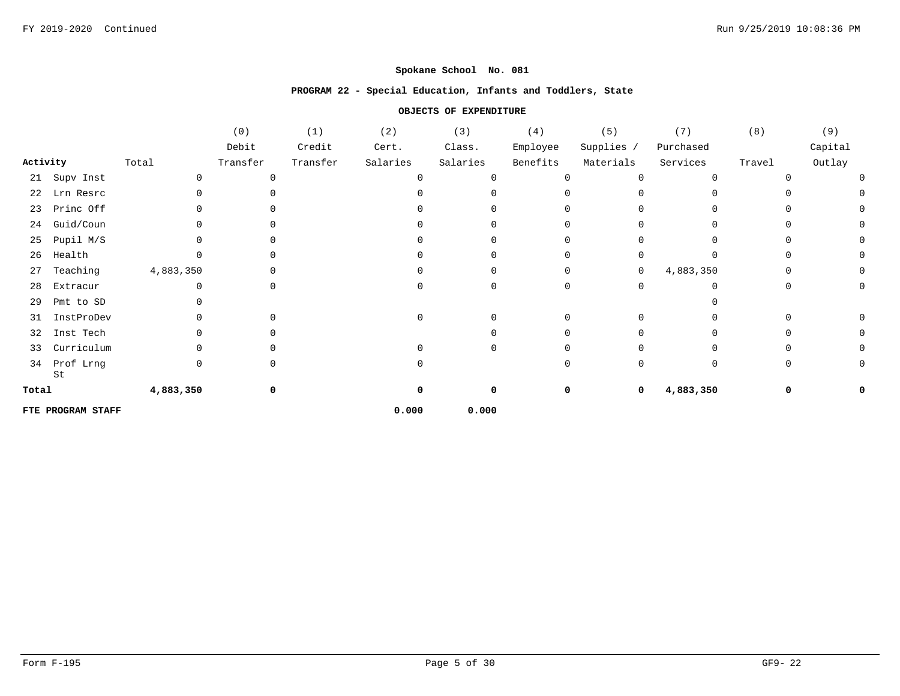### **PROGRAM 22 - Special Education, Infants and Toddlers, State**

|          |                   |           | (0)      | (1)      | (2)      | (3)      | (4)          | (5)          | (7)          | (8)      | (9)     |
|----------|-------------------|-----------|----------|----------|----------|----------|--------------|--------------|--------------|----------|---------|
|          |                   |           | Debit    | Credit   | Cert.    | Class.   | Employee     | Supplies /   | Purchased    |          | Capital |
| Activity |                   | Total     | Transfer | Transfer | Salaries | Salaries | Benefits     | Materials    | Services     | Travel   | Outlay  |
| 21       | Supv Inst         | $\cap$    | 0        |          | ∩        |          | $\Omega$     | $\Omega$     | $\Omega$     | ∩        |         |
| 22       | Lrn Resrc         |           |          |          |          |          |              |              |              |          |         |
| 23       | Princ Off         |           | U        |          |          |          |              |              |              | U        |         |
| 24       | Guid/Coun         |           | 0        |          |          |          |              |              | <sup>n</sup> | n        |         |
| 25       | Pupil M/S         |           | 0        |          |          |          |              |              | <sup>n</sup> | $\Omega$ |         |
| 26       | Health            |           | 0        |          |          |          |              |              | <sup>n</sup> | $\Omega$ |         |
| 27       | Teaching          | 4,883,350 | 0        |          |          |          | <sup>0</sup> | 0            | 4,883,350    | $\Omega$ |         |
| 28       | Extracur          |           | 0        |          | U        | 0        | $\Omega$     | <sup>n</sup> | <sup>n</sup> | 0        |         |
| 29       | Pmt to SD         |           |          |          |          |          |              |              |              |          |         |
| 31       | InstProDev        |           | 0        |          |          |          | $\Omega$     | <sup>n</sup> |              | 0        |         |
| 32       | Inst Tech         |           | 0        |          |          |          |              |              |              | n        |         |
| 33       | Curriculum        |           | 0        |          |          |          |              |              |              | n        |         |
| 34       | Prof Lrng<br>St   |           | 0        |          |          |          | <sup>0</sup> | <sup>n</sup> | $\mathbf 0$  | $\Omega$ |         |
| Total    |                   | 4,883,350 | 0        |          | O        |          | 0            | 0            | 4,883,350    | 0        |         |
|          | FTE PROGRAM STAFF |           |          |          | 0.000    | 0.000    |              |              |              |          |         |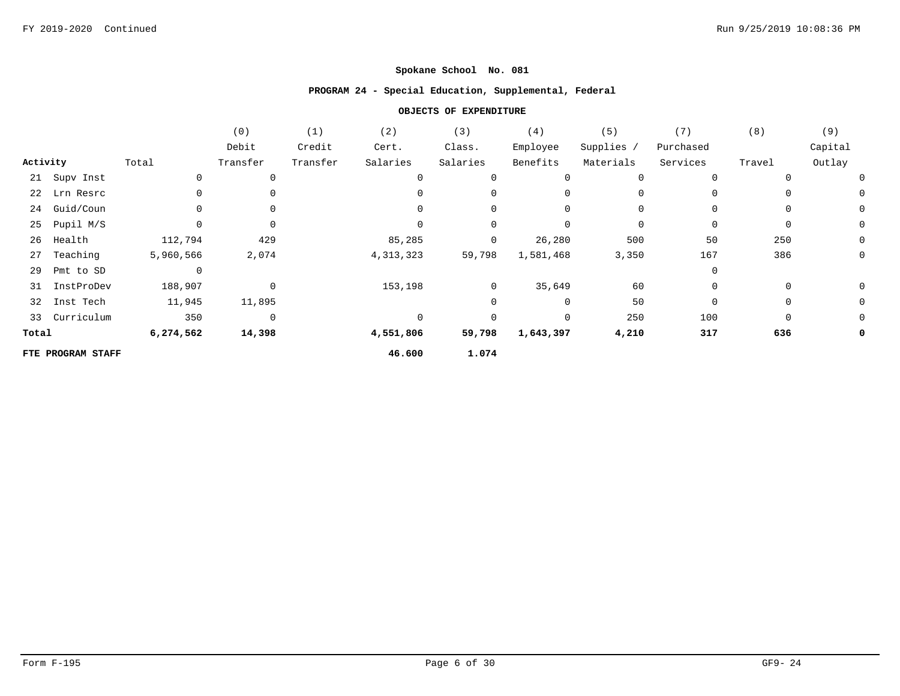### **PROGRAM 24 - Special Education, Supplemental, Federal**

|          |                   |                | (0)         | (1)      | (2)         | (3)            | (4)         | (5)        | (7)       | (8)    | (9)         |
|----------|-------------------|----------------|-------------|----------|-------------|----------------|-------------|------------|-----------|--------|-------------|
|          |                   |                | Debit       | Credit   | Cert.       | Class.         | Employee    | Supplies / | Purchased |        | Capital     |
| Activity |                   | Total          | Transfer    | Transfer | Salaries    | Salaries       | Benefits    | Materials  | Services  | Travel | Outlay      |
|          | 21 Supv Inst      |                | 0           |          | $\Omega$    |                | 0           | 0          | $\Omega$  |        |             |
|          | 22 Lrn Resrc      |                | 0           |          |             |                | $\mathbf 0$ | 0          | $\Omega$  |        | 0           |
|          | 24 Guid/Coun      |                | 0           |          |             |                | $\mathbf 0$ | 0          | $\Omega$  | 0      | 0           |
| 25       | Pupil M/S         |                | 0           |          |             |                | 0           | 0          | 0         | 0      | $\mathbf 0$ |
| 26       | Health            | 112,794        | 429         |          | 85,285      | $\mathbf 0$    | 26,280      | 500        | 50        | 250    | $\mathbf 0$ |
| 27       | Teaching          | 5,960,566      | 2,074       |          | 4, 313, 323 | 59,798         | 1,581,468   | 3,350      | 167       | 386    | $\mathbf 0$ |
| 29       | Pmt to SD         | $\overline{0}$ |             |          |             |                |             |            | $\Omega$  |        |             |
|          | 31 InstProDev     | 188,907        | 0           |          | 153,198     | $\overline{0}$ | 35,649      | 60         | 0         | 0      | 0           |
|          | 32 Inst Tech      | 11,945         | 11,895      |          |             |                | 0           | 50         | $\Omega$  | 0      | 0           |
|          | 33 Curriculum     | 350            | $\mathbf 0$ |          | $\mathbf 0$ |                | 0           | 250        | 100       | 0      | 0           |
| Total    |                   | 6,274,562      | 14,398      |          | 4,551,806   | 59,798         | 1,643,397   | 4,210      | 317       | 636    | 0           |
|          | FTE PROGRAM STAFF |                |             |          | 46.600      | 1.074          |             |            |           |        |             |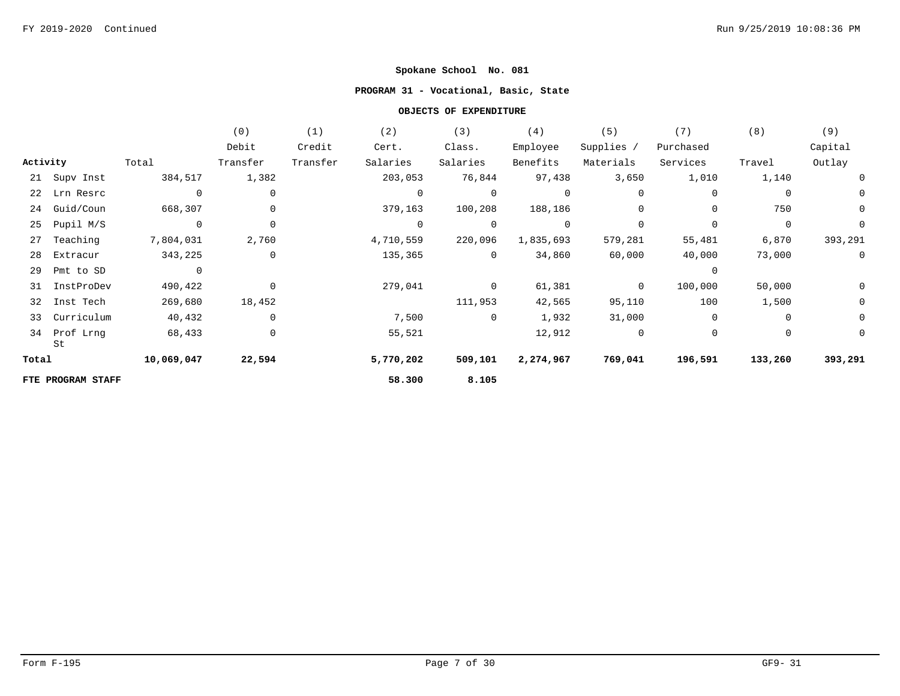## **PROGRAM 31 - Vocational, Basic, State**

|          |                   |                | (0)         | (1)      | (2)            | (3)            | (4)            | (5)            | (7)            | (8)            | (9)            |
|----------|-------------------|----------------|-------------|----------|----------------|----------------|----------------|----------------|----------------|----------------|----------------|
|          |                   |                | Debit       | Credit   | Cert.          | Class.         | Employee       | Supplies /     | Purchased      |                | Capital        |
| Activity |                   | Total          | Transfer    | Transfer | Salaries       | Salaries       | Benefits       | Materials      | Services       | Travel         | Outlay         |
|          | 21 Supv Inst      | 384,517        | 1,382       |          | 203,053        | 76,844         | 97,438         | 3,650          | 1,010          | 1,140          | 0              |
|          | 22 Lrn Resrc      | $\overline{0}$ | 0           |          | $\mathbf 0$    | $\overline{0}$ | $\overline{0}$ | $\mathbf{0}$   | 0              | 0              | 0              |
| 24       | Guid/Coun         | 668,307        | 0           |          | 379,163        | 100,208        | 188,186        | $\mathbf 0$    | $\mathbf 0$    | 750            | $\mathbf 0$    |
| 25       | Pupil M/S         | $\overline{0}$ | $\mathbf 0$ |          | $\overline{0}$ | $\mathbf 0$    | $\mathbf 0$    | $\Omega$       | $\Omega$       | $\overline{0}$ | 0              |
| 27       | Teaching          | 7,804,031      | 2,760       |          | 4,710,559      | 220,096        | 1,835,693      | 579,281        | 55,481         | 6,870          | 393,291        |
| 28       | Extracur          | 343,225        | $\mathbf 0$ |          | 135,365        | $\overline{0}$ | 34,860         | 60,000         | 40,000         | 73,000         | $\overline{0}$ |
| 29       | Pmt to SD         | $\overline{0}$ |             |          |                |                |                |                | $\overline{0}$ |                |                |
| 31       | InstProDev        | 490,422        | $\mathbf 0$ |          | 279,041        | $\Omega$       | 61,381         | $\Omega$       | 100,000        | 50,000         | 0              |
| 32       | Inst Tech         | 269,680        | 18,452      |          |                | 111,953        | 42,565         | 95,110         | 100            | 1,500          | $\mathbf 0$    |
| 33       | Curriculum        | 40,432         | $\mathbf 0$ |          | 7,500          | $\overline{0}$ | 1,932          | 31,000         | $\mathbf 0$    | $\mathbf 0$    | $\mathbf 0$    |
| 34       | Prof Lrng<br>St   | 68,433         | 0           |          | 55,521         |                | 12,912         | $\overline{0}$ | $\mathbf{0}$   | $\mathbf{0}$   | 0              |
| Total    |                   | 10,069,047     | 22,594      |          | 5,770,202      | 509,101        | 2,274,967      | 769,041        | 196,591        | 133,260        | 393,291        |
|          | FTE PROGRAM STAFF |                |             |          | 58.300         | 8.105          |                |                |                |                |                |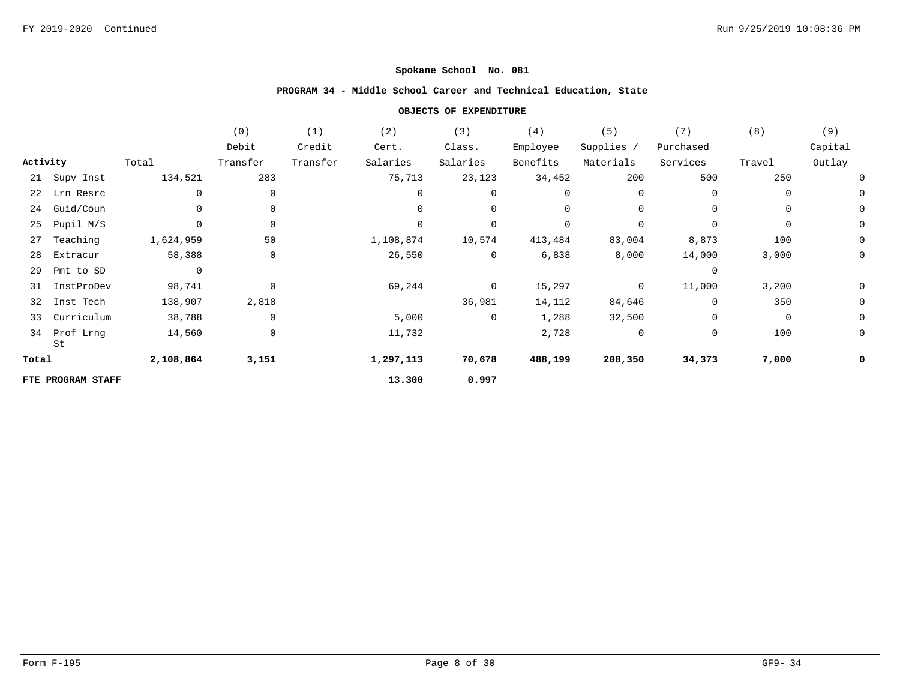# **PROGRAM 34 - Middle School Career and Technical Education, State**

|          |                   |                | (0)         | (1)      | (2)         | (3)            | (4)      | (5)        | (7)            | (8)         | (9)         |
|----------|-------------------|----------------|-------------|----------|-------------|----------------|----------|------------|----------------|-------------|-------------|
|          |                   |                | Debit       | Credit   | Cert.       | Class.         | Employee | Supplies / | Purchased      |             | Capital     |
| Activity |                   | Total          | Transfer    | Transfer | Salaries    | Salaries       | Benefits | Materials  | Services       | Travel      | Outlay      |
|          | 21 Supv Inst      | 134,521        | 283         |          | 75,713      | 23,123         | 34,452   | 200        | 500            | 250         |             |
|          | 22 Lrn Resrc      | $\mathbf{0}$   | 0           |          | $\mathbf 0$ | 0              | 0        | 0          | $\mathbf 0$    | 0           |             |
| 24       | Guid/Coun         |                | 0           |          | $\mathbf 0$ | 0              | 0        | 0          | $\mathbf 0$    | 0           | 0           |
| 25       | Pupil M/S         | $\Omega$       | 0           |          | $\mathbf 0$ | 0              | 0        | 0          | 0              | 0           | 0           |
| 27       | Teaching          | 1,624,959      | 50          |          | 1,108,874   | 10,574         | 413,484  | 83,004     | 8,873          | 100         | $\mathbf 0$ |
| 28       | Extracur          | 58,388         | 0           |          | 26,550      | $\overline{0}$ | 6,838    | 8,000      | 14,000         | 3,000       | 0           |
| 29       | Pmt to SD         | $\overline{0}$ |             |          |             |                |          |            | $\overline{0}$ |             |             |
| 31       | InstProDev        | 98,741         | $\mathbf 0$ |          | 69,244      | $\overline{0}$ | 15,297   | 0          | 11,000         | 3,200       | 0           |
| 32       | Inst Tech         | 138,907        | 2,818       |          |             | 36,981         | 14,112   | 84,646     | 0              | 350         | 0           |
| 33       | Curriculum        | 38,788         | $\mathbf 0$ |          | 5,000       | $\overline{0}$ | 1,288    | 32,500     | $\mathbf 0$    | $\mathbf 0$ | 0           |
| 34       | Prof Lrng<br>St   | 14,560         | 0           |          | 11,732      |                | 2,728    | 0          | 0              | 100         | 0           |
| Total    |                   | 2,108,864      | 3,151       |          | 1,297,113   | 70,678         | 488,199  | 208,350    | 34,373         | 7,000       |             |
|          | FTE PROGRAM STAFF |                |             |          | 13.300      | 0.997          |          |            |                |             |             |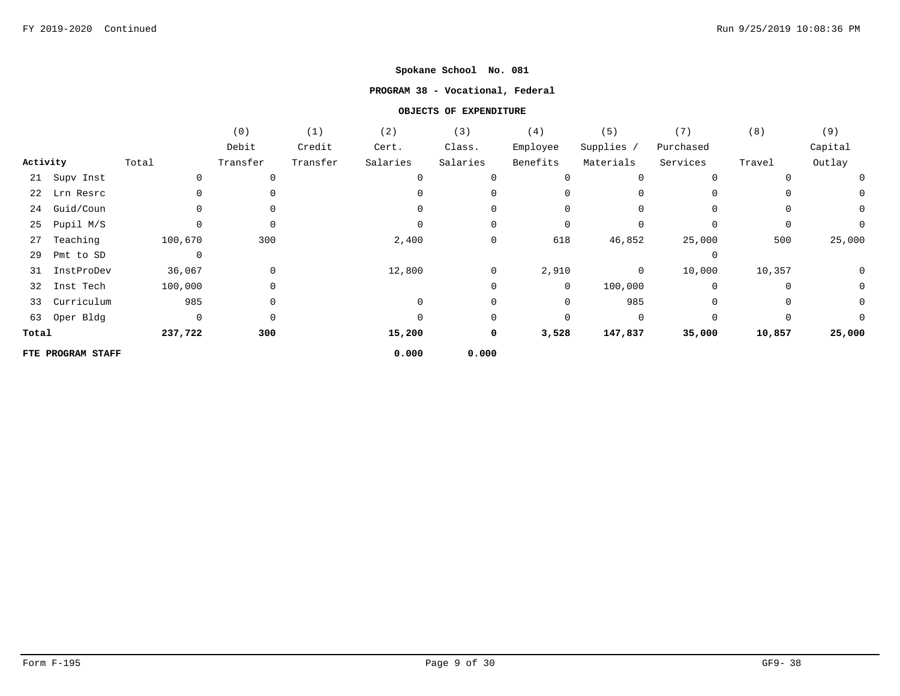### **PROGRAM 38 - Vocational, Federal**

|          |                   |         | (0)      | (1)      | (2)         | (3)            | (4)            | (5)          | (7)         | (8)    | (9)          |
|----------|-------------------|---------|----------|----------|-------------|----------------|----------------|--------------|-------------|--------|--------------|
|          |                   |         | Debit    | Credit   | Cert.       | Class.         | Employee       | Supplies /   | Purchased   |        | Capital      |
| Activity |                   | Total   | Transfer | Transfer | Salaries    | Salaries       | Benefits       | Materials    | Services    | Travel | Outlay       |
|          | 21 Supv Inst      |         | 0        |          | $\mathbf 0$ |                | 0              | $\Omega$     | $\Omega$    |        | 0            |
|          | 22 Lrn Resrc      |         | 0        |          |             |                | $\mathbf 0$    |              | 0           |        | $\mathsf{O}$ |
| 24       | Guid/Coun         |         | 0        |          |             |                | 0              |              | $\Omega$    |        | $\mathsf{O}$ |
| 25       | Pupil M/S         |         | 0        |          |             | 0              | 0              |              | 0           | 0      | 0            |
| 27       | Teaching          | 100,670 | 300      |          | 2,400       | $\mathsf{O}$   | 618            | 46,852       | 25,000      | 500    | 25,000       |
| 29       | Pmt to SD         | 0       |          |          |             |                |                |              | 0           |        |              |
| 31       | InstProDev        | 36,067  | 0        |          | 12,800      | $\overline{0}$ | 2,910          | $\mathbf{0}$ | 10,000      | 10,357 | 0            |
| 32       | Inst Tech         | 100,000 | 0        |          |             | $\mathbf{0}$   | $\overline{0}$ | 100,000      | $\mathbf 0$ | 0      | $\mathbf 0$  |
| 33       | Curriculum        | 985     | 0        |          | $\Omega$    | 0              | $\mathsf{O}$   | 985          | $\Omega$    | 0      | 0            |
|          | 63 Oper Bldg      | 0       | 0        |          |             | 0              | 0              | $\Omega$     | $\Omega$    | 0      | $\Omega$     |
| Total    |                   | 237,722 | 300      |          | 15,200      | 0              | 3,528          | 147,837      | 35,000      | 10,857 | 25,000       |
|          | FTE PROGRAM STAFF |         |          |          | 0.000       | 0.000          |                |              |             |        |              |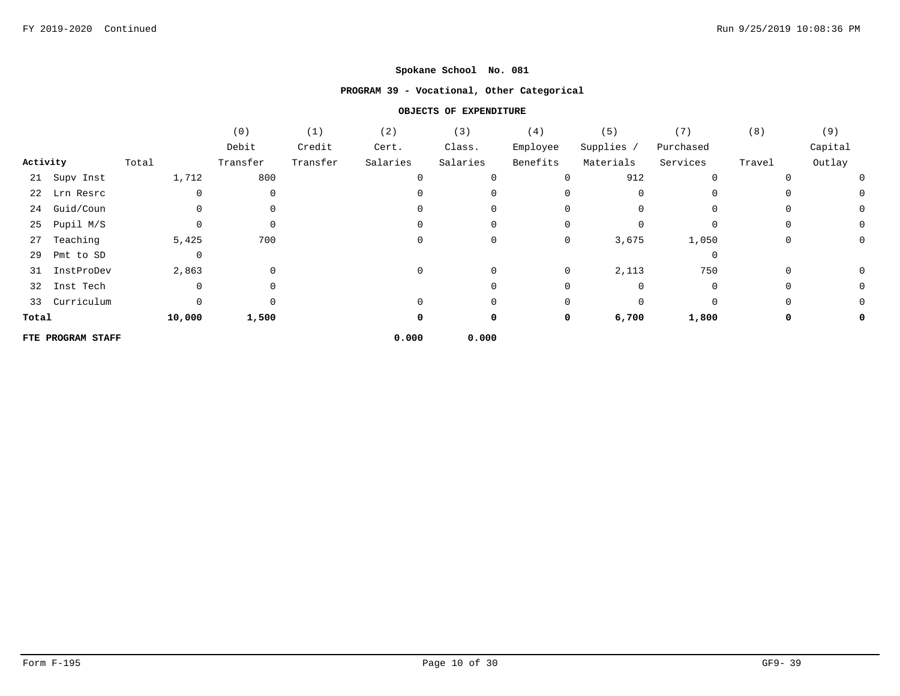## **PROGRAM 39 - Vocational, Other Categorical**

|          |                   |             | (0)         | (1)      | (2)      | (3)      | (4)         | (5)        | (7)         | (8)      | (9)      |
|----------|-------------------|-------------|-------------|----------|----------|----------|-------------|------------|-------------|----------|----------|
|          |                   |             | Debit       | Credit   | Cert.    | Class.   | Employee    | Supplies / | Purchased   |          | Capital  |
| Activity |                   | Total       | Transfer    | Transfer | Salaries | Salaries | Benefits    | Materials  | Services    | Travel   | Outlay   |
|          | 21 Supv Inst      | 1,712       | 800         |          | $\Omega$ |          | $\mathbf 0$ | 912        | $\mathbf 0$ |          | $\Omega$ |
|          | 22 Lrn Resrc      | 0           | 0           |          |          |          |             |            |             |          |          |
|          | 24 Guid/Coun      | 0           | $\Omega$    |          |          | 0        | $\Omega$    | $\Omega$   | $\Omega$    | 0        | 0        |
| 25       | Pupil M/S         | 0           | 0           |          | $\Omega$ | 0        | 0           |            | $\mathbf 0$ | $\Omega$ | 0        |
| 27       | Teaching          | 5,425       | 700         |          |          | 0        | 0           | 3,675      | 1,050       | $\Omega$ | 0        |
| 29       | Pmt to SD         | $\mathbf 0$ |             |          |          |          |             |            | $\mathbf 0$ |          |          |
|          | 31 InstProDev     | 2,863       | $\mathbf 0$ |          | $\Omega$ | 0        | 0           | 2,113      | 750         | $\Omega$ | 0        |
|          | 32 Inst Tech      | 0           | $\Omega$    |          |          | 0        | 0           | $\Omega$   | 0           | 0        | 0        |
|          | 33 Curriculum     | 0           | $\Omega$    |          |          | 0        | 0           | $\Omega$   | $\mathbf 0$ | 0        |          |
| Total    |                   | 10,000      | 1,500       |          | 0        | 0        | 0           | 6,700      | 1,800       | 0        |          |
|          | FTE PROGRAM STAFF |             |             |          | 0.000    | 0.000    |             |            |             |          |          |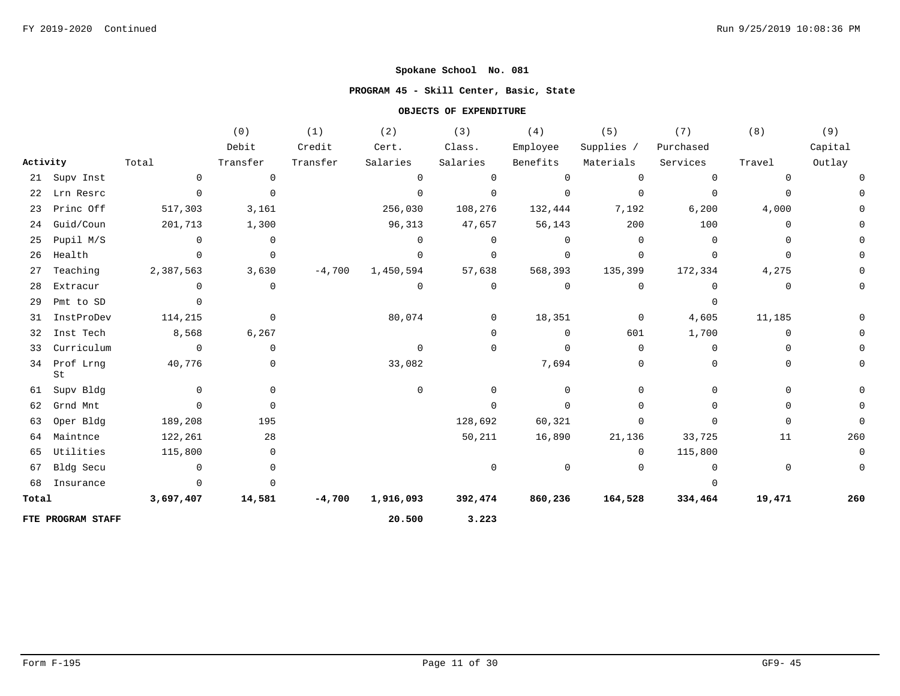## **PROGRAM 45 - Skill Center, Basic, State**

|          |                    |                | (0)         | (1)      | (2)         | (3)            | (4)         | (5)            | (7)            | (8)      | (9)         |
|----------|--------------------|----------------|-------------|----------|-------------|----------------|-------------|----------------|----------------|----------|-------------|
|          |                    |                | Debit       | Credit   | Cert.       | Class.         | Employee    | Supplies /     | Purchased      |          | Capital     |
| Activity |                    | Total          | Transfer    | Transfer | Salaries    | Salaries       | Benefits    | Materials      | Services       | Travel   | Outlay      |
|          | 21 Supv Inst       | $\mathbf 0$    | $\mathbf 0$ |          | $\mathbf 0$ | $\mathbf 0$    | $\mathbf 0$ | $\mathbf 0$    | $\overline{0}$ | 0        |             |
| 22       | Lrn Resrc          | $\mathbf{0}$   | $\mathbf 0$ |          | $\mathbf 0$ | $\mathbf 0$    | $\mathbf 0$ | $\mathbf 0$    | $\mathbf 0$    | $\Omega$ |             |
| 23       | Princ Off          | 517,303        | 3,161       |          | 256,030     | 108,276        | 132,444     | 7,192          | 6,200          | 4,000    |             |
| 24       | Guid/Coun          | 201,713        | 1,300       |          | 96,313      | 47,657         | 56,143      | 200            | 100            | $\Omega$ |             |
| 25       | Pupil M/S          | $\Omega$       | $\mathbf 0$ |          | $\Omega$    | $\Omega$       | $\Omega$    | $\Omega$       | $\Omega$       | 0        |             |
| 26       | Health             | $\Omega$       | $\mathbf 0$ |          | $\Omega$    | 0              | $\mathbf 0$ | $\Omega$       | $\Omega$       | 0        |             |
| 27       | Teaching           | 2,387,563      | 3,630       | $-4,700$ | 1,450,594   | 57,638         | 568,393     | 135,399        | 172,334        | 4,275    |             |
| 28       | Extracur           | $\Omega$       | 0           |          | 0           | 0              | $\mathbf 0$ | $\mathbf 0$    | $\mathbf 0$    | 0        |             |
| 29       | Pmt to SD          | $\Omega$       |             |          |             |                |             |                | $\Omega$       |          |             |
| 31       | InstProDev         | 114,215        | $\mathbf 0$ |          | 80,074      | $\overline{0}$ | 18,351      | $\overline{0}$ | 4,605          | 11,185   |             |
| 32       | Inst Tech          | 8,568          | 6,267       |          |             | $\mathbf 0$    | $\mathbf 0$ | 601            | 1,700          | 0        |             |
| 33       | Curriculum         | $\overline{0}$ | 0           |          | $\mathbf 0$ | 0              | $\mathbf 0$ | $\Omega$       | $\Omega$       | $\Omega$ |             |
|          | 34 Prof Lrng<br>St | 40,776         | 0           |          | 33,082      |                | 7,694       | 0              | $\Omega$       | $\Omega$ | 0           |
| 61       | Supv Bldg          | $\Omega$       | 0           |          | $\mathbf 0$ | $\Omega$       | $\Omega$    | $\Omega$       | $\Omega$       | $\Omega$ | 0           |
| 62       | Grnd Mnt           | $\Omega$       | $\mathbf 0$ |          |             | $\Omega$       | $\mathbf 0$ | 0              | $\Omega$       | 0        |             |
| 63       | Oper Bldg          | 189,208        | 195         |          |             | 128,692        | 60,321      | 0              | $\Omega$       | $\Omega$ | $\Omega$    |
| 64       | Maintnce           | 122,261        | 28          |          |             | 50,211         | 16,890      | 21,136         | 33,725         | 11       | 260         |
| 65       | Utilities          | 115,800        | 0           |          |             |                |             | $\Omega$       | 115,800        |          | $\mathbf 0$ |
| 67       | Bldg Secu          | $\overline{0}$ | 0           |          |             | $\mathbf 0$    | $\mathbf 0$ | $\mathbf 0$    | $\overline{0}$ | 0        | $\mathbf 0$ |
| 68       | Insurance          | $\Omega$       | $\Omega$    |          |             |                |             |                | $\Omega$       |          |             |
| Total    |                    | 3,697,407      | 14,581      | $-4,700$ | 1,916,093   | 392,474        | 860,236     | 164,528        | 334,464        | 19,471   | 260         |
|          | FTE PROGRAM STAFF  |                |             |          | 20.500      | 3.223          |             |                |                |          |             |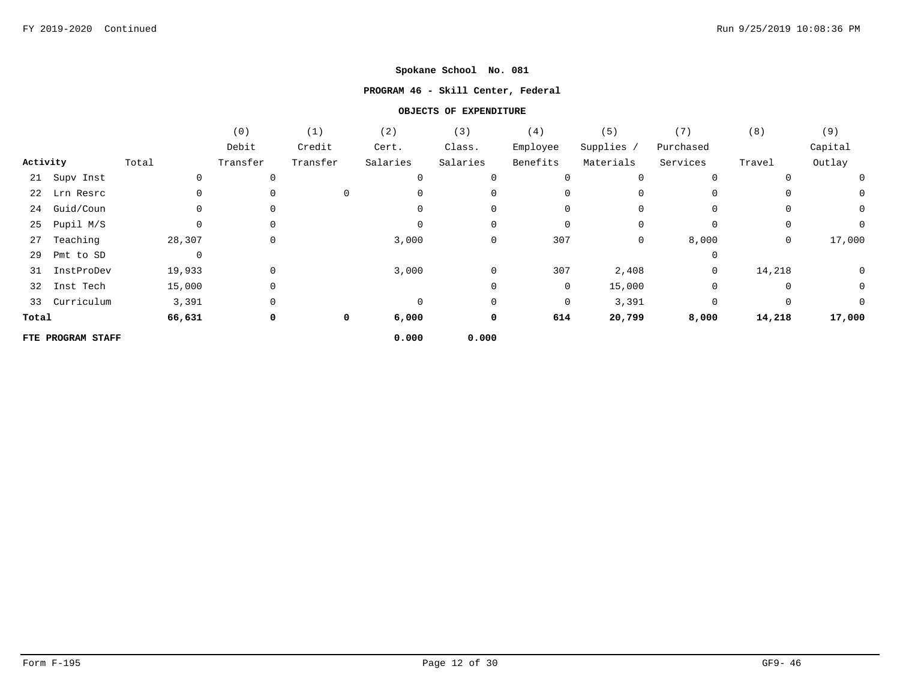## **PROGRAM 46 - Skill Center, Federal**

|          |                   |             | (0)      | (1)         | (2)      | (3)         | (4)         | (5)        | (7)            | (8)            | (9)         |
|----------|-------------------|-------------|----------|-------------|----------|-------------|-------------|------------|----------------|----------------|-------------|
|          |                   |             | Debit    | Credit      | Cert.    | Class.      | Employee    | Supplies / | Purchased      |                | Capital     |
| Activity |                   | Total       | Transfer | Transfer    | Salaries | Salaries    | Benefits    | Materials  | Services       | Travel         | Outlay      |
|          | 21 Supv Inst      | 0           |          |             | $\Omega$ |             |             | 0          |                |                | $\mathbf 0$ |
| 22       | Lrn Resrc         |             |          | 0           |          |             |             |            |                |                | 0           |
| 24       | Guid/Coun         |             | 0        |             |          |             | 0           |            | $\Omega$       |                | 0           |
| 25       | Pupil M/S         |             | $\Omega$ |             | $\Omega$ | $\Omega$    | $\mathbf 0$ | $\Omega$   | 0              | $\mathbf 0$    | 0           |
| 27       | Teaching          | 28,307      | 0        |             | 3,000    | 0           | 307         | 0          | 8,000          | $\overline{0}$ | 17,000      |
| 29       | Pmt to SD         | $\mathbf 0$ |          |             |          |             |             |            | $\Omega$       |                |             |
| 31       | InstProDev        | 19,933      | 0        |             | 3,000    | $\mathbf 0$ | 307         | 2,408      | $\overline{0}$ | 14,218         | $\mathbf 0$ |
| 32       | Inst Tech         | 15,000      | 0        |             |          |             | $\mathbf 0$ | 15,000     | $\Omega$       |                | 0           |
|          | 33 Curriculum     | 3,391       | 0        |             | $\Omega$ | $\Omega$    | $\mathbf 0$ | 3,391      | $\Omega$       | $\Omega$       | $\Omega$    |
| Total    |                   | 66,631      | 0        | $\mathbf 0$ | 6,000    | 0           | 614         | 20,799     | 8,000          | 14,218         | 17,000      |
|          | FTE PROGRAM STAFF |             |          |             | 0.000    | 0.000       |             |            |                |                |             |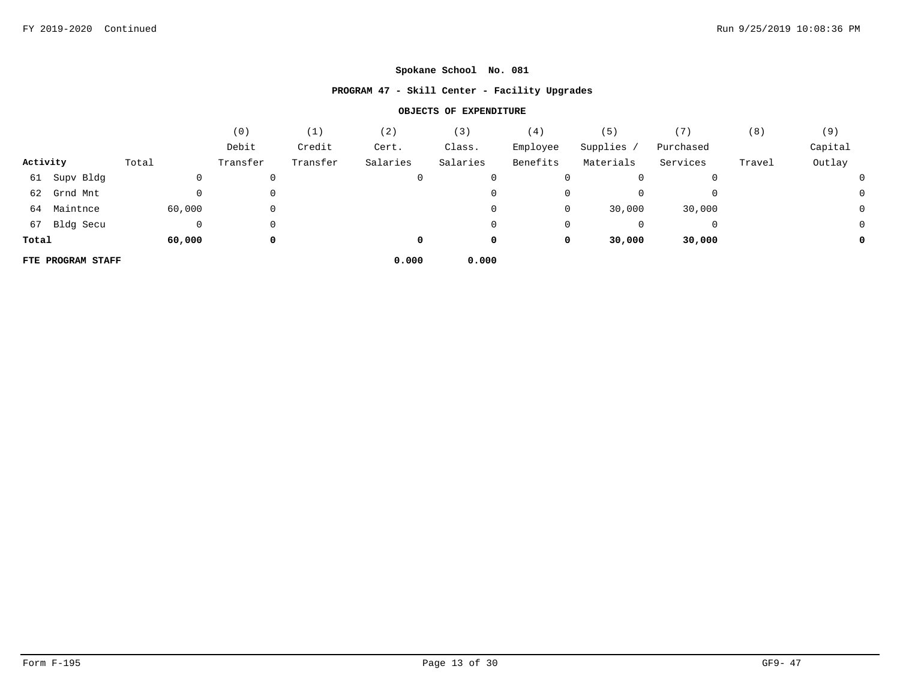## **PROGRAM 47 - Skill Center - Facility Upgrades**

|          |                   |        | (0)      | (1)      | (2)      | (3)      | (4)      | (5)       |           | (8)    | (9)     |
|----------|-------------------|--------|----------|----------|----------|----------|----------|-----------|-----------|--------|---------|
|          |                   |        | Debit    | Credit   | Cert.    | Class.   | Employee | Supplies  | Purchased |        | Capital |
| Activity |                   | Total  | Transfer | Transfer | Salaries | Salaries | Benefits | Materials | Services  | Travel | Outlay  |
|          | 61 Supv Bldg      |        | 0        |          | 0        | 0        | 0        |           |           |        |         |
|          | 62 Grnd Mnt       |        | 0        |          |          | 0        | 0        |           |           |        |         |
|          | 64 Maintnce       | 60,000 | 0        |          |          | 0        | 0        | 30,000    | 30,000    |        | J       |
|          | 67 Bldg Secu      |        | 0        |          |          | 0        | 0        |           |           |        |         |
| Total    |                   | 60,000 | 0        |          | 0        | 0        | 0        | 30,000    | 30,000    |        |         |
|          | FTE PROGRAM STAFF |        |          |          | 0.000    | 0.000    |          |           |           |        |         |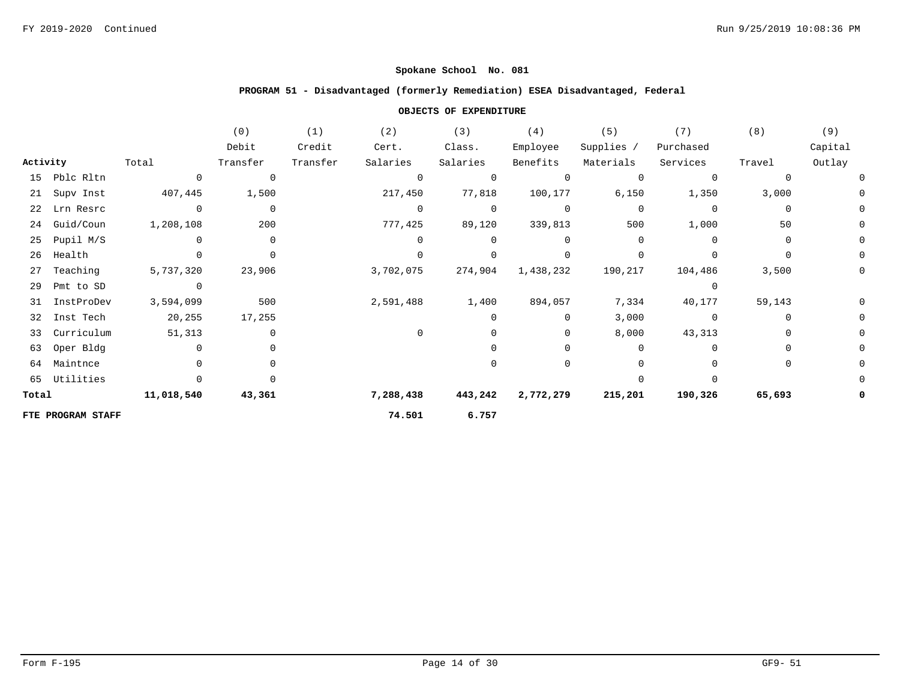### **PROGRAM 51 - Disadvantaged (formerly Remediation) ESEA Disadvantaged, Federal**

|          |                   |                | (0)            | (1)      | (2)            | (3)      | (4)            | (5)        | (7)            | (8)      | (9)     |
|----------|-------------------|----------------|----------------|----------|----------------|----------|----------------|------------|----------------|----------|---------|
|          |                   |                | Debit          | Credit   | Cert.          | Class.   | Employee       | Supplies / | Purchased      |          | Capital |
| Activity |                   | Total          | Transfer       | Transfer | Salaries       | Salaries | Benefits       | Materials  | Services       | Travel   | Outlay  |
| 15       | Pblc Rltn         | $\Omega$       | $\overline{0}$ |          | $\overline{0}$ |          | $\mathbf 0$    | $\Omega$   | $\mathbf 0$    | $\Omega$ |         |
| 21       | Supv Inst         | 407,445        | 1,500          |          | 217,450        | 77,818   | 100,177        | 6,150      | 1,350          | 3,000    |         |
| 22       | Lrn Resrc         | $\Omega$       | $\overline{0}$ |          | $\Omega$       | $\Omega$ | $\overline{0}$ | $\Omega$   | $\Omega$       | $\Omega$ |         |
| 24       | Guid/Coun         | 1,208,108      | 200            |          | 777,425        | 89,120   | 339,813        | 500        | 1,000          | 50       |         |
| 25       | Pupil M/S         |                | $\mathbf 0$    |          | $\Omega$       |          | 0              | $\Omega$   | $\Omega$       | 0        |         |
| 26       | Health            |                | $\Omega$       |          | $\Omega$       |          | $\Omega$       |            |                | $\Omega$ |         |
| 27       | Teaching          | 5,737,320      | 23,906         |          | 3,702,075      | 274,904  | 1,438,232      | 190,217    | 104,486        | 3,500    |         |
| 29       | Pmt to SD         | $\overline{0}$ |                |          |                |          |                |            | $\Omega$       |          |         |
| 31       | InstProDev        | 3,594,099      | 500            |          | 2,591,488      | 1,400    | 894,057        | 7,334      | 40,177         | 59,143   |         |
| 32       | Inst Tech         | 20,255         | 17,255         |          |                |          | 0              | 3,000      | $\overline{0}$ | $\Omega$ |         |
| 33       | Curriculum        | 51,313         | $\Omega$       |          | $\Omega$       |          | 0              | 8,000      | 43,313         | $\Omega$ |         |
| 63       | Oper Bldg         |                |                |          |                |          | <sup>0</sup>   | 0          | $\Omega$       | $\Omega$ |         |
| 64       | Maintnce          |                |                |          |                |          | 0              |            |                | $\Omega$ |         |
|          | 65 Utilities      |                |                |          |                |          |                |            |                |          |         |
| Total    |                   | 11,018,540     | 43,361         |          | 7,288,438      | 443,242  | 2,772,279      | 215,201    | 190,326        | 65,693   |         |
|          | FTE PROGRAM STAFF |                |                |          | 74.501         | 6.757    |                |            |                |          |         |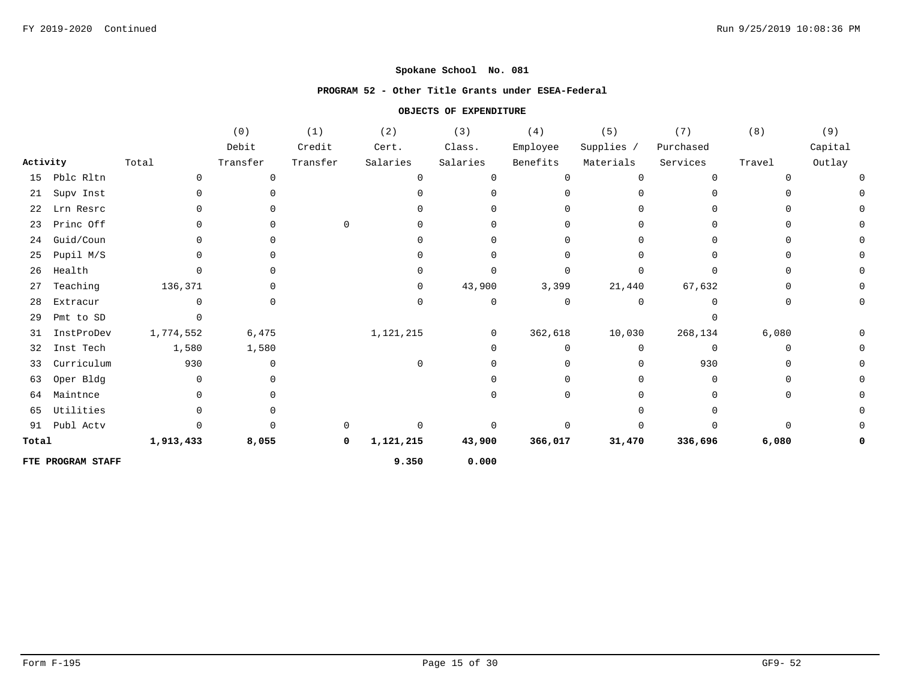#### **PROGRAM 52 - Other Title Grants under ESEA-Federal**

|          |                   |              | (0)          | (1)      | (2)       | (3)          | (4)          | $(\,5\,)$  | (7)       | (8)          | (9)     |
|----------|-------------------|--------------|--------------|----------|-----------|--------------|--------------|------------|-----------|--------------|---------|
|          |                   |              | Debit        | Credit   | Cert.     | Class.       | Employee     | Supplies / | Purchased |              | Capital |
| Activity |                   | Total        | Transfer     | Transfer | Salaries  | Salaries     | Benefits     | Materials  | Services  | Travel       | Outlay  |
| 15       | Pblc Rltn         | $\cap$       | $\Omega$     |          | $\Omega$  | <sup>n</sup> | $\Omega$     | U          | $\Omega$  |              |         |
| 21       | Supv Inst         | <sup>n</sup> |              |          |           | 0            |              |            | U         |              |         |
| 22       | Lrn Resrc         |              |              |          |           |              |              |            |           |              |         |
| 23       | Princ Off         |              |              | $\Omega$ |           | 0            |              |            |           |              |         |
| 24       | Guid/Coun         |              |              |          |           | 0            |              |            | U         |              |         |
| 25       | Pupil M/S         |              | <sup>0</sup> |          |           | 0            | <sup>n</sup> |            |           |              |         |
| 26       | Health            |              |              |          |           | <sup>0</sup> |              |            |           |              |         |
| 27       | Teaching          | 136,371      |              |          | $\Omega$  | 43,900       | 3,399        | 21,440     | 67,632    |              |         |
| 28       | Extracur          |              |              |          | $\Omega$  | 0            | $\mathbf 0$  | 0          | n         |              |         |
| 29       | Pmt to SD         |              |              |          |           |              |              |            |           |              |         |
| 31       | InstProDev        | 1,774,552    | 6,475        |          | 1,121,215 | 0            | 362,618      | 10,030     | 268,134   | 6,080        |         |
| 32       | Inst Tech         | 1,580        | 1,580        |          |           | 0            | $\Omega$     | 0          | 0         | <sup>n</sup> |         |
| 33       | Currichum         | 930          | 0            |          | $\cap$    | 0            |              |            | 930       |              |         |
| 63       | Oper Bldg         |              |              |          |           |              |              |            |           |              |         |
| 64       | Maintnce          |              |              |          |           |              |              |            |           |              |         |
| 65       | Utilities         |              |              |          |           |              |              |            |           |              |         |
| 91       | Publ Actv         |              |              |          |           |              |              |            |           |              |         |
| Total    |                   | 1,913,433    | 8,055        | 0        | 1,121,215 | 43,900       | 366,017      | 31,470     | 336,696   | 6,080        |         |
|          | FTE PROGRAM STAFF |              |              |          | 9.350     | 0.000        |              |            |           |              |         |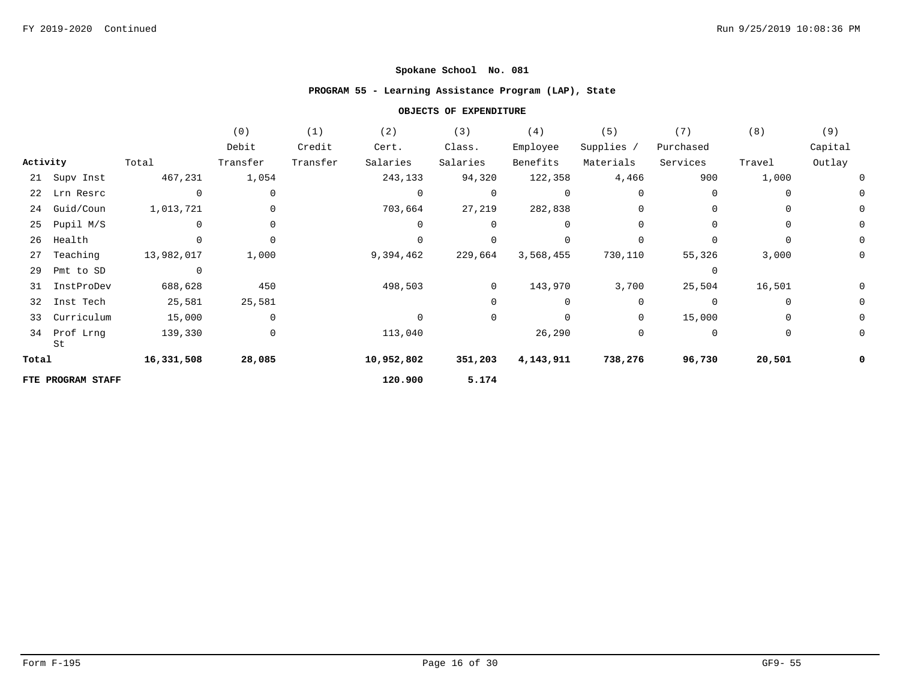### **PROGRAM 55 - Learning Assistance Program (LAP), State**

|          |                   |                | (0)         | (1)      | (2)         | (3)            | (4)         | (5)         | (7)       | (8)      | (9)         |
|----------|-------------------|----------------|-------------|----------|-------------|----------------|-------------|-------------|-----------|----------|-------------|
|          |                   |                | Debit       | Credit   | Cert.       | Class.         | Employee    | Supplies /  | Purchased |          | Capital     |
| Activity |                   | Total          | Transfer    | Transfer | Salaries    | Salaries       | Benefits    | Materials   | Services  | Travel   | Outlay      |
|          | 21 Supv Inst      | 467,231        | 1,054       |          | 243,133     | 94,320         | 122,358     | 4,466       | 900       | 1,000    | 0           |
|          | 22 Lrn Resrc      | $\mathbf 0$    | 0           |          | $\mathbf 0$ | 0              | $\mathbf 0$ | $\Omega$    | 0         | 0        | 0           |
| 24       | Guid/Coun         | 1,013,721      | 0           |          | 703,664     | 27,219         | 282,838     | $\mathbf 0$ | 0         | 0        | 0           |
| 25       | Pupil M/S         | $\overline{0}$ | 0           |          | $\Omega$    | $\Omega$       | $\Omega$    | $\Omega$    | 0         | 0        | 0           |
| 26       | Health            | $\Omega$       | $\Omega$    |          | $\Omega$    |                |             | $\Omega$    | $\Omega$  | $\Omega$ | $\mathbf 0$ |
| 27       | Teaching          | 13,982,017     | 1,000       |          | 9,394,462   | 229,664        | 3,568,455   | 730,110     | 55,326    | 3,000    | 0           |
| 29       | Pmt to SD         | $\overline{0}$ |             |          |             |                |             |             | 0         |          |             |
| 31       | InstProDev        | 688,628        | 450         |          | 498,503     | $\overline{0}$ | 143,970     | 3,700       | 25,504    | 16,501   | 0           |
|          | 32 Inst Tech      | 25,581         | 25,581      |          |             |                | $\mathbf 0$ | $\Omega$    | 0         | $\Omega$ | 0           |
| 33       | Curriculum        | 15,000         | $\mathbf 0$ |          | $\Omega$    | 0              | $\mathbf 0$ | $\mathbf 0$ | 15,000    | 0        | 0           |
| 34       | Prof Lrng<br>St   | 139,330        | 0           |          | 113,040     |                | 26,290      | 0           | 0         | 0        | 0           |
| Total    |                   | 16,331,508     | 28,085      |          | 10,952,802  | 351,203        | 4,143,911   | 738,276     | 96,730    | 20,501   | 0           |
|          | FTE PROGRAM STAFF |                |             |          | 120.900     | 5.174          |             |             |           |          |             |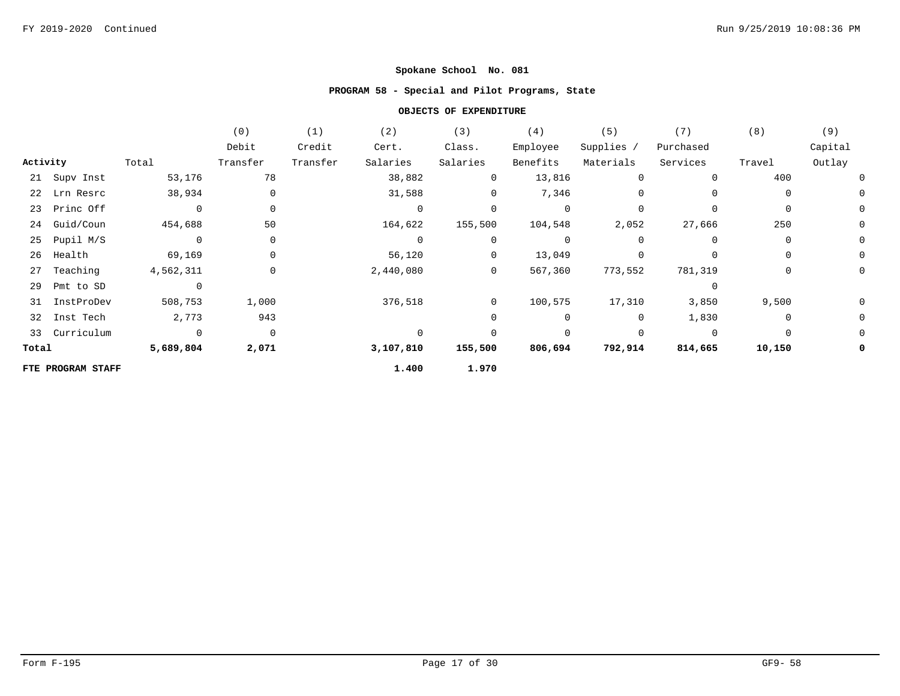# **PROGRAM 58 - Special and Pilot Programs, State**

|          |                   |                | (0)            | (1)      | (2)       | (3)            | (4)            | (5)        | (7)         | (8)         | (9)         |
|----------|-------------------|----------------|----------------|----------|-----------|----------------|----------------|------------|-------------|-------------|-------------|
|          |                   |                | Debit          | Credit   | Cert.     | Class.         | Employee       | Supplies / | Purchased   |             | Capital     |
| Activity |                   | Total          | Transfer       | Transfer | Salaries  | Salaries       | Benefits       | Materials  | Services    | Travel      | Outlay      |
|          | 21 Supv Inst      | 53,176         | 78             |          | 38,882    | $\overline{0}$ | 13,816         | 0          | $\Omega$    | 400         | 0           |
|          | 22 Lrn Resrc      | 38,934         | $\mathbf 0$    |          | 31,588    | 0              | 7,346          | 0          | $\Omega$    | $\Omega$    | 0           |
|          | 23 Princ Off      | $\Omega$       | $\mathbf 0$    |          | $\Omega$  | $\Omega$       | $\overline{0}$ | $\Omega$   | $\Omega$    | 0           | $\mathbf 0$ |
|          | 24 Guid/Coun      | 454,688        | 50             |          | 164,622   | 155,500        | 104,548        | 2,052      | 27,666      | 250         | 0           |
| 25       | Pupil M/S         | $\mathbf 0$    | $\mathbf 0$    |          | $\Omega$  | $\mathbf{0}$   | $\overline{0}$ | $\Omega$   | $\Omega$    | $\Omega$    | 0           |
| 26       | Health            | 69,169         | $\mathbf 0$    |          | 56,120    | $\overline{0}$ | 13,049         | 0          | $\Omega$    | $\Omega$    | 0           |
| 27       | Teaching          | 4,562,311      | 0              |          | 2,440,080 | $\overline{0}$ | 567,360        | 773,552    | 781,319     | 0           | 0           |
| 29       | Pmt to SD         | $\mathbf 0$    |                |          |           |                |                |            | $\Omega$    |             |             |
| 31       | InstProDev        | 508,753        | 1,000          |          | 376,518   | $\overline{0}$ | 100,575        | 17,310     | 3,850       | 9,500       | 0           |
| 32       | Inst Tech         | 2,773          | 943            |          |           | $\mathbf{0}$   | $\mathbf 0$    | 0          | 1,830       | $\mathbf 0$ | 0           |
|          | 33 Curriculum     | $\overline{0}$ | $\overline{0}$ |          | $\Omega$  | $\Omega$       | $\mathbf 0$    | 0          | $\mathbf 0$ | $\Omega$    | 0           |
| Total    |                   | 5,689,804      | 2,071          |          | 3,107,810 | 155,500        | 806,694        | 792,914    | 814,665     | 10,150      | 0           |
|          | FTE PROGRAM STAFF |                |                |          | 1.400     | 1.970          |                |            |             |             |             |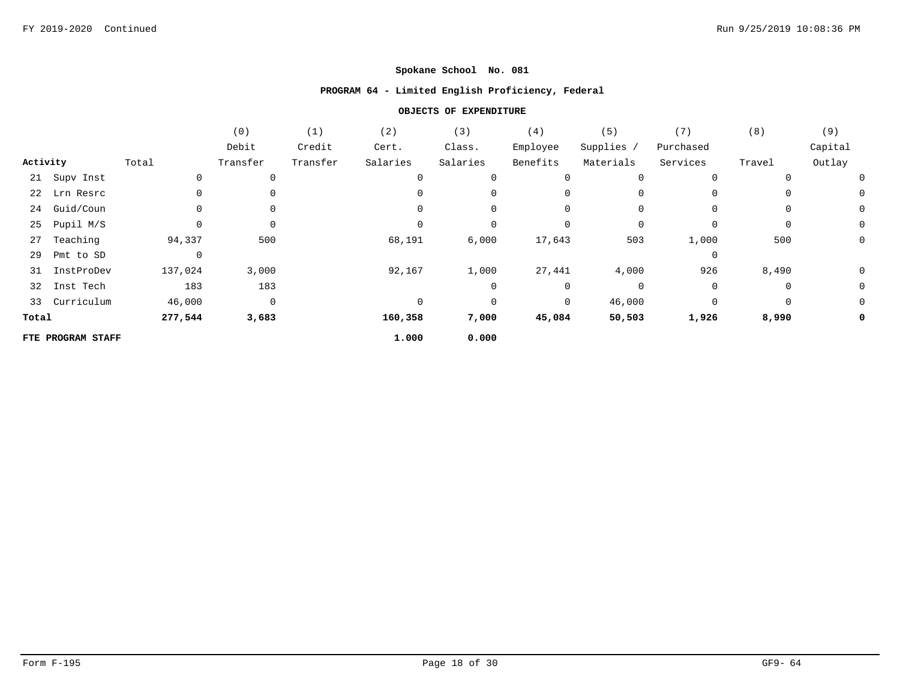### **PROGRAM 64 - Limited English Proficiency, Federal**

|          |                   |          | (0)         | (1)      | (2)         | (3)      | (4)      | (5)        | (7)       | (8)      | (9)     |
|----------|-------------------|----------|-------------|----------|-------------|----------|----------|------------|-----------|----------|---------|
|          |                   |          | Debit       | Credit   | Cert.       | Class.   | Employee | Supplies / | Purchased |          | Capital |
| Activity |                   | Total    | Transfer    | Transfer | Salaries    | Salaries | Benefits | Materials  | Services  | Travel   | Outlay  |
|          | 21 Supv Inst      | 0        | 0           |          | $\mathbf 0$ | 0        | 0        | 0          | 0         | $\Omega$ |         |
|          | 22 Lrn Resrc      |          | 0           |          | $\Omega$    | 0        | 0        | 0          | 0         | $\Omega$ | 0       |
| 24       | Guid/Coun         | 0        | 0           |          | 0           | 0        | 0        | 0          | 0         | 0        | 0       |
| 25       | Pupil M/S         |          | 0           |          | $\Omega$    | 0        | 0        | 0          | 0         | 0        | 0       |
| 27       | Teaching          | 94,337   | 500         |          | 68,191      | 6,000    | 17,643   | 503        | 1,000     | 500      | 0       |
| 29       | Pmt to SD         | $\Omega$ |             |          |             |          |          |            | $\Omega$  |          |         |
| 31       | InstProDev        | 137,024  | 3,000       |          | 92,167      | 1,000    | 27,441   | 4,000      | 926       | 8,490    | 0       |
| 32       | Inst Tech         | 183      | 183         |          |             | 0        | 0        | 0          | 0         | 0        | 0       |
|          | 33 Curriculum     | 46,000   | $\mathbf 0$ |          | $\Omega$    | 0        | 0        | 46,000     | $\Omega$  | 0        | 0       |
| Total    |                   | 277,544  | 3,683       |          | 160,358     | 7,000    | 45,084   | 50,503     | 1,926     | 8,990    | 0       |
|          | FTE PROGRAM STAFF |          |             |          | 1.000       | 0.000    |          |            |           |          |         |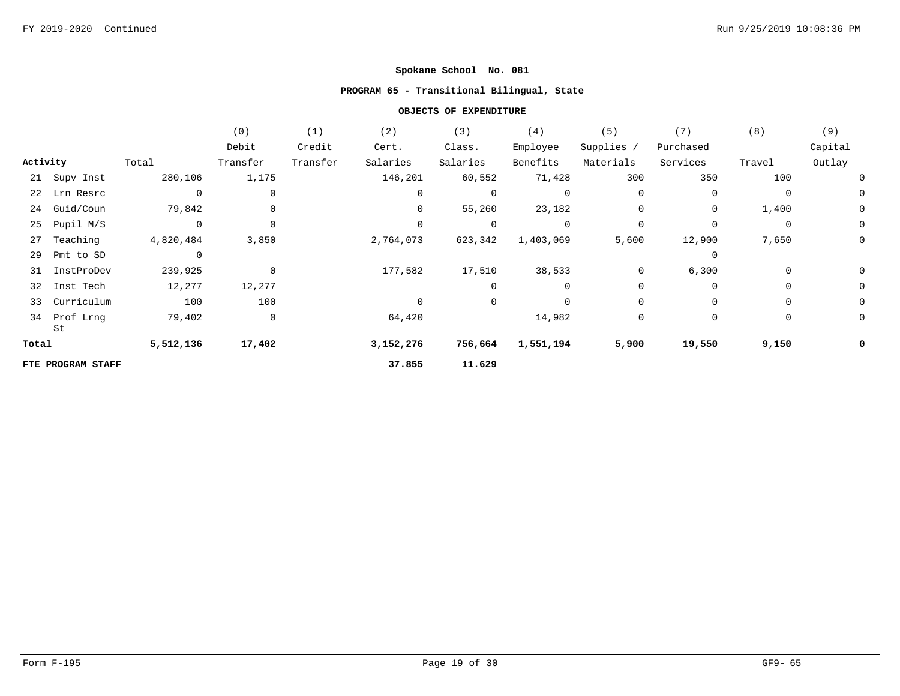# **PROGRAM 65 - Transitional Bilingual, State**

|          |                    |             | (0)         | (1)      | (2)         | (3)            | (4)         | (5)         | (7)         | (8)            | (9)         |
|----------|--------------------|-------------|-------------|----------|-------------|----------------|-------------|-------------|-------------|----------------|-------------|
|          |                    |             | Debit       | Credit   | Cert.       | Class.         | Employee    | Supplies /  | Purchased   |                | Capital     |
| Activity |                    | Total       | Transfer    | Transfer | Salaries    | Salaries       | Benefits    | Materials   | Services    | Travel         | Outlay      |
|          | 21 Supv Inst       | 280,106     | 1,175       |          | 146,201     | 60,552         | 71,428      | 300         | 350         | 100            | 0           |
|          | 22 Lrn Resrc       | $\mathbf 0$ | 0           |          | 0           | 0              | $\mathbf 0$ | $\Omega$    | 0           | $\Omega$       | 0           |
| 24       | Guid/Coun          | 79,842      | 0           |          | 0           | 55,260         | 23,182      | 0           | 0           | 1,400          | $\mathbf 0$ |
| 25       | Pupil M/S          | $\mathbf 0$ | $\mathbf 0$ |          | $\mathbf 0$ | 0              | $\mathbf 0$ | $\mathbf 0$ | $\Omega$    | $\overline{0}$ | $\mathbf 0$ |
| 27       | Teaching           | 4,820,484   | 3,850       |          | 2,764,073   | 623,342        | 1,403,069   | 5,600       | 12,900      | 7,650          | 0           |
| 29       | Pmt to SD          | $\mathbf 0$ |             |          |             |                |             |             | 0           |                |             |
| 31       | InstProDev         | 239,925     | $\mathbf 0$ |          | 177,582     | 17,510         | 38,533      | 0           | 6,300       | 0              | 0           |
| 32       | Inst Tech          | 12,277      | 12,277      |          |             | 0              | 0           | 0           | $\Omega$    | 0              | 0           |
| 33       | Curriculum         | 100         | 100         |          | $\Omega$    | $\overline{0}$ | $\mathbf 0$ | $\Omega$    | $\Omega$    | $\Omega$       | 0           |
|          | 34 Prof Lrng<br>St | 79,402      | $\mathsf 0$ |          | 64,420      |                | 14,982      | 0           | $\mathbf 0$ | 0              | 0           |
| Total    |                    | 5,512,136   | 17,402      |          | 3,152,276   | 756,664        | 1,551,194   | 5,900       | 19,550      | 9,150          | 0           |
|          | FTE PROGRAM STAFF  |             |             |          | 37.855      | 11.629         |             |             |             |                |             |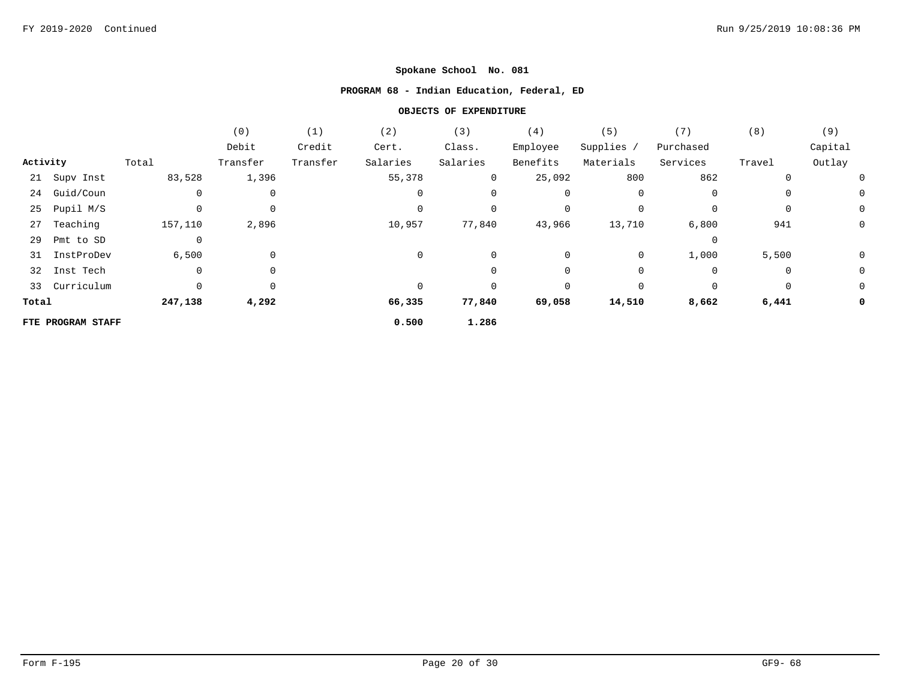# **PROGRAM 68 - Indian Education, Federal, ED**

|          |                   |             | (0)         | (1)      | (2)         | (3)            | (4)      | (5)        | (7)         | (8)         | (9)     |
|----------|-------------------|-------------|-------------|----------|-------------|----------------|----------|------------|-------------|-------------|---------|
|          |                   |             | Debit       | Credit   | Cert.       | Class.         | Employee | Supplies / | Purchased   |             | Capital |
| Activity |                   | Total       | Transfer    | Transfer | Salaries    | Salaries       | Benefits | Materials  | Services    | Travel      | Outlay  |
|          | 21 Supv Inst      | 83,528      | 1,396       |          | 55,378      | $\overline{0}$ | 25,092   | 800        | 862         | 0           |         |
|          | 24 Guid/Coun      | $\mathbf 0$ | 0           |          | $\mathbf 0$ | 0              | 0        | 0          | 0           | $\mathbf 0$ | 0       |
|          | 25 Pupil M/S      |             | 0           |          | $\Omega$    | 0              | 0        | $\Omega$   | $\mathbf 0$ | $\mathbf 0$ | 0       |
|          | 27 Teaching       | 157,110     | 2,896       |          | 10,957      | 77,840         | 43,966   | 13,710     | 6,800       | 941         | 0       |
| 29       | Pmt to SD         | 0           |             |          |             |                |          |            | 0           |             |         |
| 31       | InstProDev        | 6,500       | $\mathbf 0$ |          | $\Omega$    | 0              | 0        | 0          | 1,000       | 5,500       | 0       |
| 32       | Inst Tech         | $\mathbf 0$ | 0           |          |             | 0              | 0        | $\Omega$   | 0           | 0           | 0       |
|          | 33 Curriculum     |             | 0           |          |             | 0              | 0        | $\Omega$   | 0           | 0           | 0       |
| Total    |                   | 247,138     | 4,292       |          | 66,335      | 77,840         | 69,058   | 14,510     | 8,662       | 6,441       | 0       |
|          | FTE PROGRAM STAFF |             |             |          | 0.500       | 1.286          |          |            |             |             |         |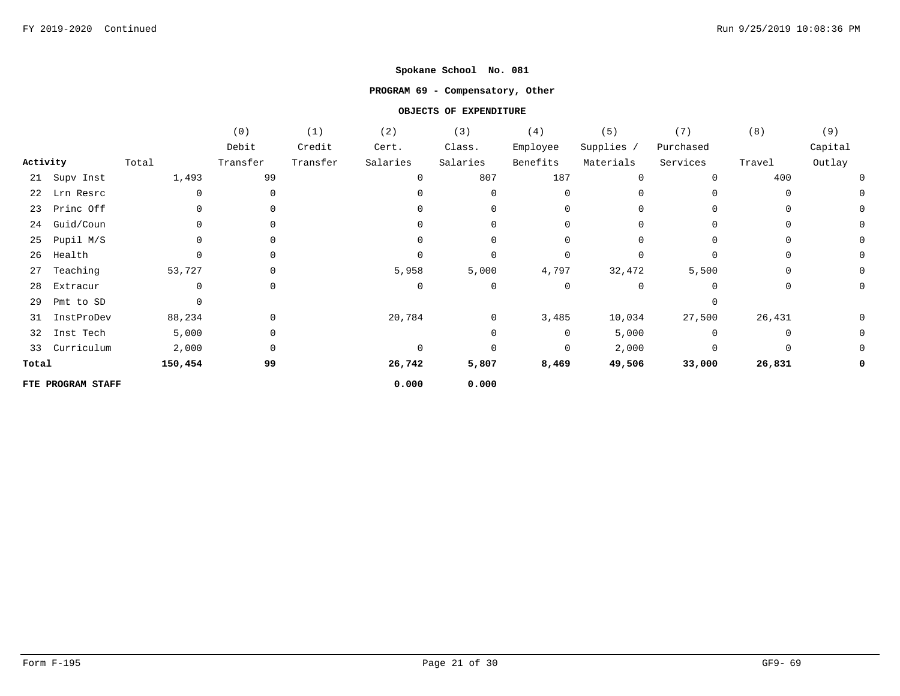### **PROGRAM 69 - Compensatory, Other**

|          |                   |          | (0)      | (1)      | (2)      | (3)          | (4)         | (5)          | (7)         | (8)      | (9)      |
|----------|-------------------|----------|----------|----------|----------|--------------|-------------|--------------|-------------|----------|----------|
|          |                   |          | Debit    | Credit   | Cert.    | Class.       | Employee    | Supplies /   | Purchased   |          | Capital  |
| Activity |                   | Total    | Transfer | Transfer | Salaries | Salaries     | Benefits    | Materials    | Services    | Travel   | Outlay   |
|          | 21 Supv Inst      | 1,493    | 99       |          |          | 807          | 187         | 0            | $\Omega$    | 400      | U        |
| 22       | Lrn Resrc         | $\Omega$ | $\Omega$ |          |          | 0            | 0           | <sup>0</sup> |             | 0        |          |
| 23       | Princ Off         |          |          |          |          | 0            | 0           | 0            | 0           |          | 0        |
| 24       | Guid/Coun         |          | $\Omega$ |          |          | 0            | 0           | 0            | $\Omega$    | $\Omega$ | $\Omega$ |
| 25       | Pupil M/S         |          |          |          |          | 0            | 0           | 0            | $\Omega$    |          | 0        |
| 26       | Health            |          |          |          |          | $\Omega$     | $\mathbf 0$ | $\Omega$     | $\Omega$    | $\Omega$ | 0        |
| 27       | Teaching          | 53,727   |          |          | 5,958    | 5,000        | 4,797       | 32,472       | 5,500       | $\Omega$ | 0        |
| 28       | Extracur          | 0        |          |          | $\Omega$ | 0            | $\mathbf 0$ | 0            | $\Omega$    |          | 0        |
| 29       | Pmt to SD         |          |          |          |          |              |             |              | $\Omega$    |          |          |
| 31       | InstProDev        | 88,234   | 0        |          | 20,784   | $\mathbf{0}$ | 3,485       | 10,034       | 27,500      | 26,431   | 0        |
| 32       | Inst Tech         | 5,000    | 0        |          |          | 0            | 0           | 5,000        | $\Omega$    | 0        | 0        |
| 33       | Curriculum        | 2,000    | 0        |          |          | 0            | 0           | 2,000        | $\mathbf 0$ |          | 0        |
| Total    |                   | 150,454  | 99       |          | 26,742   | 5,807        | 8,469       | 49,506       | 33,000      | 26,831   | 0        |
|          | FTE PROGRAM STAFF |          |          |          | 0.000    | 0.000        |             |              |             |          |          |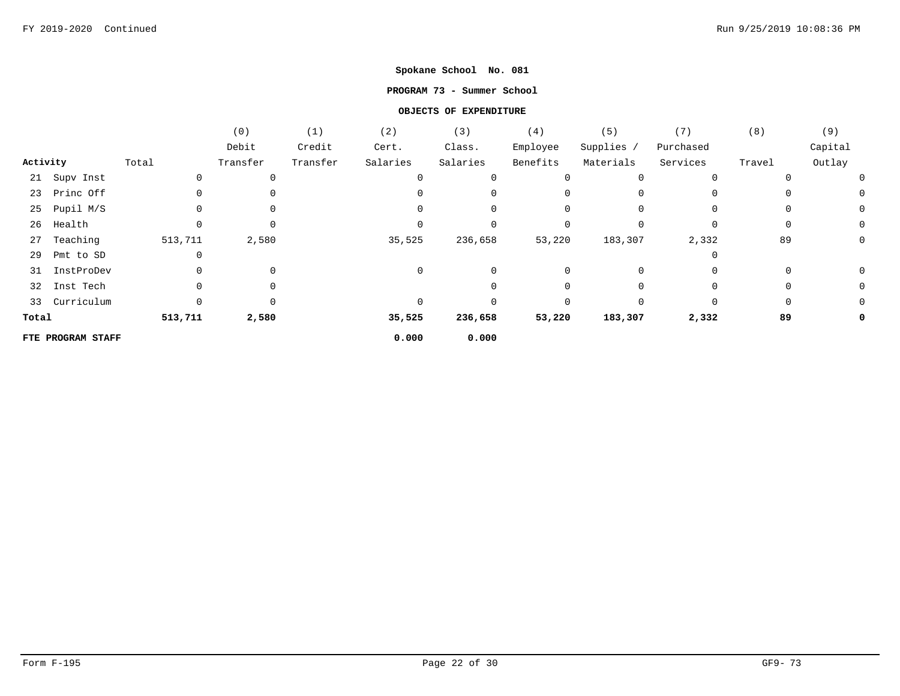### **PROGRAM 73 - Summer School**

|          |                   |         | (0)         | (1)      | (2)      | (3)      | (4)      | (5)          | (7)       | (8)    | (9)     |
|----------|-------------------|---------|-------------|----------|----------|----------|----------|--------------|-----------|--------|---------|
|          |                   |         | Debit       | Credit   | Cert.    | Class.   | Employee | Supplies /   | Purchased |        | Capital |
| Activity |                   | Total   | Transfer    | Transfer | Salaries | Salaries | Benefits | Materials    | Services  | Travel | Outlay  |
|          | 21 Supv Inst      | 0       | 0           |          | $\Omega$ |          | 0        | 0            |           |        |         |
|          | 23 Princ Off      |         | 0           |          |          |          |          | $\Omega$     |           |        |         |
| 25       | Pupil M/S         |         | 0           |          |          | 0        | 0        | 0            |           |        |         |
| 26       | Health            |         | 0           |          |          |          | 0        |              |           |        |         |
| 27       | Teaching          | 513,711 | 2,580       |          | 35,525   | 236,658  | 53,220   | 183,307      | 2,332     | 89     |         |
| 29       | Pmt to SD         |         |             |          |          |          |          |              |           |        |         |
| 31       | InstProDev        |         | $\mathbf 0$ |          | 0        |          | 0        | 0            |           |        |         |
| 32       | Inst Tech         |         | 0           |          |          |          |          |              |           |        |         |
|          | 33 Curriculum     | 0       | $\Omega$    |          |          |          | $\Omega$ | <sup>n</sup> | $\Omega$  |        |         |
| Total    |                   | 513,711 | 2,580       |          | 35,525   | 236,658  | 53,220   | 183,307      | 2,332     | 89     |         |
|          | FTE PROGRAM STAFF |         |             |          | 0.000    | 0.000    |          |              |           |        |         |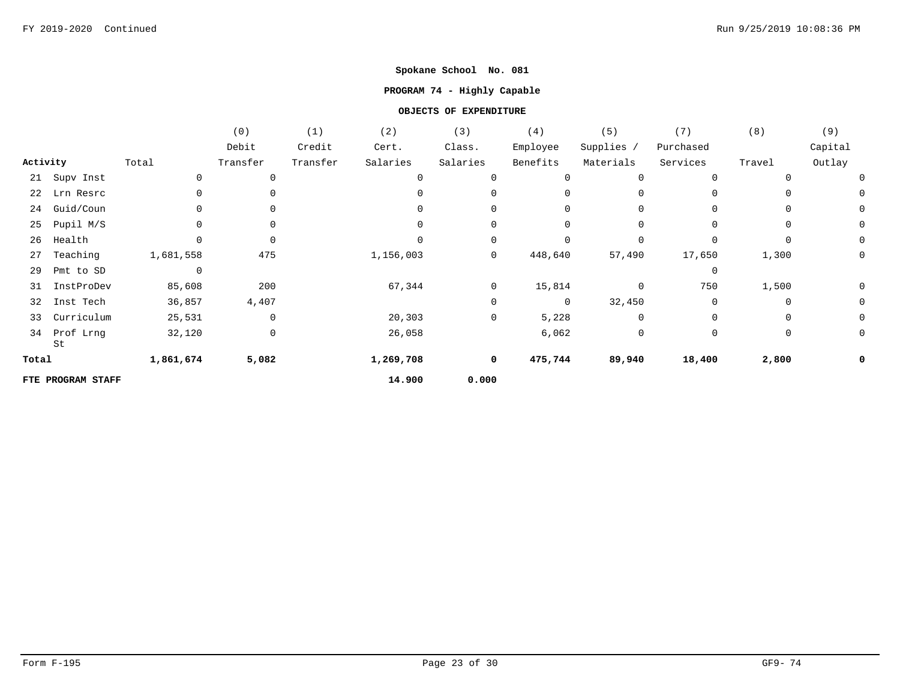# **PROGRAM 74 - Highly Capable**

|          |                   |                | (0)         | (1)      | (2)       | (3)          | (4)            | (5)          | (7)         | (8)      | (9)         |
|----------|-------------------|----------------|-------------|----------|-----------|--------------|----------------|--------------|-------------|----------|-------------|
|          |                   |                | Debit       | Credit   | Cert.     | Class.       | Employee       | Supplies /   | Purchased   |          | Capital     |
| Activity |                   | Total          | Transfer    | Transfer | Salaries  | Salaries     | Benefits       | Materials    | Services    | Travel   | Outlay      |
| 21       | Supv Inst         | 0              | $\mathbf 0$ |          | 0         |              | $\mathbf 0$    | $\Omega$     | $\mathbf 0$ | $\Omega$ | 0           |
| 22       | Lrn Resrc         | 0              |             |          |           |              | $\Omega$       | $\Omega$     | 0           |          | 0           |
| 24       | Guid/Coun         |                |             |          | $\Omega$  |              | $\mathbf 0$    | $\Omega$     | $\Omega$    | $\Omega$ | 0           |
| 25       | Pupil M/S         | $\Omega$       | $\Omega$    |          | $\Omega$  | $\Omega$     | $\Omega$       | $\Omega$     | $\Omega$    | $\Omega$ | 0           |
| 26       | Health            |                | $\Omega$    |          |           | $\Omega$     | $\Omega$       | $\Omega$     | $\Omega$    | $\Omega$ | $\mathbf 0$ |
| 27       | Teaching          | 1,681,558      | 475         |          | 1,156,003 | $\mathsf{O}$ | 448,640        | 57,490       | 17,650      | 1,300    | 0           |
| 29       | Pmt to SD         | $\overline{0}$ |             |          |           |              |                |              | $\mathbf 0$ |          |             |
| 31       | InstProDev        | 85,608         | 200         |          | 67,344    | $\mathsf{O}$ | 15,814         | $\mathbf 0$  | 750         | 1,500    | 0           |
| 32       | Inst Tech         | 36,857         | 4,407       |          |           | 0            | $\overline{0}$ | 32,450       | $\mathbf 0$ | $\Omega$ | 0           |
| 33       | Curriculum        | 25,531         | $\mathbf 0$ |          | 20,303    | 0            | 5,228          | $\mathbf{0}$ | 0           | 0        | 0           |
| 34       | Prof Lrng<br>St   | 32,120         | 0           |          | 26,058    |              | 6,062          | 0            | 0           | 0        | 0           |
| Total    |                   | 1,861,674      | 5,082       |          | 1,269,708 | 0            | 475,744        | 89,940       | 18,400      | 2,800    | 0           |
|          | FTE PROGRAM STAFF |                |             |          | 14.900    | 0.000        |                |              |             |          |             |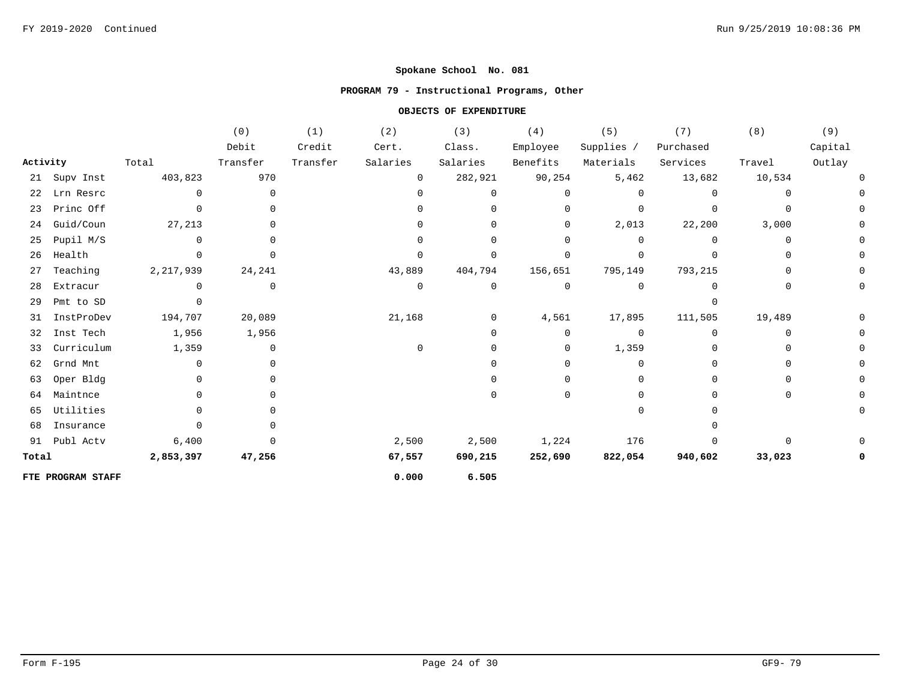# **PROGRAM 79 - Instructional Programs, Other**

|          |                   |           | (0)            | (1)      | (2)          | (3)      | (4)          | (5)          | (7)       | (8)      | (9)     |
|----------|-------------------|-----------|----------------|----------|--------------|----------|--------------|--------------|-----------|----------|---------|
|          |                   |           | Debit          | Credit   | Cert.        | Class.   | Employee     | Supplies /   | Purchased |          | Capital |
| Activity |                   | Total     | Transfer       | Transfer | Salaries     | Salaries | Benefits     | Materials    | Services  | Travel   | Outlay  |
|          | 21 Supv Inst      | 403,823   | 970            |          | $\mathbf 0$  | 282,921  | 90,254       | 5,462        | 13,682    | 10,534   |         |
| 22       | Lrn Resrc         | $\Omega$  | $\mathbf{0}$   |          | 0            | O        | $\Omega$     | $\Omega$     |           | 0        |         |
|          | 23 Princ Off      | 0         | $\Omega$       |          | <sup>n</sup> | O        | 0            | $\Omega$     |           | $\Omega$ |         |
| 24       | Guid/Coun         | 27,213    | <sup>0</sup>   |          |              | U        | 0            | 2,013        | 22,200    | 3,000    |         |
| 25       | Pupil M/S         | 0         | 0              |          |              |          | $\Omega$     | $\Omega$     |           | $\Omega$ |         |
| 26       | Health            | $\Omega$  | $\Omega$       |          | U            |          | $\Omega$     | $\Omega$     |           | $\Omega$ |         |
| 27       | Teaching          | 2,217,939 | 24,241         |          | 43,889       | 404,794  | 156,651      | 795,149      | 793,215   | 0        |         |
| 28       | Extracur          | $\Omega$  | $\mathbf{0}$   |          | 0            | 0        | $\mathbf{0}$ | 0            |           | 0        |         |
| 29       | Pmt to SD         | $\Omega$  |                |          |              |          |              |              |           |          |         |
| 31       | InstProDev        | 194,707   | 20,089         |          | 21,168       | 0        | 4,561        | 17,895       | 111,505   | 19,489   |         |
| 32       | Inst Tech         | 1,956     | 1,956          |          |              | U        | $\Omega$     | $\Omega$     |           | $\Omega$ |         |
| 33       | Curriculum        | 1,359     | $\overline{0}$ |          | $\Omega$     |          | $\mathbf 0$  | 1,359        |           |          |         |
| 62       | Grnd Mnt          | 0         | $\Omega$       |          |              |          | $\Omega$     | $\Omega$     |           |          |         |
| 63       | Oper Bldg         | $\Omega$  | $\Omega$       |          |              |          | $\Omega$     | <sup>0</sup> |           |          |         |
| 64       | Maintnce          | $\Omega$  | <sup>n</sup>   |          |              |          | $\Omega$     | <sup>0</sup> |           | $\Omega$ |         |
| 65       | Utilities         | 0         |                |          |              |          |              | $\Omega$     |           |          |         |
| 68       | Insurance         | $\Omega$  |                |          |              |          |              |              |           |          |         |
|          | 91 Publ Actv      | 6,400     | $\Omega$       |          | 2,500        | 2,500    | 1,224        | 176          |           |          |         |
| Total    |                   | 2,853,397 | 47,256         |          | 67,557       | 690,215  | 252,690      | 822,054      | 940,602   | 33,023   |         |
|          | FTE PROGRAM STAFF |           |                |          | 0.000        | 6.505    |              |              |           |          |         |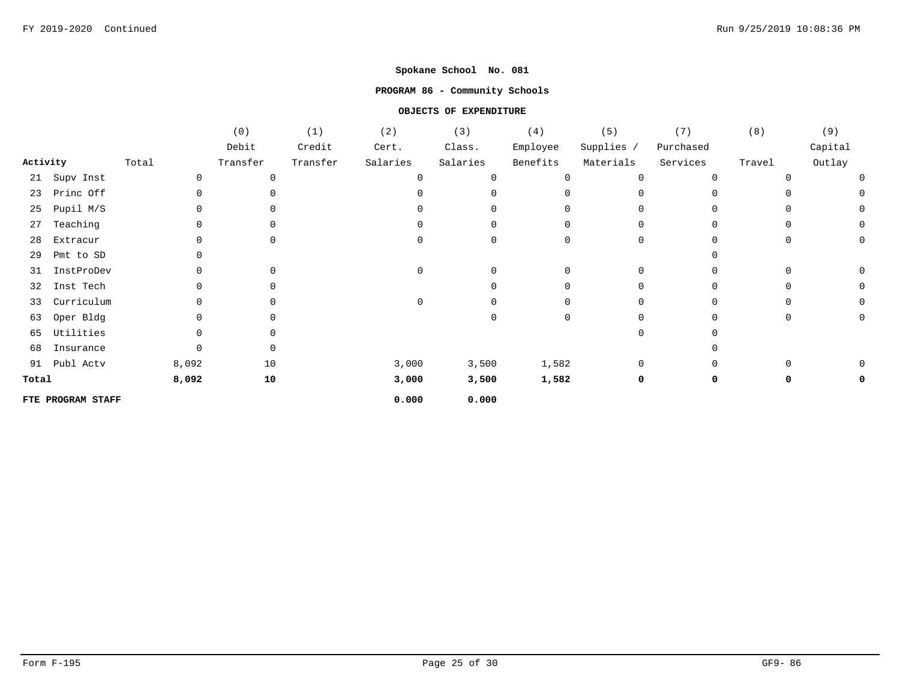### **PROGRAM 86 - Community Schools**

|          |                   |       |          | (0)         | (1)      | (2)          | (3)      | (4)      | (5)          | (7)       | (8)    | (9)     |
|----------|-------------------|-------|----------|-------------|----------|--------------|----------|----------|--------------|-----------|--------|---------|
|          |                   |       |          | Debit       | Credit   | Cert.        | Class.   | Employee | Supplies /   | Purchased |        | Capital |
| Activity |                   | Total |          | Transfer    | Transfer | Salaries     | Salaries | Benefits | Materials    | Services  | Travel | Outlay  |
| 21       | Supv Inst         |       | $\Omega$ | $\Omega$    |          |              |          | $\Omega$ | $\Omega$     | $\cap$    |        |         |
| 23       | Princ Off         |       |          | $\Omega$    |          |              |          |          | $\Omega$     |           |        |         |
| 25       | Pupil M/S         |       |          | $\Omega$    |          |              |          |          | <sup>n</sup> |           |        |         |
| 27       | Teaching          |       |          | $\Omega$    |          |              |          | ∩        | <sup>n</sup> |           |        |         |
| 28       | Extracur          |       |          | 0           |          |              | 0        | O        | $\Omega$     |           |        |         |
| 29       | Pmt to SD         |       |          |             |          |              |          |          |              |           |        |         |
| 31       | InstProDev        |       |          | $\Omega$    |          |              |          | $\Omega$ | $\Omega$     |           |        |         |
| 32       | Inst Tech         |       |          | 0           |          |              |          |          |              |           |        |         |
| 33       | Curriculum        |       |          | $\mathbf 0$ |          | <sup>0</sup> |          | O        | <sup>n</sup> |           |        |         |
| 63       | Oper Bldg         |       |          | 0           |          |              |          | $\Omega$ |              |           |        |         |
| 65       | Utilities         |       |          |             |          |              |          |          |              |           |        |         |
| 68       | Insurance         |       |          | 0           |          |              |          |          |              |           |        |         |
| 91       | Publ Actv         |       | 8,092    | 10          |          | 3,000        | 3,500    | 1,582    | 0            |           |        |         |
| Total    |                   |       | 8,092    | 10          |          | 3,000        | 3,500    | 1,582    | 0            | 0         |        |         |
|          | FTE PROGRAM STAFF |       |          |             |          | 0.000        | 0.000    |          |              |           |        |         |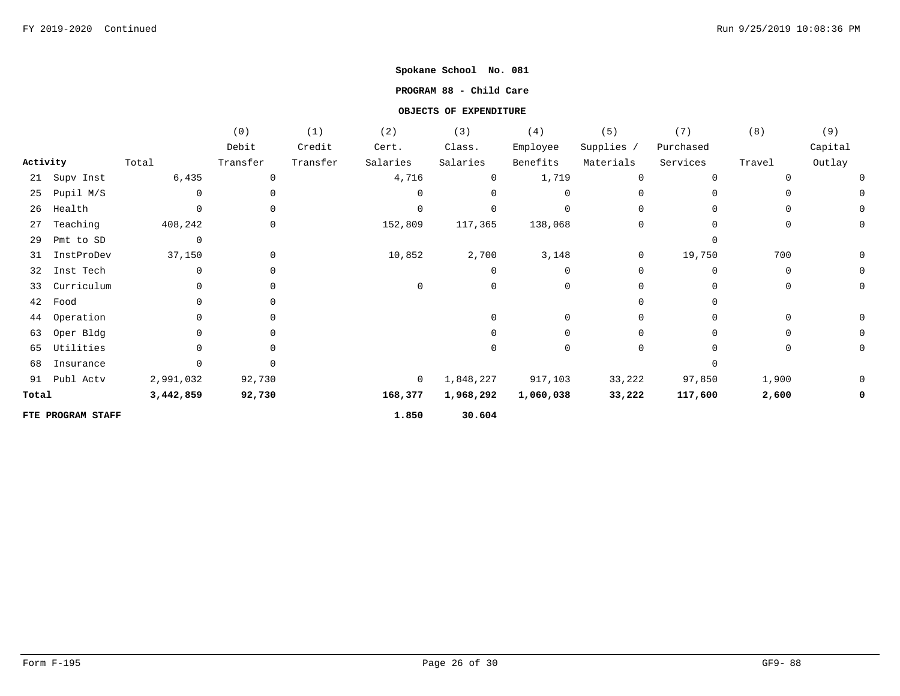## **PROGRAM 88 - Child Care**

|          |                   |           | (0)         | (1)      | (2)         | (3)       | (4)         | (5)          | (7)          | (8)         | (9)     |
|----------|-------------------|-----------|-------------|----------|-------------|-----------|-------------|--------------|--------------|-------------|---------|
|          |                   |           | Debit       | Credit   | Cert.       | Class.    | Employee    | Supplies /   | Purchased    |             | Capital |
| Activity |                   | Total     | Transfer    | Transfer | Salaries    | Salaries  | Benefits    | Materials    | Services     | Travel      | Outlay  |
| 21       | Supv Inst         | 6,435     | 0           |          | 4,716       | 0         | 1,719       | $\mathbf 0$  | $\Omega$     | 0           |         |
| 25       | Pupil M/S         | $\Omega$  | $\Omega$    |          | $\Omega$    |           | 0           | <sup>0</sup> | $\Omega$     | 0           |         |
| 26       | Health            | $\Omega$  | $\Omega$    |          | $\Omega$    |           | $\mathbf 0$ | <sup>0</sup> | <sup>n</sup> | $\Omega$    |         |
| 27       | Teaching          | 408,242   | $\mathbf 0$ |          | 152,809     | 117,365   | 138,068     | $\Omega$     | $\Omega$     | 0           |         |
| 29       | Pmt to SD         | 0         |             |          |             |           |             |              |              |             |         |
| 31       | InstProDev        | 37,150    | $\mathbf 0$ |          | 10,852      | 2,700     | 3,148       | 0            | 19,750       | 700         |         |
| 32       | Inst Tech         | $\Omega$  | $\Omega$    |          |             |           | 0           | $\Omega$     | $\Omega$     | $\mathbf 0$ |         |
| 33       | Curriculum        | $\Omega$  | $\Omega$    |          | $\mathbf 0$ | $\Omega$  | 0           | <sup>0</sup> | <sup>n</sup> | 0           |         |
| 42       | Food              |           |             |          |             |           |             |              |              |             |         |
| 44       | Operation         |           | $\cap$      |          |             |           | 0           | <sup>0</sup> | <sup>n</sup> | 0           |         |
| 63       | Oper Bldg         |           | $\cap$      |          |             |           | O           |              |              | $\Omega$    |         |
| 65       | Utilities         |           | $\cap$      |          |             |           | 0           | $\Omega$     |              | 0           |         |
| 68       | Insurance         |           |             |          |             |           |             |              |              |             |         |
| 91       | Publ Actv         | 2,991,032 | 92,730      |          | $\mathbf 0$ | 1,848,227 | 917,103     | 33,222       | 97,850       | 1,900       |         |
| Total    |                   | 3,442,859 | 92,730      |          | 168,377     | 1,968,292 | 1,060,038   | 33,222       | 117,600      | 2,600       |         |
|          | FTE PROGRAM STAFF |           |             |          | 1.850       | 30.604    |             |              |              |             |         |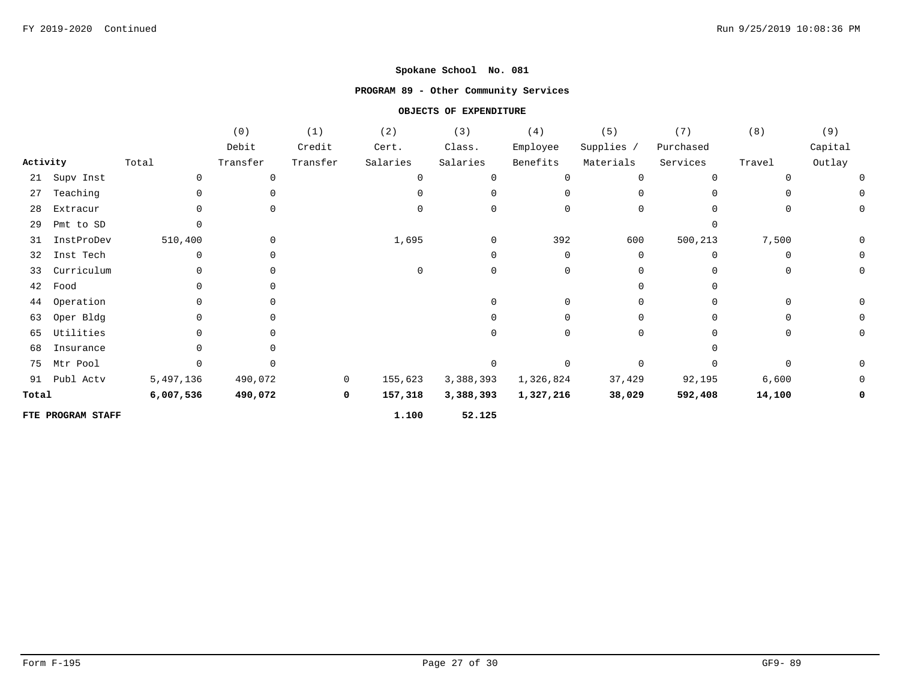# **PROGRAM 89 - Other Community Services**

|          |                   |           | (0)      | (1)          | (2)      | (3)       | (4)         | (5)          | (7)          | (8)          | (9)      |
|----------|-------------------|-----------|----------|--------------|----------|-----------|-------------|--------------|--------------|--------------|----------|
|          |                   |           | Debit    | Credit       | Cert.    | Class.    | Employee    | Supplies /   | Purchased    |              | Capital  |
| Activity |                   | Total     | Transfer | Transfer     | Salaries | Salaries  | Benefits    | Materials    | Services     | Travel       | Outlay   |
| 21       | Supv Inst         | $\Omega$  | 0        |              | $\Omega$ |           | $\mathbf 0$ | $\Omega$     | $\Omega$     | ∩            | 0        |
| 27       | Teaching          |           |          |              |          |           | $\Omega$    | 0            | U            |              | $\Omega$ |
| 28       | Extracur          |           |          |              | $\Omega$ |           | $\mathbf 0$ | 0            | $\Omega$     | 0            | $\Omega$ |
| 29       | Pmt to SD         |           |          |              |          |           |             |              |              |              |          |
| 31       | InstProDev        | 510,400   | 0        |              | 1,695    |           | 392         | 600          | 500,213      | 7,500        | 0        |
| 32       | Inst Tech         |           |          |              |          |           | 0           | 0            | $\Omega$     | $\Omega$     | 0        |
| 33       | Curriculum        |           | $\Omega$ |              | $\Omega$ |           | $\mathbf 0$ | 0            | $\Omega$     | $\Omega$     | $\Omega$ |
| 42       | Food              |           | $\Omega$ |              |          |           |             | <sup>0</sup> | U            |              |          |
| 44       | Operation         |           | 0        |              |          |           | $\mathbf 0$ | 0            | <sup>0</sup> | <sup>n</sup> |          |
| 63       | Oper Bldg         |           | 0        |              |          |           | $\Omega$    | 0            | U            | $\Omega$     |          |
| 65       | Utilities         |           | $\Omega$ |              |          |           | $\Omega$    | 0            | U            | 0            |          |
| 68       | Insurance         |           |          |              |          |           |             |              |              |              |          |
| 75       | Mtr Pool          |           |          |              |          |           | 0           | $\Omega$     |              |              |          |
| 91       | Publ Actv         | 5,497,136 | 490,072  | $\mathbf{0}$ | 155,623  | 3,388,393 | 1,326,824   | 37,429       | 92,195       | 6,600        | 0        |
| Total    |                   | 6,007,536 | 490,072  | $\mathbf 0$  | 157,318  | 3,388,393 | 1,327,216   | 38,029       | 592,408      | 14,100       | 0        |
|          | FTE PROGRAM STAFF |           |          |              | 1.100    | 52.125    |             |              |              |              |          |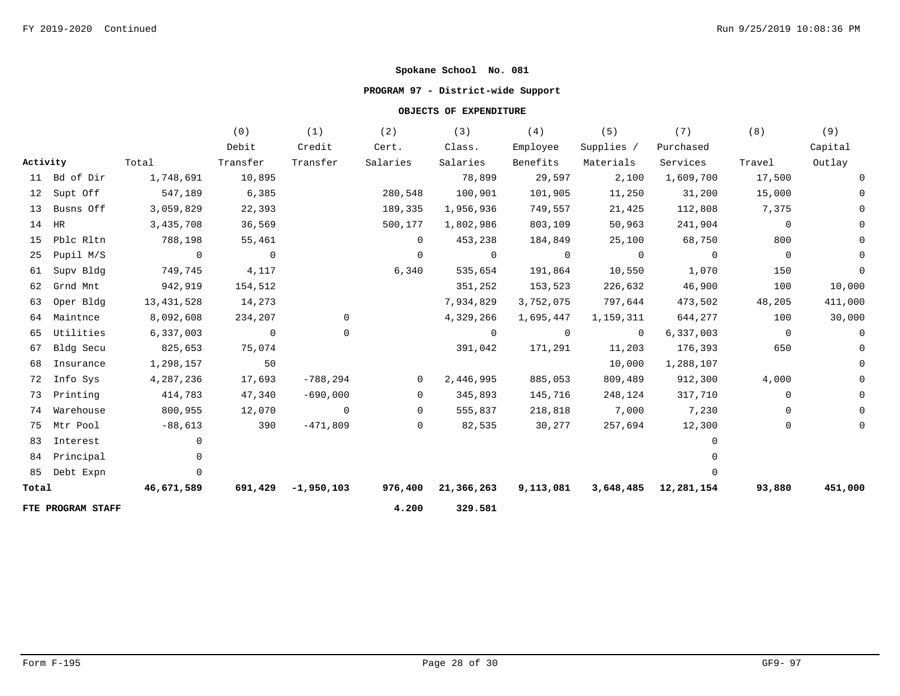### **PROGRAM 97 - District-wide Support**

|          |                   |                | (0)            | (1)                | (2)            | (3)                | (4)            | (5)            | (7)                  | (8)            | (9)      |
|----------|-------------------|----------------|----------------|--------------------|----------------|--------------------|----------------|----------------|----------------------|----------------|----------|
|          |                   |                | Debit          | Credit             | Cert.          | Class.             | Employee       | Supplies /     | Purchased            |                | Capital  |
| Activity |                   | Total          | Transfer       | Transfer           | Salaries       | Salaries           | Benefits       | Materials      | Services             | Travel         | Outlay   |
|          | 11 Bd of Dir      | 1,748,691      | 10,895         |                    |                | 78,899             | 29,597         | 2,100          | 1,609,700            | 17,500         | 0        |
|          | 12 Supt Off       | 547,189        | 6,385          |                    | 280,548        | 100,901            | 101,905        | 11,250         | 31,200               | 15,000         |          |
| 13       | Busns Off         | 3,059,829      | 22,393         |                    | 189,335        | 1,956,936          | 749,557        | 21,425         | 112,808              | 7,375          |          |
| 14       | HR                | 3,435,708      | 36,569         |                    | 500,177        | 1,802,986          | 803,109        | 50,963         | 241,904              | $\Omega$       |          |
| 15       | Pblc Rltn         | 788,198        | 55,461         |                    | $\overline{0}$ | 453,238            | 184,849        | 25,100         | 68,750               | 800            |          |
| 25       | Pupil M/S         | $\overline{0}$ | $\overline{0}$ |                    | $\overline{0}$ | $\overline{0}$     | $\overline{0}$ | $\sim$ 0       | $\overline{0}$       | $\overline{0}$ | $\Omega$ |
| 61       | Supv Bldg         | 749,745        | 4,117          |                    | 6,340          | 535,654            | 191,864        | 10,550         | 1,070                | 150            | 0        |
| 62       | Grnd Mnt          | 942,919        | 154,512        |                    |                | 351,252            | 153,523        | 226,632        | 46,900               | 100            | 10,000   |
| 63       | Oper Bldg         | 13, 431, 528   | 14,273         |                    |                | 7,934,829          | 3,752,075      | 797,644        | 473,502              | 48,205         | 411,000  |
| 64       | Maintnce          | 8,092,608      | 234,207        | 0                  |                | 4,329,266          | 1,695,447      | 1,159,311      | 644,277              | 100            | 30,000   |
| 65       | Utilities         | 6,337,003      | $\overline{0}$ | 0                  |                | $\overline{0}$     | $\overline{0}$ | $\overline{0}$ | 6,337,003            | $\overline{0}$ | 0        |
| 67       | Bldg Secu         | 825,653        | 75,074         |                    |                | 391,042            | 171,291        | 11,203         | 176,393              | 650            | 0        |
| 68       | Insurance         | 1,298,157      | 50             |                    |                |                    |                | 10,000         | 1,288,107            |                | $\Omega$ |
| 72       | Info Sys          | 4,287,236      | 17,693         | $-788,294$         | $\overline{0}$ | 2,446,995          | 885,053        | 809,489        | 912,300              | 4,000          | $\Omega$ |
| 73       | Printing          | 414,783        | 47,340         | $-690,000$         | $\overline{0}$ | 345,893            | 145,716        | 248,124        | 317,710              | $\mathbf 0$    |          |
| 74       | Warehouse         | 800,955        | 12,070         | $\overline{0}$     | $\overline{0}$ | 555,837            | 218,818        | 7,000          | 7,230                | $\mathbf 0$    | $\Omega$ |
| 75       | Mtr Pool          | $-88,613$      | 390            | $-471,809$         | $\overline{0}$ | 82,535             | 30,277         | 257,694        | 12,300               | $\mathbf{0}$   | 0        |
| 83       | Interest          | $\Omega$       |                |                    |                |                    |                |                | $\Omega$             |                |          |
| 84       | Principal         |                |                |                    |                |                    |                |                |                      |                |          |
| 85       | Debt Expn         | $\Omega$       |                |                    |                |                    |                |                |                      |                |          |
| Total    |                   | 46,671,589     |                | 691,429 -1,950,103 |                | 976,400 21,366,263 | 9,113,081      |                | 3,648,485 12,281,154 | 93,880         | 451,000  |
|          | FTE PROGRAM STAFF |                |                |                    | 4.200          | 329.581            |                |                |                      |                |          |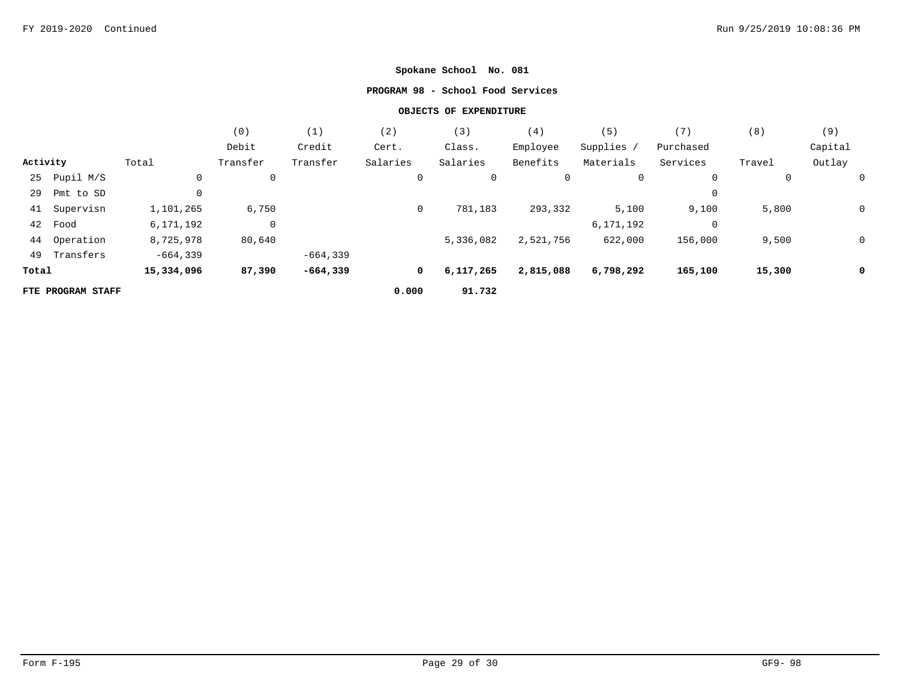# **PROGRAM 98 - School Food Services**

|          |                   |            | (0)            | (1)        | (2)      | (3)       | (4)       | (5)         | (7)       | (8)    | (9)     |
|----------|-------------------|------------|----------------|------------|----------|-----------|-----------|-------------|-----------|--------|---------|
|          |                   |            | Debit          | Credit     | Cert.    | Class.    | Employee  | Supplies /  | Purchased |        | Capital |
| Activity |                   | Total      | Transfer       | Transfer   | Salaries | Salaries  | Benefits  | Materials   | Services  | Travel | Outlay  |
| 25       | Pupil M/S         | 0          | 0              |            | 0        | 0         | 0         | $\mathbf 0$ | 0         | 0      |         |
| 29       | Pmt to SD         |            |                |            |          |           |           |             | 0         |        |         |
| 41       | Supervisn         | 1,101,265  | 6,750          |            | 0        | 781,183   | 293,332   | 5,100       | 9,100     | 5,800  | 0       |
| 42       | Food              | 6,171,192  | $\overline{0}$ |            |          |           |           | 6,171,192   | 0         |        |         |
| 44       | Operation         | 8,725,978  | 80,640         |            |          | 5,336,082 | 2,521,756 | 622,000     | 156,000   | 9,500  | 0       |
| 49       | Transfers         | $-664,339$ |                | $-664,339$ |          |           |           |             |           |        |         |
| Total    |                   | 15,334,096 | 87,390         | $-664,339$ | 0        | 6,117,265 | 2,815,088 | 6,798,292   | 165,100   | 15,300 | 0       |
|          | FTE PROGRAM STAFF |            |                |            | 0.000    | 91.732    |           |             |           |        |         |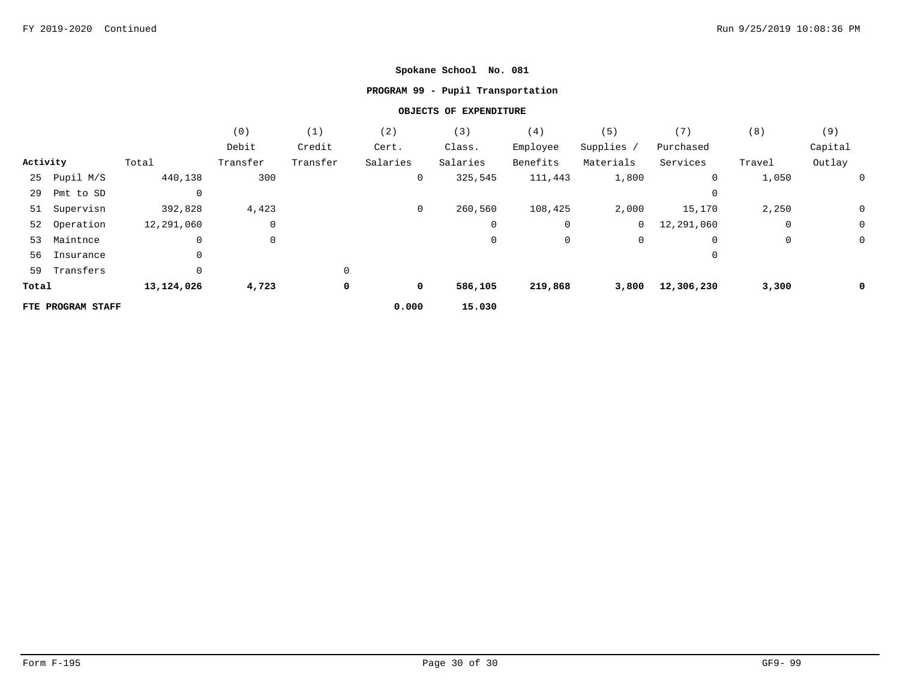# **PROGRAM 99 - Pupil Transportation**

|          |                   |            | (0)      | (1)      | (2)      | (3)      | (4)      | (5)          | (7)        | (8)    | (9)     |
|----------|-------------------|------------|----------|----------|----------|----------|----------|--------------|------------|--------|---------|
|          |                   |            | Debit    | Credit   | Cert.    | Class.   | Employee | Supplies /   | Purchased  |        | Capital |
| Activity |                   | Total      | Transfer | Transfer | Salaries | Salaries | Benefits | Materials    | Services   | Travel | Outlay  |
| 25       | Pupil M/S         | 440,138    | 300      |          | 0        | 325,545  | 111,443  | 1,800        | 0          | 1,050  | 0       |
| 29       | Pmt to SD         | 0          |          |          |          |          |          |              | 0          |        |         |
| 51       | Supervisn         | 392,828    | 4,423    |          | 0        | 260,560  | 108,425  | 2,000        | 15,170     | 2,250  | 0       |
|          | 52 Operation      | 12,291,060 | 0        |          |          | 0        | 0        | $\mathbf{0}$ | 12,291,060 | 0      | 0       |
| 53       | Maintnce          | 0          | 0        |          |          | 0        | 0        | $\mathbf 0$  | 0          | 0      | 0       |
| 56       | Insurance         | 0          |          |          |          |          |          |              | 0          |        |         |
| 59       | Transfers         | 0          |          | $\Omega$ |          |          |          |              |            |        |         |
| Total    |                   | 13,124,026 | 4,723    | 0        | 0        | 586,105  | 219,868  | 3,800        | 12,306,230 | 3,300  | 0       |
|          | FTE PROGRAM STAFF |            |          |          | 0.000    | 15.030   |          |              |            |        |         |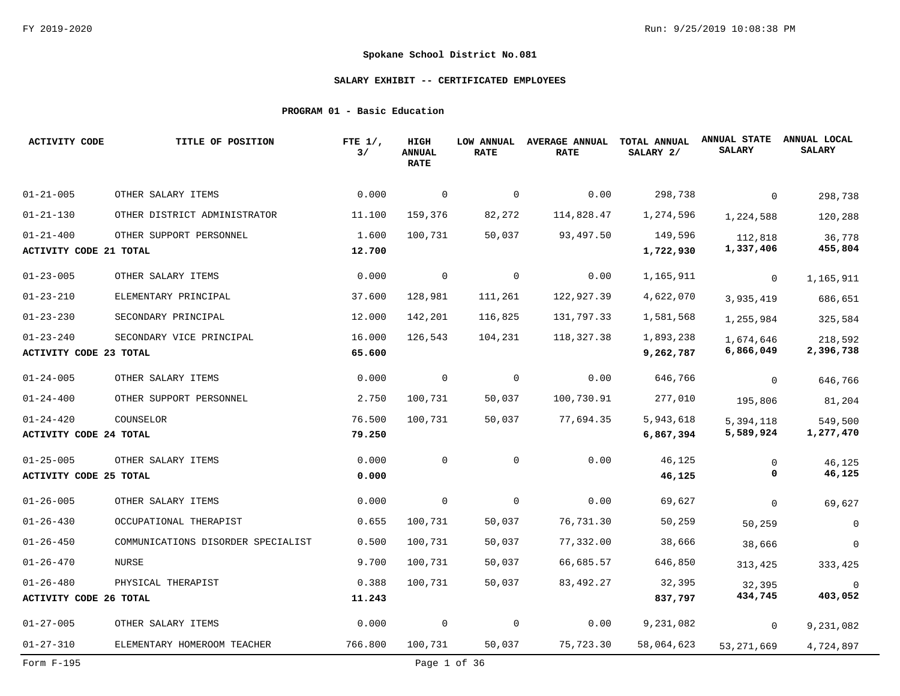### **SALARY EXHIBIT -- CERTIFICATED EMPLOYEES**

### **PROGRAM 01 - Basic Education**

| <b>ACTIVITY CODE</b>                             | TITLE OF POSITION                  | FTE $1/$ ,<br>3/ | HIGH<br><b>ANNUAL</b><br><b>RATE</b> | LOW ANNUAL<br><b>RATE</b> | <b>AVERAGE ANNUAL</b><br><b>RATE</b> | TOTAL ANNUAL<br>SALARY 2/ | <b>ANNUAL STATE</b><br><b>SALARY</b> | ANNUAL LOCAL<br><b>SALARY</b> |
|--------------------------------------------------|------------------------------------|------------------|--------------------------------------|---------------------------|--------------------------------------|---------------------------|--------------------------------------|-------------------------------|
| $01 - 21 - 005$                                  | OTHER SALARY ITEMS                 | 0.000            | $\mathbf 0$                          | $\mathbf 0$               | 0.00                                 | 298,738                   | $\Omega$                             | 298,738                       |
| $01 - 21 - 130$                                  | OTHER DISTRICT ADMINISTRATOR       | 11,100           | 159,376                              | 82,272                    | 114,828.47                           | 1,274,596                 | 1,224,588                            | 120,288                       |
| $01 - 21 - 400$<br><b>ACTIVITY CODE 21 TOTAL</b> | OTHER SUPPORT PERSONNEL            | 1.600<br>12.700  | 100,731                              | 50,037                    | 93,497.50                            | 149,596<br>1,722,930      | 112,818<br>1,337,406                 | 36,778<br>455,804             |
| $01 - 23 - 005$                                  | OTHER SALARY ITEMS                 | 0.000            | $\mathbf 0$                          | $\mathbf 0$               | 0.00                                 | 1,165,911                 | 0                                    | 1,165,911                     |
| $01 - 23 - 210$                                  | ELEMENTARY PRINCIPAL               | 37.600           | 128,981                              | 111,261                   | 122,927.39                           | 4,622,070                 | 3,935,419                            | 686,651                       |
| $01 - 23 - 230$                                  | SECONDARY PRINCIPAL                | 12.000           | 142,201                              | 116,825                   | 131,797.33                           | 1,581,568                 | 1,255,984                            | 325,584                       |
| $01 - 23 - 240$<br><b>ACTIVITY CODE 23 TOTAL</b> | SECONDARY VICE PRINCIPAL           | 16.000<br>65.600 | 126,543                              | 104,231                   | 118,327.38                           | 1,893,238<br>9,262,787    | 1,674,646<br>6,866,049               | 218,592<br>2,396,738          |
| $01 - 24 - 005$                                  | OTHER SALARY ITEMS                 | 0.000            | $\mathbf 0$                          | 0                         | 0.00                                 | 646,766                   | $\mathbf{0}$                         | 646,766                       |
| $01 - 24 - 400$                                  | OTHER SUPPORT PERSONNEL            | 2.750            | 100,731                              | 50,037                    | 100,730.91                           | 277,010                   | 195,806                              | 81,204                        |
| $01 - 24 - 420$<br><b>ACTIVITY CODE 24 TOTAL</b> | COUNSELOR                          | 76.500<br>79.250 | 100,731                              | 50,037                    | 77,694.35                            | 5,943,618<br>6,867,394    | 5,394,118<br>5,589,924               | 549,500<br>1,277,470          |
| $01 - 25 - 005$<br><b>ACTIVITY CODE 25 TOTAL</b> | OTHER SALARY ITEMS                 | 0.000<br>0.000   | 0                                    | $\mathbf 0$               | 0.00                                 | 46,125<br>46,125          | $\mathbf 0$<br>0                     | 46,125<br>46,125              |
| $01 - 26 - 005$                                  | OTHER SALARY ITEMS                 | 0.000            | $\mathbf 0$                          | $\mathbf 0$               | 0.00                                 | 69,627                    | $\mathbf 0$                          | 69,627                        |
| $01 - 26 - 430$                                  | OCCUPATIONAL THERAPIST             | 0.655            | 100,731                              | 50,037                    | 76,731.30                            | 50,259                    | 50,259                               | 0                             |
| $01 - 26 - 450$                                  | COMMUNICATIONS DISORDER SPECIALIST | 0.500            | 100,731                              | 50,037                    | 77,332.00                            | 38,666                    | 38,666                               | $\Omega$                      |
| $01 - 26 - 470$                                  | NURSE                              | 9.700            | 100,731                              | 50,037                    | 66,685.57                            | 646,850                   | 313,425                              | 333,425                       |
| $01 - 26 - 480$                                  | PHYSICAL THERAPIST                 | 0.388            | 100,731                              | 50,037                    | 83, 492. 27                          | 32,395                    | 32,395                               | $\Omega$                      |
| ACTIVITY CODE 26 TOTAL                           |                                    | 11.243           |                                      |                           |                                      | 837,797                   | 434,745                              | 403,052                       |
| $01 - 27 - 005$                                  | OTHER SALARY ITEMS                 | 0.000            | 0                                    | $\mathbf 0$               | 0.00                                 | 9,231,082                 | $\mathbf{0}$                         | 9,231,082                     |
| $01 - 27 - 310$                                  | ELEMENTARY HOMEROOM TEACHER        | 766.800          | 100,731                              | 50,037                    | 75,723.30                            | 58,064,623                | 53, 271, 669                         | 4,724,897                     |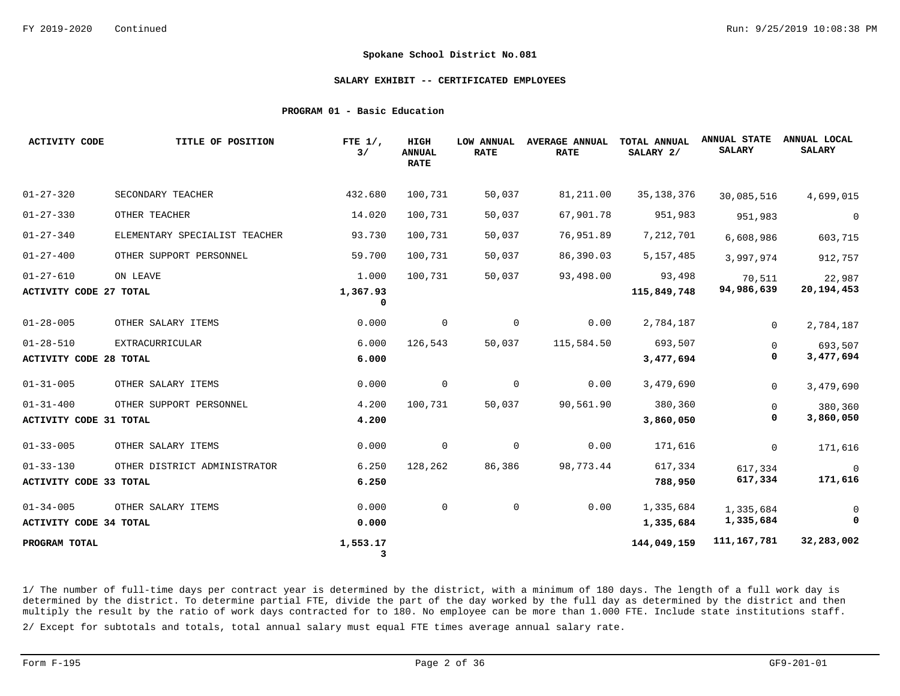#### **SALARY EXHIBIT -- CERTIFICATED EMPLOYEES**

#### **PROGRAM 01 - Basic Education**

| <b>ACTIVITY CODE</b>                             | TITLE OF POSITION             | FTE $1/$ ,<br>3/  | HIGH<br><b>ANNUAL</b><br><b>RATE</b> | LOW ANNUAL<br><b>RATE</b> | <b>AVERAGE ANNUAL</b><br><b>RATE</b> | <b>TOTAL ANNUAL</b><br>SALARY 2/ | <b>ANNUAL STATE</b><br><b>SALARY</b> | ANNUAL LOCAL<br><b>SALARY</b> |
|--------------------------------------------------|-------------------------------|-------------------|--------------------------------------|---------------------------|--------------------------------------|----------------------------------|--------------------------------------|-------------------------------|
| $01 - 27 - 320$                                  | SECONDARY TEACHER             | 432.680           | 100,731                              | 50,037                    | 81,211.00                            | 35, 138, 376                     | 30,085,516                           | 4,699,015                     |
| $01 - 27 - 330$                                  | OTHER TEACHER                 | 14.020            | 100,731                              | 50,037                    | 67,901.78                            | 951,983                          | 951,983                              | $\overline{0}$                |
| $01 - 27 - 340$                                  | ELEMENTARY SPECIALIST TEACHER | 93.730            | 100,731                              | 50,037                    | 76,951.89                            | 7,212,701                        | 6,608,986                            | 603,715                       |
| $01 - 27 - 400$                                  | OTHER SUPPORT PERSONNEL       | 59.700            | 100,731                              | 50,037                    | 86,390.03                            | 5, 157, 485                      | 3,997,974                            | 912,757                       |
| $01 - 27 - 610$<br><b>ACTIVITY CODE 27 TOTAL</b> | ON LEAVE                      | 1.000<br>1,367.93 | 100,731                              | 50,037                    | 93,498.00                            | 93,498<br>115,849,748            | 70,511<br>94,986,639                 | 22,987<br>20, 194, 453        |
|                                                  |                               | 0                 |                                      |                           |                                      |                                  |                                      |                               |
| $01 - 28 - 005$                                  | OTHER SALARY ITEMS            | 0.000             | $\overline{0}$                       | 0                         | 0.00                                 | 2,784,187                        | $\Omega$                             | 2,784,187                     |
| $01 - 28 - 510$                                  | EXTRACURRICULAR               | 6.000             | 126,543                              | 50,037                    | 115,584.50                           | 693,507                          | $\mathbf{0}$                         | 693,507                       |
| <b>ACTIVITY CODE 28 TOTAL</b>                    |                               | 6.000             |                                      |                           |                                      | 3,477,694                        | 0                                    | 3,477,694                     |
| $01 - 31 - 005$                                  | OTHER SALARY ITEMS            | 0.000             | $\mathbf 0$                          | 0                         | 0.00                                 | 3,479,690                        | $\Omega$                             | 3,479,690                     |
| $01 - 31 - 400$                                  | OTHER SUPPORT PERSONNEL       | 4.200             | 100,731                              | 50,037                    | 90,561.90                            | 380,360                          | $\mathbf 0$                          | 380,360                       |
| <b>ACTIVITY CODE 31 TOTAL</b>                    |                               | 4.200             |                                      |                           |                                      | 3,860,050                        | 0                                    | 3,860,050                     |
| $01 - 33 - 005$                                  | OTHER SALARY ITEMS            | 0.000             | $\mathsf{O}$                         | $\mathbf 0$               | 0.00                                 | 171,616                          | $\Omega$                             | 171,616                       |
| $01 - 33 - 130$                                  | OTHER DISTRICT ADMINISTRATOR  | 6.250             | 128,262                              | 86,386                    | 98,773.44                            | 617,334                          | 617,334                              | $\overline{0}$                |
| ACTIVITY CODE 33 TOTAL                           |                               | 6.250             |                                      |                           |                                      | 788,950                          | 617,334                              | 171,616                       |
| $01 - 34 - 005$                                  | OTHER SALARY ITEMS            | 0.000             | $\mathbf 0$                          | 0                         | 0.00                                 | 1,335,684                        | 1,335,684                            | 0                             |
| ACTIVITY CODE 34 TOTAL                           |                               | 0.000             |                                      |                           |                                      | 1,335,684                        | 1,335,684                            | $\mathbf 0$                   |
| PROGRAM TOTAL                                    |                               | 1,553.17<br>3     |                                      |                           |                                      | 144,049,159                      | 111,167,781                          | 32,283,002                    |

1/ The number of full-time days per contract year is determined by the district, with a minimum of 180 days. The length of a full work day is determined by the district. To determine partial FTE, divide the part of the day worked by the full day as determined by the district and then multiply the result by the ratio of work days contracted for to 180. No employee can be more than 1.000 FTE. Include state institutions staff.

2/ Except for subtotals and totals, total annual salary must equal FTE times average annual salary rate.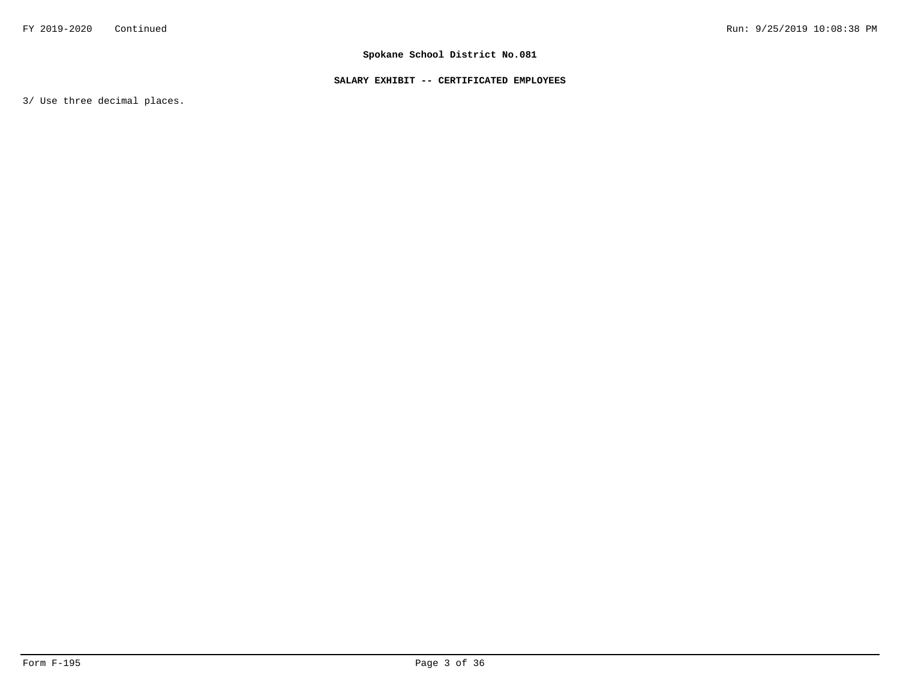### **SALARY EXHIBIT -- CERTIFICATED EMPLOYEES**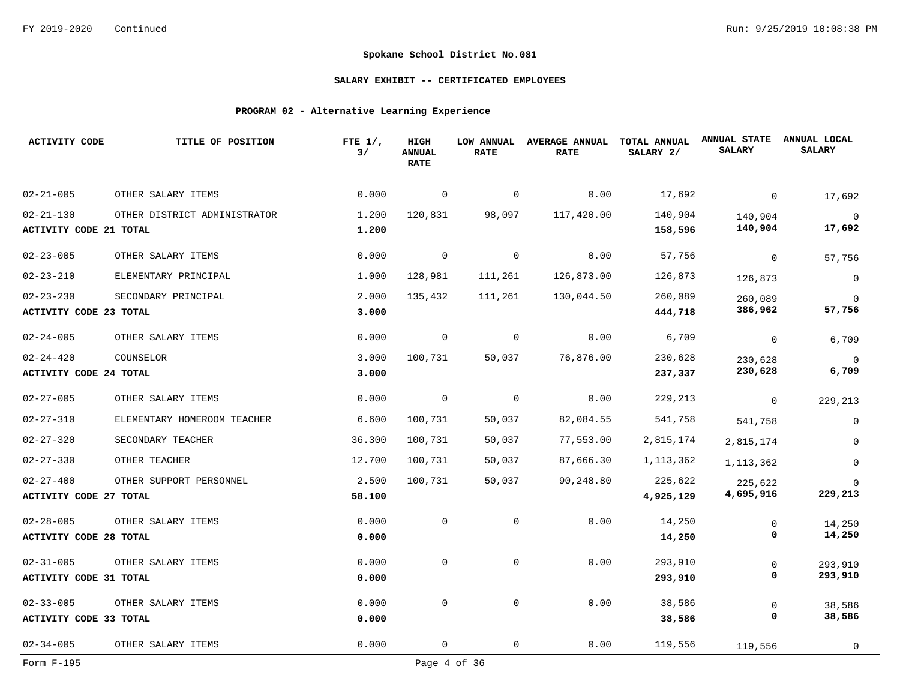### **SALARY EXHIBIT -- CERTIFICATED EMPLOYEES**

### **PROGRAM 02 - Alternative Learning Experience**

| <b>ACTIVITY CODE</b>          | TITLE OF POSITION            | FTE $1/$ ,<br>3/ | HIGH<br><b>ANNUAL</b><br><b>RATE</b> | LOW ANNUAL<br><b>RATE</b> | <b>AVERAGE ANNUAL</b><br><b>RATE</b> | TOTAL ANNUAL<br>SALARY 2/ | <b>ANNUAL STATE</b><br><b>SALARY</b> | ANNUAL LOCAL<br><b>SALARY</b> |
|-------------------------------|------------------------------|------------------|--------------------------------------|---------------------------|--------------------------------------|---------------------------|--------------------------------------|-------------------------------|
| $02 - 21 - 005$               | OTHER SALARY ITEMS           | 0.000            | 0                                    | $\mathbf 0$               | 0.00                                 | 17,692                    | $\mathbf 0$                          | 17,692                        |
| $02 - 21 - 130$               | OTHER DISTRICT ADMINISTRATOR | 1.200            | 120,831                              | 98,097                    | 117,420.00                           | 140,904                   | 140,904                              | $\mathbf 0$                   |
| ACTIVITY CODE 21 TOTAL        |                              | 1.200            |                                      |                           |                                      | 158,596                   | 140,904                              | 17,692                        |
| $02 - 23 - 005$               | OTHER SALARY ITEMS           | 0.000            | $\mathbf 0$                          | $\mathbf 0$               | 0.00                                 | 57,756                    | $\mathbf 0$                          | 57,756                        |
| $02 - 23 - 210$               | ELEMENTARY PRINCIPAL         | 1.000            | 128,981                              | 111,261                   | 126,873.00                           | 126,873                   | 126,873                              | $\mathsf 0$                   |
| $02 - 23 - 230$               | SECONDARY PRINCIPAL          | 2.000            | 135,432                              | 111,261                   | 130,044.50                           | 260,089                   | 260,089                              | $\mathbf 0$                   |
| <b>ACTIVITY CODE 23 TOTAL</b> |                              | 3.000            |                                      |                           |                                      | 444,718                   | 386,962                              | 57,756                        |
| $02 - 24 - 005$               | OTHER SALARY ITEMS           | 0.000            | $\overline{0}$                       | $\mathbf 0$               | 0.00                                 | 6,709                     | $\mathbf 0$                          | 6,709                         |
| $02 - 24 - 420$               | COUNSELOR                    | 3.000            | 100,731                              | 50,037                    | 76,876.00                            | 230,628                   | 230,628                              | $\mathbf 0$                   |
| <b>ACTIVITY CODE 24 TOTAL</b> |                              | 3.000            |                                      |                           |                                      | 237,337                   | 230,628                              | 6,709                         |
| $02 - 27 - 005$               | OTHER SALARY ITEMS           | 0.000            | $\overline{0}$                       | $\mathbf 0$               | 0.00                                 | 229,213                   | 0                                    | 229,213                       |
| $02 - 27 - 310$               | ELEMENTARY HOMEROOM TEACHER  | 6.600            | 100,731                              | 50,037                    | 82,084.55                            | 541,758                   | 541,758                              | $\mathbf 0$                   |
| $02 - 27 - 320$               | SECONDARY TEACHER            | 36.300           | 100,731                              | 50,037                    | 77,553.00                            | 2,815,174                 | 2,815,174                            | $\Omega$                      |
| $02 - 27 - 330$               | OTHER TEACHER                | 12.700           | 100,731                              | 50,037                    | 87,666.30                            | 1, 113, 362               | 1, 113, 362                          | $\Omega$                      |
| $02 - 27 - 400$               | OTHER SUPPORT PERSONNEL      | 2.500            | 100,731                              | 50,037                    | 90,248.80                            | 225,622                   | 225,622                              | $\Omega$                      |
| <b>ACTIVITY CODE 27 TOTAL</b> |                              | 58.100           |                                      |                           |                                      | 4,925,129                 | 4,695,916                            | 229,213                       |
| $02 - 28 - 005$               | OTHER SALARY ITEMS           | 0.000            | $\mathbf 0$                          | 0                         | 0.00                                 | 14,250                    | 0                                    | 14,250                        |
| <b>ACTIVITY CODE 28 TOTAL</b> |                              | 0.000            |                                      |                           |                                      | 14,250                    | 0                                    | 14,250                        |
| $02 - 31 - 005$               | OTHER SALARY ITEMS           | 0.000            | $\mathbf 0$                          | 0                         | 0.00                                 | 293,910                   | $\mathsf{O}$                         | 293,910                       |
| <b>ACTIVITY CODE 31 TOTAL</b> |                              | 0.000            |                                      |                           |                                      | 293,910                   | 0                                    | 293,910                       |
| $02 - 33 - 005$               | OTHER SALARY ITEMS           | 0.000            | $\mathbf 0$                          | $\mathbf 0$               | 0.00                                 | 38,586                    | $\mathbf 0$                          | 38,586                        |
| <b>ACTIVITY CODE 33 TOTAL</b> |                              | 0.000            |                                      |                           |                                      | 38,586                    | 0                                    | 38,586                        |
| $02 - 34 - 005$               | OTHER SALARY ITEMS           | 0.000            | 0                                    | 0                         | 0.00                                 | 119,556                   | 119,556                              | $\mathbf 0$                   |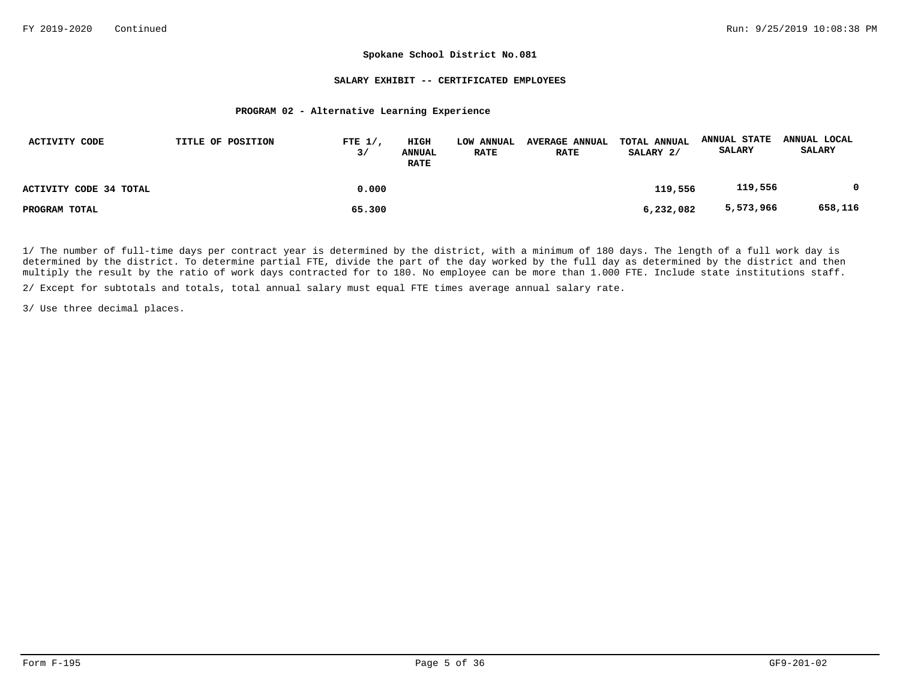#### **SALARY EXHIBIT -- CERTIFICATED EMPLOYEES**

#### **PROGRAM 02 - Alternative Learning Experience**

| ACTIVITY CODE          | TITLE OF POSITION | FTE $1/$ ,<br>3/ | HIGH<br>ANNUAL<br><b>RATE</b> | LOW ANNUAL<br><b>RATE</b> | <b>AVERAGE ANNUAL</b><br><b>RATE</b> | TOTAL ANNUAL<br>SALARY 2/ | <b>ANNUAL STATE</b><br><b>SALARY</b> | ANNUAL LOCAL<br><b>SALARY</b> |
|------------------------|-------------------|------------------|-------------------------------|---------------------------|--------------------------------------|---------------------------|--------------------------------------|-------------------------------|
| ACTIVITY CODE 34 TOTAL |                   | 0.000            |                               |                           |                                      | 119,556                   | 119,556                              |                               |
| PROGRAM TOTAL          |                   | 65.300           |                               |                           |                                      | 6,232,082                 | 5,573,966                            | 658,116                       |

1/ The number of full-time days per contract year is determined by the district, with a minimum of 180 days. The length of a full work day is determined by the district. To determine partial FTE, divide the part of the day worked by the full day as determined by the district and then multiply the result by the ratio of work days contracted for to 180. No employee can be more than 1.000 FTE. Include state institutions staff.

2/ Except for subtotals and totals, total annual salary must equal FTE times average annual salary rate.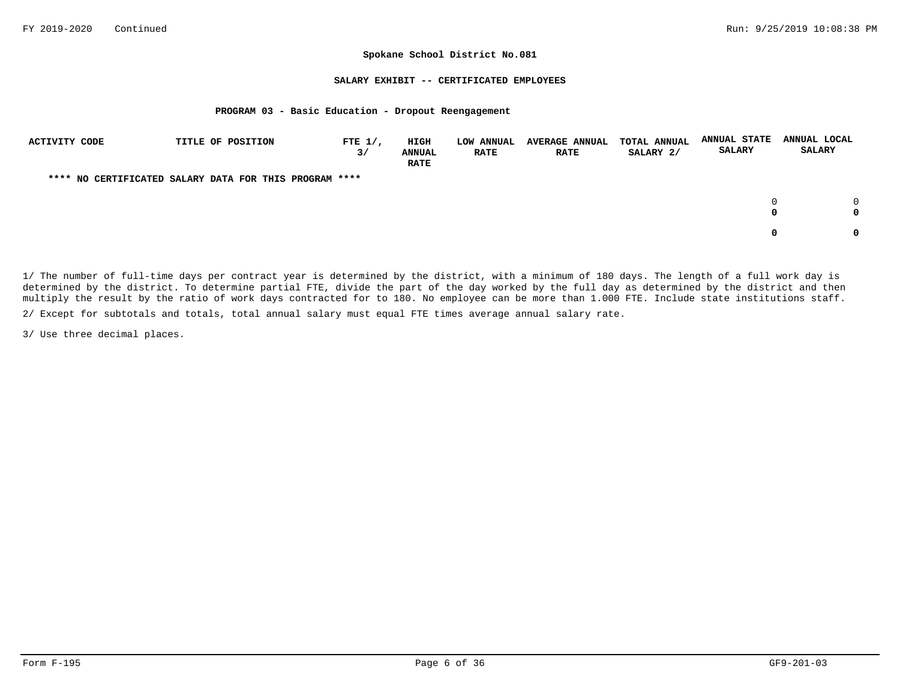#### **SALARY EXHIBIT -- CERTIFICATED EMPLOYEES**

#### **PROGRAM 03 - Basic Education - Dropout Reengagement**

| ACTIVITY CODE | TITLE OF POSITION                                      | FTE $1/$ ,<br>3/ | HIGH<br><b>ANNUAL</b><br><b>RATE</b> | <b>LOW ANNUAL</b><br><b>RATE</b> | <b>AVERAGE ANNUAL</b><br><b>RATE</b> | <b>TOTAL ANNUAL</b><br>SALARY 2/ | <b>ANNUAL STATE</b><br><b>SALARY</b> | ANNUAL LOCAL<br><b>SALARY</b> |
|---------------|--------------------------------------------------------|------------------|--------------------------------------|----------------------------------|--------------------------------------|----------------------------------|--------------------------------------|-------------------------------|
|               | **** NO CERTIFICATED SALARY DATA FOR THIS PROGRAM **** |                  |                                      |                                  |                                      |                                  |                                      |                               |
|               |                                                        |                  |                                      |                                  |                                      |                                  | 0<br>0                               |                               |
|               |                                                        |                  |                                      |                                  |                                      |                                  | 0                                    |                               |

1/ The number of full-time days per contract year is determined by the district, with a minimum of 180 days. The length of a full work day is determined by the district. To determine partial FTE, divide the part of the day worked by the full day as determined by the district and then multiply the result by the ratio of work days contracted for to 180. No employee can be more than 1.000 FTE. Include state institutions staff.

2/ Except for subtotals and totals, total annual salary must equal FTE times average annual salary rate.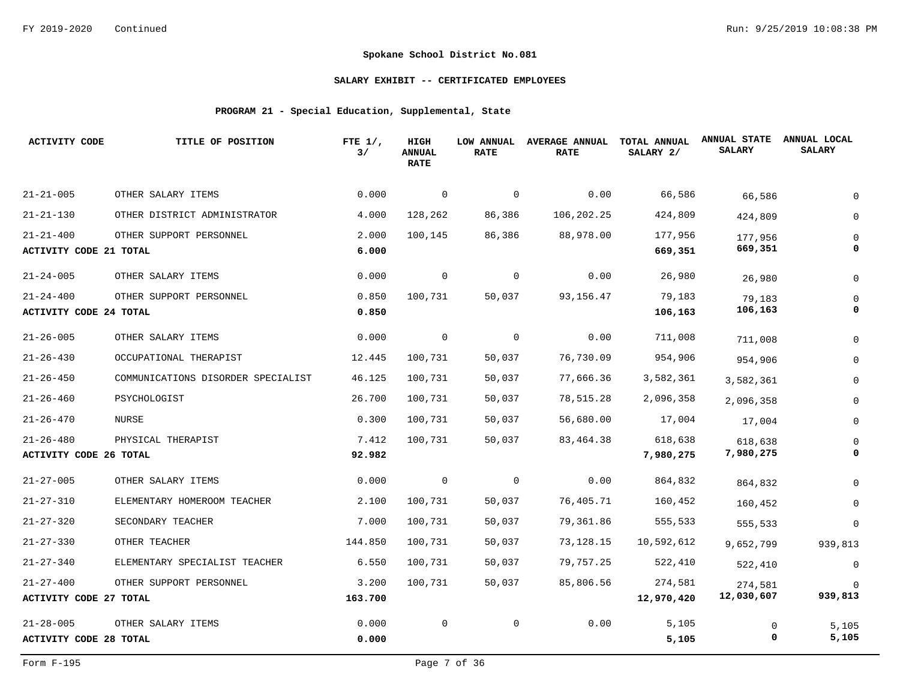### **SALARY EXHIBIT -- CERTIFICATED EMPLOYEES**

## **PROGRAM 21 - Special Education, Supplemental, State**

| <b>ACTIVITY CODE</b>          | TITLE OF POSITION                  | FTE $1/$ ,<br>3/ | HIGH<br><b>ANNUAL</b><br><b>RATE</b> | LOW ANNUAL<br><b>RATE</b> | <b>AVERAGE ANNUAL</b><br><b>RATE</b> | TOTAL ANNUAL<br>SALARY 2/ | <b>ANNUAL STATE</b><br><b>SALARY</b> | ANNUAL LOCAL<br><b>SALARY</b> |
|-------------------------------|------------------------------------|------------------|--------------------------------------|---------------------------|--------------------------------------|---------------------------|--------------------------------------|-------------------------------|
| $21 - 21 - 005$               | OTHER SALARY ITEMS                 | 0.000            | 0                                    | 0                         | 0.00                                 | 66,586                    | 66,586                               |                               |
| $21 - 21 - 130$               | OTHER DISTRICT ADMINISTRATOR       | 4.000            | 128,262                              | 86,386                    | 106,202.25                           | 424,809                   | 424,809                              |                               |
| $21 - 21 - 400$               | OTHER SUPPORT PERSONNEL            | 2.000            | 100,145                              | 86,386                    | 88,978.00                            | 177,956                   | 177,956                              |                               |
| <b>ACTIVITY CODE 21 TOTAL</b> |                                    | 6.000            |                                      |                           |                                      | 669,351                   | 669,351                              |                               |
| $21 - 24 - 005$               | OTHER SALARY ITEMS                 | 0.000            | $\mathbf 0$                          | $\mathbf 0$               | 0.00                                 | 26,980                    | 26,980                               | $\Omega$                      |
| $21 - 24 - 400$               | OTHER SUPPORT PERSONNEL            | 0.850            | 100,731                              | 50,037                    | 93, 156. 47                          | 79,183                    | 79,183                               |                               |
| <b>ACTIVITY CODE 24 TOTAL</b> |                                    | 0.850            |                                      |                           |                                      | 106,163                   | 106,163                              |                               |
| $21 - 26 - 005$               | OTHER SALARY ITEMS                 | 0.000            | $\overline{0}$                       | $\mathbf 0$               | 0.00                                 | 711,008                   | 711,008                              | $\Omega$                      |
| $21 - 26 - 430$               | OCCUPATIONAL THERAPIST             | 12.445           | 100,731                              | 50,037                    | 76,730.09                            | 954,906                   | 954,906                              | 0                             |
| $21 - 26 - 450$               | COMMUNICATIONS DISORDER SPECIALIST | 46.125           | 100,731                              | 50,037                    | 77,666.36                            | 3,582,361                 | 3,582,361                            | $\Omega$                      |
| $21 - 26 - 460$               | PSYCHOLOGIST                       | 26.700           | 100,731                              | 50,037                    | 78,515.28                            | 2,096,358                 | 2,096,358                            | 0                             |
| $21 - 26 - 470$               | NURSE                              | 0.300            | 100,731                              | 50,037                    | 56,680.00                            | 17,004                    | 17,004                               | 0                             |
| $21 - 26 - 480$               | PHYSICAL THERAPIST                 | 7.412            | 100,731                              | 50,037                    | 83, 464. 38                          | 618,638                   | 618,638                              |                               |
| <b>ACTIVITY CODE 26 TOTAL</b> |                                    | 92.982           |                                      |                           |                                      | 7,980,275                 | 7,980,275                            |                               |
| $21 - 27 - 005$               | OTHER SALARY ITEMS                 | 0.000            | 0                                    | 0                         | 0.00                                 | 864,832                   | 864,832                              |                               |
| $21 - 27 - 310$               | ELEMENTARY HOMEROOM TEACHER        | 2.100            | 100,731                              | 50,037                    | 76,405.71                            | 160,452                   | 160,452                              |                               |
| $21 - 27 - 320$               | SECONDARY TEACHER                  | 7.000            | 100,731                              | 50,037                    | 79,361.86                            | 555,533                   | 555,533                              | 0                             |
| $21 - 27 - 330$               | OTHER TEACHER                      | 144.850          | 100,731                              | 50,037                    | 73,128.15                            | 10,592,612                | 9,652,799                            | 939,813                       |
| $21 - 27 - 340$               | ELEMENTARY SPECIALIST TEACHER      | 6.550            | 100,731                              | 50,037                    | 79,757.25                            | 522,410                   | 522,410                              | 0                             |
| $21 - 27 - 400$               | OTHER SUPPORT PERSONNEL            | 3.200            | 100,731                              | 50,037                    | 85,806.56                            | 274,581                   | 274,581                              |                               |
| <b>ACTIVITY CODE 27 TOTAL</b> |                                    | 163.700          |                                      |                           |                                      | 12,970,420                | 12,030,607                           | 939,813                       |
| $21 - 28 - 005$               | OTHER SALARY ITEMS                 | 0.000            | $\mathbf 0$                          | $\mathbf 0$               | 0.00                                 | 5,105                     | 0                                    | 5,105                         |
| <b>ACTIVITY CODE 28 TOTAL</b> |                                    | 0.000            |                                      |                           |                                      | 5,105                     | 0                                    | 5,105                         |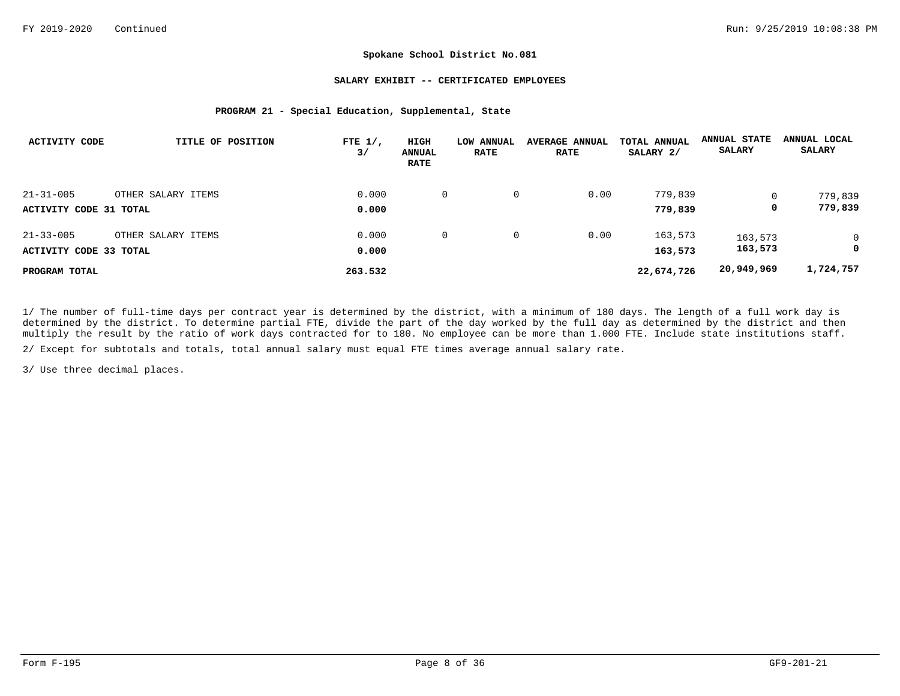#### **SALARY EXHIBIT -- CERTIFICATED EMPLOYEES**

#### **PROGRAM 21 - Special Education, Supplemental, State**

| <b>ACTIVITY CODE</b>   | TITLE OF POSITION  | FTE $1/$ ,<br>3/ | HIGH<br><b>ANNUAL</b><br><b>RATE</b> | LOW ANNUAL<br><b>RATE</b> | <b>AVERAGE ANNUAL</b><br><b>RATE</b> | TOTAL ANNUAL<br>SALARY 2/ | <b>ANNUAL STATE</b><br><b>SALARY</b> | ANNUAL LOCAL<br><b>SALARY</b> |
|------------------------|--------------------|------------------|--------------------------------------|---------------------------|--------------------------------------|---------------------------|--------------------------------------|-------------------------------|
| $21 - 31 - 005$        | OTHER SALARY ITEMS | 0.000            | 0                                    | 0                         | 0.00                                 | 779,839                   |                                      | 779,839                       |
| ACTIVITY CODE 31 TOTAL |                    | 0.000            |                                      |                           |                                      | 779,839                   | 0                                    | 779,839                       |
| $21 - 33 - 005$        | OTHER SALARY ITEMS | 0.000            | 0                                    | $\mathbf{0}$              | 0.00                                 | 163,573                   | 163,573                              | $\mathbf 0$                   |
| ACTIVITY CODE 33 TOTAL |                    | 0.000            |                                      |                           |                                      | 163,573                   | 163,573                              | 0                             |
| PROGRAM TOTAL          |                    | 263.532          |                                      |                           |                                      | 22,674,726                | 20,949,969                           | 1,724,757                     |

1/ The number of full-time days per contract year is determined by the district, with a minimum of 180 days. The length of a full work day is determined by the district. To determine partial FTE, divide the part of the day worked by the full day as determined by the district and then multiply the result by the ratio of work days contracted for to 180. No employee can be more than 1.000 FTE. Include state institutions staff.

2/ Except for subtotals and totals, total annual salary must equal FTE times average annual salary rate.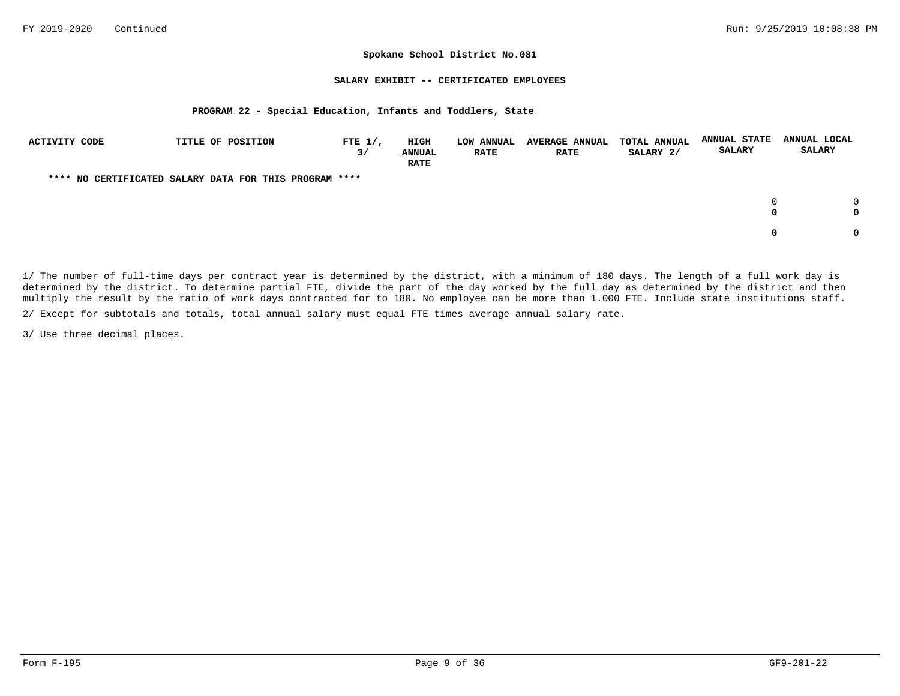#### **SALARY EXHIBIT -- CERTIFICATED EMPLOYEES**

#### **PROGRAM 22 - Special Education, Infants and Toddlers, State**

| ACTIVITY CODE | TITLE OF POSITION                                      | FTE $1/$ ,<br>3/ | HIGH<br><b>ANNUAL</b><br><b>RATE</b> | LOW ANNUAL<br><b>RATE</b> | <b>AVERAGE ANNUAL</b><br><b>RATE</b> | TOTAL ANNUAL<br>SALARY 2/ | <b>ANNUAL STATE</b><br><b>SALARY</b> | ANNUAL LOCAL<br><b>SALARY</b> |
|---------------|--------------------------------------------------------|------------------|--------------------------------------|---------------------------|--------------------------------------|---------------------------|--------------------------------------|-------------------------------|
|               | **** NO CERTIFICATED SALARY DATA FOR THIS PROGRAM **** |                  |                                      |                           |                                      |                           |                                      |                               |
|               |                                                        |                  |                                      |                           |                                      |                           | 0<br>0                               | 0                             |
|               |                                                        |                  |                                      |                           |                                      |                           | 0                                    |                               |

1/ The number of full-time days per contract year is determined by the district, with a minimum of 180 days. The length of a full work day is determined by the district. To determine partial FTE, divide the part of the day worked by the full day as determined by the district and then multiply the result by the ratio of work days contracted for to 180. No employee can be more than 1.000 FTE. Include state institutions staff.

2/ Except for subtotals and totals, total annual salary must equal FTE times average annual salary rate.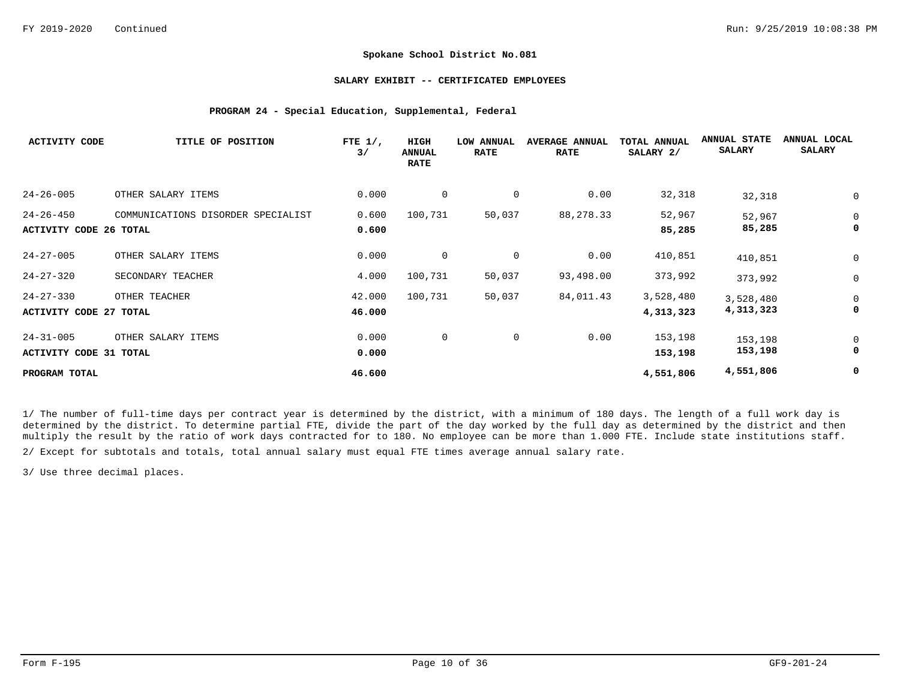#### **SALARY EXHIBIT -- CERTIFICATED EMPLOYEES**

#### **PROGRAM 24 - Special Education, Supplemental, Federal**

| <b>ACTIVITY CODE</b>                             | TITLE OF POSITION                  | FTE $1/$ ,<br>3/ | HIGH<br><b>ANNUAL</b><br><b>RATE</b> | LOW ANNUAL<br><b>RATE</b> | <b>AVERAGE ANNUAL</b><br><b>RATE</b> | <b>TOTAL ANNUAL</b><br>SALARY 2/ | <b>ANNUAL STATE</b><br><b>SALARY</b> | ANNUAL LOCAL<br><b>SALARY</b> |
|--------------------------------------------------|------------------------------------|------------------|--------------------------------------|---------------------------|--------------------------------------|----------------------------------|--------------------------------------|-------------------------------|
| $24 - 26 - 005$                                  | OTHER SALARY ITEMS                 | 0.000            | 0                                    | 0                         | 0.00                                 | 32,318                           | 32,318                               | 0                             |
| $24 - 26 - 450$                                  | COMMUNICATIONS DISORDER SPECIALIST | 0.600            | 100,731                              | 50,037                    | 88, 278.33                           | 52,967                           | 52,967                               | 0                             |
| <b>ACTIVITY CODE 26 TOTAL</b>                    |                                    | 0.600            |                                      |                           |                                      | 85,285                           | 85,285                               | 0                             |
| $24 - 27 - 005$                                  | OTHER SALARY ITEMS                 | 0.000            | $\mathbf 0$                          | 0                         | 0.00                                 | 410,851                          | 410,851                              | 0                             |
| $24 - 27 - 320$                                  | SECONDARY TEACHER                  | 4.000            | 100,731                              | 50,037                    | 93,498.00                            | 373,992                          | 373,992                              | 0                             |
| $24 - 27 - 330$<br><b>ACTIVITY CODE 27 TOTAL</b> | OTHER TEACHER                      | 42.000<br>46.000 | 100,731                              | 50,037                    | 84,011.43                            | 3,528,480<br>4,313,323           | 3,528,480<br>4,313,323               | 0<br>0                        |
| $24 - 31 - 005$<br><b>ACTIVITY CODE 31 TOTAL</b> | OTHER SALARY ITEMS                 | 0.000<br>0.000   | 0                                    | $\mathbf 0$               | 0.00                                 | 153,198<br>153,198               | 153,198<br>153,198                   | 0<br>0                        |
| PROGRAM TOTAL                                    |                                    | 46.600           |                                      |                           |                                      | 4,551,806                        | 4,551,806                            | 0                             |

1/ The number of full-time days per contract year is determined by the district, with a minimum of 180 days. The length of a full work day is determined by the district. To determine partial FTE, divide the part of the day worked by the full day as determined by the district and then multiply the result by the ratio of work days contracted for to 180. No employee can be more than 1.000 FTE. Include state institutions staff.

2/ Except for subtotals and totals, total annual salary must equal FTE times average annual salary rate.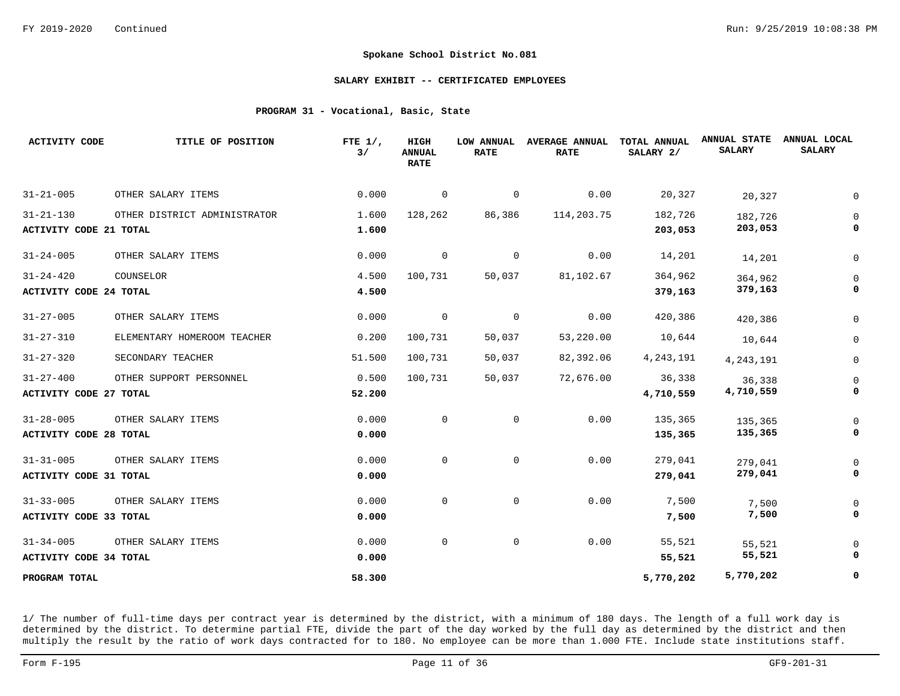#### **SALARY EXHIBIT -- CERTIFICATED EMPLOYEES**

#### **PROGRAM 31 - Vocational, Basic, State**

| <b>ACTIVITY CODE</b>          | TITLE OF POSITION            | FTE $1/$ ,<br>3/ | HIGH<br><b>ANNUAL</b><br><b>RATE</b> | LOW ANNUAL<br><b>RATE</b> | <b>AVERAGE ANNUAL</b><br><b>RATE</b> | TOTAL ANNUAL<br>SALARY 2/ | <b>ANNUAL STATE</b><br><b>SALARY</b> | ANNUAL LOCAL<br><b>SALARY</b> |
|-------------------------------|------------------------------|------------------|--------------------------------------|---------------------------|--------------------------------------|---------------------------|--------------------------------------|-------------------------------|
| $31 - 21 - 005$               | OTHER SALARY ITEMS           | 0.000            | 0                                    | $\overline{0}$            | 0.00                                 | 20,327                    | 20,327                               |                               |
| $31 - 21 - 130$               | OTHER DISTRICT ADMINISTRATOR | 1.600            | 128,262                              | 86,386                    | 114,203.75                           | 182,726                   | 182,726                              |                               |
| <b>ACTIVITY CODE 21 TOTAL</b> |                              | 1.600            |                                      |                           |                                      | 203,053                   | 203,053                              |                               |
| $31 - 24 - 005$               | OTHER SALARY ITEMS           | 0.000            | 0                                    | 0                         | 0.00                                 | 14,201                    | 14,201                               |                               |
| $31 - 24 - 420$               | COUNSELOR                    | 4.500            | 100,731                              | 50,037                    | 81,102.67                            | 364,962                   | 364,962                              |                               |
| <b>ACTIVITY CODE 24 TOTAL</b> |                              | 4.500            |                                      |                           |                                      | 379,163                   | 379,163                              |                               |
| $31 - 27 - 005$               | OTHER SALARY ITEMS           | 0.000            | $\mathbf 0$                          | 0                         | 0.00                                 | 420,386                   | 420,386                              |                               |
| $31 - 27 - 310$               | ELEMENTARY HOMEROOM TEACHER  | 0.200            | 100,731                              | 50,037                    | 53,220.00                            | 10,644                    | 10,644                               |                               |
| $31 - 27 - 320$               | SECONDARY TEACHER            | 51.500           | 100,731                              | 50,037                    | 82,392.06                            | 4, 243, 191               | 4, 243, 191                          |                               |
| $31 - 27 - 400$               | OTHER SUPPORT PERSONNEL      | 0.500            | 100,731                              | 50,037                    | 72,676.00                            | 36,338                    | 36,338                               |                               |
| <b>ACTIVITY CODE 27 TOTAL</b> |                              | 52.200           |                                      |                           |                                      | 4,710,559                 | 4,710,559                            |                               |
| $31 - 28 - 005$               | OTHER SALARY ITEMS           | 0.000            | $\mathbf 0$                          | $\mathbf 0$               | 0.00                                 | 135,365                   | 135,365                              |                               |
| <b>ACTIVITY CODE 28 TOTAL</b> |                              | 0.000            |                                      |                           |                                      | 135,365                   | 135,365                              |                               |
| $31 - 31 - 005$               | OTHER SALARY ITEMS           | 0.000            | $\Omega$                             | $\overline{0}$            | 0.00                                 | 279,041                   | 279,041                              |                               |
| <b>ACTIVITY CODE 31 TOTAL</b> |                              | 0.000            |                                      |                           |                                      | 279,041                   | 279,041                              |                               |
| $31 - 33 - 005$               | OTHER SALARY ITEMS           | 0.000            | 0                                    | $\mathbf 0$               | 0.00                                 | 7,500                     | 7,500                                |                               |
| ACTIVITY CODE 33 TOTAL        |                              | 0.000            |                                      |                           |                                      | 7,500                     | 7,500                                |                               |
| $31 - 34 - 005$               | OTHER SALARY ITEMS           | 0.000            | $\mathbf 0$                          | $\mathsf{O}$              | 0.00                                 | 55,521                    | 55,521                               |                               |
| <b>ACTIVITY CODE 34 TOTAL</b> |                              | 0.000            |                                      |                           |                                      | 55,521                    | 55,521                               |                               |
| PROGRAM TOTAL                 |                              | 58.300           |                                      |                           |                                      | 5,770,202                 | 5,770,202                            |                               |

1/ The number of full-time days per contract year is determined by the district, with a minimum of 180 days. The length of a full work day is determined by the district. To determine partial FTE, divide the part of the day worked by the full day as determined by the district and then multiply the result by the ratio of work days contracted for to 180. No employee can be more than 1.000 FTE. Include state institutions staff.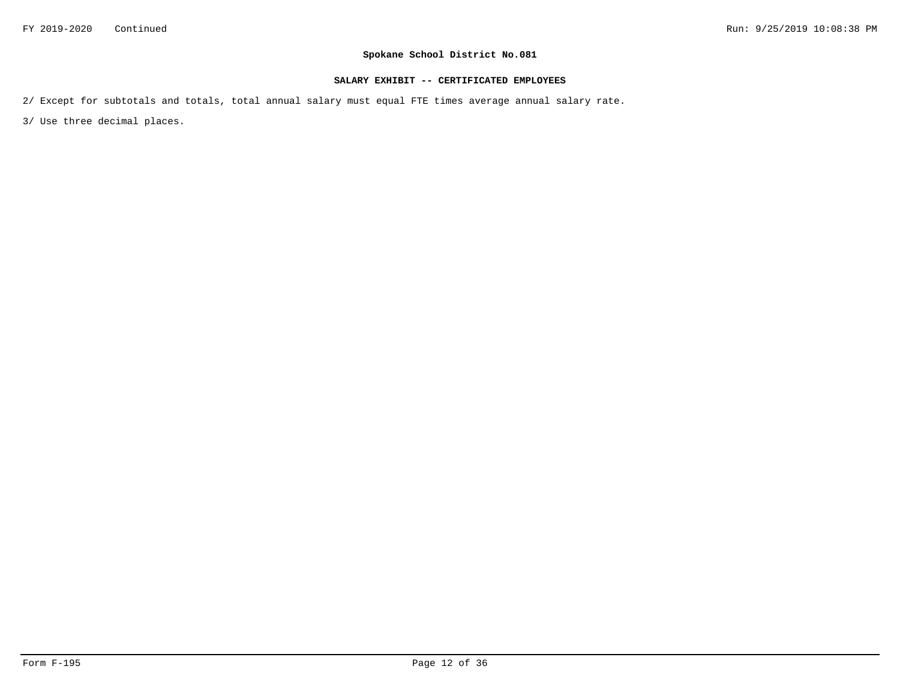### **SALARY EXHIBIT -- CERTIFICATED EMPLOYEES**

2/ Except for subtotals and totals, total annual salary must equal FTE times average annual salary rate.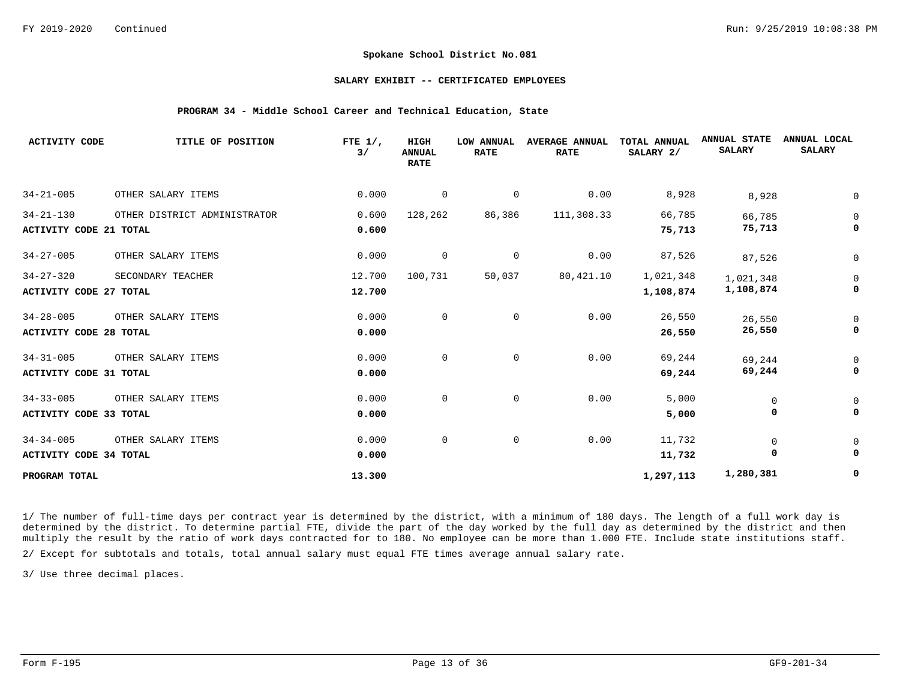#### **SALARY EXHIBIT -- CERTIFICATED EMPLOYEES**

#### **PROGRAM 34 - Middle School Career and Technical Education, State**

| <b>ACTIVITY CODE</b>          | TITLE OF POSITION            | FTE $1/$ ,<br>3/ | HIGH<br><b>ANNUAL</b><br><b>RATE</b> | <b>LOW ANNUAL</b><br><b>RATE</b> | <b>AVERAGE ANNUAL</b><br><b>RATE</b> | TOTAL ANNUAL<br>SALARY 2/ | <b>ANNUAL STATE</b><br><b>SALARY</b> | ANNUAL LOCAL<br><b>SALARY</b> |
|-------------------------------|------------------------------|------------------|--------------------------------------|----------------------------------|--------------------------------------|---------------------------|--------------------------------------|-------------------------------|
| $34 - 21 - 005$               | OTHER SALARY ITEMS           | 0.000            | 0                                    | 0                                | 0.00                                 | 8,928                     | 8,928                                |                               |
| $34 - 21 - 130$               | OTHER DISTRICT ADMINISTRATOR | 0.600            | 128,262                              | 86,386                           | 111,308.33                           | 66,785                    | 66,785                               | 0                             |
| <b>ACTIVITY CODE 21 TOTAL</b> |                              | 0.600            |                                      |                                  |                                      | 75,713                    | 75,713                               |                               |
| $34 - 27 - 005$               | OTHER SALARY ITEMS           | 0.000            | 0                                    | 0                                | 0.00                                 | 87,526                    | 87,526                               | 0                             |
| $34 - 27 - 320$               | SECONDARY TEACHER            | 12.700           | 100,731                              | 50,037                           | 80, 421.10                           | 1,021,348                 | 1,021,348                            | 0                             |
| <b>ACTIVITY CODE 27 TOTAL</b> |                              | 12.700           |                                      |                                  |                                      | 1,108,874                 | 1,108,874                            |                               |
| $34 - 28 - 005$               | OTHER SALARY ITEMS           | 0.000            | $\mathbf 0$                          | $\mathbf 0$                      | 0.00                                 | 26,550                    | 26,550                               | 0                             |
| <b>ACTIVITY CODE 28 TOTAL</b> |                              | 0.000            |                                      |                                  |                                      | 26,550                    | 26,550                               |                               |
| $34 - 31 - 005$               | OTHER SALARY ITEMS           | 0.000            | $\mathbf 0$                          | $\mathbf 0$                      | 0.00                                 | 69,244                    | 69,244                               |                               |
| <b>ACTIVITY CODE 31 TOTAL</b> |                              | 0.000            |                                      |                                  |                                      | 69,244                    | 69,244                               |                               |
| $34 - 33 - 005$               | OTHER SALARY ITEMS           | 0.000            | $\mathbf 0$                          | $\mathbf 0$                      | 0.00                                 | 5,000                     | $\mathbf 0$                          |                               |
| <b>ACTIVITY CODE 33 TOTAL</b> |                              | 0.000            |                                      |                                  |                                      | 5,000                     | 0                                    |                               |
| $34 - 34 - 005$               | OTHER SALARY ITEMS           | 0.000            | $\mathbf 0$                          | $\mathbf 0$                      | 0.00                                 | 11,732                    | $\mathsf{O}$                         |                               |
| <b>ACTIVITY CODE 34 TOTAL</b> |                              | 0.000            |                                      |                                  |                                      | 11,732                    | 0                                    | 0                             |
| PROGRAM TOTAL                 |                              | 13.300           |                                      |                                  |                                      | 1,297,113                 | 1,280,381                            | 0                             |

1/ The number of full-time days per contract year is determined by the district, with a minimum of 180 days. The length of a full work day is determined by the district. To determine partial FTE, divide the part of the day worked by the full day as determined by the district and then multiply the result by the ratio of work days contracted for to 180. No employee can be more than 1.000 FTE. Include state institutions staff.

2/ Except for subtotals and totals, total annual salary must equal FTE times average annual salary rate.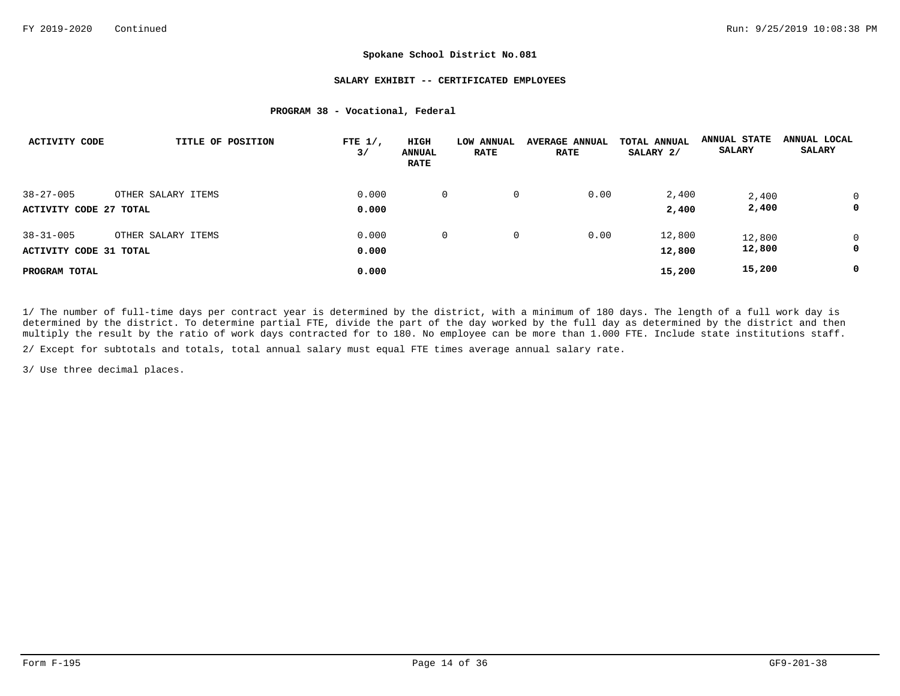#### **SALARY EXHIBIT -- CERTIFICATED EMPLOYEES**

#### **PROGRAM 38 - Vocational, Federal**

| <b>ACTIVITY CODE</b>          | TITLE OF POSITION  | FTE $1/$ ,<br>3/ | HIGH<br><b>ANNUAL</b><br><b>RATE</b> | <b>LOW ANNUAL</b><br><b>RATE</b> | <b>AVERAGE ANNUAL</b><br><b>RATE</b> | TOTAL ANNUAL<br>SALARY 2/ | <b>ANNUAL STATE</b><br><b>SALARY</b> | ANNUAL LOCAL<br><b>SALARY</b> |
|-------------------------------|--------------------|------------------|--------------------------------------|----------------------------------|--------------------------------------|---------------------------|--------------------------------------|-------------------------------|
| $38 - 27 - 005$               | OTHER SALARY ITEMS | 0.000            | 0                                    | 0                                | 0.00                                 | 2,400                     | 2,400                                |                               |
| <b>ACTIVITY CODE 27 TOTAL</b> |                    | 0.000            |                                      |                                  |                                      | 2,400                     | 2,400                                | 0                             |
| $38 - 31 - 005$               | OTHER SALARY ITEMS | 0.000            | 0                                    | 0                                | 0.00                                 | 12,800                    | 12,800                               | 0                             |
| <b>ACTIVITY CODE 31 TOTAL</b> |                    | 0.000            |                                      |                                  |                                      | 12,800                    | 12,800                               | 0                             |
| PROGRAM TOTAL                 |                    | 0.000            |                                      |                                  |                                      | 15,200                    | 15,200                               | 0                             |

1/ The number of full-time days per contract year is determined by the district, with a minimum of 180 days. The length of a full work day is determined by the district. To determine partial FTE, divide the part of the day worked by the full day as determined by the district and then multiply the result by the ratio of work days contracted for to 180. No employee can be more than 1.000 FTE. Include state institutions staff.

2/ Except for subtotals and totals, total annual salary must equal FTE times average annual salary rate.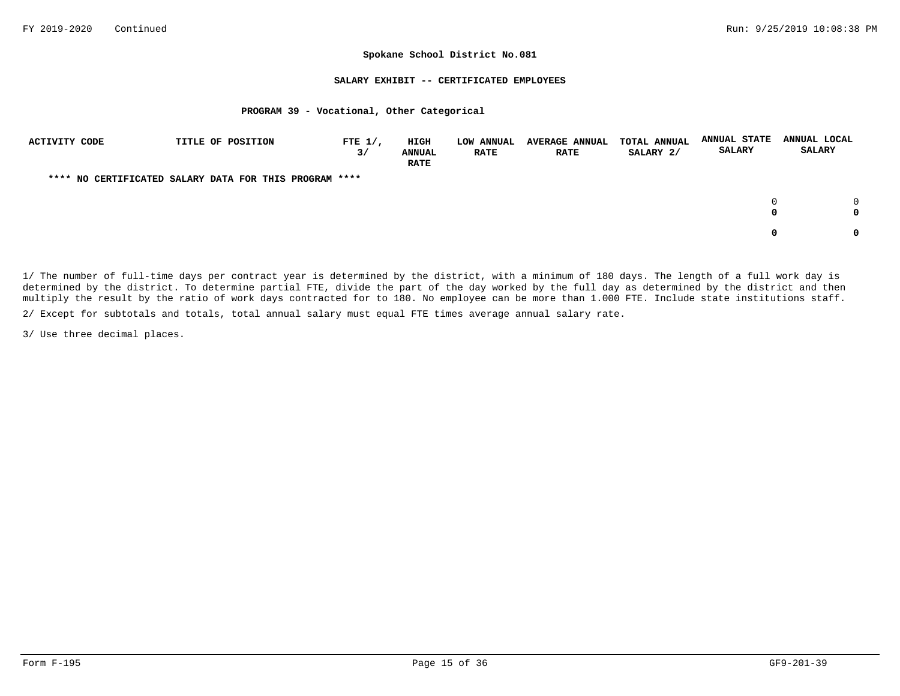#### **SALARY EXHIBIT -- CERTIFICATED EMPLOYEES**

#### **PROGRAM 39 - Vocational, Other Categorical**

| <b>ACTIVITY CODE</b> | TITLE OF POSITION                                      | FTE $1/$ ,<br>3/ | <b>HIGH</b><br><b>ANNUAL</b><br><b>RATE</b> | <b>LOW ANNUAL</b><br><b>RATE</b> | <b>AVERAGE ANNUAL</b><br><b>RATE</b> | TOTAL ANNUAL<br>SALARY 2/ | <b>ANNUAL STATE</b><br><b>SALARY</b> | ANNUAL LOCAL<br><b>SALARY</b> |
|----------------------|--------------------------------------------------------|------------------|---------------------------------------------|----------------------------------|--------------------------------------|---------------------------|--------------------------------------|-------------------------------|
|                      | **** NO CERTIFICATED SALARY DATA FOR THIS PROGRAM **** |                  |                                             |                                  |                                      |                           |                                      |                               |
|                      |                                                        |                  |                                             |                                  |                                      |                           | $\Omega$<br>0                        |                               |
|                      |                                                        |                  |                                             |                                  |                                      |                           | 0                                    |                               |

1/ The number of full-time days per contract year is determined by the district, with a minimum of 180 days. The length of a full work day is determined by the district. To determine partial FTE, divide the part of the day worked by the full day as determined by the district and then multiply the result by the ratio of work days contracted for to 180. No employee can be more than 1.000 FTE. Include state institutions staff.

2/ Except for subtotals and totals, total annual salary must equal FTE times average annual salary rate.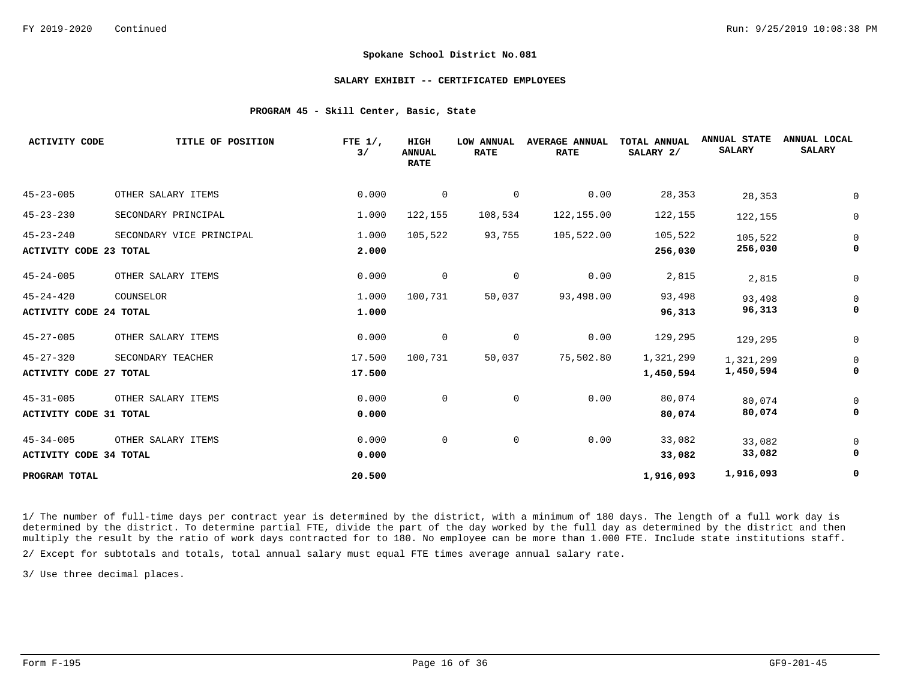#### **SALARY EXHIBIT -- CERTIFICATED EMPLOYEES**

#### **PROGRAM 45 - Skill Center, Basic, State**

| <b>ACTIVITY CODE</b>                             | TITLE OF POSITION        | FTE $1/$ ,<br>3/ | HIGH<br><b>ANNUAL</b><br><b>RATE</b> | <b>LOW ANNUAL</b><br><b>RATE</b> | <b>AVERAGE ANNUAL</b><br><b>RATE</b> | TOTAL ANNUAL<br>SALARY 2/ | <b>ANNUAL STATE</b><br><b>SALARY</b> | ANNUAL LOCAL<br><b>SALARY</b> |
|--------------------------------------------------|--------------------------|------------------|--------------------------------------|----------------------------------|--------------------------------------|---------------------------|--------------------------------------|-------------------------------|
| $45 - 23 - 005$                                  | OTHER SALARY ITEMS       | 0.000            | $\mathbf 0$                          | 0                                | 0.00                                 | 28,353                    | 28,353                               |                               |
| $45 - 23 - 230$                                  | SECONDARY PRINCIPAL      | 1.000            | 122,155                              | 108,534                          | 122,155.00                           | 122,155                   | 122,155                              | 0                             |
| $45 - 23 - 240$<br><b>ACTIVITY CODE 23 TOTAL</b> | SECONDARY VICE PRINCIPAL | 1.000<br>2.000   | 105,522                              | 93,755                           | 105,522.00                           | 105,522<br>256,030        | 105,522<br>256,030                   | 0                             |
| $45 - 24 - 005$                                  | OTHER SALARY ITEMS       | 0.000            | $\mathbf 0$                          | 0                                | 0.00                                 | 2,815                     | 2,815                                | 0                             |
| $45 - 24 - 420$<br><b>ACTIVITY CODE 24 TOTAL</b> | COUNSELOR                | 1.000<br>1.000   | 100,731                              | 50,037                           | 93,498.00                            | 93,498<br>96,313          | 93,498<br>96,313                     | 0                             |
| $45 - 27 - 005$                                  | OTHER SALARY ITEMS       | 0.000            | 0                                    | 0                                | 0.00                                 | 129,295                   | 129,295                              | 0                             |
| $45 - 27 - 320$<br><b>ACTIVITY CODE 27 TOTAL</b> | SECONDARY TEACHER        | 17.500<br>17.500 | 100,731                              | 50,037                           | 75,502.80                            | 1,321,299<br>1,450,594    | 1,321,299<br>1,450,594               | 0                             |
| $45 - 31 - 005$<br><b>ACTIVITY CODE 31 TOTAL</b> | OTHER SALARY ITEMS       | 0.000<br>0.000   | $\mathbf 0$                          | $\mathbf 0$                      | 0.00                                 | 80,074<br>80,074          | 80,074<br>80,074                     |                               |
| $45 - 34 - 005$<br><b>ACTIVITY CODE 34 TOTAL</b> | OTHER SALARY ITEMS       | 0.000<br>0.000   | 0                                    | 0                                | 0.00                                 | 33,082<br>33,082          | 33,082<br>33,082                     | 0                             |
| PROGRAM TOTAL                                    |                          | 20.500           |                                      |                                  |                                      | 1,916,093                 | 1,916,093                            | 0                             |

1/ The number of full-time days per contract year is determined by the district, with a minimum of 180 days. The length of a full work day is determined by the district. To determine partial FTE, divide the part of the day worked by the full day as determined by the district and then multiply the result by the ratio of work days contracted for to 180. No employee can be more than 1.000 FTE. Include state institutions staff.

2/ Except for subtotals and totals, total annual salary must equal FTE times average annual salary rate.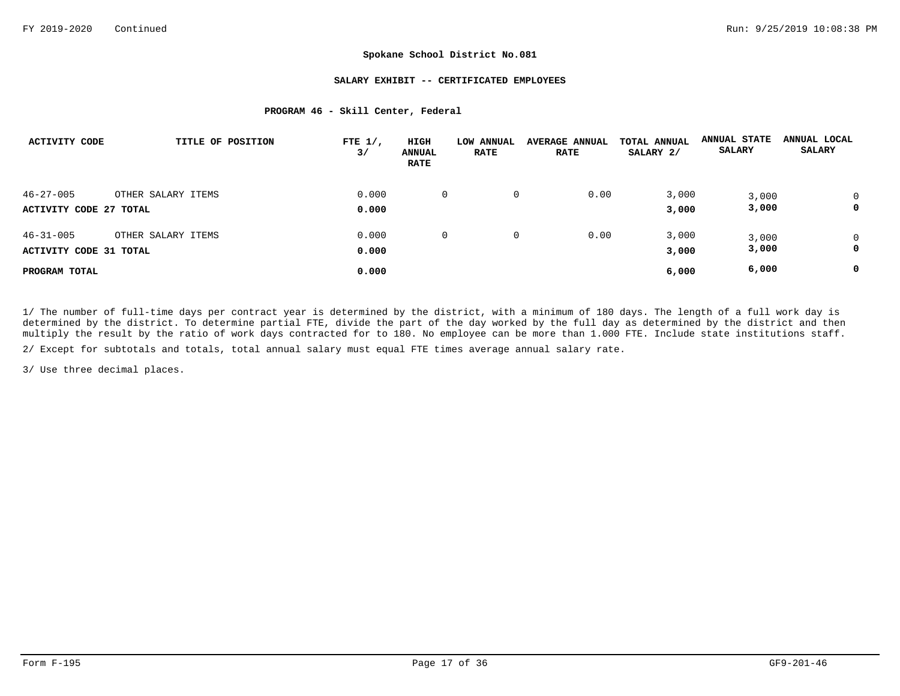#### **SALARY EXHIBIT -- CERTIFICATED EMPLOYEES**

#### **PROGRAM 46 - Skill Center, Federal**

| <b>ACTIVITY CODE</b>          | TITLE OF POSITION  | FTE $1/$ ,<br>3/ | HIGH<br><b>ANNUAL</b><br><b>RATE</b> | <b>LOW ANNUAL</b><br><b>RATE</b> | <b>AVERAGE ANNUAL</b><br><b>RATE</b> | TOTAL ANNUAL<br>SALARY 2/ | <b>ANNUAL STATE</b><br><b>SALARY</b> | ANNUAL LOCAL<br><b>SALARY</b> |
|-------------------------------|--------------------|------------------|--------------------------------------|----------------------------------|--------------------------------------|---------------------------|--------------------------------------|-------------------------------|
| $46 - 27 - 005$               | OTHER SALARY ITEMS | 0.000            | 0                                    | 0                                | 0.00                                 | 3,000                     | 3,000                                |                               |
| ACTIVITY CODE 27 TOTAL        |                    | 0.000            |                                      |                                  |                                      | 3,000                     | 3,000                                | 0                             |
| $46 - 31 - 005$               | OTHER SALARY ITEMS | 0.000            | 0                                    | 0                                | 0.00                                 | 3,000                     | 3,000                                | 0                             |
| <b>ACTIVITY CODE 31 TOTAL</b> |                    | 0.000            |                                      |                                  |                                      | 3,000                     | 3,000                                | 0                             |
| PROGRAM TOTAL                 |                    | 0.000            |                                      |                                  |                                      | 6,000                     | 6,000                                | 0                             |

1/ The number of full-time days per contract year is determined by the district, with a minimum of 180 days. The length of a full work day is determined by the district. To determine partial FTE, divide the part of the day worked by the full day as determined by the district and then multiply the result by the ratio of work days contracted for to 180. No employee can be more than 1.000 FTE. Include state institutions staff.

2/ Except for subtotals and totals, total annual salary must equal FTE times average annual salary rate.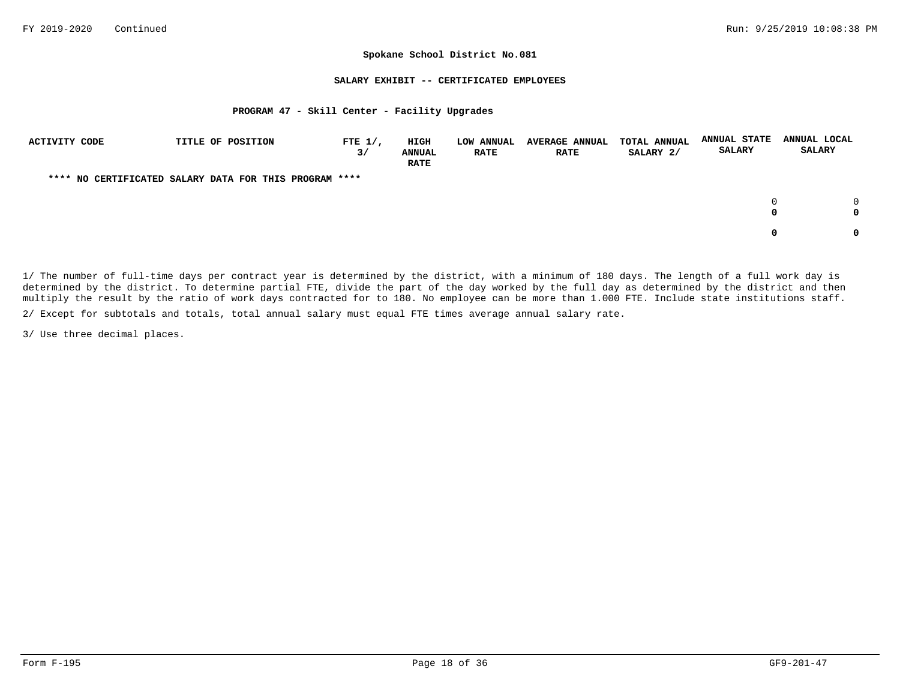#### **SALARY EXHIBIT -- CERTIFICATED EMPLOYEES**

#### **PROGRAM 47 - Skill Center - Facility Upgrades**

| ACTIVITY CODE                                          | TITLE OF POSITION | FTE $1/$ ,<br>3/ | <b>HIGH</b><br><b>ANNUAL</b><br><b>RATE</b> | LOW ANNUAL<br><b>RATE</b> | <b>AVERAGE ANNUAL</b><br><b>RATE</b> | <b>TOTAL ANNUAL</b><br>SALARY 2/ | <b>ANNUAL STATE</b><br><b>SALARY</b> | ANNUAL LOCAL<br><b>SALARY</b> |
|--------------------------------------------------------|-------------------|------------------|---------------------------------------------|---------------------------|--------------------------------------|----------------------------------|--------------------------------------|-------------------------------|
| **** NO CERTIFICATED SALARY DATA FOR THIS PROGRAM **** |                   |                  |                                             |                           |                                      |                                  |                                      |                               |
|                                                        |                   |                  |                                             |                           |                                      |                                  | $\Omega$<br>0                        |                               |
|                                                        |                   |                  |                                             |                           |                                      |                                  | 0                                    |                               |

1/ The number of full-time days per contract year is determined by the district, with a minimum of 180 days. The length of a full work day is determined by the district. To determine partial FTE, divide the part of the day worked by the full day as determined by the district and then multiply the result by the ratio of work days contracted for to 180. No employee can be more than 1.000 FTE. Include state institutions staff.

2/ Except for subtotals and totals, total annual salary must equal FTE times average annual salary rate.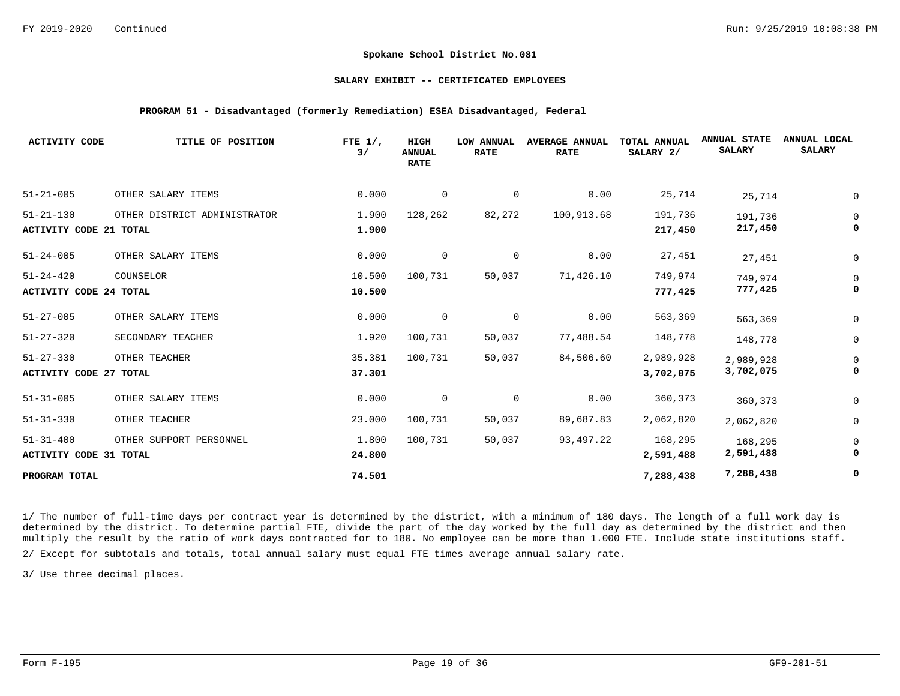#### **SALARY EXHIBIT -- CERTIFICATED EMPLOYEES**

#### **PROGRAM 51 - Disadvantaged (formerly Remediation) ESEA Disadvantaged, Federal**

| <b>ACTIVITY CODE</b>          | TITLE OF POSITION            | FTE $1/$ ,<br>3/ | HIGH<br><b>ANNUAL</b><br><b>RATE</b> | <b>LOW ANNUAL</b><br><b>RATE</b> | <b>AVERAGE ANNUAL</b><br><b>RATE</b> | TOTAL ANNUAL<br>SALARY 2/ | <b>ANNUAL STATE</b><br><b>SALARY</b> | ANNUAL LOCAL<br><b>SALARY</b> |
|-------------------------------|------------------------------|------------------|--------------------------------------|----------------------------------|--------------------------------------|---------------------------|--------------------------------------|-------------------------------|
| $51 - 21 - 005$               | OTHER SALARY ITEMS           | 0.000            | $\mathbf 0$                          | 0                                | 0.00                                 | 25,714                    | 25,714                               |                               |
| $51 - 21 - 130$               | OTHER DISTRICT ADMINISTRATOR | 1.900            | 128,262                              | 82,272                           | 100,913.68                           | 191,736                   | 191,736                              |                               |
| <b>ACTIVITY CODE 21 TOTAL</b> |                              | 1.900            |                                      |                                  |                                      | 217,450                   | 217,450                              |                               |
| $51 - 24 - 005$               | OTHER SALARY ITEMS           | 0.000            | $\mathbf 0$                          | 0                                | 0.00                                 | 27,451                    | 27,451                               |                               |
| $51 - 24 - 420$               | COUNSELOR                    | 10.500           | 100,731                              | 50,037                           | 71,426.10                            | 749,974                   | 749,974                              | 0                             |
| <b>ACTIVITY CODE 24 TOTAL</b> |                              | 10.500           |                                      |                                  |                                      | 777,425                   | 777,425                              |                               |
| $51 - 27 - 005$               | OTHER SALARY ITEMS           | 0.000            | 0                                    | $\mathbf 0$                      | 0.00                                 | 563,369                   | 563,369                              | 0                             |
| $51 - 27 - 320$               | SECONDARY TEACHER            | 1.920            | 100,731                              | 50,037                           | 77,488.54                            | 148,778                   | 148,778                              | 0                             |
| $51 - 27 - 330$               | OTHER TEACHER                | 35.381           | 100,731                              | 50,037                           | 84,506.60                            | 2,989,928                 | 2,989,928                            |                               |
| <b>ACTIVITY CODE 27 TOTAL</b> |                              | 37.301           |                                      |                                  |                                      | 3,702,075                 | 3,702,075                            |                               |
| $51 - 31 - 005$               | OTHER SALARY ITEMS           | 0.000            | 0                                    | 0                                | 0.00                                 | 360,373                   | 360,373                              | 0                             |
| $51 - 31 - 330$               | OTHER TEACHER                | 23.000           | 100,731                              | 50,037                           | 89,687.83                            | 2,062,820                 | 2,062,820                            | 0                             |
| $51 - 31 - 400$               | OTHER SUPPORT PERSONNEL      | 1.800            | 100,731                              | 50,037                           | 93,497.22                            | 168,295                   | 168,295                              |                               |
| ACTIVITY CODE 31 TOTAL        |                              | 24.800           |                                      |                                  |                                      | 2,591,488                 | 2,591,488                            |                               |
| PROGRAM TOTAL                 |                              | 74.501           |                                      |                                  |                                      | 7,288,438                 | 7,288,438                            | 0                             |

1/ The number of full-time days per contract year is determined by the district, with a minimum of 180 days. The length of a full work day is determined by the district. To determine partial FTE, divide the part of the day worked by the full day as determined by the district and then multiply the result by the ratio of work days contracted for to 180. No employee can be more than 1.000 FTE. Include state institutions staff.

2/ Except for subtotals and totals, total annual salary must equal FTE times average annual salary rate.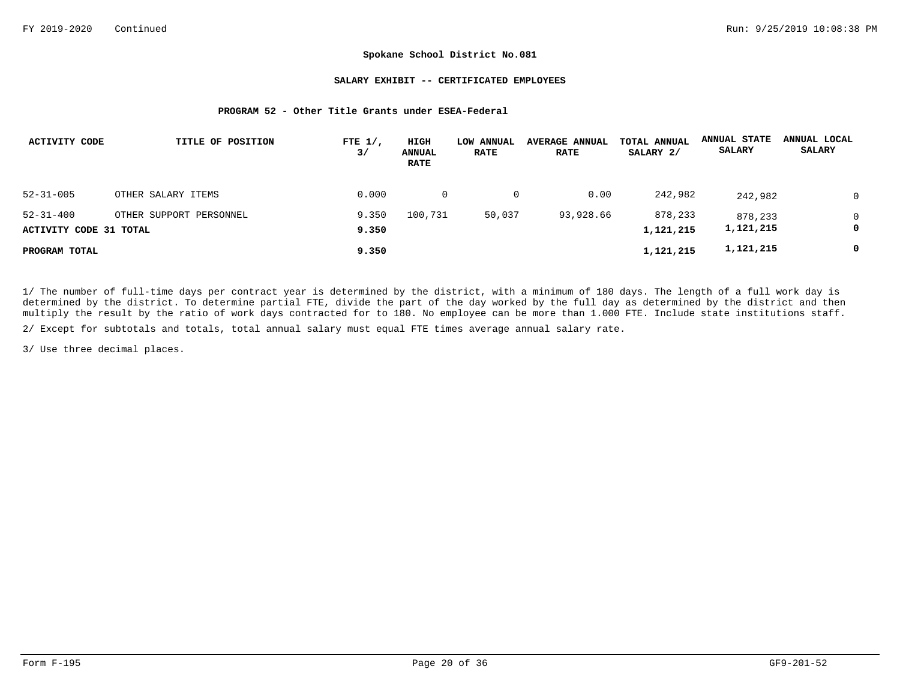#### **SALARY EXHIBIT -- CERTIFICATED EMPLOYEES**

#### **PROGRAM 52 - Other Title Grants under ESEA-Federal**

| ACTIVITY CODE                             | TITLE OF POSITION       | FTE $1/$ ,<br>3/ | HIGH<br><b>ANNUAL</b><br><b>RATE</b> | LOW ANNUAL<br><b>RATE</b> | <b>AVERAGE ANNUAL</b><br><b>RATE</b> | TOTAL ANNUAL<br>SALARY 2/ | <b>ANNUAL STATE</b><br><b>SALARY</b> | ANNUAL LOCAL<br><b>SALARY</b> |
|-------------------------------------------|-------------------------|------------------|--------------------------------------|---------------------------|--------------------------------------|---------------------------|--------------------------------------|-------------------------------|
| $52 - 31 - 005$                           | OTHER SALARY ITEMS      | 0.000            | $\overline{0}$                       | $\mathbf{0}$              | 0.00                                 | 242,982                   | 242,982                              |                               |
| $52 - 31 - 400$<br>ACTIVITY CODE 31 TOTAL | OTHER SUPPORT PERSONNEL | 9.350<br>9.350   | 100,731                              | 50,037                    | 93,928.66                            | 878,233<br>1,121,215      | 878,233<br>1,121,215                 | 0                             |
| PROGRAM TOTAL                             |                         | 9.350            |                                      |                           |                                      | 1,121,215                 | 1,121,215                            | 0                             |

1/ The number of full-time days per contract year is determined by the district, with a minimum of 180 days. The length of a full work day is determined by the district. To determine partial FTE, divide the part of the day worked by the full day as determined by the district and then multiply the result by the ratio of work days contracted for to 180. No employee can be more than 1.000 FTE. Include state institutions staff.

2/ Except for subtotals and totals, total annual salary must equal FTE times average annual salary rate.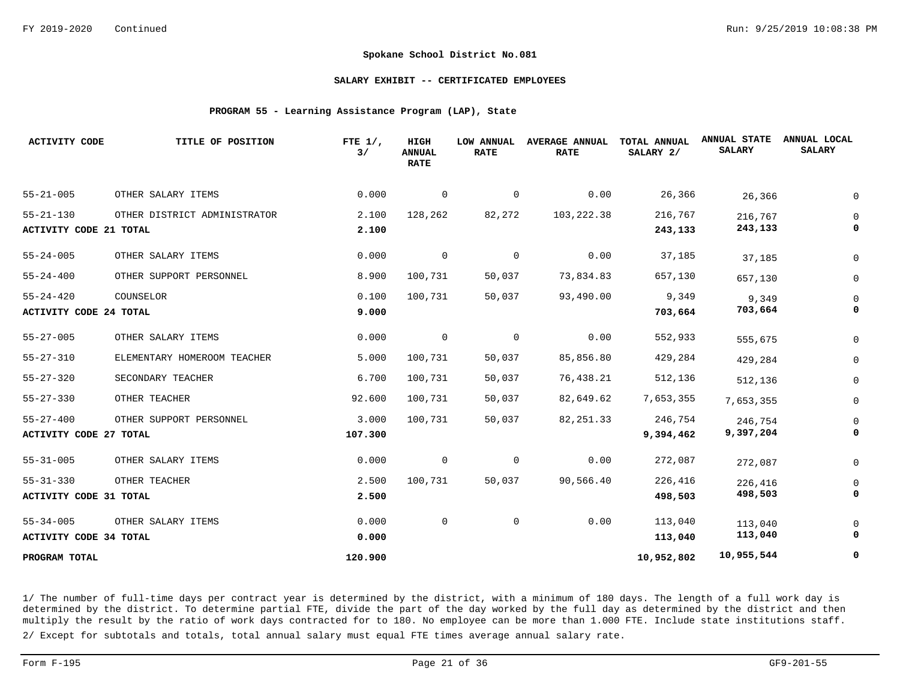#### **SALARY EXHIBIT -- CERTIFICATED EMPLOYEES**

#### **PROGRAM 55 - Learning Assistance Program (LAP), State**

| <b>ACTIVITY CODE</b>          | TITLE OF POSITION            | FTE $1/$ ,<br>3/ | HIGH<br><b>ANNUAL</b><br><b>RATE</b> | <b>LOW ANNUAL</b><br><b>RATE</b> | <b>AVERAGE ANNUAL</b><br><b>RATE</b> | TOTAL ANNUAL<br>SALARY 2/ | <b>ANNUAL STATE</b><br><b>SALARY</b> | ANNUAL LOCAL<br><b>SALARY</b> |
|-------------------------------|------------------------------|------------------|--------------------------------------|----------------------------------|--------------------------------------|---------------------------|--------------------------------------|-------------------------------|
| $55 - 21 - 005$               | OTHER SALARY ITEMS           | 0.000            | $\mathbf 0$                          | 0                                | 0.00                                 | 26,366                    | 26,366                               |                               |
| $55 - 21 - 130$               | OTHER DISTRICT ADMINISTRATOR | 2.100            | 128,262                              | 82,272                           | 103, 222.38                          | 216,767                   | 216,767                              |                               |
| <b>ACTIVITY CODE 21 TOTAL</b> |                              | 2.100            |                                      |                                  |                                      | 243,133                   | 243,133                              |                               |
| $55 - 24 - 005$               | OTHER SALARY ITEMS           | 0.000            | 0                                    | $\overline{0}$                   | 0.00                                 | 37,185                    | 37,185                               |                               |
| $55 - 24 - 400$               | OTHER SUPPORT PERSONNEL      | 8.900            | 100,731                              | 50,037                           | 73,834.83                            | 657,130                   | 657,130                              | $\Omega$                      |
| $55 - 24 - 420$               | COUNSELOR                    | 0.100            | 100,731                              | 50,037                           | 93,490.00                            | 9,349                     | 9,349                                |                               |
| <b>ACTIVITY CODE 24 TOTAL</b> |                              | 9.000            |                                      |                                  |                                      | 703,664                   | 703,664                              |                               |
| $55 - 27 - 005$               | OTHER SALARY ITEMS           | 0.000            | $\overline{0}$                       | 0                                | 0.00                                 | 552,933                   | 555,675                              | $\Omega$                      |
| $55 - 27 - 310$               | ELEMENTARY HOMEROOM TEACHER  | 5.000            | 100,731                              | 50,037                           | 85,856.80                            | 429,284                   | 429,284                              |                               |
| $55 - 27 - 320$               | SECONDARY TEACHER            | 6.700            | 100,731                              | 50,037                           | 76,438.21                            | 512,136                   | 512,136                              | $\Omega$                      |
| $55 - 27 - 330$               | OTHER TEACHER                | 92.600           | 100,731                              | 50,037                           | 82,649.62                            | 7,653,355                 | 7,653,355                            | 0                             |
| $55 - 27 - 400$               | OTHER SUPPORT PERSONNEL      | 3.000            | 100,731                              | 50,037                           | 82, 251.33                           | 246,754                   | 246,754                              |                               |
| <b>ACTIVITY CODE 27 TOTAL</b> |                              | 107.300          |                                      |                                  |                                      | 9,394,462                 | 9,397,204                            |                               |
| $55 - 31 - 005$               | OTHER SALARY ITEMS           | 0.000            | 0                                    | 0                                | 0.00                                 | 272,087                   | 272,087                              |                               |
| $55 - 31 - 330$               | OTHER TEACHER                | 2.500            | 100,731                              | 50,037                           | 90,566.40                            | 226,416                   | 226,416                              |                               |
| <b>ACTIVITY CODE 31 TOTAL</b> |                              | 2.500            |                                      |                                  |                                      | 498,503                   | 498,503                              |                               |
| $55 - 34 - 005$               | OTHER SALARY ITEMS           | 0.000            | $\mathbf 0$                          | $\mathbf 0$                      | 0.00                                 | 113,040                   | 113,040                              |                               |
| <b>ACTIVITY CODE 34 TOTAL</b> |                              | 0.000            |                                      |                                  |                                      | 113,040                   | 113,040                              |                               |
| PROGRAM TOTAL                 |                              | 120.900          |                                      |                                  |                                      | 10,952,802                | 10,955,544                           | 0                             |

1/ The number of full-time days per contract year is determined by the district, with a minimum of 180 days. The length of a full work day is determined by the district. To determine partial FTE, divide the part of the day worked by the full day as determined by the district and then multiply the result by the ratio of work days contracted for to 180. No employee can be more than 1.000 FTE. Include state institutions staff.

2/ Except for subtotals and totals, total annual salary must equal FTE times average annual salary rate.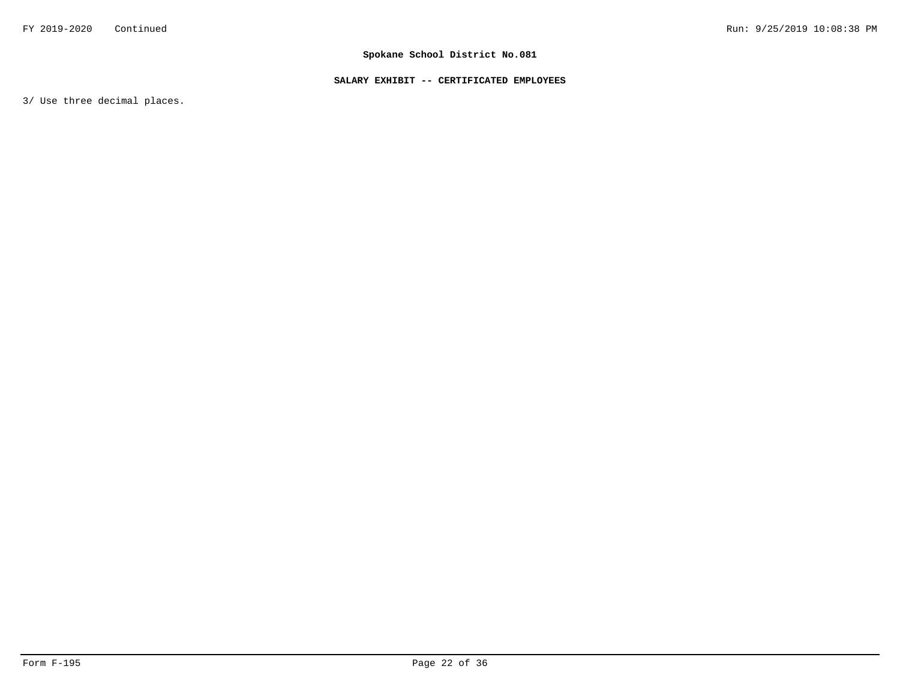# **SALARY EXHIBIT -- CERTIFICATED EMPLOYEES**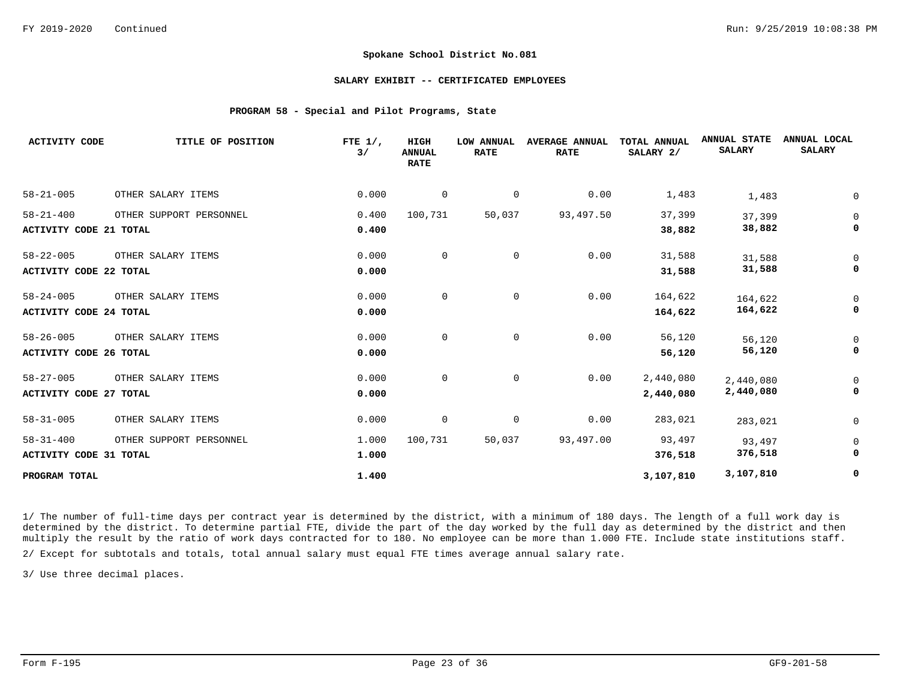### **SALARY EXHIBIT -- CERTIFICATED EMPLOYEES**

## **PROGRAM 58 - Special and Pilot Programs, State**

| <b>ACTIVITY CODE</b>          | TITLE OF POSITION       | FTE $1/$ ,<br>3/ | HIGH<br><b>ANNUAL</b><br><b>RATE</b> | <b>LOW ANNUAL</b><br><b>RATE</b> | <b>AVERAGE ANNUAL</b><br><b>RATE</b> | <b>TOTAL ANNUAL</b><br>SALARY 2/ | <b>ANNUAL STATE</b><br><b>SALARY</b> | ANNUAL LOCAL<br><b>SALARY</b> |
|-------------------------------|-------------------------|------------------|--------------------------------------|----------------------------------|--------------------------------------|----------------------------------|--------------------------------------|-------------------------------|
| $58 - 21 - 005$               | OTHER SALARY ITEMS      | 0.000            | $\mathbf 0$                          | 0                                | 0.00                                 | 1,483                            | 1,483                                |                               |
| $58 - 21 - 400$               | OTHER SUPPORT PERSONNEL | 0.400            | 100,731                              | 50,037                           | 93,497.50                            | 37,399                           | 37,399                               | 0                             |
| <b>ACTIVITY CODE 21 TOTAL</b> |                         | 0.400            |                                      |                                  |                                      | 38,882                           | 38,882                               |                               |
| $58 - 22 - 005$               | OTHER SALARY ITEMS      | 0.000            | 0                                    | $\mathsf{O}$                     | 0.00                                 | 31,588                           | 31,588                               |                               |
| <b>ACTIVITY CODE 22 TOTAL</b> |                         | 0.000            |                                      |                                  |                                      | 31,588                           | 31,588                               |                               |
| $58 - 24 - 005$               | OTHER SALARY ITEMS      | 0.000            | 0                                    | $\mathbf 0$                      | 0.00                                 | 164,622                          | 164,622                              |                               |
| <b>ACTIVITY CODE 24 TOTAL</b> |                         | 0.000            |                                      |                                  |                                      | 164,622                          | 164,622                              |                               |
| $58 - 26 - 005$               | OTHER SALARY ITEMS      | 0.000            | $\mathbf 0$                          | $\mathsf{O}$                     | 0.00                                 | 56,120                           | 56,120                               |                               |
| <b>ACTIVITY CODE 26 TOTAL</b> |                         | 0.000            |                                      |                                  |                                      | 56,120                           | 56,120                               |                               |
| $58 - 27 - 005$               | OTHER SALARY ITEMS      | 0.000            | $\mathbf 0$                          | $\mathbf 0$                      | 0.00                                 | 2,440,080                        | 2,440,080                            |                               |
| <b>ACTIVITY CODE 27 TOTAL</b> |                         | 0.000            |                                      |                                  |                                      | 2,440,080                        | 2,440,080                            |                               |
| $58 - 31 - 005$               | OTHER SALARY ITEMS      | 0.000            | 0                                    | $\mathbf 0$                      | 0.00                                 | 283,021                          | 283,021                              | 0                             |
| $58 - 31 - 400$               | OTHER SUPPORT PERSONNEL | 1.000            | 100,731                              | 50,037                           | 93,497.00                            | 93,497                           | 93,497                               |                               |
| <b>ACTIVITY CODE 31 TOTAL</b> |                         | 1.000            |                                      |                                  |                                      | 376,518                          | 376,518                              | 0                             |
| PROGRAM TOTAL                 |                         | 1.400            |                                      |                                  |                                      | 3,107,810                        | 3,107,810                            | 0                             |

1/ The number of full-time days per contract year is determined by the district, with a minimum of 180 days. The length of a full work day is determined by the district. To determine partial FTE, divide the part of the day worked by the full day as determined by the district and then multiply the result by the ratio of work days contracted for to 180. No employee can be more than 1.000 FTE. Include state institutions staff.

2/ Except for subtotals and totals, total annual salary must equal FTE times average annual salary rate.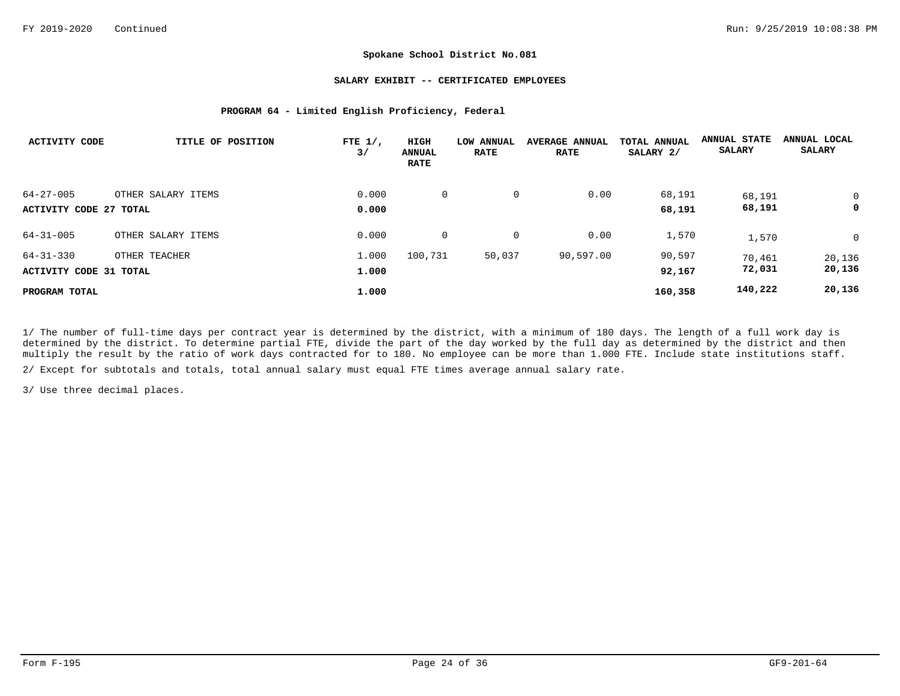## **SALARY EXHIBIT -- CERTIFICATED EMPLOYEES**

## **PROGRAM 64 - Limited English Proficiency, Federal**

| <b>ACTIVITY CODE</b>                      | TITLE OF POSITION  | FTE $1/$ ,<br>3/ | HIGH<br><b>ANNUAL</b><br><b>RATE</b> | LOW ANNUAL<br><b>RATE</b> | <b>AVERAGE ANNUAL</b><br><b>RATE</b> | TOTAL ANNUAL<br>SALARY 2/ | <b>ANNUAL STATE</b><br><b>SALARY</b> | ANNUAL LOCAL<br><b>SALARY</b> |
|-------------------------------------------|--------------------|------------------|--------------------------------------|---------------------------|--------------------------------------|---------------------------|--------------------------------------|-------------------------------|
| $64 - 27 - 005$<br>ACTIVITY CODE 27 TOTAL | OTHER SALARY ITEMS | 0.000<br>0.000   | 0                                    | 0                         | 0.00                                 | 68,191<br>68,191          | 68,191<br>68,191                     | 0<br>0                        |
| $64 - 31 - 005$                           | OTHER SALARY ITEMS | 0.000            | $\mathbf 0$                          | 0                         | 0.00                                 | 1,570                     | 1,570                                | $\mathbf 0$                   |
| $64 - 31 - 330$<br>ACTIVITY CODE 31 TOTAL | OTHER TEACHER      | 1.000<br>1.000   | 100,731                              | 50,037                    | 90,597.00                            | 90,597<br>92,167          | 70,461<br>72,031                     | 20,136<br>20,136              |
| PROGRAM TOTAL                             |                    | 1.000            |                                      |                           |                                      | 160,358                   | 140,222                              | 20,136                        |

1/ The number of full-time days per contract year is determined by the district, with a minimum of 180 days. The length of a full work day is determined by the district. To determine partial FTE, divide the part of the day worked by the full day as determined by the district and then multiply the result by the ratio of work days contracted for to 180. No employee can be more than 1.000 FTE. Include state institutions staff.

2/ Except for subtotals and totals, total annual salary must equal FTE times average annual salary rate.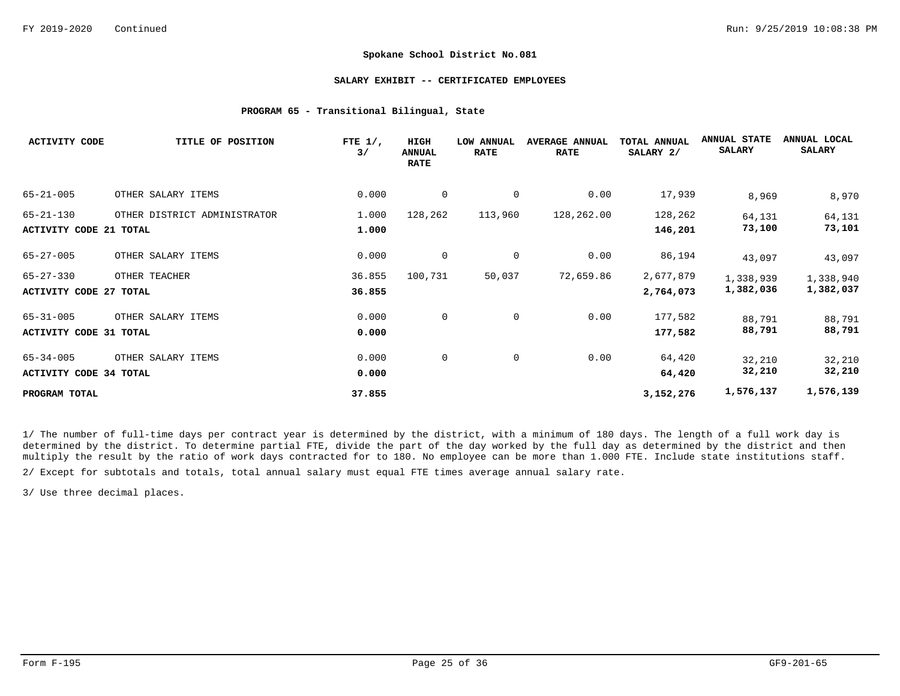## **SALARY EXHIBIT -- CERTIFICATED EMPLOYEES**

## **PROGRAM 65 - Transitional Bilingual, State**

| <b>ACTIVITY CODE</b>          | TITLE OF POSITION            | FTE $1/$ ,<br>3/ | HIGH<br><b>ANNUAL</b><br><b>RATE</b> | <b>LOW ANNUAL</b><br><b>RATE</b> | <b>AVERAGE ANNUAL</b><br><b>RATE</b> | TOTAL ANNUAL<br>SALARY 2/ | <b>ANNUAL STATE</b><br><b>SALARY</b> | ANNUAL LOCAL<br><b>SALARY</b> |
|-------------------------------|------------------------------|------------------|--------------------------------------|----------------------------------|--------------------------------------|---------------------------|--------------------------------------|-------------------------------|
| $65 - 21 - 005$               | OTHER SALARY ITEMS           | 0.000            | $\overline{0}$                       | 0                                | 0.00                                 | 17,939                    | 8,969                                | 8,970                         |
| $65 - 21 - 130$               | OTHER DISTRICT ADMINISTRATOR | 1.000            | 128,262                              | 113,960                          | 128,262.00                           | 128,262                   | 64,131                               | 64,131                        |
| <b>ACTIVITY CODE 21 TOTAL</b> |                              | 1.000            |                                      |                                  |                                      | 146,201                   | 73,100                               | 73,101                        |
| $65 - 27 - 005$               | OTHER SALARY ITEMS           | 0.000            | 0                                    | $\mathbf 0$                      | 0.00                                 | 86,194                    | 43,097                               | 43,097                        |
| $65 - 27 - 330$               | OTHER TEACHER                | 36.855           | 100,731                              | 50,037                           | 72,659.86                            | 2,677,879                 | 1,338,939                            | 1,338,940                     |
| <b>ACTIVITY CODE 27 TOTAL</b> |                              | 36.855           |                                      |                                  |                                      | 2,764,073                 | 1,382,036                            | 1,382,037                     |
| $65 - 31 - 005$               | OTHER SALARY ITEMS           | 0.000            | 0                                    | 0                                | 0.00                                 | 177,582                   | 88,791                               | 88,791                        |
| <b>ACTIVITY CODE 31 TOTAL</b> |                              | 0.000            |                                      |                                  |                                      | 177,582                   | 88,791                               | 88,791                        |
| $65 - 34 - 005$               | OTHER SALARY ITEMS           | 0.000            | 0                                    | $\mathbf 0$                      | 0.00                                 | 64,420                    | 32,210                               | 32,210                        |
| <b>ACTIVITY CODE 34 TOTAL</b> |                              | 0.000            |                                      |                                  |                                      | 64,420                    | 32,210                               | 32,210                        |
| PROGRAM TOTAL                 |                              | 37.855           |                                      |                                  |                                      | 3,152,276                 | 1,576,137                            | 1,576,139                     |

1/ The number of full-time days per contract year is determined by the district, with a minimum of 180 days. The length of a full work day is determined by the district. To determine partial FTE, divide the part of the day worked by the full day as determined by the district and then multiply the result by the ratio of work days contracted for to 180. No employee can be more than 1.000 FTE. Include state institutions staff. 2/ Except for subtotals and totals, total annual salary must equal FTE times average annual salary rate.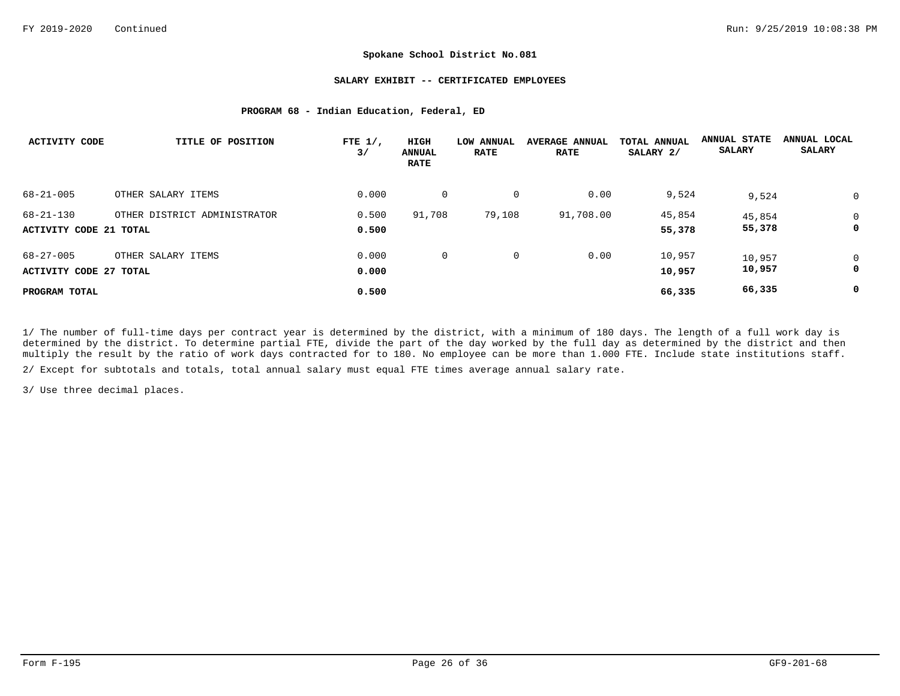## **SALARY EXHIBIT -- CERTIFICATED EMPLOYEES**

## **PROGRAM 68 - Indian Education, Federal, ED**

| ACTIVITY CODE                                    | TITLE OF POSITION            | FTE $1/$ ,<br>3/ | HIGH<br><b>ANNUAL</b><br><b>RATE</b> | <b>LOW ANNUAL</b><br><b>RATE</b> | <b>AVERAGE ANNUAL</b><br><b>RATE</b> | TOTAL ANNUAL<br>SALARY 2/ | <b>ANNUAL STATE</b><br><b>SALARY</b> | ANNUAL LOCAL<br><b>SALARY</b> |
|--------------------------------------------------|------------------------------|------------------|--------------------------------------|----------------------------------|--------------------------------------|---------------------------|--------------------------------------|-------------------------------|
| $68 - 21 - 005$                                  | OTHER SALARY ITEMS           | 0.000            | $\mathbf 0$                          | $\mathbf 0$                      | 0.00                                 | 9,524                     | 9,524                                | 0                             |
| $68 - 21 - 130$<br><b>ACTIVITY CODE 21 TOTAL</b> | OTHER DISTRICT ADMINISTRATOR | 0.500<br>0.500   | 91,708                               | 79,108                           | 91,708.00                            | 45,854<br>55,378          | 45,854<br>55,378                     | 0<br>0                        |
| $68 - 27 - 005$<br><b>ACTIVITY CODE 27 TOTAL</b> | OTHER SALARY ITEMS           | 0.000<br>0.000   | 0                                    | 0                                | 0.00                                 | 10,957<br>10,957          | 10,957<br>10,957                     | 0<br>0                        |
| PROGRAM TOTAL                                    |                              | 0.500            |                                      |                                  |                                      | 66,335                    | 66,335                               | 0                             |

1/ The number of full-time days per contract year is determined by the district, with a minimum of 180 days. The length of a full work day is determined by the district. To determine partial FTE, divide the part of the day worked by the full day as determined by the district and then multiply the result by the ratio of work days contracted for to 180. No employee can be more than 1.000 FTE. Include state institutions staff.

2/ Except for subtotals and totals, total annual salary must equal FTE times average annual salary rate.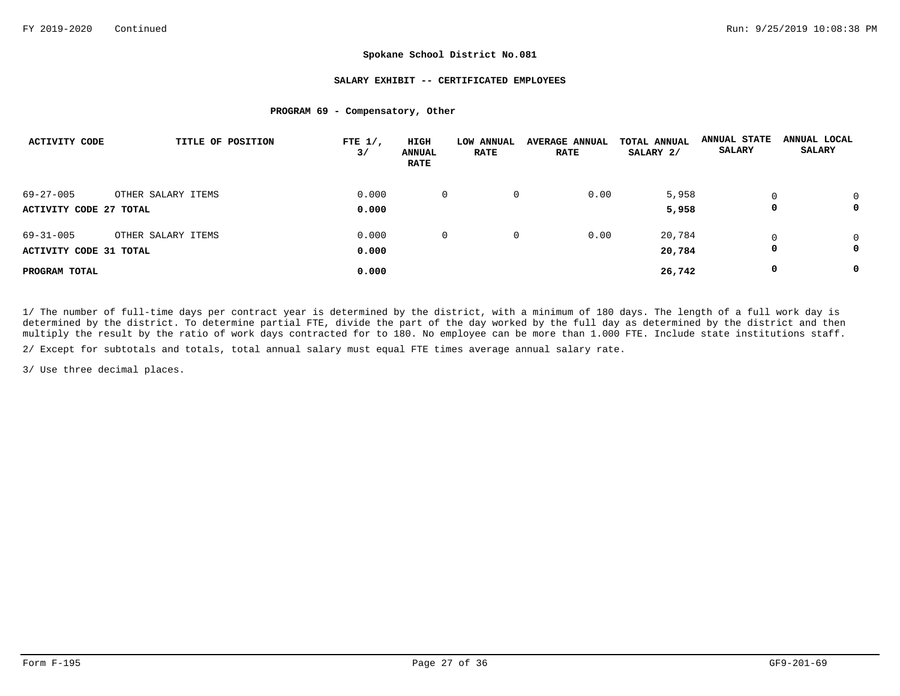## **SALARY EXHIBIT -- CERTIFICATED EMPLOYEES**

## **PROGRAM 69 - Compensatory, Other**

| <b>ACTIVITY CODE</b>                             | TITLE OF POSITION  | FTE $1/$ ,<br>3/ | HIGH<br><b>ANNUAL</b><br><b>RATE</b> | LOW ANNUAL<br><b>RATE</b> | <b>AVERAGE ANNUAL</b><br><b>RATE</b> | TOTAL ANNUAL<br>SALARY 2/ | <b>ANNUAL STATE</b><br><b>SALARY</b> | ANNUAL LOCAL<br><b>SALARY</b> |
|--------------------------------------------------|--------------------|------------------|--------------------------------------|---------------------------|--------------------------------------|---------------------------|--------------------------------------|-------------------------------|
| $69 - 27 - 005$                                  | OTHER SALARY ITEMS | 0.000            | $\overline{0}$                       | 0                         | 0.00                                 | 5,958                     | $\Omega$                             | $\Omega$                      |
| ACTIVITY CODE 27 TOTAL                           |                    | 0.000            |                                      |                           |                                      | 5,958                     | 0                                    | 0                             |
| $69 - 31 - 005$<br><b>ACTIVITY CODE 31 TOTAL</b> | OTHER SALARY ITEMS | 0.000<br>0.000   | $\mathbf{0}$                         | 0                         | 0.00                                 | 20,784<br>20,784          | 0                                    | $\Omega$<br>0                 |
| PROGRAM TOTAL                                    |                    | 0.000            |                                      |                           |                                      | 26,742                    | 0                                    | 0                             |

1/ The number of full-time days per contract year is determined by the district, with a minimum of 180 days. The length of a full work day is determined by the district. To determine partial FTE, divide the part of the day worked by the full day as determined by the district and then multiply the result by the ratio of work days contracted for to 180. No employee can be more than 1.000 FTE. Include state institutions staff.

2/ Except for subtotals and totals, total annual salary must equal FTE times average annual salary rate.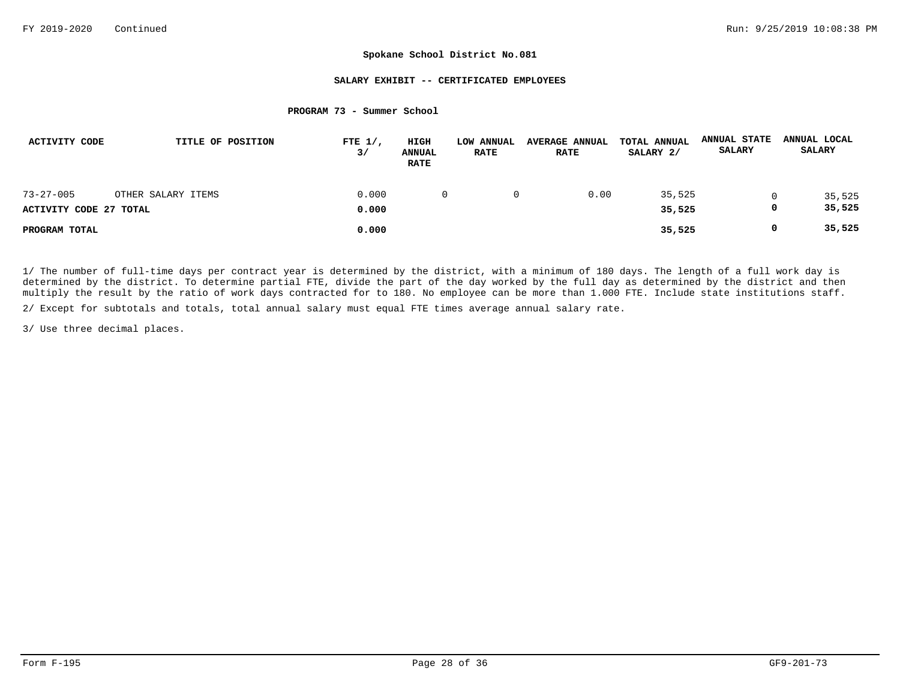## **SALARY EXHIBIT -- CERTIFICATED EMPLOYEES**

### **PROGRAM 73 - Summer School**

| <b>ACTIVITY CODE</b>   | TITLE OF POSITION  | FTE $1/$ ,<br>3/ | HIGH<br><b>ANNUAL</b><br><b>RATE</b> | LOW ANNUAL<br><b>RATE</b> | <b>AVERAGE ANNUAL</b><br><b>RATE</b> | TOTAL ANNUAL<br>SALARY 2/ | <b>ANNUAL STATE</b><br><b>SALARY</b> | ANNUAL LOCAL<br><b>SALARY</b> |
|------------------------|--------------------|------------------|--------------------------------------|---------------------------|--------------------------------------|---------------------------|--------------------------------------|-------------------------------|
| $73 - 27 - 005$        | OTHER SALARY ITEMS | 0.000            | $\Omega$                             | 0                         | 0.00                                 | 35,525                    |                                      | 35,525                        |
| ACTIVITY CODE 27 TOTAL |                    | 0.000            |                                      |                           |                                      | 35,525                    |                                      | 35,525                        |
| PROGRAM TOTAL          |                    | 0.000            |                                      |                           |                                      | 35,525                    | 0                                    | 35,525                        |

1/ The number of full-time days per contract year is determined by the district, with a minimum of 180 days. The length of a full work day is determined by the district. To determine partial FTE, divide the part of the day worked by the full day as determined by the district and then multiply the result by the ratio of work days contracted for to 180. No employee can be more than 1.000 FTE. Include state institutions staff.

2/ Except for subtotals and totals, total annual salary must equal FTE times average annual salary rate.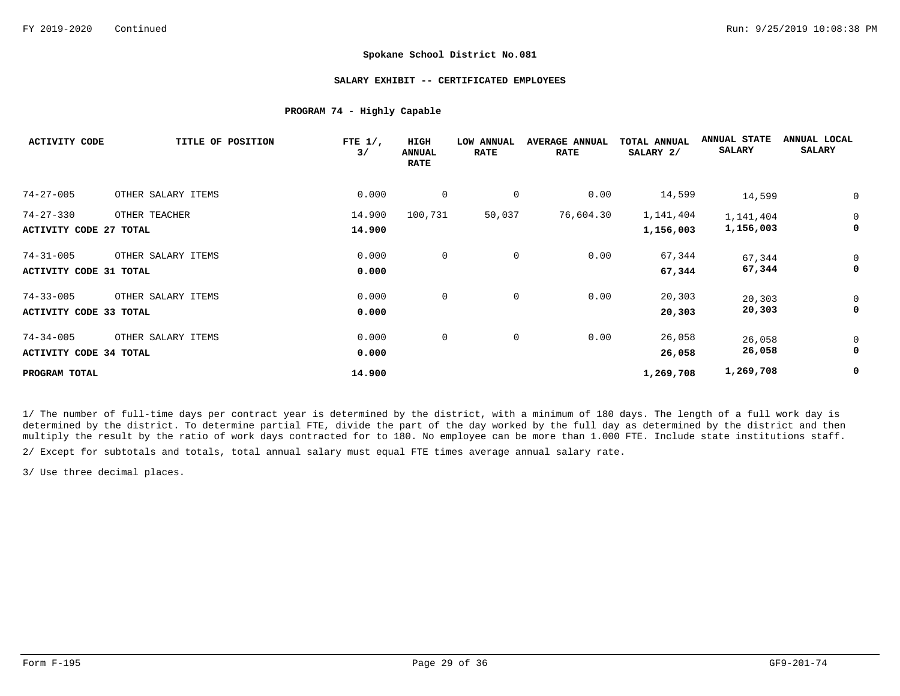## **SALARY EXHIBIT -- CERTIFICATED EMPLOYEES**

## **PROGRAM 74 - Highly Capable**

| <b>ACTIVITY CODE</b>          | TITLE OF POSITION  | FTE $1/$ ,<br>3/ | HIGH<br><b>ANNUAL</b><br><b>RATE</b> | LOW ANNUAL<br><b>RATE</b> | <b>AVERAGE ANNUAL</b><br><b>RATE</b> | <b>TOTAL ANNUAL</b><br>SALARY 2/ | <b>ANNUAL STATE</b><br><b>SALARY</b> | ANNUAL LOCAL<br><b>SALARY</b> |
|-------------------------------|--------------------|------------------|--------------------------------------|---------------------------|--------------------------------------|----------------------------------|--------------------------------------|-------------------------------|
| $74 - 27 - 005$               | OTHER SALARY ITEMS | 0.000            | 0                                    | 0                         | 0.00                                 | 14,599                           | 14,599                               |                               |
| $74 - 27 - 330$               | OTHER TEACHER      | 14.900           | 100,731                              | 50,037                    | 76,604.30                            | 1,141,404                        | 1,141,404                            | $\mathbf 0$                   |
| <b>ACTIVITY CODE 27 TOTAL</b> |                    | 14.900           |                                      |                           |                                      | 1,156,003                        | 1,156,003                            | 0                             |
| $74 - 31 - 005$               | OTHER SALARY ITEMS | 0.000            | $\mathbf 0$                          | 0                         | 0.00                                 | 67,344                           | 67,344                               | 0                             |
| <b>ACTIVITY CODE 31 TOTAL</b> |                    | 0.000            |                                      |                           |                                      | 67,344                           | 67,344                               | 0                             |
| $74 - 33 - 005$               | OTHER SALARY ITEMS | 0.000            | 0                                    | 0                         | 0.00                                 | 20,303                           | 20,303                               | 0                             |
| <b>ACTIVITY CODE 33 TOTAL</b> |                    | 0.000            |                                      |                           |                                      | 20,303                           | 20,303                               | 0                             |
| $74 - 34 - 005$               | OTHER SALARY ITEMS | 0.000            | 0                                    | $\mathbf 0$               | 0.00                                 | 26,058                           | 26,058                               | 0                             |
| ACTIVITY CODE 34 TOTAL        |                    | 0.000            |                                      |                           |                                      | 26,058                           | 26,058                               | 0                             |
| PROGRAM TOTAL                 |                    | 14.900           |                                      |                           |                                      | 1,269,708                        | 1,269,708                            | 0                             |

1/ The number of full-time days per contract year is determined by the district, with a minimum of 180 days. The length of a full work day is determined by the district. To determine partial FTE, divide the part of the day worked by the full day as determined by the district and then multiply the result by the ratio of work days contracted for to 180. No employee can be more than 1.000 FTE. Include state institutions staff.

2/ Except for subtotals and totals, total annual salary must equal FTE times average annual salary rate.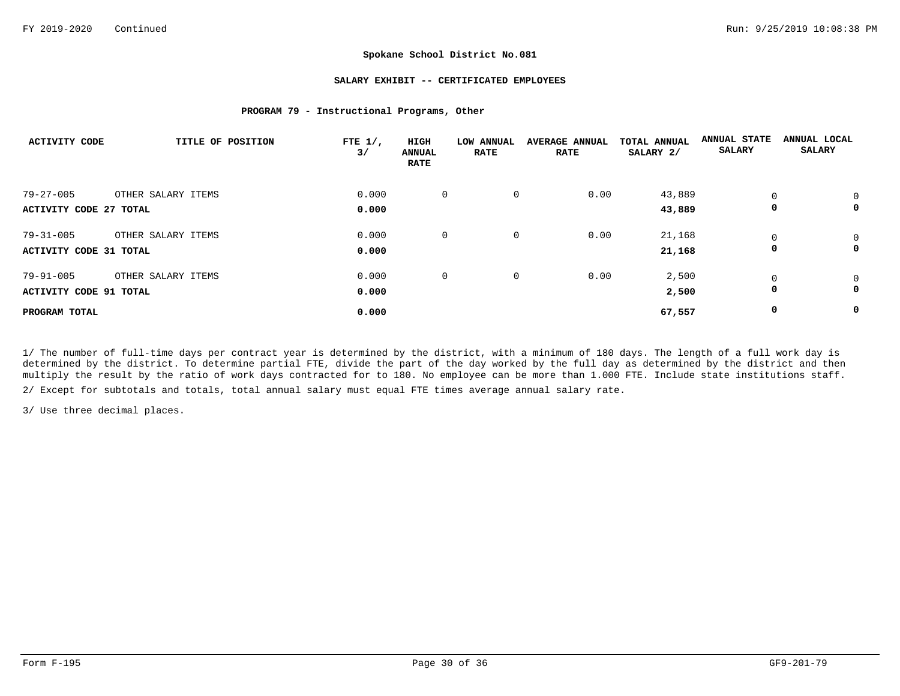## **SALARY EXHIBIT -- CERTIFICATED EMPLOYEES**

## **PROGRAM 79 - Instructional Programs, Other**

| <b>ACTIVITY CODE</b>   | TITLE OF POSITION  | FTE $1/$ ,<br>3/ | HIGH<br><b>ANNUAL</b><br><b>RATE</b> | LOW ANNUAL<br><b>RATE</b> | <b>AVERAGE ANNUAL</b><br><b>RATE</b> | TOTAL ANNUAL<br>SALARY 2/ | <b>ANNUAL STATE</b><br><b>SALARY</b> | ANNUAL LOCAL<br><b>SALARY</b> |
|------------------------|--------------------|------------------|--------------------------------------|---------------------------|--------------------------------------|---------------------------|--------------------------------------|-------------------------------|
| $79 - 27 - 005$        | OTHER SALARY ITEMS | 0.000            | $\mathbf 0$                          | 0                         | 0.00                                 | 43,889                    | $\Omega$                             | 0                             |
| ACTIVITY CODE 27 TOTAL |                    | 0.000            |                                      |                           |                                      | 43,889                    | 0                                    | 0                             |
| $79 - 31 - 005$        | OTHER SALARY ITEMS | 0.000            | 0                                    | 0                         | 0.00                                 | 21,168                    | $\Omega$                             | $\mathbf 0$                   |
| ACTIVITY CODE 31 TOTAL |                    | 0.000            |                                      |                           |                                      | 21,168                    | 0                                    | 0                             |
| $79 - 91 - 005$        | OTHER SALARY ITEMS | 0.000            | 0                                    | 0                         | 0.00                                 | 2,500                     | 0                                    | $\mathbf 0$                   |
| ACTIVITY CODE 91 TOTAL |                    | 0.000            |                                      |                           |                                      | 2,500                     | 0                                    | 0                             |
| PROGRAM TOTAL          |                    | 0.000            |                                      |                           |                                      | 67,557                    | 0                                    | 0                             |

1/ The number of full-time days per contract year is determined by the district, with a minimum of 180 days. The length of a full work day is determined by the district. To determine partial FTE, divide the part of the day worked by the full day as determined by the district and then multiply the result by the ratio of work days contracted for to 180. No employee can be more than 1.000 FTE. Include state institutions staff.

2/ Except for subtotals and totals, total annual salary must equal FTE times average annual salary rate.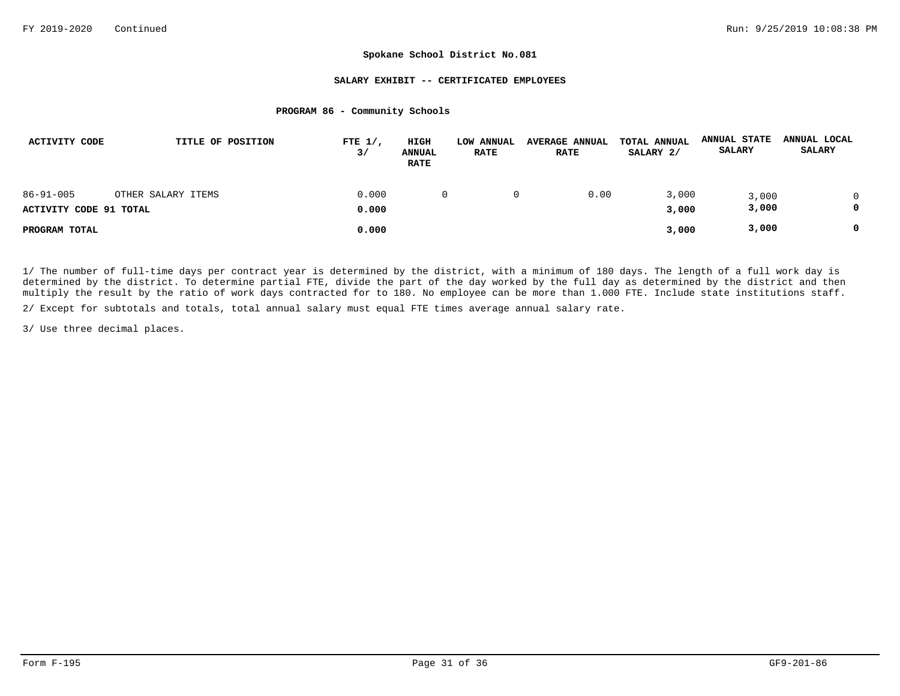## **SALARY EXHIBIT -- CERTIFICATED EMPLOYEES**

### **PROGRAM 86 - Community Schools**

| ACTIVITY CODE          | TITLE OF POSITION  | FTE $1/$ ,<br>3/ | HIGH<br><b>ANNUAL</b><br><b>RATE</b> | LOW ANNUAL<br><b>RATE</b> | <b>AVERAGE ANNUAL</b><br><b>RATE</b> | TOTAL ANNUAL<br>SALARY 2/ | <b>ANNUAL STATE</b><br><b>SALARY</b> | ANNUAL LOCAL<br><b>SALARY</b> |
|------------------------|--------------------|------------------|--------------------------------------|---------------------------|--------------------------------------|---------------------------|--------------------------------------|-------------------------------|
| $86 - 91 - 005$        | OTHER SALARY ITEMS | 0.000            | $\Omega$                             |                           | 0.00                                 | 3,000                     | 3,000                                |                               |
| ACTIVITY CODE 91 TOTAL |                    | 0.000            |                                      |                           |                                      | 3,000                     | 3,000                                |                               |
| PROGRAM TOTAL          |                    | 0.000            |                                      |                           |                                      | 3,000                     | 3,000                                |                               |

1/ The number of full-time days per contract year is determined by the district, with a minimum of 180 days. The length of a full work day is determined by the district. To determine partial FTE, divide the part of the day worked by the full day as determined by the district and then multiply the result by the ratio of work days contracted for to 180. No employee can be more than 1.000 FTE. Include state institutions staff.

2/ Except for subtotals and totals, total annual salary must equal FTE times average annual salary rate.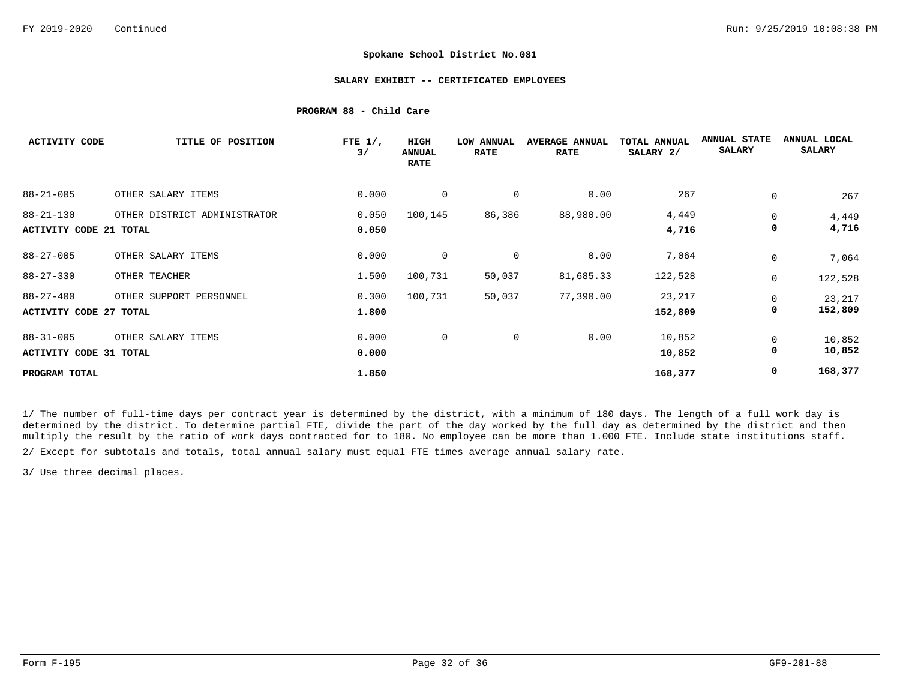## **SALARY EXHIBIT -- CERTIFICATED EMPLOYEES**

## **PROGRAM 88 - Child Care**

| <b>ACTIVITY CODE</b>          | TITLE OF POSITION            | FTE $1/$ ,<br>3/ | HIGH<br><b>ANNUAL</b><br><b>RATE</b> | LOW ANNUAL<br><b>RATE</b> | <b>AVERAGE ANNUAL</b><br><b>RATE</b> | TOTAL ANNUAL<br>SALARY 2/ | <b>ANNUAL STATE</b><br><b>SALARY</b> | ANNUAL LOCAL<br><b>SALARY</b> |
|-------------------------------|------------------------------|------------------|--------------------------------------|---------------------------|--------------------------------------|---------------------------|--------------------------------------|-------------------------------|
| $88 - 21 - 005$               | OTHER SALARY ITEMS           | 0.000            | 0                                    | 0                         | 0.00                                 | 267                       | 0                                    | 267                           |
| $88 - 21 - 130$               | OTHER DISTRICT ADMINISTRATOR | 0.050            | 100,145                              | 86,386                    | 88,980.00                            | 4,449                     | 0                                    | 4,449                         |
| <b>ACTIVITY CODE 21 TOTAL</b> |                              | 0.050            |                                      |                           |                                      | 4,716                     | 0                                    | 4,716                         |
| $88 - 27 - 005$               | OTHER SALARY ITEMS           | 0.000            | $\mathbf 0$                          | 0                         | 0.00                                 | 7,064                     | 0                                    | 7,064                         |
| $88 - 27 - 330$               | OTHER TEACHER                | 1.500            | 100,731                              | 50,037                    | 81,685.33                            | 122,528                   | 0                                    | 122,528                       |
| $88 - 27 - 400$               | OTHER SUPPORT PERSONNEL      | 0.300            | 100,731                              | 50,037                    | 77,390.00                            | 23,217                    | 0                                    | 23,217                        |
| <b>ACTIVITY CODE 27 TOTAL</b> |                              | 1.800            |                                      |                           |                                      | 152,809                   | 0                                    | 152,809                       |
| $88 - 31 - 005$               | OTHER SALARY ITEMS           | 0.000            | $\mathbf 0$                          | $\mathbf 0$               | 0.00                                 | 10,852                    | 0                                    | 10,852                        |
| <b>ACTIVITY CODE 31 TOTAL</b> |                              | 0.000            |                                      |                           |                                      | 10,852                    | 0                                    | 10,852                        |
| PROGRAM TOTAL                 |                              | 1.850            |                                      |                           |                                      | 168,377                   | 0                                    | 168,377                       |

1/ The number of full-time days per contract year is determined by the district, with a minimum of 180 days. The length of a full work day is determined by the district. To determine partial FTE, divide the part of the day worked by the full day as determined by the district and then multiply the result by the ratio of work days contracted for to 180. No employee can be more than 1.000 FTE. Include state institutions staff.

2/ Except for subtotals and totals, total annual salary must equal FTE times average annual salary rate.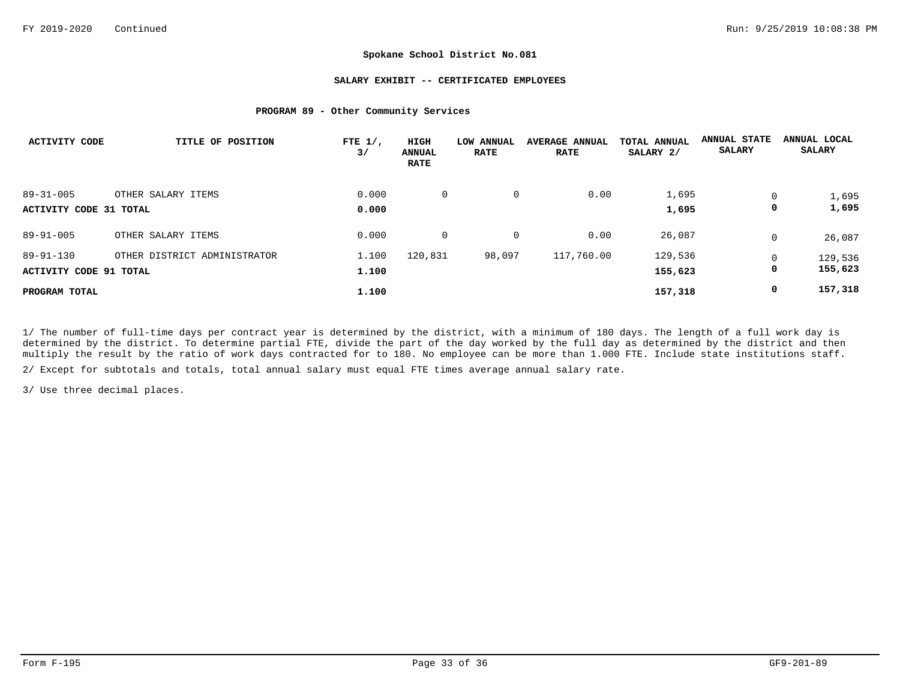## **SALARY EXHIBIT -- CERTIFICATED EMPLOYEES**

## **PROGRAM 89 - Other Community Services**

| ACTIVITY CODE          | TITLE OF POSITION            | FTE $1/$ ,<br>3/ | HIGH<br><b>ANNUAL</b><br><b>RATE</b> | LOW<br><b>ANNUAL</b><br><b>RATE</b> | <b>AVERAGE ANNUAL</b><br><b>RATE</b> | TOTAL ANNUAL<br>SALARY 2/ | <b>ANNUAL STATE</b><br><b>SALARY</b> | ANNUAL LOCAL<br><b>SALARY</b> |
|------------------------|------------------------------|------------------|--------------------------------------|-------------------------------------|--------------------------------------|---------------------------|--------------------------------------|-------------------------------|
| $89 - 31 - 005$        | OTHER SALARY ITEMS           | 0.000            | $\mathbf 0$                          | 0                                   | 0.00                                 | 1,695                     | $\Omega$                             | 1,695                         |
| ACTIVITY CODE 31 TOTAL |                              | 0.000            |                                      |                                     |                                      | 1,695                     | 0                                    | 1,695                         |
| $89 - 91 - 005$        | OTHER SALARY ITEMS           | 0.000            | 0                                    | $\mathbf{0}$                        | 0.00                                 | 26,087                    | $\Omega$                             | 26,087                        |
| $89 - 91 - 130$        | OTHER DISTRICT ADMINISTRATOR | 1.100            | 120,831                              | 98,097                              | 117,760.00                           | 129,536                   | $\Omega$                             | 129,536                       |
| ACTIVITY CODE 91 TOTAL |                              | 1.100            |                                      |                                     |                                      | 155,623                   | 0                                    | 155,623                       |
| PROGRAM TOTAL          |                              | 1.100            |                                      |                                     |                                      | 157,318                   | 0                                    | 157,318                       |

1/ The number of full-time days per contract year is determined by the district, with a minimum of 180 days. The length of a full work day is determined by the district. To determine partial FTE, divide the part of the day worked by the full day as determined by the district and then multiply the result by the ratio of work days contracted for to 180. No employee can be more than 1.000 FTE. Include state institutions staff.

2/ Except for subtotals and totals, total annual salary must equal FTE times average annual salary rate.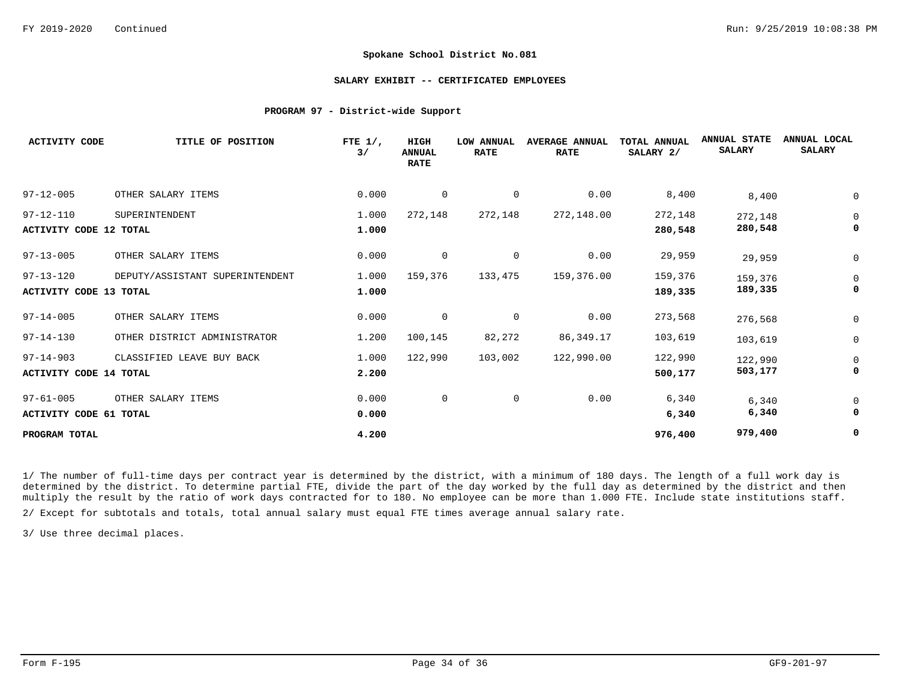### **SALARY EXHIBIT -- CERTIFICATED EMPLOYEES**

## **PROGRAM 97 - District-wide Support**

| <b>ACTIVITY CODE</b>          | TITLE OF POSITION               | FTE $1/$ ,<br>$\frac{3}{ }$ | <b>HIGH</b><br><b>ANNUAL</b><br><b>RATE</b> | <b>LOW ANNUAL</b><br><b>RATE</b> | <b>AVERAGE ANNUAL</b><br><b>RATE</b> | TOTAL ANNUAL<br>SALARY 2/ | <b>ANNUAL STATE</b><br><b>SALARY</b> | ANNUAL LOCAL<br><b>SALARY</b> |
|-------------------------------|---------------------------------|-----------------------------|---------------------------------------------|----------------------------------|--------------------------------------|---------------------------|--------------------------------------|-------------------------------|
| $97 - 12 - 005$               | OTHER SALARY ITEMS              | 0.000                       | 0                                           | 0                                | 0.00                                 | 8,400                     | 8,400                                | 0                             |
| $97 - 12 - 110$               | SUPERINTENDENT                  | 1.000                       | 272,148                                     | 272,148                          | 272,148.00                           | 272,148                   | 272,148                              | 0                             |
| <b>ACTIVITY CODE 12 TOTAL</b> |                                 | 1.000                       |                                             |                                  |                                      | 280,548                   | 280,548                              | 0                             |
| $97 - 13 - 005$               | OTHER SALARY ITEMS              | 0.000                       | 0                                           | 0                                | 0.00                                 | 29,959                    | 29,959                               | 0                             |
| $97 - 13 - 120$               | DEPUTY/ASSISTANT SUPERINTENDENT | 1.000                       | 159,376                                     | 133,475                          | 159,376.00                           | 159,376                   | 159,376                              | 0                             |
| ACTIVITY CODE 13 TOTAL        |                                 | 1.000                       |                                             |                                  |                                      | 189,335                   | 189,335                              | 0                             |
| $97 - 14 - 005$               | OTHER SALARY ITEMS              | 0.000                       | $\mathbf 0$                                 | 0                                | 0.00                                 | 273,568                   | 276,568                              | 0                             |
| $97 - 14 - 130$               | OTHER DISTRICT ADMINISTRATOR    | 1.200                       | 100,145                                     | 82,272                           | 86,349.17                            | 103,619                   | 103,619                              | 0                             |
| $97 - 14 - 903$               | CLASSIFIED LEAVE BUY BACK       | 1.000                       | 122,990                                     | 103,002                          | 122,990.00                           | 122,990                   | 122,990                              | 0                             |
| ACTIVITY CODE 14 TOTAL        |                                 | 2.200                       |                                             |                                  |                                      | 500,177                   | 503,177                              | 0                             |
| $97 - 61 - 005$               | OTHER SALARY ITEMS              | 0.000                       | 0                                           | 0                                | 0.00                                 | 6,340                     | 6,340                                | 0                             |
| <b>ACTIVITY CODE 61 TOTAL</b> |                                 | 0.000                       |                                             |                                  |                                      | 6,340                     | 6,340                                | 0                             |
| PROGRAM TOTAL                 |                                 | 4.200                       |                                             |                                  |                                      | 976,400                   | 979,400                              | 0                             |

1/ The number of full-time days per contract year is determined by the district, with a minimum of 180 days. The length of a full work day is determined by the district. To determine partial FTE, divide the part of the day worked by the full day as determined by the district and then multiply the result by the ratio of work days contracted for to 180. No employee can be more than 1.000 FTE. Include state institutions staff.

2/ Except for subtotals and totals, total annual salary must equal FTE times average annual salary rate.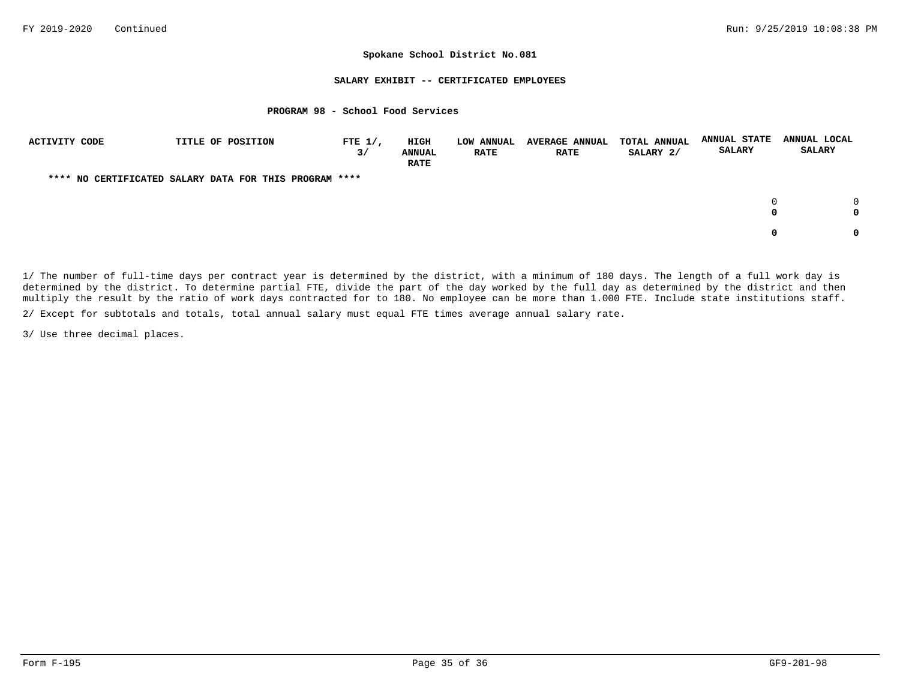## **SALARY EXHIBIT -- CERTIFICATED EMPLOYEES**

## **PROGRAM 98 - School Food Services**

| ACTIVITY CODE | TITLE OF POSITION                                      | FTE $1/$ ,<br>3/ | HIGH<br><b>ANNUAL</b><br><b>RATE</b> | <b>LOW ANNUAL</b><br><b>RATE</b> | <b>AVERAGE ANNUAL</b><br><b>RATE</b> | <b>TOTAL ANNUAL</b><br>SALARY 2/ | <b>ANNUAL STATE</b><br><b>SALARY</b> | ANNUAL LOCAL<br><b>SALARY</b> |
|---------------|--------------------------------------------------------|------------------|--------------------------------------|----------------------------------|--------------------------------------|----------------------------------|--------------------------------------|-------------------------------|
|               | **** NO CERTIFICATED SALARY DATA FOR THIS PROGRAM **** |                  |                                      |                                  |                                      |                                  |                                      |                               |
|               |                                                        |                  |                                      |                                  |                                      |                                  | 0<br>0                               |                               |
|               |                                                        |                  |                                      |                                  |                                      |                                  | 0                                    |                               |

1/ The number of full-time days per contract year is determined by the district, with a minimum of 180 days. The length of a full work day is determined by the district. To determine partial FTE, divide the part of the day worked by the full day as determined by the district and then multiply the result by the ratio of work days contracted for to 180. No employee can be more than 1.000 FTE. Include state institutions staff.

2/ Except for subtotals and totals, total annual salary must equal FTE times average annual salary rate.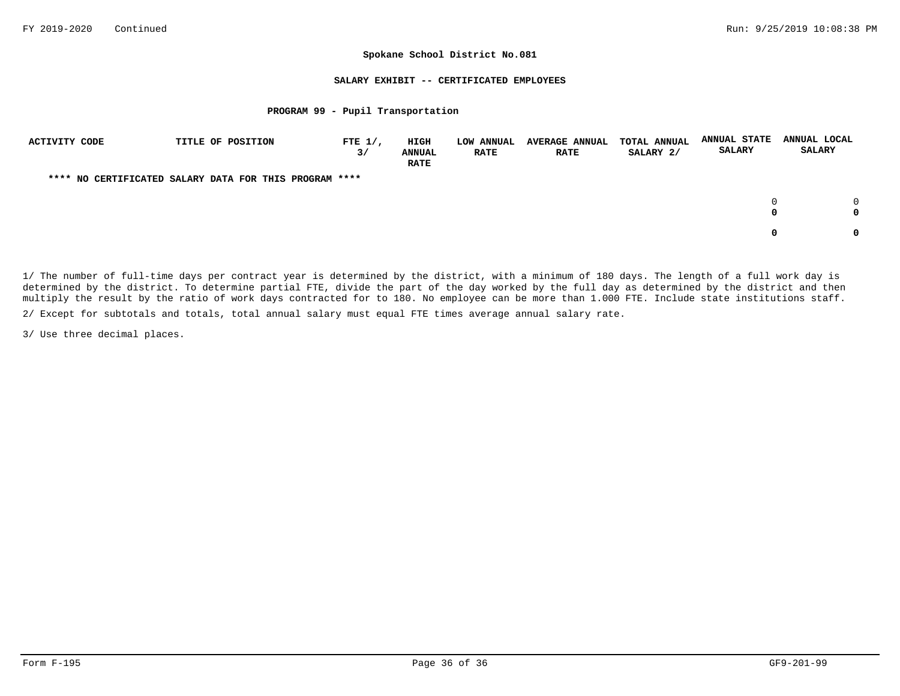## **SALARY EXHIBIT -- CERTIFICATED EMPLOYEES**

## **PROGRAM 99 - Pupil Transportation**

| ACTIVITY CODE | TITLE OF POSITION                                      | FTE $1/$ ,<br>3/ | HIGH<br><b>ANNUAL</b><br><b>RATE</b> | LOW ANNUAL<br><b>RATE</b> | <b>AVERAGE ANNUAL</b><br><b>RATE</b> | <b>TOTAL ANNUAL</b><br>SALARY 2/ | <b>ANNUAL STATE</b><br><b>SALARY</b> | ANNUAL LOCAL<br><b>SALARY</b> |
|---------------|--------------------------------------------------------|------------------|--------------------------------------|---------------------------|--------------------------------------|----------------------------------|--------------------------------------|-------------------------------|
|               | **** NO CERTIFICATED SALARY DATA FOR THIS PROGRAM **** |                  |                                      |                           |                                      |                                  |                                      |                               |
|               |                                                        |                  |                                      |                           |                                      |                                  | 0<br>0                               |                               |
|               |                                                        |                  |                                      |                           |                                      |                                  | 0                                    |                               |

1/ The number of full-time days per contract year is determined by the district, with a minimum of 180 days. The length of a full work day is determined by the district. To determine partial FTE, divide the part of the day worked by the full day as determined by the district and then multiply the result by the ratio of work days contracted for to 180. No employee can be more than 1.000 FTE. Include state institutions staff.

2/ Except for subtotals and totals, total annual salary must equal FTE times average annual salary rate.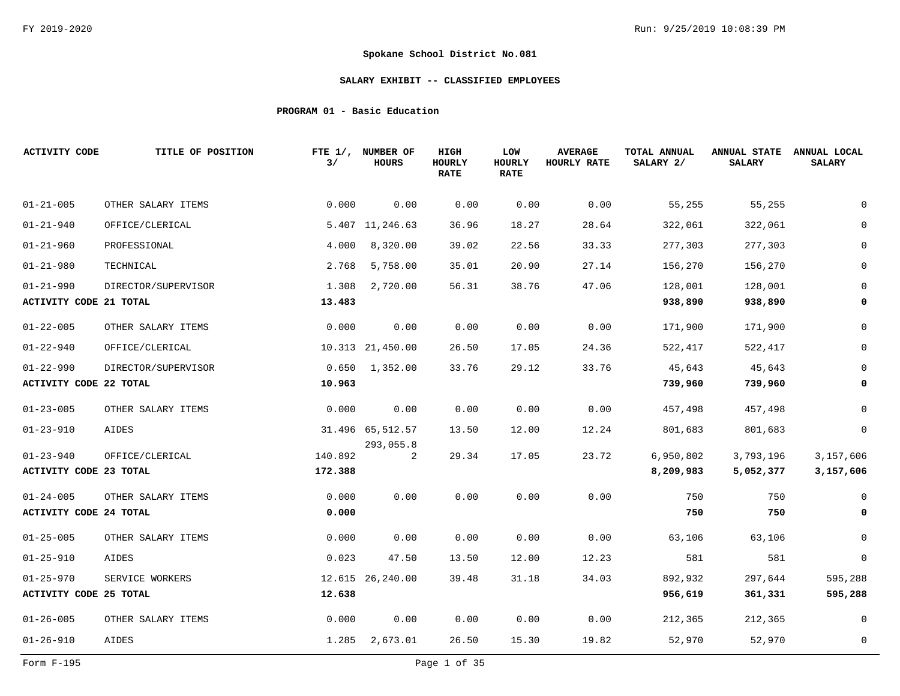# **SALARY EXHIBIT -- CLASSIFIED EMPLOYEES**

# **PROGRAM 01 - Basic Education**

| <b>ACTIVITY CODE</b>          | TITLE OF POSITION   | 3/      | FTE 1/, NUMBER OF<br><b>HOURS</b> | HIGH<br>HOURLY<br><b>RATE</b> | LOW<br><b>HOURLY</b><br><b>RATE</b> | <b>AVERAGE</b><br>HOURLY RATE | TOTAL ANNUAL<br>SALARY 2/ | <b>ANNUAL STATE</b><br><b>SALARY</b> | ANNUAL LOCAL<br><b>SALARY</b> |
|-------------------------------|---------------------|---------|-----------------------------------|-------------------------------|-------------------------------------|-------------------------------|---------------------------|--------------------------------------|-------------------------------|
| $01 - 21 - 005$               | OTHER SALARY ITEMS  | 0.000   | 0.00                              | 0.00                          | 0.00                                | 0.00                          | 55,255                    | 55,255                               |                               |
| $01 - 21 - 940$               | OFFICE/CLERICAL     |         | 5.407 11,246.63                   | 36.96                         | 18.27                               | 28.64                         | 322,061                   | 322,061                              |                               |
| $01 - 21 - 960$               | PROFESSIONAL        | 4.000   | 8,320.00                          | 39.02                         | 22.56                               | 33.33                         | 277,303                   | 277,303                              | $\Omega$                      |
| $01 - 21 - 980$               | TECHNICAL           | 2.768   | 5,758.00                          | 35.01                         | 20.90                               | 27.14                         | 156,270                   | 156,270                              |                               |
| $01 - 21 - 990$               | DIRECTOR/SUPERVISOR | 1.308   | 2,720.00                          | 56.31                         | 38.76                               | 47.06                         | 128,001                   | 128,001                              | $\Omega$                      |
| <b>ACTIVITY CODE 21 TOTAL</b> |                     | 13.483  |                                   |                               |                                     |                               | 938,890                   | 938,890                              | 0                             |
| $01 - 22 - 005$               | OTHER SALARY ITEMS  | 0.000   | 0.00                              | 0.00                          | 0.00                                | 0.00                          | 171,900                   | 171,900                              | $\Omega$                      |
| $01 - 22 - 940$               | OFFICE/CLERICAL     |         | 10.313 21,450.00                  | 26.50                         | 17.05                               | 24.36                         | 522,417                   | 522,417                              |                               |
| $01 - 22 - 990$               | DIRECTOR/SUPERVISOR |         | $0.650$ 1,352.00                  | 33.76                         | 29.12                               | 33.76                         | 45,643                    | 45,643                               | $\Omega$                      |
| <b>ACTIVITY CODE 22 TOTAL</b> |                     | 10.963  |                                   |                               |                                     |                               | 739,960                   | 739,960                              | 0                             |
| $01 - 23 - 005$               | OTHER SALARY ITEMS  | 0.000   | 0.00                              | 0.00                          | 0.00                                | 0.00                          | 457,498                   | 457,498                              | $\Omega$                      |
| $01 - 23 - 910$               | AIDES               |         | 31.496 65,512.57                  | 13.50                         | 12.00                               | 12.24                         | 801,683                   | 801,683                              | 0                             |
| $01 - 23 - 940$               | OFFICE/CLERICAL     | 140.892 | 293,055.8<br>2                    | 29.34                         | 17.05                               | 23.72                         | 6,950,802                 | 3,793,196                            | 3,157,606                     |
| <b>ACTIVITY CODE 23 TOTAL</b> |                     | 172.388 |                                   |                               |                                     |                               | 8,209,983                 | 5,052,377                            | 3,157,606                     |
| $01 - 24 - 005$               | OTHER SALARY ITEMS  | 0.000   | 0.00                              | 0.00                          | 0.00                                | 0.00                          | 750                       | 750                                  | $\Omega$                      |
| <b>ACTIVITY CODE 24 TOTAL</b> |                     | 0.000   |                                   |                               |                                     |                               | 750                       | 750                                  | 0                             |
| $01 - 25 - 005$               | OTHER SALARY ITEMS  | 0.000   | 0.00                              | 0.00                          | 0.00                                | 0.00                          | 63,106                    | 63,106                               | 0                             |
| $01 - 25 - 910$               | AIDES               | 0.023   | 47.50                             | 13.50                         | 12.00                               | 12.23                         | 581                       | 581                                  | $\overline{0}$                |
| $01 - 25 - 970$               | SERVICE WORKERS     |         | 12.615 26,240.00                  | 39.48                         | 31.18                               | 34.03                         | 892,932                   | 297,644                              | 595,288                       |
| <b>ACTIVITY CODE 25 TOTAL</b> |                     | 12.638  |                                   |                               |                                     |                               | 956,619                   | 361,331                              | 595,288                       |
| $01 - 26 - 005$               | OTHER SALARY ITEMS  | 0.000   | 0.00                              | 0.00                          | 0.00                                | 0.00                          | 212,365                   | 212,365                              | 0                             |
| $01 - 26 - 910$               | AIDES               |         | 1.285 2,673.01                    | 26.50                         | 15.30                               | 19.82                         | 52,970                    | 52,970                               | $\mathbf 0$                   |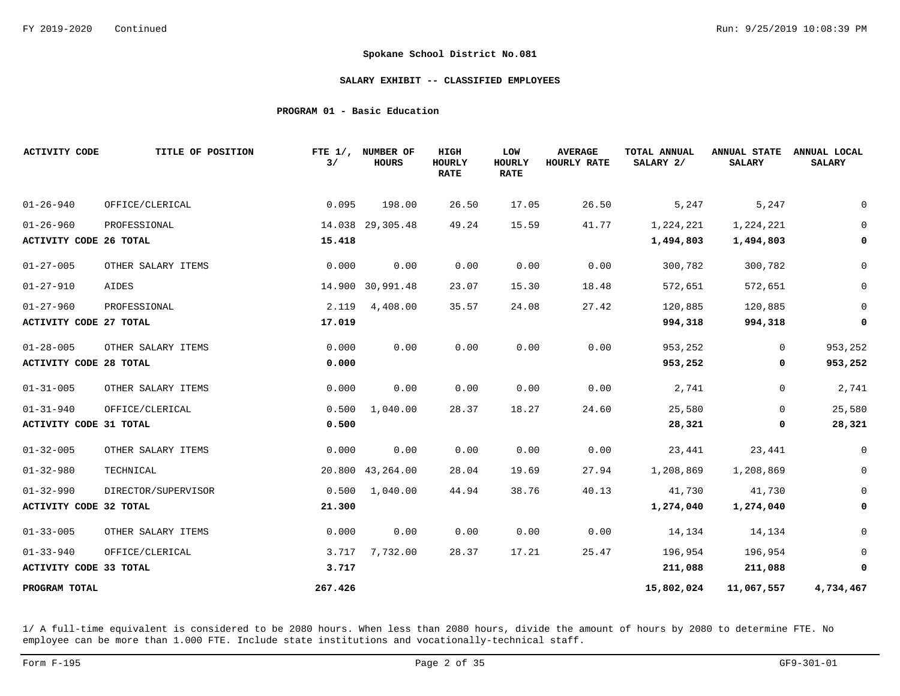### **SALARY EXHIBIT -- CLASSIFIED EMPLOYEES**

# **PROGRAM 01 - Basic Education**

| <b>ACTIVITY CODE</b>          | TITLE OF POSITION   | 3/      | FTE 1/, NUMBER OF<br><b>HOURS</b> | <b>HIGH</b><br>HOURLY<br><b>RATE</b> | LOW<br><b>HOURLY</b><br><b>RATE</b> | <b>AVERAGE</b><br>HOURLY RATE | TOTAL ANNUAL<br>SALARY 2/ | <b>ANNUAL STATE</b><br><b>SALARY</b> | ANNUAL LOCAL<br><b>SALARY</b> |
|-------------------------------|---------------------|---------|-----------------------------------|--------------------------------------|-------------------------------------|-------------------------------|---------------------------|--------------------------------------|-------------------------------|
| $01 - 26 - 940$               | OFFICE/CLERICAL     | 0.095   | 198.00                            | 26.50                                | 17.05                               | 26.50                         | 5,247                     | 5,247                                | 0                             |
| $01 - 26 - 960$               | PROFESSIONAL        |         | 14.038 29,305.48                  | 49.24                                | 15.59                               | 41.77                         | 1,224,221                 | 1,224,221                            | $\mathbf 0$                   |
| <b>ACTIVITY CODE 26 TOTAL</b> |                     | 15.418  |                                   |                                      |                                     |                               | 1,494,803                 | 1,494,803                            | 0                             |
| $01 - 27 - 005$               | OTHER SALARY ITEMS  | 0.000   | 0.00                              | 0.00                                 | 0.00                                | 0.00                          | 300,782                   | 300,782                              | $\mathsf 0$                   |
| $01 - 27 - 910$               | AIDES               |         | 14.900 30,991.48                  | 23.07                                | 15.30                               | 18.48                         | 572,651                   | 572,651                              | $\mathsf 0$                   |
| $01 - 27 - 960$               | PROFESSIONAL        | 2.119   | 4,408.00                          | 35.57                                | 24.08                               | 27.42                         | 120,885                   | 120,885                              | $\overline{0}$                |
| <b>ACTIVITY CODE 27 TOTAL</b> |                     | 17.019  |                                   |                                      |                                     |                               | 994,318                   | 994,318                              | 0                             |
| $01 - 28 - 005$               | OTHER SALARY ITEMS  | 0.000   | 0.00                              | 0.00                                 | 0.00                                | 0.00                          | 953,252                   | $\overline{0}$                       | 953,252                       |
| <b>ACTIVITY CODE 28 TOTAL</b> |                     | 0.000   |                                   |                                      |                                     |                               | 953,252                   | 0                                    | 953,252                       |
| $01 - 31 - 005$               | OTHER SALARY ITEMS  | 0.000   | 0.00                              | 0.00                                 | 0.00                                | 0.00                          | 2,741                     | 0                                    | 2,741                         |
| $01 - 31 - 940$               | OFFICE/CLERICAL     | 0.500   | 1,040.00                          | 28.37                                | 18.27                               | 24.60                         | 25,580                    | $\mathbf 0$                          | 25,580                        |
| <b>ACTIVITY CODE 31 TOTAL</b> |                     | 0.500   |                                   |                                      |                                     |                               | 28,321                    | 0                                    | 28,321                        |
| $01 - 32 - 005$               | OTHER SALARY ITEMS  | 0.000   | 0.00                              | 0.00                                 | 0.00                                | 0.00                          | 23,441                    | 23,441                               | $\mathbf 0$                   |
| $01 - 32 - 980$               | TECHNICAL           |         | 20.800 43,264.00                  | 28.04                                | 19.69                               | 27.94                         | 1,208,869                 | 1,208,869                            | $\mathsf{O}\xspace$           |
| $01 - 32 - 990$               | DIRECTOR/SUPERVISOR | 0.500   | 1,040.00                          | 44.94                                | 38.76                               | 40.13                         | 41,730                    | 41,730                               | $\mathbf 0$                   |
| <b>ACTIVITY CODE 32 TOTAL</b> |                     | 21.300  |                                   |                                      |                                     |                               | 1,274,040                 | 1,274,040                            | 0                             |
| $01 - 33 - 005$               | OTHER SALARY ITEMS  | 0.000   | 0.00                              | 0.00                                 | 0.00                                | 0.00                          | 14,134                    | 14,134                               | 0                             |
| $01 - 33 - 940$               | OFFICE/CLERICAL     | 3.717   | 7,732.00                          | 28.37                                | 17.21                               | 25.47                         | 196,954                   | 196,954                              | $\overline{0}$                |
| ACTIVITY CODE 33 TOTAL        |                     | 3.717   |                                   |                                      |                                     |                               | 211,088                   | 211,088                              | 0                             |
| PROGRAM TOTAL                 |                     | 267.426 |                                   |                                      |                                     |                               | 15,802,024                | 11,067,557                           | 4,734,467                     |

1/ A full-time equivalent is considered to be 2080 hours. When less than 2080 hours, divide the amount of hours by 2080 to determine FTE. No employee can be more than 1.000 FTE. Include state institutions and vocationally-technical staff.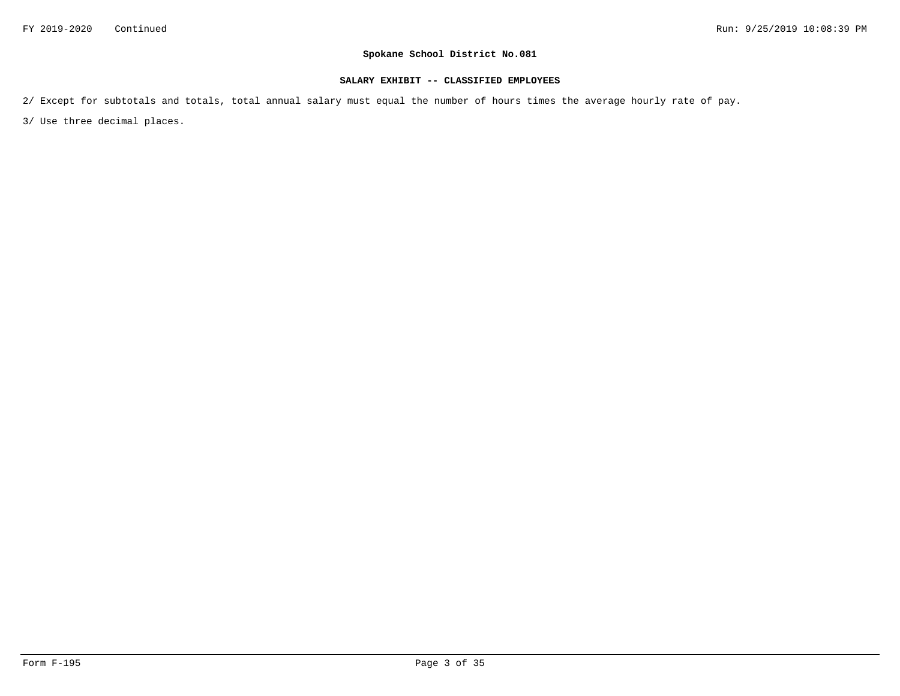# **SALARY EXHIBIT -- CLASSIFIED EMPLOYEES**

2/ Except for subtotals and totals, total annual salary must equal the number of hours times the average hourly rate of pay.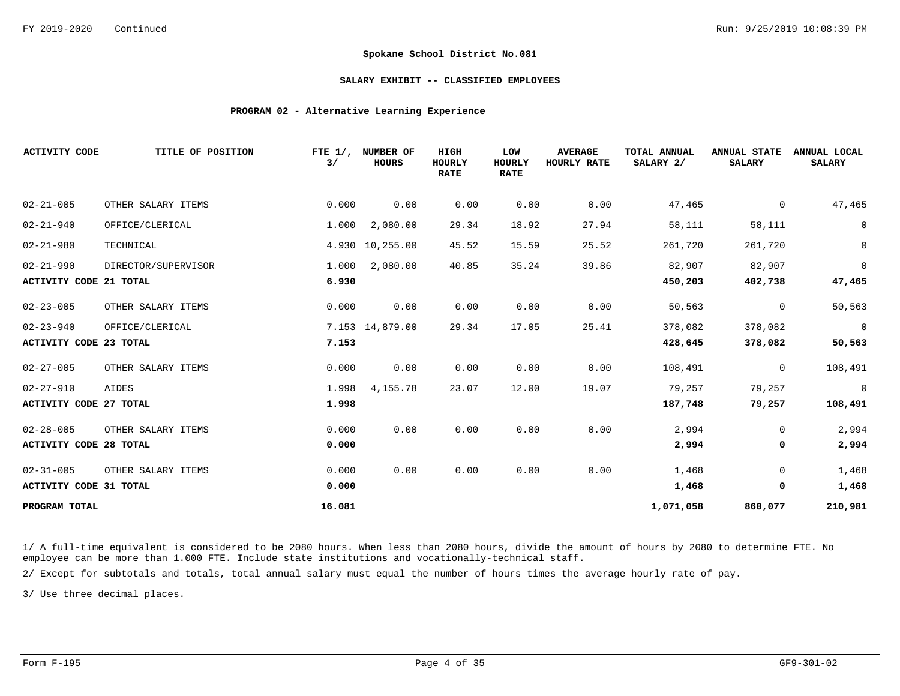### **SALARY EXHIBIT -- CLASSIFIED EMPLOYEES**

## **PROGRAM 02 - Alternative Learning Experience**

| <b>ACTIVITY CODE</b>          | TITLE OF POSITION   | FTE $1/$ ,<br>3/ | NUMBER OF<br><b>HOURS</b> | <b>HIGH</b><br><b>HOURLY</b><br><b>RATE</b> | LOW<br><b>HOURLY</b><br><b>RATE</b> | <b>AVERAGE</b><br>HOURLY RATE | TOTAL ANNUAL<br>SALARY 2/ | <b>ANNUAL STATE</b><br><b>SALARY</b> | ANNUAL LOCAL<br><b>SALARY</b> |
|-------------------------------|---------------------|------------------|---------------------------|---------------------------------------------|-------------------------------------|-------------------------------|---------------------------|--------------------------------------|-------------------------------|
| $02 - 21 - 005$               | OTHER SALARY ITEMS  | 0.000            | 0.00                      | 0.00                                        | 0.00                                | 0.00                          | 47,465                    | 0                                    | 47,465                        |
| $02 - 21 - 940$               | OFFICE/CLERICAL     | 1.000            | 2,080.00                  | 29.34                                       | 18.92                               | 27.94                         | 58,111                    | 58,111                               | $\mathbb O$                   |
| $02 - 21 - 980$               | TECHNICAL           |                  | 4.930 10,255.00           | 45.52                                       | 15.59                               | 25.52                         | 261,720                   | 261,720                              | $\mathbb O$                   |
| $02 - 21 - 990$               | DIRECTOR/SUPERVISOR | 1.000            | 2,080.00                  | 40.85                                       | 35.24                               | 39.86                         | 82,907                    | 82,907                               | $\overline{0}$                |
| ACTIVITY CODE 21 TOTAL        |                     | 6.930            |                           |                                             |                                     |                               | 450,203                   | 402,738                              | 47,465                        |
| $02 - 23 - 005$               | OTHER SALARY ITEMS  | 0.000            | 0.00                      | 0.00                                        | 0.00                                | 0.00                          | 50,563                    | $\mathbf 0$                          | 50,563                        |
| $02 - 23 - 940$               | OFFICE/CLERICAL     |                  | 7.153 14,879.00           | 29.34                                       | 17.05                               | 25.41                         | 378,082                   | 378,082                              | $\overline{0}$                |
| <b>ACTIVITY CODE 23 TOTAL</b> |                     | 7.153            |                           |                                             |                                     |                               | 428,645                   | 378,082                              | 50,563                        |
| $02 - 27 - 005$               | OTHER SALARY ITEMS  | 0.000            | 0.00                      | 0.00                                        | 0.00                                | 0.00                          | 108,491                   | $\Omega$                             | 108,491                       |
| $02 - 27 - 910$               | AIDES               | 1.998            | 4,155.78                  | 23.07                                       | 12.00                               | 19.07                         | 79,257                    | 79,257                               | $\overline{0}$                |
| <b>ACTIVITY CODE 27 TOTAL</b> |                     | 1.998            |                           |                                             |                                     |                               | 187,748                   | 79,257                               | 108,491                       |
| $02 - 28 - 005$               | OTHER SALARY ITEMS  | 0.000            | 0.00                      | 0.00                                        | 0.00                                | 0.00                          | 2,994                     | 0                                    | 2,994                         |
| <b>ACTIVITY CODE 28 TOTAL</b> |                     | 0.000            |                           |                                             |                                     |                               | 2,994                     | 0                                    | 2,994                         |
| $02 - 31 - 005$               | OTHER SALARY ITEMS  | 0.000            | 0.00                      | 0.00                                        | 0.00                                | 0.00                          | 1,468                     | $\overline{0}$                       | 1,468                         |
| <b>ACTIVITY CODE 31 TOTAL</b> |                     | 0.000            |                           |                                             |                                     |                               | 1,468                     | 0                                    | 1,468                         |
| PROGRAM TOTAL                 |                     | 16.081           |                           |                                             |                                     |                               | 1,071,058                 | 860,077                              | 210,981                       |

1/ A full-time equivalent is considered to be 2080 hours. When less than 2080 hours, divide the amount of hours by 2080 to determine FTE. No employee can be more than 1.000 FTE. Include state institutions and vocationally-technical staff.

2/ Except for subtotals and totals, total annual salary must equal the number of hours times the average hourly rate of pay.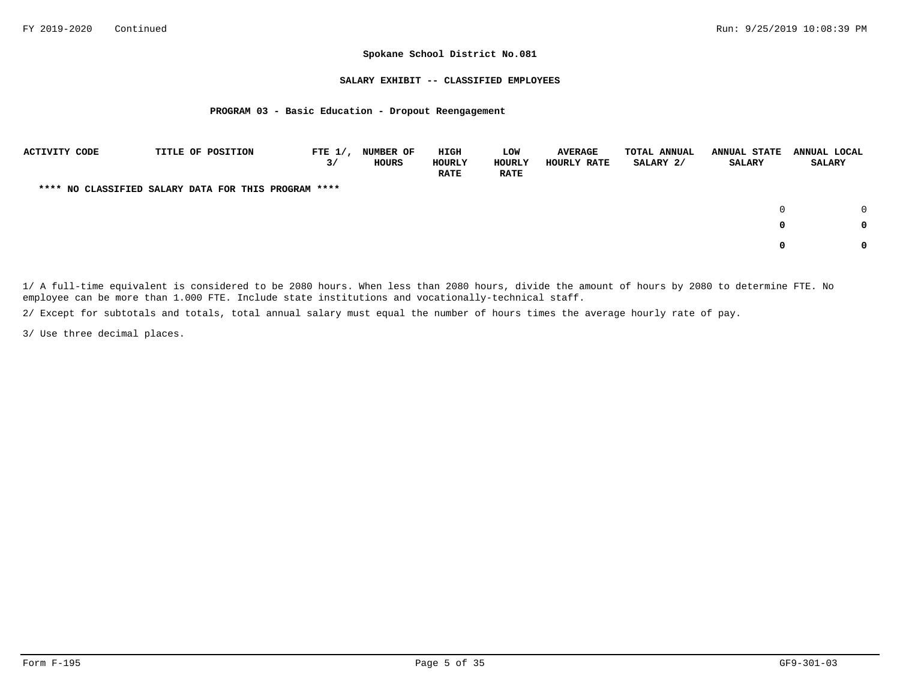### **SALARY EXHIBIT -- CLASSIFIED EMPLOYEES**

## **PROGRAM 03 - Basic Education - Dropout Reengagement**

| <b>ACTIVITY CODE</b> |  | TITLE OF POSITION                                    | FTE $1/$ ,<br>3/ | <b>NUMBER OF</b><br>HOURS | HIGH<br>HOURLY<br><b>RATE</b> | LOW<br>HOURLY<br><b>RATE</b> | <b>AVERAGE</b><br>HOURLY RATE | <b>TOTAL ANNUAL</b><br>SALARY 2/ | <b>ANNUAL STATE</b><br>SALARY | ANNUAL LOCAL<br><b>SALARY</b> |        |
|----------------------|--|------------------------------------------------------|------------------|---------------------------|-------------------------------|------------------------------|-------------------------------|----------------------------------|-------------------------------|-------------------------------|--------|
|                      |  | **** NO CLASSIFIED SALARY DATA FOR THIS PROGRAM **** |                  |                           |                               |                              |                               |                                  |                               |                               |        |
|                      |  |                                                      |                  |                           |                               |                              |                               |                                  | $\Omega$                      |                               | $\cap$ |
|                      |  |                                                      |                  |                           |                               |                              |                               |                                  | 0                             |                               | 0      |
|                      |  |                                                      |                  |                           |                               |                              |                               |                                  |                               |                               | 0      |

1/ A full-time equivalent is considered to be 2080 hours. When less than 2080 hours, divide the amount of hours by 2080 to determine FTE. No employee can be more than 1.000 FTE. Include state institutions and vocationally-technical staff.

2/ Except for subtotals and totals, total annual salary must equal the number of hours times the average hourly rate of pay.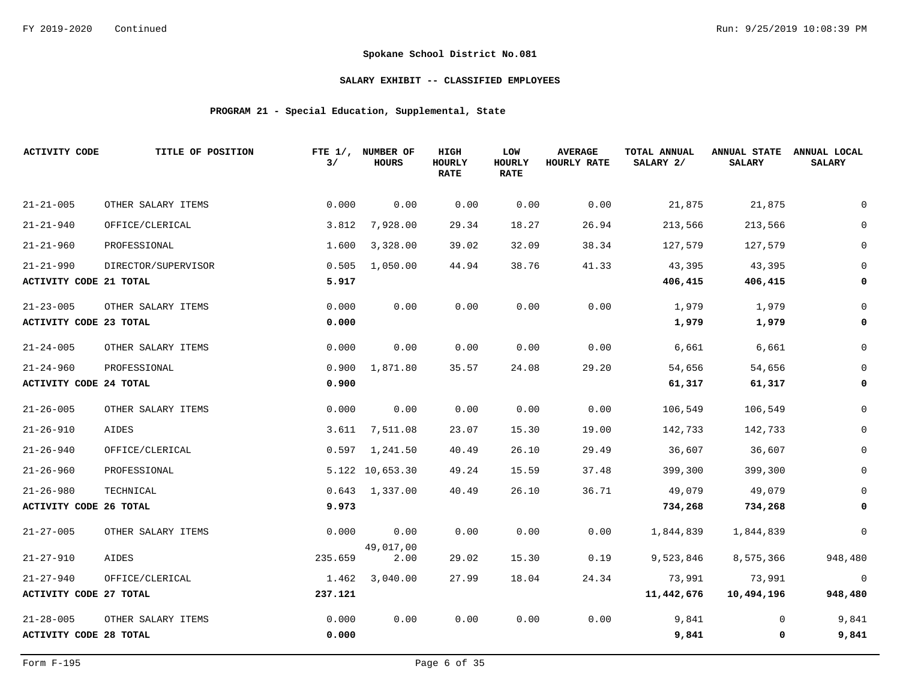# **SALARY EXHIBIT -- CLASSIFIED EMPLOYEES**

# **PROGRAM 21 - Special Education, Supplemental, State**

| <b>ACTIVITY CODE</b>          | TITLE OF POSITION   | 3/      | FTE 1/, NUMBER OF<br><b>HOURS</b> | HIGH<br>HOURLY<br><b>RATE</b> | LOW<br>HOURLY<br><b>RATE</b> | <b>AVERAGE</b><br>HOURLY RATE | TOTAL ANNUAL<br>SALARY 2/ | <b>ANNUAL STATE</b><br><b>SALARY</b> | ANNUAL LOCAL<br><b>SALARY</b> |
|-------------------------------|---------------------|---------|-----------------------------------|-------------------------------|------------------------------|-------------------------------|---------------------------|--------------------------------------|-------------------------------|
| $21 - 21 - 005$               | OTHER SALARY ITEMS  | 0.000   | 0.00                              | 0.00                          | 0.00                         | 0.00                          | 21,875                    | 21,875                               |                               |
| $21 - 21 - 940$               | OFFICE/CLERICAL     | 3.812   | 7,928.00                          | 29.34                         | 18.27                        | 26.94                         | 213,566                   | 213,566                              |                               |
| $21 - 21 - 960$               | PROFESSIONAL        | 1.600   | 3,328.00                          | 39.02                         | 32.09                        | 38.34                         | 127,579                   | 127,579                              | $\mathbf 0$                   |
| $21 - 21 - 990$               | DIRECTOR/SUPERVISOR | 0.505   | 1,050.00                          | 44.94                         | 38.76                        | 41.33                         | 43,395                    | 43,395                               |                               |
| ACTIVITY CODE 21 TOTAL        |                     | 5.917   |                                   |                               |                              |                               | 406,415                   | 406,415                              | 0                             |
| $21 - 23 - 005$               | OTHER SALARY ITEMS  | 0.000   | 0.00                              | 0.00                          | 0.00                         | 0.00                          | 1,979                     | 1,979                                |                               |
| <b>ACTIVITY CODE 23 TOTAL</b> |                     | 0.000   |                                   |                               |                              |                               | 1,979                     | 1,979                                | 0                             |
| $21 - 24 - 005$               | OTHER SALARY ITEMS  | 0.000   | 0.00                              | 0.00                          | 0.00                         | 0.00                          | 6,661                     | 6,661                                | 0                             |
| $21 - 24 - 960$               | PROFESSIONAL        | 0.900   | 1,871.80                          | 35.57                         | 24.08                        | 29.20                         | 54,656                    | 54,656                               |                               |
| <b>ACTIVITY CODE 24 TOTAL</b> |                     | 0.900   |                                   |                               |                              |                               | 61,317                    | 61,317                               | 0                             |
| $21 - 26 - 005$               | OTHER SALARY ITEMS  | 0.000   | 0.00                              | 0.00                          | 0.00                         | 0.00                          | 106,549                   | 106,549                              | 0                             |
| $21 - 26 - 910$               | AIDES               | 3.611   | 7,511.08                          | 23.07                         | 15.30                        | 19.00                         | 142,733                   | 142,733                              | 0                             |
| $21 - 26 - 940$               | OFFICE/CLERICAL     | 0.597   | 1,241.50                          | 40.49                         | 26.10                        | 29.49                         | 36,607                    | 36,607                               | 0                             |
| $21 - 26 - 960$               | PROFESSIONAL        |         | 5.122 10,653.30                   | 49.24                         | 15.59                        | 37.48                         | 399,300                   | 399,300                              | $\mathbf 0$                   |
| $21 - 26 - 980$               | TECHNICAL           |         | $0.643$ 1,337.00                  | 40.49                         | 26.10                        | 36.71                         | 49,079                    | 49,079                               |                               |
| ACTIVITY CODE 26 TOTAL        |                     | 9.973   |                                   |                               |                              |                               | 734,268                   | 734,268                              | 0                             |
| $21 - 27 - 005$               | OTHER SALARY ITEMS  | 0.000   | 0.00                              | 0.00                          | 0.00                         | 0.00                          | 1,844,839                 | 1,844,839                            | $\mathbf 0$                   |
| $21 - 27 - 910$               | AIDES               | 235.659 | 49,017,00<br>2.00                 | 29.02                         | 15.30                        | 0.19                          | 9,523,846                 | 8,575,366                            | 948,480                       |
| $21 - 27 - 940$               | OFFICE/CLERICAL     | 1.462   | 3,040.00                          | 27.99                         | 18.04                        | 24.34                         | 73,991                    | 73,991                               | $\overline{0}$                |
| <b>ACTIVITY CODE 27 TOTAL</b> |                     | 237.121 |                                   |                               |                              |                               | 11,442,676                | 10,494,196                           | 948,480                       |
| $21 - 28 - 005$               | OTHER SALARY ITEMS  | 0.000   | 0.00                              | 0.00                          | 0.00                         | 0.00                          | 9,841                     | 0                                    | 9,841                         |
| <b>ACTIVITY CODE 28 TOTAL</b> |                     | 0.000   |                                   |                               |                              |                               | 9,841                     | 0                                    | 9,841                         |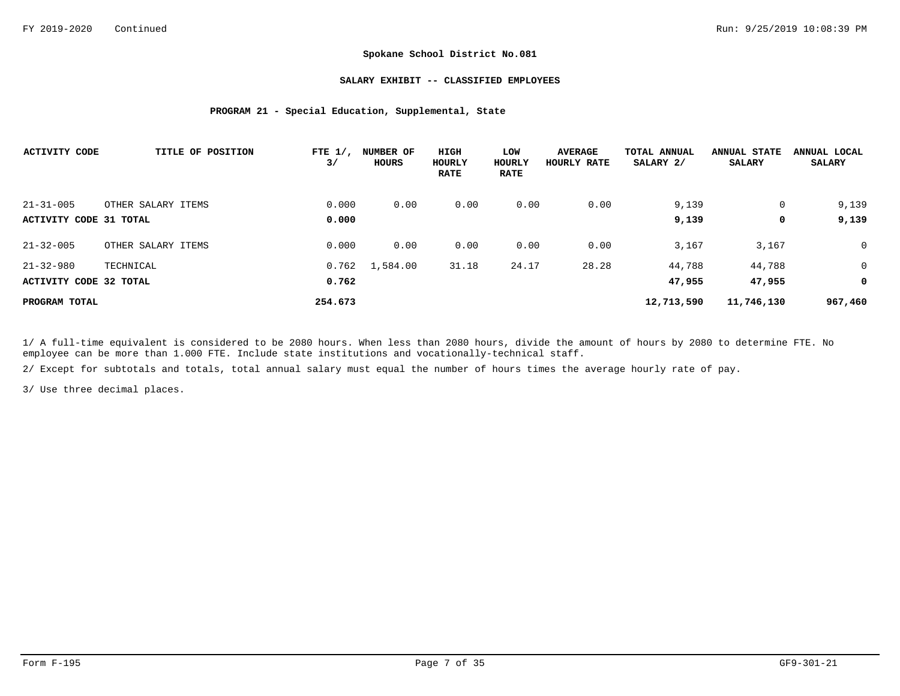### **SALARY EXHIBIT -- CLASSIFIED EMPLOYEES**

## **PROGRAM 21 - Special Education, Supplemental, State**

| <b>ACTIVITY CODE</b>   | TITLE OF POSITION  | FTE $1/$ ,<br>3/ | <b>NUMBER OF</b><br>HOURS | HIGH<br>HOURLY<br><b>RATE</b> | LOW<br>HOURLY<br><b>RATE</b> | <b>AVERAGE</b><br>HOURLY RATE | TOTAL ANNUAL<br>SALARY 2/ | <b>ANNUAL STATE</b><br><b>SALARY</b> | ANNUAL LOCAL<br><b>SALARY</b> |
|------------------------|--------------------|------------------|---------------------------|-------------------------------|------------------------------|-------------------------------|---------------------------|--------------------------------------|-------------------------------|
| $21 - 31 - 005$        | OTHER SALARY ITEMS | 0.000            | 0.00                      | 0.00                          | 0.00                         | 0.00                          | 9,139                     | 0                                    | 9,139                         |
| ACTIVITY CODE 31 TOTAL |                    | 0.000            |                           |                               |                              |                               | 9,139                     | 0                                    | 9,139                         |
| $21 - 32 - 005$        | OTHER SALARY ITEMS | 0.000            | 0.00                      | 0.00                          | 0.00                         | 0.00                          | 3,167                     | 3,167                                | $\overline{0}$                |
| $21 - 32 - 980$        | TECHNICAL          | 0.762            | 1,584.00                  | 31.18                         | 24.17                        | 28.28                         | 44,788                    | 44,788                               | $\overline{0}$                |
| ACTIVITY CODE 32 TOTAL |                    | 0.762            |                           |                               |                              |                               | 47,955                    | 47,955                               | 0                             |
| PROGRAM TOTAL          |                    | 254.673          |                           |                               |                              |                               | 12,713,590                | 11,746,130                           | 967,460                       |

1/ A full-time equivalent is considered to be 2080 hours. When less than 2080 hours, divide the amount of hours by 2080 to determine FTE. No employee can be more than 1.000 FTE. Include state institutions and vocationally-technical staff.

2/ Except for subtotals and totals, total annual salary must equal the number of hours times the average hourly rate of pay.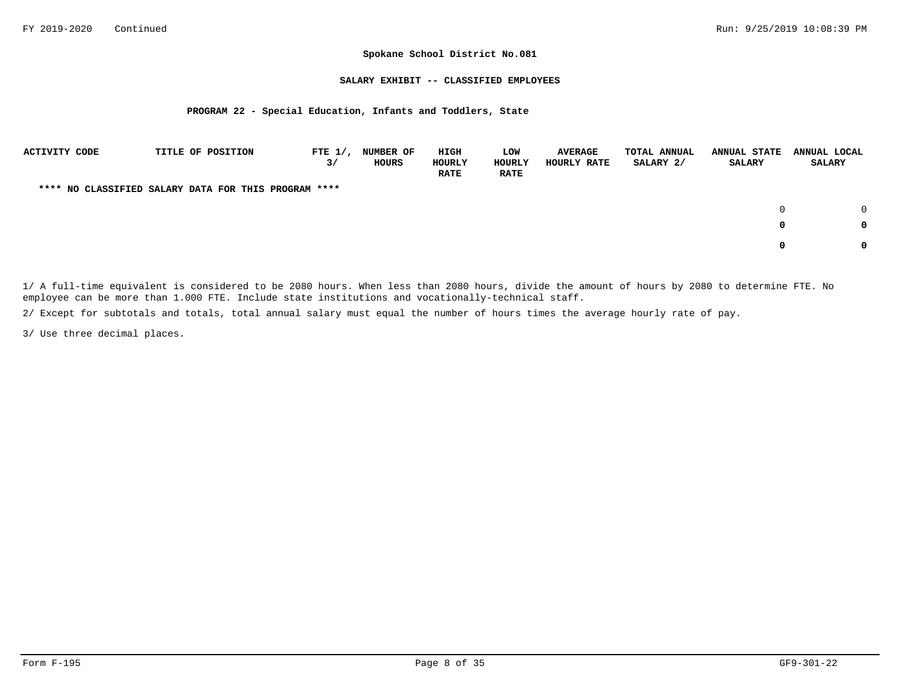### **SALARY EXHIBIT -- CLASSIFIED EMPLOYEES**

## **PROGRAM 22 - Special Education, Infants and Toddlers, State**

| <b>ACTIVITY CODE</b> |  | TITLE OF POSITION                                    | FTE $1/$ ,<br>3/ | <b>NUMBER OF</b><br>HOURS | HIGH<br>HOURLY<br><b>RATE</b> | LOW<br>HOURLY<br><b>RATE</b> | <b>AVERAGE</b><br>HOURLY RATE | <b>TOTAL ANNUAL</b><br>SALARY 2/ | <b>ANNUAL STATE</b><br>SALARY | ANNUAL LOCAL<br><b>SALARY</b> |
|----------------------|--|------------------------------------------------------|------------------|---------------------------|-------------------------------|------------------------------|-------------------------------|----------------------------------|-------------------------------|-------------------------------|
|                      |  | **** NO CLASSIFIED SALARY DATA FOR THIS PROGRAM **** |                  |                           |                               |                              |                               |                                  |                               |                               |
|                      |  |                                                      |                  |                           |                               |                              |                               |                                  | $\Omega$                      | $\cap$                        |
|                      |  |                                                      |                  |                           |                               |                              |                               |                                  | 0                             | 0                             |
|                      |  |                                                      |                  |                           |                               |                              |                               |                                  |                               | 0                             |

1/ A full-time equivalent is considered to be 2080 hours. When less than 2080 hours, divide the amount of hours by 2080 to determine FTE. No employee can be more than 1.000 FTE. Include state institutions and vocationally-technical staff.

2/ Except for subtotals and totals, total annual salary must equal the number of hours times the average hourly rate of pay.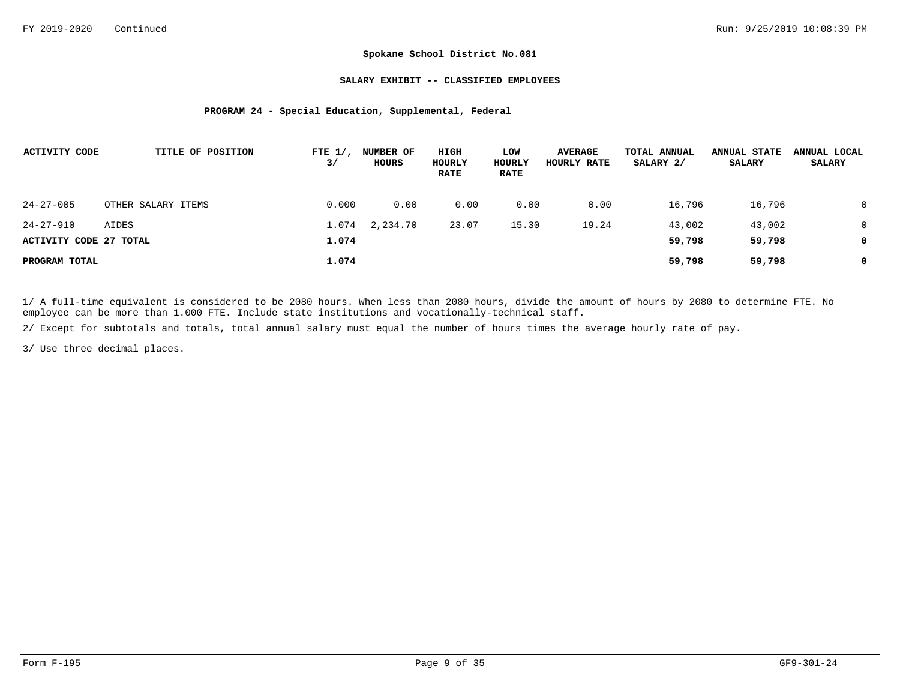### **SALARY EXHIBIT -- CLASSIFIED EMPLOYEES**

## **PROGRAM 24 - Special Education, Supplemental, Federal**

| ACTIVITY CODE          | TITLE OF POSITION  | FTE $1/$ ,<br>3/ | NUMBER OF<br>HOURS | HIGH<br>HOURLY<br><b>RATE</b> | LOW<br>HOURLY<br><b>RATE</b> | <b>AVERAGE</b><br>HOURLY RATE | TOTAL ANNUAL<br>SALARY 2/ | <b>ANNUAL STATE</b><br><b>SALARY</b> | ANNUAL LOCAL<br><b>SALARY</b> |
|------------------------|--------------------|------------------|--------------------|-------------------------------|------------------------------|-------------------------------|---------------------------|--------------------------------------|-------------------------------|
| $24 - 27 - 005$        | OTHER SALARY ITEMS | 0.000            | 0.00               | 0.00                          | 0.00                         | 0.00                          | 16,796                    | 16,796                               |                               |
| 24-27-910              | AIDES              | 1.074            | 2,234.70           | 23.07                         | 15.30                        | 19.24                         | 43,002                    | 43,002                               | 0                             |
| ACTIVITY CODE 27 TOTAL |                    | 1.074            |                    |                               |                              |                               | 59,798                    | 59,798                               |                               |
| PROGRAM TOTAL          |                    | 1.074            |                    |                               |                              |                               | 59,798                    | 59,798                               | 0                             |

1/ A full-time equivalent is considered to be 2080 hours. When less than 2080 hours, divide the amount of hours by 2080 to determine FTE. No employee can be more than 1.000 FTE. Include state institutions and vocationally-technical staff.

2/ Except for subtotals and totals, total annual salary must equal the number of hours times the average hourly rate of pay.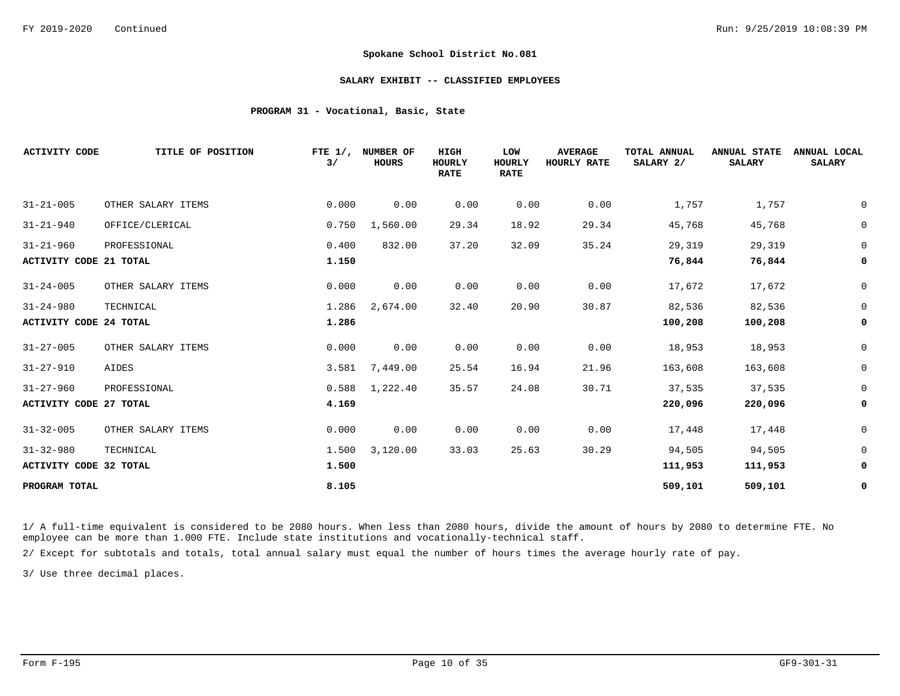#### **SALARY EXHIBIT -- CLASSIFIED EMPLOYEES**

## **PROGRAM 31 - Vocational, Basic, State**

| <b>ACTIVITY CODE</b>          | TITLE OF POSITION  | FTE $1/$ ,<br>3/ | NUMBER OF<br><b>HOURS</b> | HIGH<br><b>HOURLY</b><br><b>RATE</b> | LOW<br><b>HOURLY</b><br><b>RATE</b> | <b>AVERAGE</b><br>HOURLY RATE | TOTAL ANNUAL<br>SALARY 2/ | <b>ANNUAL STATE</b><br><b>SALARY</b> | ANNUAL LOCAL<br><b>SALARY</b> |
|-------------------------------|--------------------|------------------|---------------------------|--------------------------------------|-------------------------------------|-------------------------------|---------------------------|--------------------------------------|-------------------------------|
| $31 - 21 - 005$               | OTHER SALARY ITEMS | 0.000            | 0.00                      | 0.00                                 | 0.00                                | 0.00                          | 1,757                     | 1,757                                | $\mathbf 0$                   |
| $31 - 21 - 940$               | OFFICE/CLERICAL    | 0.750            | 1,560.00                  | 29.34                                | 18.92                               | 29.34                         | 45,768                    | 45,768                               | $\mathsf 0$                   |
| $31 - 21 - 960$               | PROFESSIONAL       | 0.400            | 832.00                    | 37.20                                | 32.09                               | 35.24                         | 29,319                    | 29,319                               | $\overline{0}$                |
| <b>ACTIVITY CODE 21 TOTAL</b> |                    | 1.150            |                           |                                      |                                     |                               | 76,844                    | 76,844                               | 0                             |
| $31 - 24 - 005$               | OTHER SALARY ITEMS | 0.000            | 0.00                      | 0.00                                 | 0.00                                | 0.00                          | 17,672                    | 17,672                               | 0                             |
| $31 - 24 - 980$               | TECHNICAL          | 1.286            | 2,674.00                  | 32.40                                | 20.90                               | 30.87                         | 82,536                    | 82,536                               | $\mathbf 0$                   |
| <b>ACTIVITY CODE 24 TOTAL</b> |                    | 1.286            |                           |                                      |                                     |                               | 100,208                   | 100,208                              | 0                             |
| $31 - 27 - 005$               | OTHER SALARY ITEMS | 0.000            | 0.00                      | 0.00                                 | 0.00                                | 0.00                          | 18,953                    | 18,953                               | $\mathsf 0$                   |
| $31 - 27 - 910$               | AIDES              | 3.581            | 7,449.00                  | 25.54                                | 16.94                               | 21.96                         | 163,608                   | 163,608                              | $\mathsf 0$                   |
| $31 - 27 - 960$               | PROFESSIONAL       | 0.588            | 1,222.40                  | 35.57                                | 24.08                               | 30.71                         | 37,535                    | 37,535                               | $\mathsf 0$                   |
| <b>ACTIVITY CODE 27 TOTAL</b> |                    | 4.169            |                           |                                      |                                     |                               | 220,096                   | 220,096                              | 0                             |
| $31 - 32 - 005$               | OTHER SALARY ITEMS | 0.000            | 0.00                      | 0.00                                 | 0.00                                | 0.00                          | 17,448                    | 17,448                               | $\mathbf 0$                   |
| $31 - 32 - 980$               | TECHNICAL          | 1.500            | 3,120.00                  | 33.03                                | 25.63                               | 30.29                         | 94,505                    | 94,505                               | $\mathsf 0$                   |
| ACTIVITY CODE 32 TOTAL        |                    | 1.500            |                           |                                      |                                     |                               | 111,953                   | 111,953                              | 0                             |
| PROGRAM TOTAL                 |                    | 8.105            |                           |                                      |                                     |                               | 509,101                   | 509,101                              | 0                             |

1/ A full-time equivalent is considered to be 2080 hours. When less than 2080 hours, divide the amount of hours by 2080 to determine FTE. No employee can be more than 1.000 FTE. Include state institutions and vocationally-technical staff.

2/ Except for subtotals and totals, total annual salary must equal the number of hours times the average hourly rate of pay.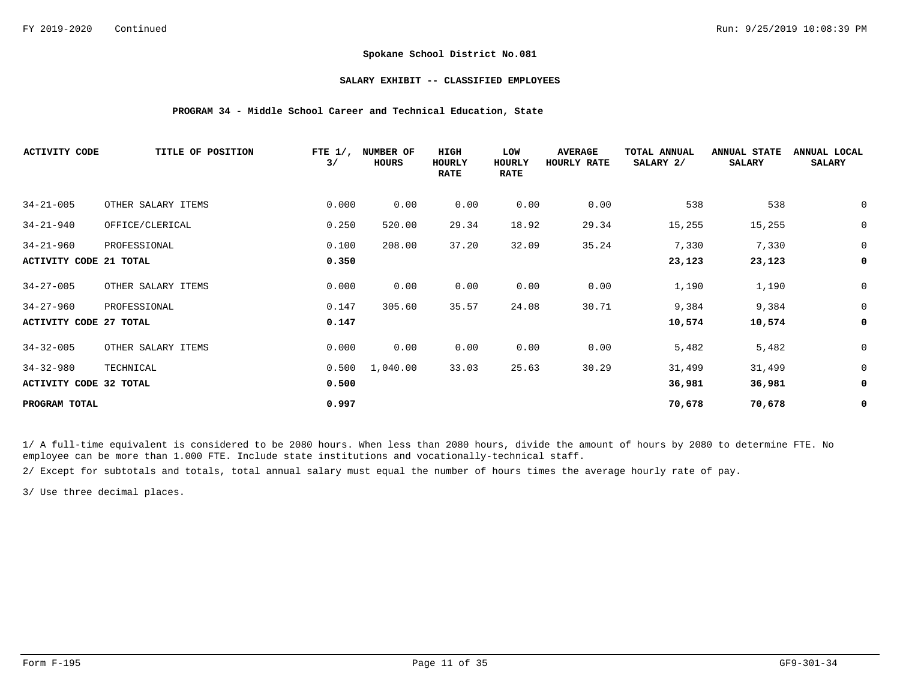## **SALARY EXHIBIT -- CLASSIFIED EMPLOYEES**

## **PROGRAM 34 - Middle School Career and Technical Education, State**

| <b>ACTIVITY CODE</b>          | TITLE OF POSITION  | FTE $1/$ ,<br>3/ | NUMBER OF<br>HOURS | HIGH<br>HOURLY<br><b>RATE</b> | LOW<br>HOURLY<br><b>RATE</b> | <b>AVERAGE</b><br>HOURLY RATE | TOTAL ANNUAL<br>SALARY 2/ | <b>ANNUAL STATE</b><br><b>SALARY</b> | ANNUAL LOCAL<br><b>SALARY</b> |
|-------------------------------|--------------------|------------------|--------------------|-------------------------------|------------------------------|-------------------------------|---------------------------|--------------------------------------|-------------------------------|
| $34 - 21 - 005$               | OTHER SALARY ITEMS | 0.000            | 0.00               | 0.00                          | 0.00                         | 0.00                          | 538                       | 538                                  | 0                             |
| $34 - 21 - 940$               | OFFICE/CLERICAL    | 0.250            | 520.00             | 29.34                         | 18.92                        | 29.34                         | 15,255                    | 15,255                               | $\mathsf 0$                   |
| $34 - 21 - 960$               | PROFESSIONAL       | 0.100            | 208.00             | 37.20                         | 32.09                        | 35.24                         | 7,330                     | 7,330                                | $\mathbf 0$                   |
| <b>ACTIVITY CODE 21 TOTAL</b> |                    | 0.350            |                    |                               |                              |                               | 23,123                    | 23,123                               | 0                             |
| $34 - 27 - 005$               | OTHER SALARY ITEMS | 0.000            | 0.00               | 0.00                          | 0.00                         | 0.00                          | 1,190                     | 1,190                                | $\mathsf 0$                   |
| $34 - 27 - 960$               | PROFESSIONAL       | 0.147            | 305.60             | 35.57                         | 24.08                        | 30.71                         | 9,384                     | 9,384                                | $\mathsf 0$                   |
| <b>ACTIVITY CODE 27 TOTAL</b> |                    | 0.147            |                    |                               |                              |                               | 10,574                    | 10,574                               | 0                             |
| $34 - 32 - 005$               | OTHER SALARY ITEMS | 0.000            | 0.00               | 0.00                          | 0.00                         | 0.00                          | 5,482                     | 5,482                                | $\mathsf 0$                   |
| $34 - 32 - 980$               | TECHNICAL          | 0.500            | 1,040.00           | 33.03                         | 25.63                        | 30.29                         | 31,499                    | 31,499                               | $\mathbf 0$                   |
| <b>ACTIVITY CODE 32 TOTAL</b> |                    | 0.500            |                    |                               |                              |                               | 36,981                    | 36,981                               | 0                             |
| PROGRAM TOTAL                 |                    | 0.997            |                    |                               |                              |                               | 70,678                    | 70,678                               | 0                             |

1/ A full-time equivalent is considered to be 2080 hours. When less than 2080 hours, divide the amount of hours by 2080 to determine FTE. No employee can be more than 1.000 FTE. Include state institutions and vocationally-technical staff.

2/ Except for subtotals and totals, total annual salary must equal the number of hours times the average hourly rate of pay.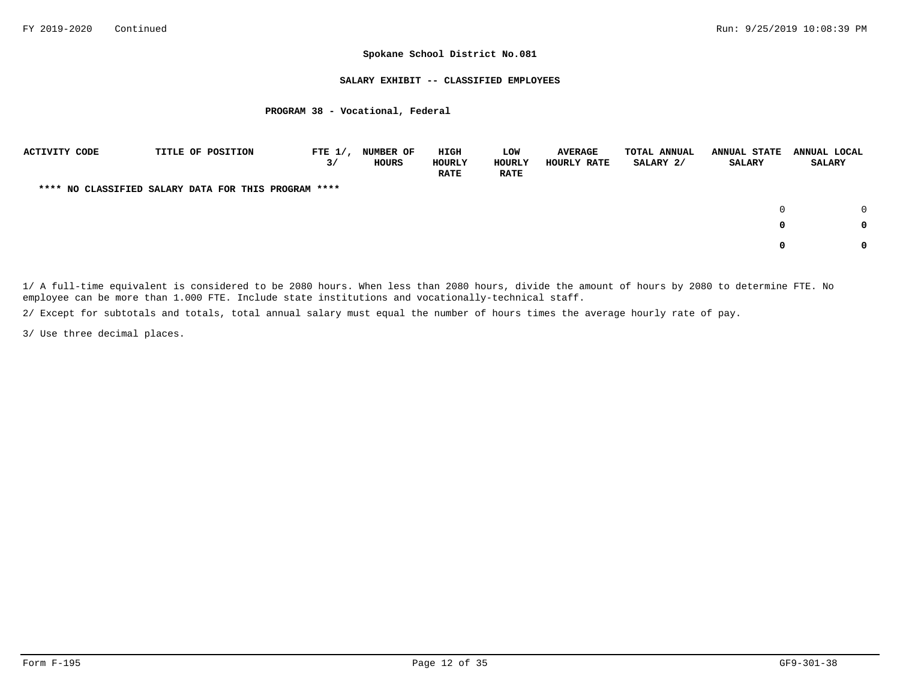## **SALARY EXHIBIT -- CLASSIFIED EMPLOYEES**

## **PROGRAM 38 - Vocational, Federal**

| <b>ACTIVITY CODE</b> |  | TITLE OF POSITION                                    | FTE $1/$ ,<br>3/ | <b>NUMBER OF</b><br>HOURS | HIGH<br>HOURLY<br><b>RATE</b> | LOW<br><b>HOURLY</b><br><b>RATE</b> | <b>AVERAGE</b><br>HOURLY RATE | <b>TOTAL ANNUAL</b><br>SALARY 2/ | <b>ANNUAL STATE</b><br><b>SALARY</b> | ANNUAL LOCAL<br><b>SALARY</b> |  |
|----------------------|--|------------------------------------------------------|------------------|---------------------------|-------------------------------|-------------------------------------|-------------------------------|----------------------------------|--------------------------------------|-------------------------------|--|
|                      |  | **** NO CLASSIFIED SALARY DATA FOR THIS PROGRAM **** |                  |                           |                               |                                     |                               |                                  |                                      |                               |  |
|                      |  |                                                      |                  |                           |                               |                                     |                               |                                  | $\Omega$                             | $\Omega$                      |  |
|                      |  |                                                      |                  |                           |                               |                                     |                               |                                  | 0                                    | 0                             |  |
|                      |  |                                                      |                  |                           |                               |                                     |                               |                                  | 0                                    | 0                             |  |

1/ A full-time equivalent is considered to be 2080 hours. When less than 2080 hours, divide the amount of hours by 2080 to determine FTE. No employee can be more than 1.000 FTE. Include state institutions and vocationally-technical staff.

2/ Except for subtotals and totals, total annual salary must equal the number of hours times the average hourly rate of pay.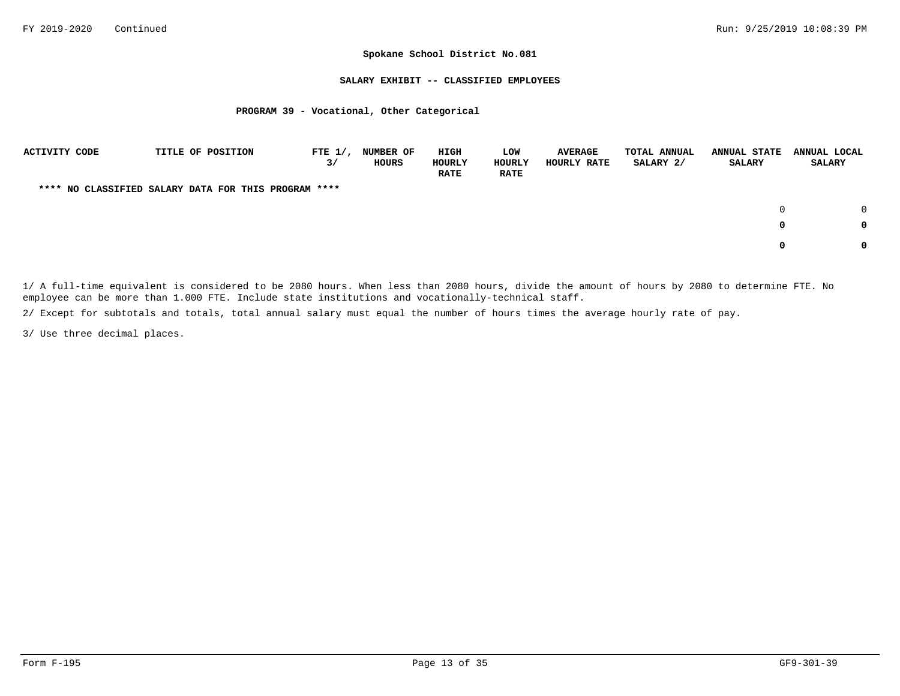### **SALARY EXHIBIT -- CLASSIFIED EMPLOYEES**

## **PROGRAM 39 - Vocational, Other Categorical**

| <b>ACTIVITY CODE</b> |  | TITLE OF POSITION                                    | FTE $1/$ ,<br>3/ | <b>NUMBER OF</b><br>HOURS | HIGH<br>HOURLY<br><b>RATE</b> | LOW<br><b>HOURLY</b><br><b>RATE</b> | <b>AVERAGE</b><br>HOURLY RATE | <b>TOTAL ANNUAL</b><br>SALARY 2/ | <b>ANNUAL STATE</b><br><b>SALARY</b> | ANNUAL LOCAL<br><b>SALARY</b> |
|----------------------|--|------------------------------------------------------|------------------|---------------------------|-------------------------------|-------------------------------------|-------------------------------|----------------------------------|--------------------------------------|-------------------------------|
|                      |  | **** NO CLASSIFIED SALARY DATA FOR THIS PROGRAM **** |                  |                           |                               |                                     |                               |                                  |                                      |                               |
|                      |  |                                                      |                  |                           |                               |                                     |                               |                                  |                                      | $\cap$                        |
|                      |  |                                                      |                  |                           |                               |                                     |                               |                                  | 0                                    | 0                             |
|                      |  |                                                      |                  |                           |                               |                                     |                               |                                  | 0                                    | 0                             |

1/ A full-time equivalent is considered to be 2080 hours. When less than 2080 hours, divide the amount of hours by 2080 to determine FTE. No employee can be more than 1.000 FTE. Include state institutions and vocationally-technical staff.

2/ Except for subtotals and totals, total annual salary must equal the number of hours times the average hourly rate of pay.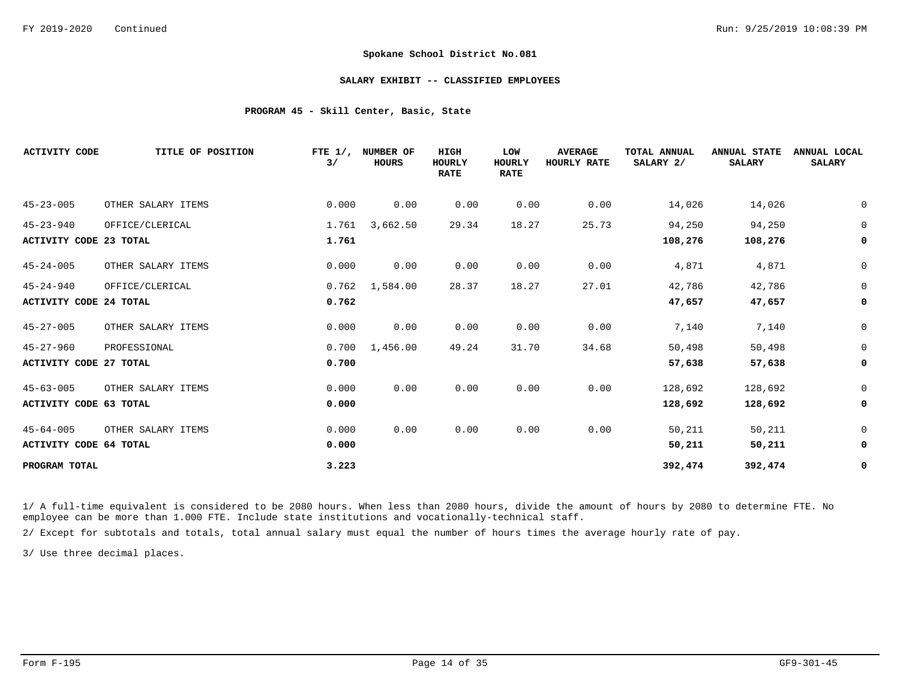### **SALARY EXHIBIT -- CLASSIFIED EMPLOYEES**

## **PROGRAM 45 - Skill Center, Basic, State**

| <b>ACTIVITY CODE</b>          | TITLE OF POSITION  | FTE $1/$ ,<br>3/ | NUMBER OF<br><b>HOURS</b> | HIGH<br><b>HOURLY</b><br><b>RATE</b> | LOW<br>HOURLY<br><b>RATE</b> | <b>AVERAGE</b><br>HOURLY RATE | TOTAL ANNUAL<br>SALARY 2/ | <b>ANNUAL STATE</b><br><b>SALARY</b> | ANNUAL LOCAL<br><b>SALARY</b> |
|-------------------------------|--------------------|------------------|---------------------------|--------------------------------------|------------------------------|-------------------------------|---------------------------|--------------------------------------|-------------------------------|
| $45 - 23 - 005$               | OTHER SALARY ITEMS | 0.000            | 0.00                      | 0.00                                 | 0.00                         | 0.00                          | 14,026                    | 14,026                               | 0                             |
| $45 - 23 - 940$               | OFFICE/CLERICAL    | 1.761            | 3,662.50                  | 29.34                                | 18.27                        | 25.73                         | 94,250                    | 94,250                               | $\mathbf 0$                   |
| <b>ACTIVITY CODE 23 TOTAL</b> |                    | 1.761            |                           |                                      |                              |                               | 108,276                   | 108,276                              | 0                             |
| $45 - 24 - 005$               | OTHER SALARY ITEMS | 0.000            | 0.00                      | 0.00                                 | 0.00                         | 0.00                          | 4,871                     | 4,871                                | $\mathbf 0$                   |
| $45 - 24 - 940$               | OFFICE/CLERICAL    | 0.762            | 1,584.00                  | 28.37                                | 18.27                        | 27.01                         | 42,786                    | 42,786                               | $\mathbf 0$                   |
| <b>ACTIVITY CODE 24 TOTAL</b> |                    | 0.762            |                           |                                      |                              |                               | 47,657                    | 47,657                               | 0                             |
| $45 - 27 - 005$               | OTHER SALARY ITEMS | 0.000            | 0.00                      | 0.00                                 | 0.00                         | 0.00                          | 7,140                     | 7,140                                | $\mathbf 0$                   |
| $45 - 27 - 960$               | PROFESSIONAL       | 0.700            | 1,456.00                  | 49.24                                | 31.70                        | 34.68                         | 50,498                    | 50,498                               | $\mathbf 0$                   |
| <b>ACTIVITY CODE 27 TOTAL</b> |                    | 0.700            |                           |                                      |                              |                               | 57,638                    | 57,638                               | 0                             |
| $45 - 63 - 005$               | OTHER SALARY ITEMS | 0.000            | 0.00                      | 0.00                                 | 0.00                         | 0.00                          | 128,692                   | 128,692                              | $\mathbf 0$                   |
| <b>ACTIVITY CODE 63 TOTAL</b> |                    | 0.000            |                           |                                      |                              |                               | 128,692                   | 128,692                              | 0                             |
| $45 - 64 - 005$               | OTHER SALARY ITEMS | 0.000            | 0.00                      | 0.00                                 | 0.00                         | 0.00                          | 50,211                    | 50,211                               | $\mathbf 0$                   |
| <b>ACTIVITY CODE 64 TOTAL</b> |                    | 0.000            |                           |                                      |                              |                               | 50,211                    | 50,211                               | 0                             |
| PROGRAM TOTAL                 |                    | 3.223            |                           |                                      |                              |                               | 392,474                   | 392,474                              | 0                             |

1/ A full-time equivalent is considered to be 2080 hours. When less than 2080 hours, divide the amount of hours by 2080 to determine FTE. No employee can be more than 1.000 FTE. Include state institutions and vocationally-technical staff.

2/ Except for subtotals and totals, total annual salary must equal the number of hours times the average hourly rate of pay.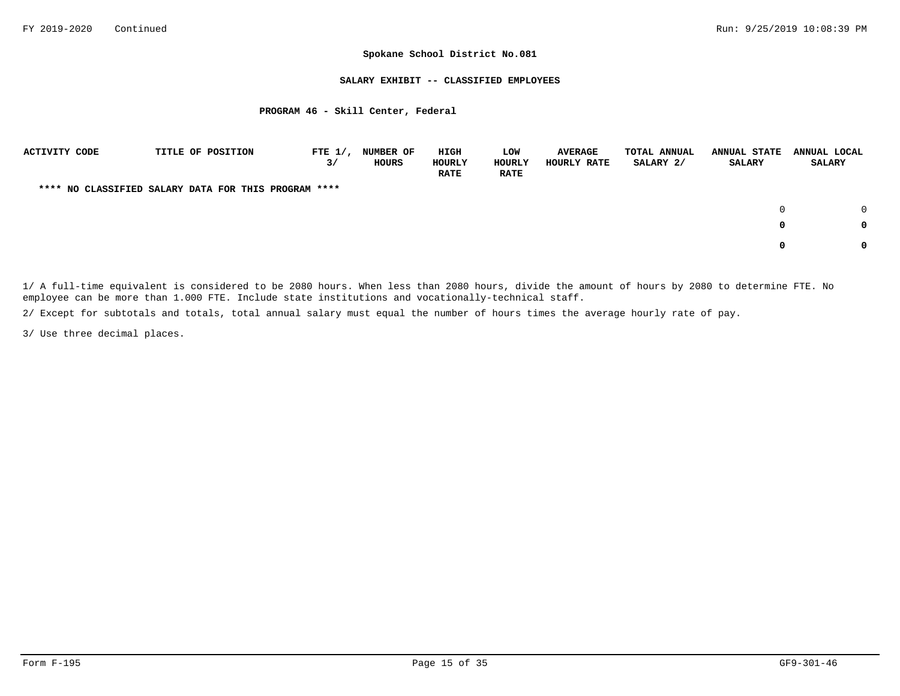#### **SALARY EXHIBIT -- CLASSIFIED EMPLOYEES**

## **PROGRAM 46 - Skill Center, Federal**

| ACTIVITY CODE |  | TITLE OF POSITION                                    | FTE $1/$ ,<br>3/ | <b>NUMBER OF</b><br>HOURS | HIGH<br>HOURLY<br><b>RATE</b> | LOW<br><b>HOURLY</b><br><b>RATE</b> | <b>AVERAGE</b><br>HOURLY RATE | <b>TOTAL ANNUAL</b><br>SALARY 2/ | <b>ANNUAL STATE</b><br><b>SALARY</b> | ANNUAL LOCAL<br><b>SALARY</b> |
|---------------|--|------------------------------------------------------|------------------|---------------------------|-------------------------------|-------------------------------------|-------------------------------|----------------------------------|--------------------------------------|-------------------------------|
|               |  | **** NO CLASSIFIED SALARY DATA FOR THIS PROGRAM **** |                  |                           |                               |                                     |                               |                                  |                                      |                               |
|               |  |                                                      |                  |                           |                               |                                     |                               |                                  | <sup>0</sup>                         |                               |
|               |  |                                                      |                  |                           |                               |                                     |                               |                                  | 0                                    | 0                             |
|               |  |                                                      |                  |                           |                               |                                     |                               |                                  | 0                                    | 0                             |

1/ A full-time equivalent is considered to be 2080 hours. When less than 2080 hours, divide the amount of hours by 2080 to determine FTE. No employee can be more than 1.000 FTE. Include state institutions and vocationally-technical staff.

2/ Except for subtotals and totals, total annual salary must equal the number of hours times the average hourly rate of pay.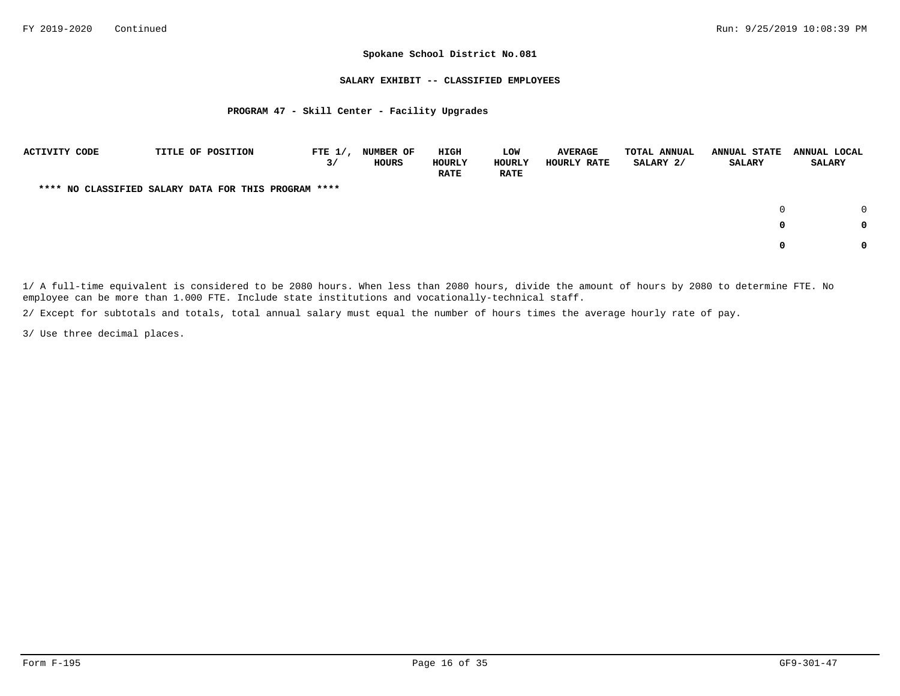### **SALARY EXHIBIT -- CLASSIFIED EMPLOYEES**

## **PROGRAM 47 - Skill Center - Facility Upgrades**

| <b>ACTIVITY CODE</b> |  | TITLE OF POSITION                                    | FTE $1/$ ,<br>3/ | NUMBER OF<br>HOURS | HIGH<br>HOURLY<br><b>RATE</b> | LOW<br>HOURLY<br><b>RATE</b> | <b>AVERAGE</b><br>HOURLY RATE | TOTAL ANNUAL<br>SALARY 2/ | <b>ANNUAL STATE</b><br>SALARY | ANNUAL LOCAL<br><b>SALARY</b> |        |
|----------------------|--|------------------------------------------------------|------------------|--------------------|-------------------------------|------------------------------|-------------------------------|---------------------------|-------------------------------|-------------------------------|--------|
|                      |  | **** NO CLASSIFIED SALARY DATA FOR THIS PROGRAM **** |                  |                    |                               |                              |                               |                           |                               |                               |        |
|                      |  |                                                      |                  |                    |                               |                              |                               |                           | $\Omega$                      |                               | $\cap$ |
|                      |  |                                                      |                  |                    |                               |                              |                               |                           | 0                             |                               | 0      |
|                      |  |                                                      |                  |                    |                               |                              |                               |                           |                               |                               | 0      |

1/ A full-time equivalent is considered to be 2080 hours. When less than 2080 hours, divide the amount of hours by 2080 to determine FTE. No employee can be more than 1.000 FTE. Include state institutions and vocationally-technical staff.

2/ Except for subtotals and totals, total annual salary must equal the number of hours times the average hourly rate of pay.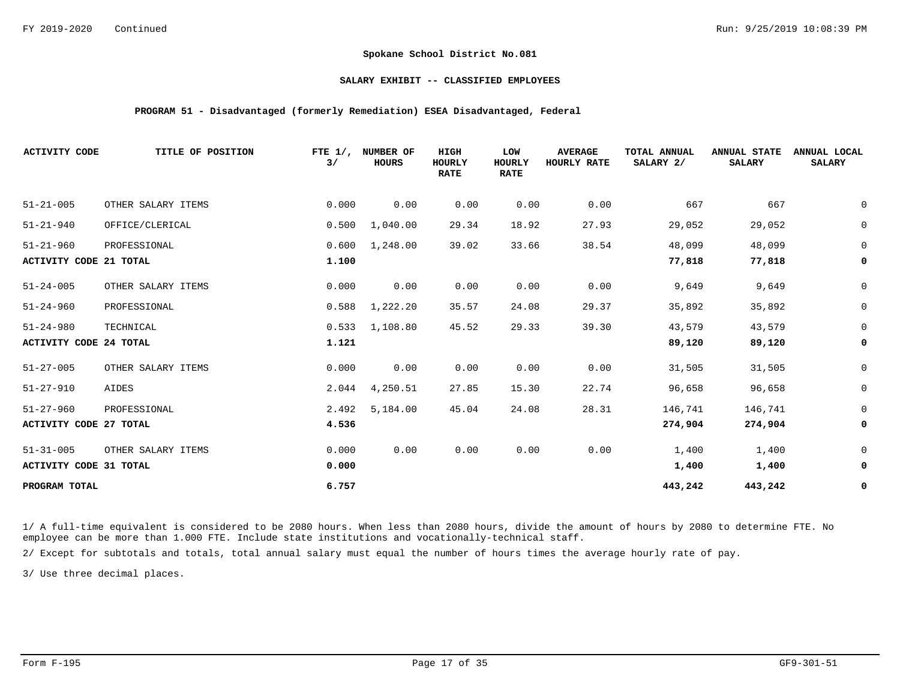## **SALARY EXHIBIT -- CLASSIFIED EMPLOYEES**

## **PROGRAM 51 - Disadvantaged (formerly Remediation) ESEA Disadvantaged, Federal**

| <b>ACTIVITY CODE</b>                             | TITLE OF POSITION  | FTE $1/$ ,<br>3/ | NUMBER OF<br><b>HOURS</b> | HIGH<br><b>HOURLY</b><br><b>RATE</b> | LOW<br><b>HOURLY</b><br><b>RATE</b> | <b>AVERAGE</b><br>HOURLY RATE | TOTAL ANNUAL<br>SALARY 2/ | <b>ANNUAL STATE</b><br><b>SALARY</b> | ANNUAL LOCAL<br><b>SALARY</b> |
|--------------------------------------------------|--------------------|------------------|---------------------------|--------------------------------------|-------------------------------------|-------------------------------|---------------------------|--------------------------------------|-------------------------------|
| $51 - 21 - 005$                                  | OTHER SALARY ITEMS | 0.000            | 0.00                      | 0.00                                 | 0.00                                | 0.00                          | 667                       | 667                                  | 0                             |
| $51 - 21 - 940$                                  | OFFICE/CLERICAL    | 0.500            | 1,040.00                  | 29.34                                | 18.92                               | 27.93                         | 29,052                    | 29,052                               | $\mathsf 0$                   |
| $51 - 21 - 960$<br><b>ACTIVITY CODE 21 TOTAL</b> | PROFESSIONAL       | 0.600<br>1.100   | 1,248.00                  | 39.02                                | 33.66                               | 38.54                         | 48,099<br>77,818          | 48,099<br>77,818                     | $\mathsf 0$<br>0              |
| $51 - 24 - 005$                                  | OTHER SALARY ITEMS | 0.000            | 0.00                      | 0.00                                 | 0.00                                | 0.00                          | 9,649                     | 9,649                                | $\mathbf 0$                   |
| $51 - 24 - 960$                                  | PROFESSIONAL       | 0.588            | 1,222.20                  | 35.57                                | 24.08                               | 29.37                         | 35,892                    | 35,892                               | $\mathbf 0$                   |
| $51 - 24 - 980$                                  | TECHNICAL          | 0.533            | 1,108.80                  | 45.52                                | 29.33                               | 39.30                         | 43,579                    | 43,579                               | $\mathsf 0$                   |
| <b>ACTIVITY CODE 24 TOTAL</b>                    |                    | 1.121            |                           |                                      |                                     |                               | 89,120                    | 89,120                               | 0                             |
| $51 - 27 - 005$                                  | OTHER SALARY ITEMS | 0.000            | 0.00                      | 0.00                                 | 0.00                                | 0.00                          | 31,505                    | 31,505                               | $\mathsf 0$                   |
| $51 - 27 - 910$                                  | AIDES              | 2.044            | 4,250.51                  | 27.85                                | 15.30                               | 22.74                         | 96,658                    | 96,658                               | $\mathsf 0$                   |
| $51 - 27 - 960$                                  | PROFESSIONAL       | 2.492            | 5,184.00                  | 45.04                                | 24.08                               | 28.31                         | 146,741                   | 146,741                              | $\mathbf 0$                   |
| <b>ACTIVITY CODE 27 TOTAL</b>                    |                    | 4.536            |                           |                                      |                                     |                               | 274,904                   | 274,904                              | 0                             |
| $51 - 31 - 005$                                  | OTHER SALARY ITEMS | 0.000            | 0.00                      | 0.00                                 | 0.00                                | 0.00                          | 1,400                     | 1,400                                | $\mathbf 0$                   |
| ACTIVITY CODE 31 TOTAL                           |                    | 0.000            |                           |                                      |                                     |                               | 1,400                     | 1,400                                | 0                             |
| PROGRAM TOTAL                                    |                    | 6.757            |                           |                                      |                                     |                               | 443,242                   | 443,242                              | 0                             |

1/ A full-time equivalent is considered to be 2080 hours. When less than 2080 hours, divide the amount of hours by 2080 to determine FTE. No employee can be more than 1.000 FTE. Include state institutions and vocationally-technical staff.

2/ Except for subtotals and totals, total annual salary must equal the number of hours times the average hourly rate of pay.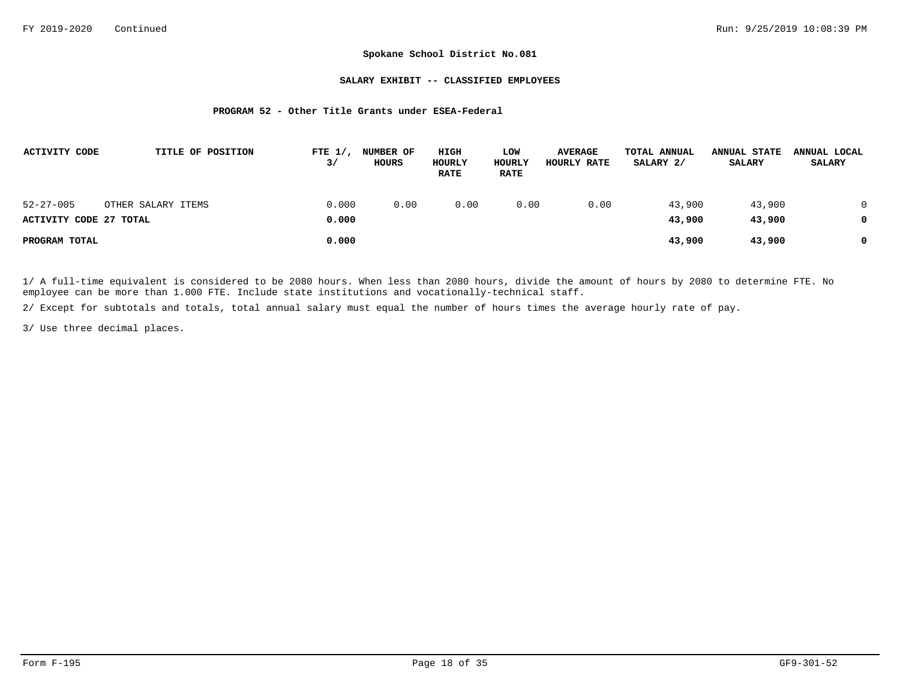### **SALARY EXHIBIT -- CLASSIFIED EMPLOYEES**

## **PROGRAM 52 - Other Title Grants under ESEA-Federal**

| ACTIVITY CODE                             |                    | TITLE OF POSITION<br>FTE $1/$ ,<br>3/ | <b>NUMBER OF</b><br>HOURS |      | HIGH<br>HOURLY<br><b>RATE</b> | LOW<br>HOURLY<br><b>RATE</b> | <b>AVERAGE</b><br>HOURLY RATE | TOTAL ANNUAL<br>SALARY 2/ | <b>ANNUAL STATE</b><br>SALARY | ANNUAL LOCAL<br><b>SALARY</b> |
|-------------------------------------------|--------------------|---------------------------------------|---------------------------|------|-------------------------------|------------------------------|-------------------------------|---------------------------|-------------------------------|-------------------------------|
| $52 - 27 - 005$<br>ACTIVITY CODE 27 TOTAL | OTHER SALARY ITEMS | 0.000<br>0.000                        |                           | 0.00 | 0.00                          | 0.00                         | 0.00                          | 43,900<br>43,900          | 43,900<br>43,900              | 0<br>0                        |
| PROGRAM TOTAL                             |                    | 0.000                                 |                           |      |                               |                              |                               | 43,900                    | 43,900                        | 0                             |

1/ A full-time equivalent is considered to be 2080 hours. When less than 2080 hours, divide the amount of hours by 2080 to determine FTE. No employee can be more than 1.000 FTE. Include state institutions and vocationally-technical staff.

2/ Except for subtotals and totals, total annual salary must equal the number of hours times the average hourly rate of pay.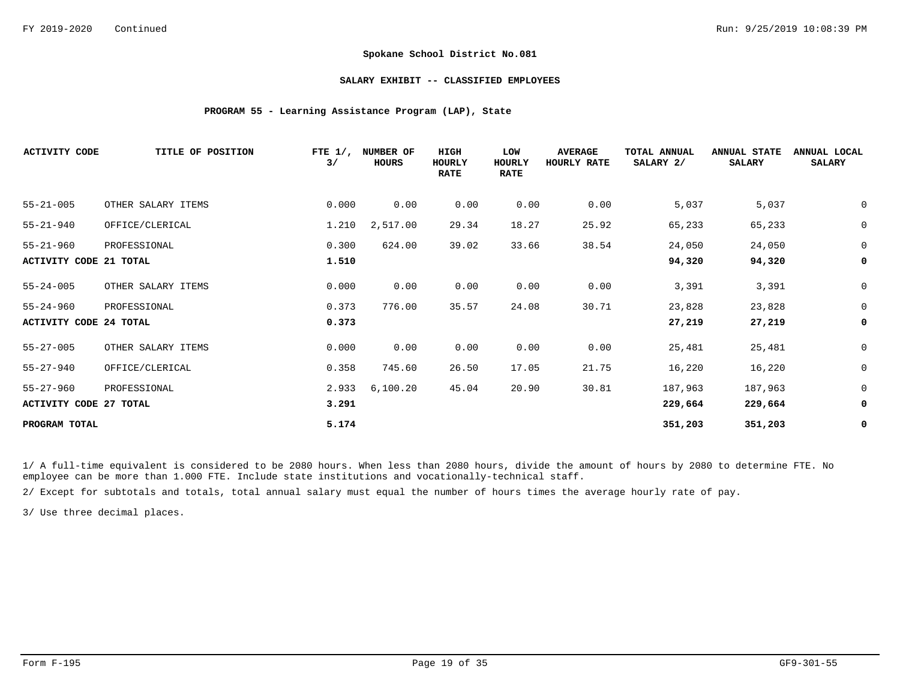### **SALARY EXHIBIT -- CLASSIFIED EMPLOYEES**

## **PROGRAM 55 - Learning Assistance Program (LAP), State**

| <b>ACTIVITY CODE</b>          | TITLE OF POSITION  | FTE $1/$ ,<br>3/ | NUMBER OF<br>HOURS | HIGH<br>HOURLY<br><b>RATE</b> | LOW<br><b>HOURLY</b><br><b>RATE</b> | <b>AVERAGE</b><br>HOURLY RATE | TOTAL ANNUAL<br>SALARY 2/ | <b>ANNUAL STATE</b><br><b>SALARY</b> | ANNUAL LOCAL<br><b>SALARY</b> |
|-------------------------------|--------------------|------------------|--------------------|-------------------------------|-------------------------------------|-------------------------------|---------------------------|--------------------------------------|-------------------------------|
| $55 - 21 - 005$               | OTHER SALARY ITEMS | 0.000            | 0.00               | 0.00                          | 0.00                                | 0.00                          | 5,037                     | 5,037                                | 0                             |
| $55 - 21 - 940$               | OFFICE/CLERICAL    | 1.210            | 2,517.00           | 29.34                         | 18.27                               | 25.92                         | 65,233                    | 65,233                               | $\mathbf 0$                   |
| $55 - 21 - 960$               | PROFESSIONAL       | 0.300            | 624.00             | 39.02                         | 33.66                               | 38.54                         | 24,050                    | 24,050                               | $\mathbf 0$                   |
| ACTIVITY CODE 21 TOTAL        |                    | 1.510            |                    |                               |                                     |                               | 94,320                    | 94,320                               | $\mathbf 0$                   |
| $55 - 24 - 005$               | OTHER SALARY ITEMS | 0.000            | 0.00               | 0.00                          | 0.00                                | 0.00                          | 3,391                     | 3,391                                | 0                             |
| $55 - 24 - 960$               | PROFESSIONAL       | 0.373            | 776.00             | 35.57                         | 24.08                               | 30.71                         | 23,828                    | 23,828                               | $\mathbf 0$                   |
| ACTIVITY CODE 24 TOTAL        |                    | 0.373            |                    |                               |                                     |                               | 27,219                    | 27,219                               | 0                             |
| $55 - 27 - 005$               | OTHER SALARY ITEMS | 0.000            | 0.00               | 0.00                          | 0.00                                | 0.00                          | 25,481                    | 25,481                               | 0                             |
| $55 - 27 - 940$               | OFFICE/CLERICAL    | 0.358            | 745.60             | 26.50                         | 17.05                               | 21.75                         | 16,220                    | 16,220                               | 0                             |
| $55 - 27 - 960$               | PROFESSIONAL       | 2.933            | 6,100.20           | 45.04                         | 20.90                               | 30.81                         | 187,963                   | 187,963                              | $\mathbf 0$                   |
| <b>ACTIVITY CODE 27 TOTAL</b> |                    | 3.291            |                    |                               |                                     |                               | 229,664                   | 229,664                              | 0                             |
| PROGRAM TOTAL                 |                    | 5.174            |                    |                               |                                     |                               | 351,203                   | 351,203                              | 0                             |

1/ A full-time equivalent is considered to be 2080 hours. When less than 2080 hours, divide the amount of hours by 2080 to determine FTE. No employee can be more than 1.000 FTE. Include state institutions and vocationally-technical staff.

2/ Except for subtotals and totals, total annual salary must equal the number of hours times the average hourly rate of pay.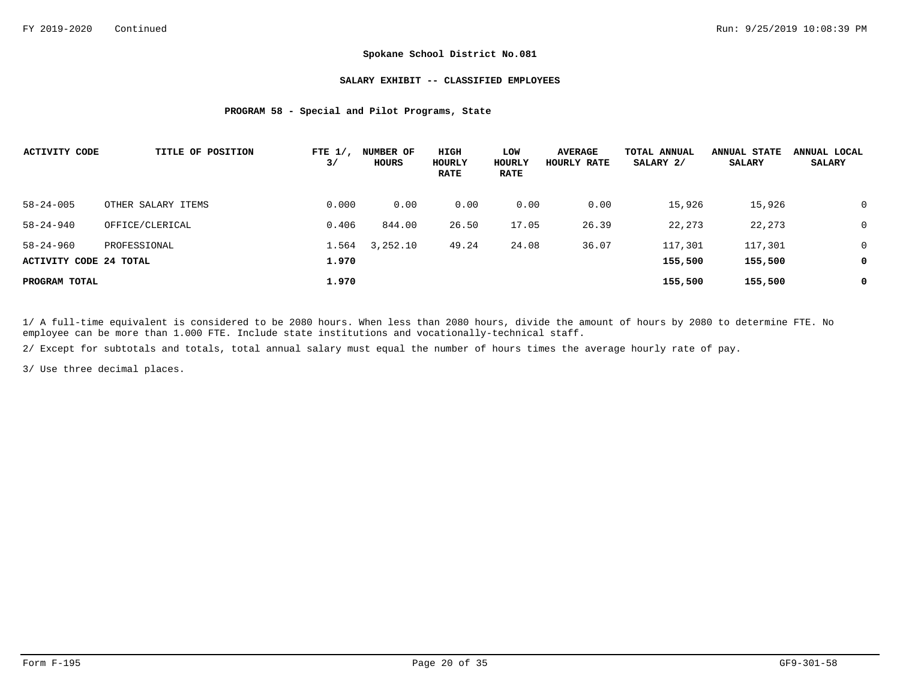### **SALARY EXHIBIT -- CLASSIFIED EMPLOYEES**

## **PROGRAM 58 - Special and Pilot Programs, State**

| <b>ACTIVITY CODE</b>   | TITLE OF POSITION  | FTE $1/$ ,<br>3/ | NUMBER OF<br>HOURS | HIGH<br>HOURLY<br><b>RATE</b> | LOW<br>HOURLY<br><b>RATE</b> | <b>AVERAGE</b><br>HOURLY RATE | TOTAL ANNUAL<br>SALARY 2/ | <b>ANNUAL STATE</b><br><b>SALARY</b> | ANNUAL LOCAL<br><b>SALARY</b> |
|------------------------|--------------------|------------------|--------------------|-------------------------------|------------------------------|-------------------------------|---------------------------|--------------------------------------|-------------------------------|
| $58 - 24 - 005$        | OTHER SALARY ITEMS | 0.000            | 0.00               | 0.00                          | 0.00                         | 0.00                          | 15,926                    | 15,926                               | 0                             |
| $58 - 24 - 940$        | OFFICE/CLERICAL    | 0.406            | 844.00             | 26.50                         | 17.05                        | 26.39                         | 22,273                    | 22,273                               | 0                             |
| $58 - 24 - 960$        | PROFESSIONAL       | 1.564            | 3,252.10           | 49.24                         | 24.08                        | 36.07                         | 117,301                   | 117,301                              | 0                             |
| ACTIVITY CODE 24 TOTAL |                    | 1.970            |                    |                               |                              |                               | 155,500                   | 155,500                              | 0                             |
| PROGRAM TOTAL          |                    | 1.970            |                    |                               |                              |                               | 155,500                   | 155,500                              | 0                             |

1/ A full-time equivalent is considered to be 2080 hours. When less than 2080 hours, divide the amount of hours by 2080 to determine FTE. No employee can be more than 1.000 FTE. Include state institutions and vocationally-technical staff.

2/ Except for subtotals and totals, total annual salary must equal the number of hours times the average hourly rate of pay.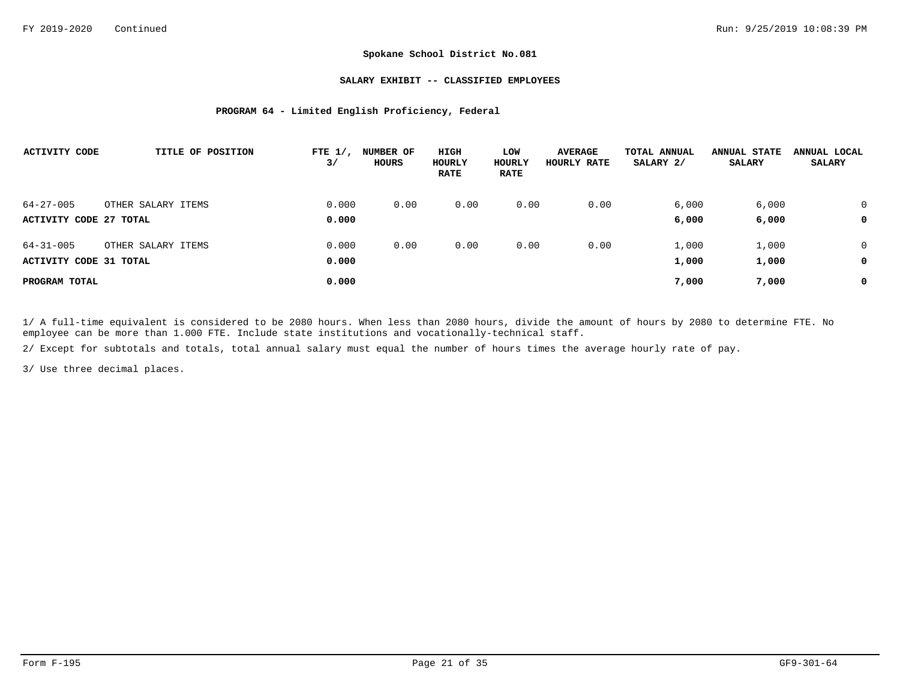### **SALARY EXHIBIT -- CLASSIFIED EMPLOYEES**

## **PROGRAM 64 - Limited English Proficiency, Federal**

| <b>ACTIVITY CODE</b>                      | TITLE OF POSITION  | FTE $1/$ .<br>3/ | NUMBER OF<br>HOURS | HIGH<br>HOURLY<br><b>RATE</b> | LOW<br>HOURLY<br><b>RATE</b> | <b>AVERAGE</b><br>HOURLY RATE | TOTAL ANNUAL<br>SALARY 2/ | <b>ANNUAL STATE</b><br><b>SALARY</b> | ANNUAL LOCAL<br><b>SALARY</b> |
|-------------------------------------------|--------------------|------------------|--------------------|-------------------------------|------------------------------|-------------------------------|---------------------------|--------------------------------------|-------------------------------|
| $64 - 27 - 005$<br>ACTIVITY CODE 27 TOTAL | OTHER SALARY ITEMS | 0.000<br>0.000   | 0.00               | 0.00                          | 0.00                         | 0.00                          | 6,000<br>6,000            | 6,000<br>6,000                       | $\Omega$<br>0                 |
| $64 - 31 - 005$<br>ACTIVITY CODE 31 TOTAL | OTHER SALARY ITEMS | 0.000<br>0.000   | 0.00               | 0.00                          | 0.00                         | 0.00                          | 1,000<br>1,000            | 1,000<br>1,000                       | 0<br>0                        |
| PROGRAM TOTAL                             |                    | 0.000            |                    |                               |                              |                               | 7,000                     | 7,000                                | 0                             |

1/ A full-time equivalent is considered to be 2080 hours. When less than 2080 hours, divide the amount of hours by 2080 to determine FTE. No employee can be more than 1.000 FTE. Include state institutions and vocationally-technical staff.

2/ Except for subtotals and totals, total annual salary must equal the number of hours times the average hourly rate of pay.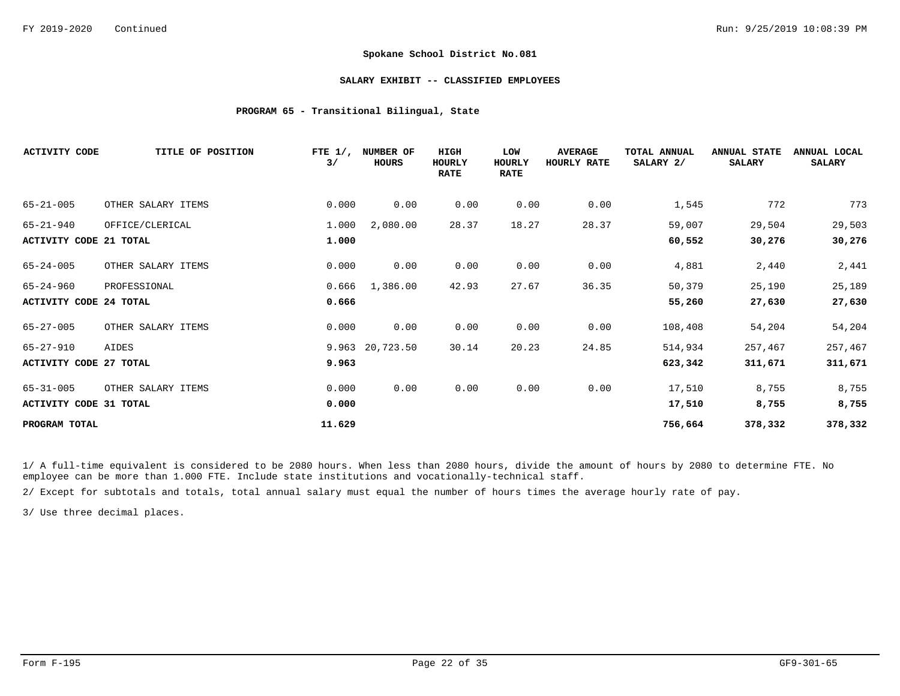#### **SALARY EXHIBIT -- CLASSIFIED EMPLOYEES**

## **PROGRAM 65 - Transitional Bilingual, State**

| <b>ACTIVITY CODE</b>          | TITLE OF POSITION  | FTE $1/$ ,<br>3/ | NUMBER OF<br><b>HOURS</b> | <b>HIGH</b><br><b>HOURLY</b><br><b>RATE</b> | LOW<br>HOURLY<br><b>RATE</b> | <b>AVERAGE</b><br>HOURLY RATE | TOTAL ANNUAL<br>SALARY 2/ | <b>ANNUAL STATE</b><br><b>SALARY</b> | ANNUAL LOCAL<br><b>SALARY</b> |
|-------------------------------|--------------------|------------------|---------------------------|---------------------------------------------|------------------------------|-------------------------------|---------------------------|--------------------------------------|-------------------------------|
| $65 - 21 - 005$               | OTHER SALARY ITEMS | 0.000            | 0.00                      | 0.00                                        | 0.00                         | 0.00                          | 1,545                     | 772                                  | 773                           |
| $65 - 21 - 940$               | OFFICE/CLERICAL    | 1.000            | 2,080.00                  | 28.37                                       | 18.27                        | 28.37                         | 59,007                    | 29,504                               | 29,503                        |
| <b>ACTIVITY CODE 21 TOTAL</b> |                    | 1.000            |                           |                                             |                              |                               | 60,552                    | 30,276                               | 30,276                        |
| $65 - 24 - 005$               | OTHER SALARY ITEMS | 0.000            | 0.00                      | 0.00                                        | 0.00                         | 0.00                          | 4,881                     | 2,440                                | 2,441                         |
| $65 - 24 - 960$               | PROFESSIONAL       | 0.666            | 1,386.00                  | 42.93                                       | 27.67                        | 36.35                         | 50,379                    | 25,190                               | 25,189                        |
| <b>ACTIVITY CODE 24 TOTAL</b> |                    | 0.666            |                           |                                             |                              |                               | 55,260                    | 27,630                               | 27,630                        |
| $65 - 27 - 005$               | OTHER SALARY ITEMS | 0.000            | 0.00                      | 0.00                                        | 0.00                         | 0.00                          | 108,408                   | 54,204                               | 54,204                        |
| $65 - 27 - 910$               | AIDES              |                  | 9.963 20,723.50           | 30.14                                       | 20.23                        | 24.85                         | 514,934                   | 257,467                              | 257,467                       |
| ACTIVITY CODE 27 TOTAL        |                    | 9.963            |                           |                                             |                              |                               | 623,342                   | 311,671                              | 311,671                       |
| $65 - 31 - 005$               | OTHER SALARY ITEMS | 0.000            | 0.00                      | 0.00                                        | 0.00                         | 0.00                          | 17,510                    | 8,755                                | 8,755                         |
| <b>ACTIVITY CODE 31 TOTAL</b> |                    | 0.000            |                           |                                             |                              |                               | 17,510                    | 8,755                                | 8,755                         |
| PROGRAM TOTAL                 |                    | 11.629           |                           |                                             |                              |                               | 756,664                   | 378,332                              | 378,332                       |

1/ A full-time equivalent is considered to be 2080 hours. When less than 2080 hours, divide the amount of hours by 2080 to determine FTE. No employee can be more than 1.000 FTE. Include state institutions and vocationally-technical staff.

2/ Except for subtotals and totals, total annual salary must equal the number of hours times the average hourly rate of pay.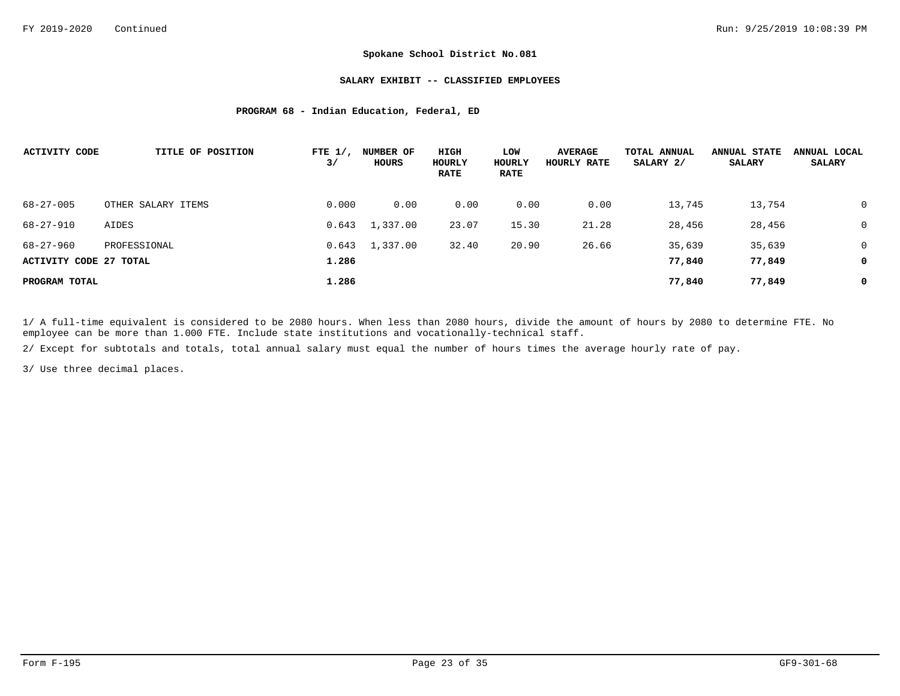#### **SALARY EXHIBIT -- CLASSIFIED EMPLOYEES**

#### **PROGRAM 68 - Indian Education, Federal, ED**

| <b>ACTIVITY CODE</b>   | TITLE OF POSITION  | FTE $1/$ ,<br>3/ | <b>NUMBER OF</b><br>HOURS | HIGH<br>HOURLY<br><b>RATE</b> | LOW<br>HOURLY<br><b>RATE</b> | <b>AVERAGE</b><br>HOURLY RATE | TOTAL ANNUAL<br>SALARY 2/ | <b>ANNUAL STATE</b><br>SALARY | ANNUAL LOCAL<br><b>SALARY</b> |
|------------------------|--------------------|------------------|---------------------------|-------------------------------|------------------------------|-------------------------------|---------------------------|-------------------------------|-------------------------------|
| $68 - 27 - 005$        | OTHER SALARY ITEMS | 0.000            | 0.00                      | 0.00                          | 0.00                         | 0.00                          | 13,745                    | 13,754                        | $\Omega$                      |
| $68 - 27 - 910$        | AIDES              | 0.643            | 1,337.00                  | 23.07                         | 15.30                        | 21.28                         | 28,456                    | 28,456                        | 0                             |
| $68 - 27 - 960$        | PROFESSIONAL       | 0.643            | 1,337.00                  | 32.40                         | 20.90                        | 26.66                         | 35,639                    | 35,639                        | $\mathbf 0$                   |
| ACTIVITY CODE 27 TOTAL |                    | 1.286            |                           |                               |                              |                               | 77,840                    | 77,849                        | 0                             |
| PROGRAM TOTAL          |                    | 1.286            |                           |                               |                              |                               | 77,840                    | 77,849                        | 0                             |

1/ A full-time equivalent is considered to be 2080 hours. When less than 2080 hours, divide the amount of hours by 2080 to determine FTE. No employee can be more than 1.000 FTE. Include state institutions and vocationally-technical staff.

2/ Except for subtotals and totals, total annual salary must equal the number of hours times the average hourly rate of pay.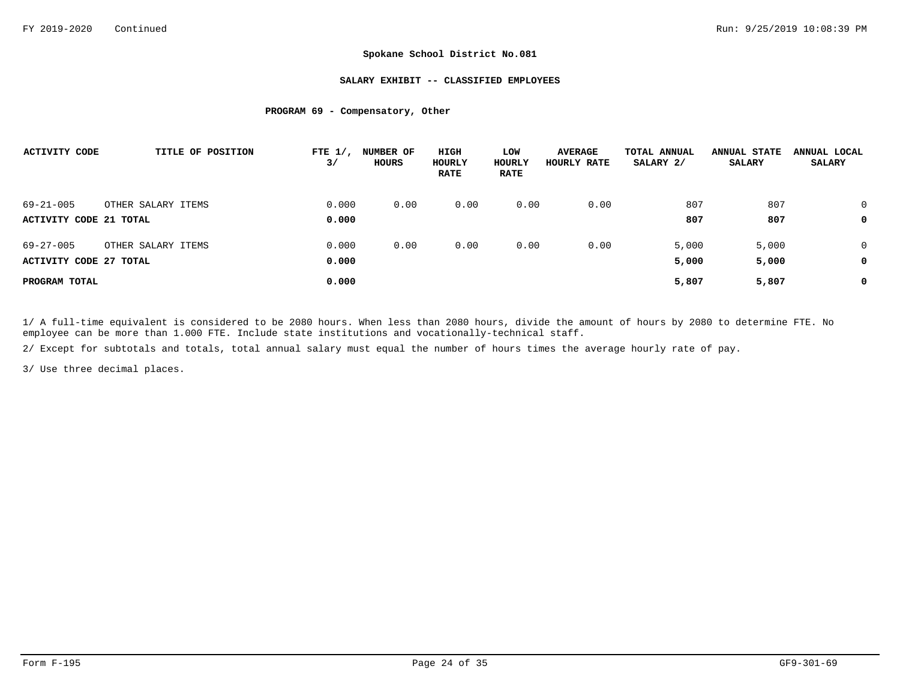#### **SALARY EXHIBIT -- CLASSIFIED EMPLOYEES**

### **PROGRAM 69 - Compensatory, Other**

| <b>ACTIVITY CODE</b>   | TITLE OF POSITION  | FTE $1/$ ,<br>3/ | <b>NUMBER OF</b><br>HOURS | HIGH<br>HOURLY<br><b>RATE</b> | LOW<br>HOURLY<br><b>RATE</b> | <b>AVERAGE</b><br>HOURLY RATE | TOTAL ANNUAL<br>SALARY 2/ | <b>ANNUAL STATE</b><br><b>SALARY</b> | ANNUAL LOCAL<br><b>SALARY</b> |
|------------------------|--------------------|------------------|---------------------------|-------------------------------|------------------------------|-------------------------------|---------------------------|--------------------------------------|-------------------------------|
| $69 - 21 - 005$        | OTHER SALARY ITEMS | 0.000            | 0.00                      | 0.00                          | 0.00                         | 0.00                          | 807                       | 807                                  | $\Omega$                      |
| ACTIVITY CODE 21 TOTAL |                    | 0.000            |                           |                               |                              |                               | 807                       | 807                                  | 0                             |
| $69 - 27 - 005$        | OTHER SALARY ITEMS | 0.000            | 0.00                      | 0.00                          | 0.00                         | 0.00                          | 5,000                     | 5,000                                | 0                             |
| ACTIVITY CODE 27 TOTAL |                    | 0.000            |                           |                               |                              |                               | 5,000                     | 5,000                                | 0                             |
| PROGRAM TOTAL          |                    | 0.000            |                           |                               |                              |                               | 5,807                     | 5,807                                | 0                             |

1/ A full-time equivalent is considered to be 2080 hours. When less than 2080 hours, divide the amount of hours by 2080 to determine FTE. No employee can be more than 1.000 FTE. Include state institutions and vocationally-technical staff.

2/ Except for subtotals and totals, total annual salary must equal the number of hours times the average hourly rate of pay.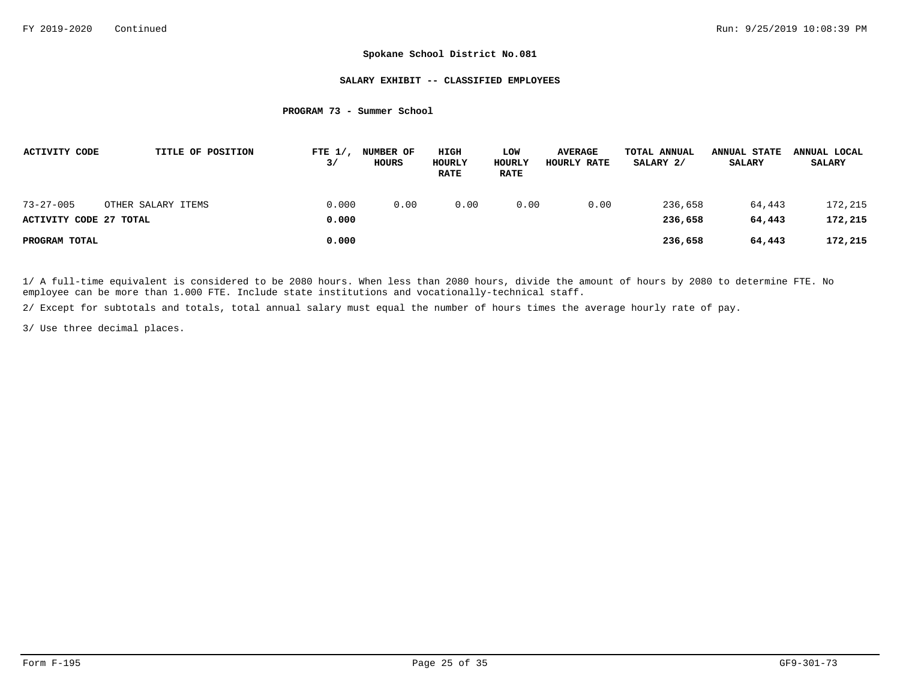#### **SALARY EXHIBIT -- CLASSIFIED EMPLOYEES**

#### **PROGRAM 73 - Summer School**

| ACTIVITY CODE          |                    | TITLE OF POSITION | FTE $1/$<br>3/ | NUMBER OF<br>HOURS | HIGH<br>HOURLY<br><b>RATE</b> | LOW<br>HOURLY<br><b>RATE</b> | <b>AVERAGE</b><br>HOURLY RATE | TOTAL ANNUAL<br>SALARY 2/ | <b>ANNUAL STATE</b><br><b>SALARY</b> | ANNUAL LOCAL<br><b>SALARY</b> |
|------------------------|--------------------|-------------------|----------------|--------------------|-------------------------------|------------------------------|-------------------------------|---------------------------|--------------------------------------|-------------------------------|
| $73 - 27 - 005$        | OTHER SALARY ITEMS |                   | 0.000          | 0.00               | 0.00                          | 0.00                         | 0.00                          | 236,658                   | 64,443                               | 172,215                       |
| ACTIVITY CODE 27 TOTAL |                    |                   | 0.000          |                    |                               |                              |                               | 236,658                   | 64,443                               | 172,215                       |
| PROGRAM TOTAL          |                    |                   | 0.000          |                    |                               |                              |                               | 236,658                   | 64,443                               | 172,215                       |

1/ A full-time equivalent is considered to be 2080 hours. When less than 2080 hours, divide the amount of hours by 2080 to determine FTE. No employee can be more than 1.000 FTE. Include state institutions and vocationally-technical staff.

2/ Except for subtotals and totals, total annual salary must equal the number of hours times the average hourly rate of pay.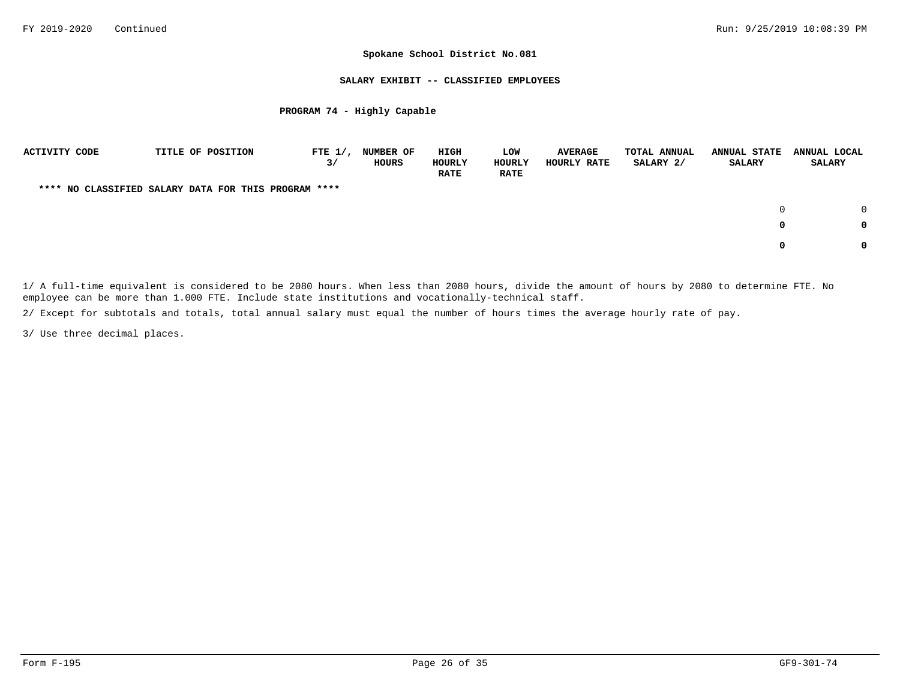#### **SALARY EXHIBIT -- CLASSIFIED EMPLOYEES**

### **PROGRAM 74 - Highly Capable**

| <b>ACTIVITY CODE</b> |  | TITLE OF POSITION                                    | FTE $1/$ ,<br>3/ | NUMBER OF<br>HOURS | HIGH<br>HOURLY<br><b>RATE</b> | LOW<br>HOURLY<br><b>RATE</b> | <b>AVERAGE</b><br>HOURLY RATE | TOTAL ANNUAL<br>SALARY 2/ | <b>ANNUAL STATE</b><br>SALARY | ANNUAL LOCAL<br><b>SALARY</b> |        |
|----------------------|--|------------------------------------------------------|------------------|--------------------|-------------------------------|------------------------------|-------------------------------|---------------------------|-------------------------------|-------------------------------|--------|
|                      |  | **** NO CLASSIFIED SALARY DATA FOR THIS PROGRAM **** |                  |                    |                               |                              |                               |                           |                               |                               |        |
|                      |  |                                                      |                  |                    |                               |                              |                               |                           | $\Omega$                      |                               | $\cap$ |
|                      |  |                                                      |                  |                    |                               |                              |                               |                           | 0                             |                               | 0      |
|                      |  |                                                      |                  |                    |                               |                              |                               |                           |                               |                               | 0      |

1/ A full-time equivalent is considered to be 2080 hours. When less than 2080 hours, divide the amount of hours by 2080 to determine FTE. No employee can be more than 1.000 FTE. Include state institutions and vocationally-technical staff.

2/ Except for subtotals and totals, total annual salary must equal the number of hours times the average hourly rate of pay.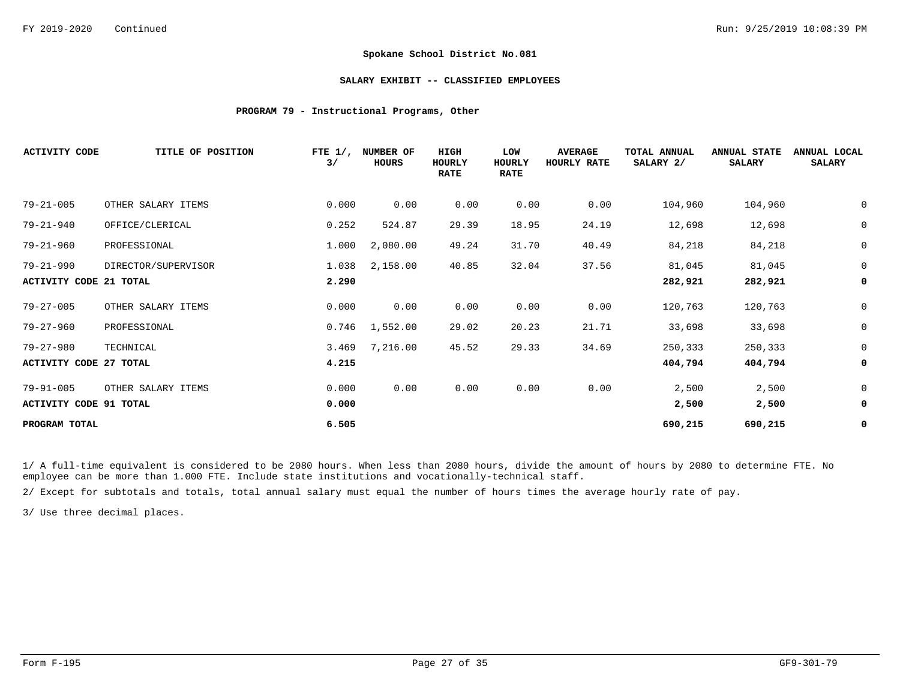#### **SALARY EXHIBIT -- CLASSIFIED EMPLOYEES**

### **PROGRAM 79 - Instructional Programs, Other**

| <b>ACTIVITY CODE</b>          | TITLE OF POSITION   | FTE $1/$ ,<br>3/ | NUMBER OF<br><b>HOURS</b> | HIGH<br>HOURLY<br><b>RATE</b> | LOW<br>HOURLY<br><b>RATE</b> | <b>AVERAGE</b><br>HOURLY RATE | TOTAL ANNUAL<br>SALARY 2/ | <b>ANNUAL STATE</b><br><b>SALARY</b> | ANNUAL LOCAL<br><b>SALARY</b> |
|-------------------------------|---------------------|------------------|---------------------------|-------------------------------|------------------------------|-------------------------------|---------------------------|--------------------------------------|-------------------------------|
| $79 - 21 - 005$               | OTHER SALARY ITEMS  | 0.000            | 0.00                      | 0.00                          | 0.00                         | 0.00                          | 104,960                   | 104,960                              | $\mathbf 0$                   |
| $79 - 21 - 940$               | OFFICE/CLERICAL     | 0.252            | 524.87                    | 29.39                         | 18.95                        | 24.19                         | 12,698                    | 12,698                               | $\mathbf 0$                   |
| $79 - 21 - 960$               | PROFESSIONAL        | 1.000            | 2,080.00                  | 49.24                         | 31.70                        | 40.49                         | 84,218                    | 84,218                               | 0                             |
| $79 - 21 - 990$               | DIRECTOR/SUPERVISOR | 1.038            | 2,158.00                  | 40.85                         | 32.04                        | 37.56                         | 81,045                    | 81,045                               | $\mathbf 0$                   |
| <b>ACTIVITY CODE 21 TOTAL</b> |                     | 2.290            |                           |                               |                              |                               | 282,921                   | 282,921                              | 0                             |
| $79 - 27 - 005$               | OTHER SALARY ITEMS  | 0.000            | 0.00                      | 0.00                          | 0.00                         | 0.00                          | 120,763                   | 120,763                              | 0                             |
| $79 - 27 - 960$               | PROFESSIONAL        | 0.746            | 1,552.00                  | 29.02                         | 20.23                        | 21.71                         | 33,698                    | 33,698                               | $\mathbf 0$                   |
| $79 - 27 - 980$               | TECHNICAL           | 3.469            | 7,216.00                  | 45.52                         | 29.33                        | 34.69                         | 250,333                   | 250,333                              | 0                             |
| ACTIVITY CODE 27 TOTAL        |                     | 4.215            |                           |                               |                              |                               | 404,794                   | 404,794                              | 0                             |
| $79 - 91 - 005$               | OTHER SALARY ITEMS  | 0.000            | 0.00                      | 0.00                          | 0.00                         | 0.00                          | 2,500                     | 2,500                                | $\mathbf 0$                   |
| <b>ACTIVITY CODE 91 TOTAL</b> |                     | 0.000            |                           |                               |                              |                               | 2,500                     | 2,500                                | 0                             |
| PROGRAM TOTAL                 |                     | 6.505            |                           |                               |                              |                               | 690,215                   | 690,215                              | 0                             |

1/ A full-time equivalent is considered to be 2080 hours. When less than 2080 hours, divide the amount of hours by 2080 to determine FTE. No employee can be more than 1.000 FTE. Include state institutions and vocationally-technical staff.

2/ Except for subtotals and totals, total annual salary must equal the number of hours times the average hourly rate of pay.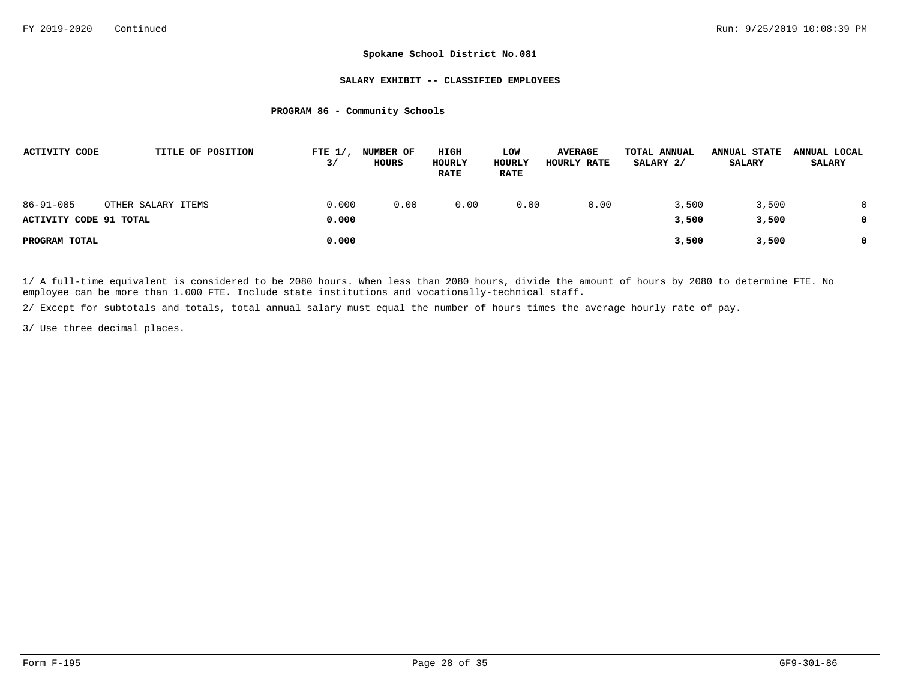#### **SALARY EXHIBIT -- CLASSIFIED EMPLOYEES**

#### **PROGRAM 86 - Community Schools**

| ACTIVITY CODE                             |                    | TITLE OF POSITION | FTE $1/$ ,<br>3/ | <b>NUMBER OF</b><br>HOURS | HIGH<br>HOURLY<br><b>RATE</b> | LOW<br><b>HOURLY</b><br><b>RATE</b> | <b>AVERAGE</b><br><b>HOURLY RATE</b> | TOTAL ANNUAL<br>SALARY 2/ | <b>ANNUAL STATE</b><br><b>SALARY</b> | ANNUAL LOCAL<br><b>SALARY</b> |
|-------------------------------------------|--------------------|-------------------|------------------|---------------------------|-------------------------------|-------------------------------------|--------------------------------------|---------------------------|--------------------------------------|-------------------------------|
| $86 - 91 - 005$<br>ACTIVITY CODE 91 TOTAL | OTHER SALARY ITEMS |                   | 0.000<br>0.000   | 0.00                      | 0.00                          | 0.00                                | 0.00                                 | 3,500<br>3,500            | 3,500<br>3,500                       | 0<br>0                        |
| PROGRAM TOTAL                             |                    |                   | 0.000            |                           |                               |                                     |                                      | 3,500                     | 3,500                                | 0                             |

1/ A full-time equivalent is considered to be 2080 hours. When less than 2080 hours, divide the amount of hours by 2080 to determine FTE. No employee can be more than 1.000 FTE. Include state institutions and vocationally-technical staff.

2/ Except for subtotals and totals, total annual salary must equal the number of hours times the average hourly rate of pay.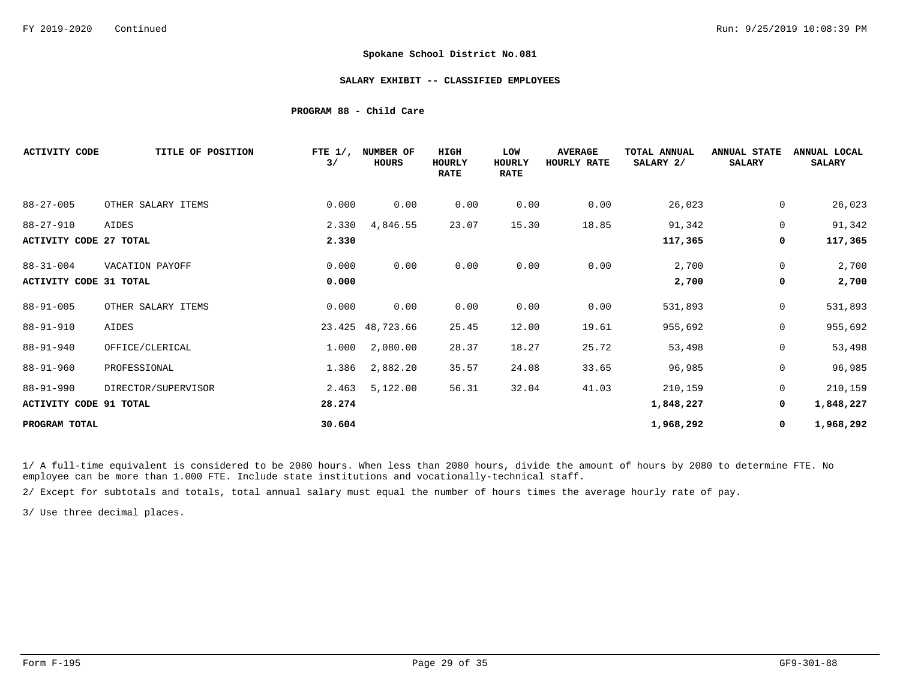#### **SALARY EXHIBIT -- CLASSIFIED EMPLOYEES**

#### **PROGRAM 88 - Child Care**

| <b>ACTIVITY CODE</b>          | TITLE OF POSITION   | FTE $1/$ ,<br>3/ | NUMBER OF<br>HOURS | <b>HIGH</b><br>HOURLY<br><b>RATE</b> | LOW<br>HOURLY<br><b>RATE</b> | <b>AVERAGE</b><br>HOURLY RATE | TOTAL ANNUAL<br>SALARY 2/ | <b>ANNUAL STATE</b><br><b>SALARY</b> | ANNUAL LOCAL<br><b>SALARY</b> |
|-------------------------------|---------------------|------------------|--------------------|--------------------------------------|------------------------------|-------------------------------|---------------------------|--------------------------------------|-------------------------------|
| $88 - 27 - 005$               | OTHER SALARY ITEMS  | 0.000            | 0.00               | 0.00                                 | 0.00                         | 0.00                          | 26,023                    | 0                                    | 26,023                        |
| $88 - 27 - 910$               | AIDES               | 2.330            | 4,846.55           | 23.07                                | 15.30                        | 18.85                         | 91,342                    | $\mathbf 0$                          | 91,342                        |
| <b>ACTIVITY CODE 27 TOTAL</b> |                     | 2.330            |                    |                                      |                              |                               | 117,365                   | 0                                    | 117,365                       |
| $88 - 31 - 004$               | VACATION PAYOFF     | 0.000            | 0.00               | 0.00                                 | 0.00                         | 0.00                          | 2,700                     | 0                                    | 2,700                         |
| <b>ACTIVITY CODE 31 TOTAL</b> |                     | 0.000            |                    |                                      |                              |                               | 2,700                     | 0                                    | 2,700                         |
| $88 - 91 - 005$               | OTHER SALARY ITEMS  | 0.000            | 0.00               | 0.00                                 | 0.00                         | 0.00                          | 531,893                   | $\mathbf 0$                          | 531,893                       |
| $88 - 91 - 910$               | AIDES               |                  | 23.425 48,723.66   | 25.45                                | 12.00                        | 19.61                         | 955,692                   | 0                                    | 955,692                       |
| $88 - 91 - 940$               | OFFICE/CLERICAL     | 1.000            | 2,080.00           | 28.37                                | 18.27                        | 25.72                         | 53,498                    | $\mathbf 0$                          | 53,498                        |
| $88 - 91 - 960$               | PROFESSIONAL        | 1.386            | 2,882.20           | 35.57                                | 24.08                        | 33.65                         | 96,985                    | 0                                    | 96,985                        |
| $88 - 91 - 990$               | DIRECTOR/SUPERVISOR | 2.463            | 5,122.00           | 56.31                                | 32.04                        | 41.03                         | 210,159                   | $\mathbf 0$                          | 210,159                       |
| <b>ACTIVITY CODE 91 TOTAL</b> |                     | 28.274           |                    |                                      |                              |                               | 1,848,227                 | 0                                    | 1,848,227                     |
| PROGRAM TOTAL                 |                     | 30.604           |                    |                                      |                              |                               | 1,968,292                 | 0                                    | 1,968,292                     |

1/ A full-time equivalent is considered to be 2080 hours. When less than 2080 hours, divide the amount of hours by 2080 to determine FTE. No employee can be more than 1.000 FTE. Include state institutions and vocationally-technical staff.

2/ Except for subtotals and totals, total annual salary must equal the number of hours times the average hourly rate of pay.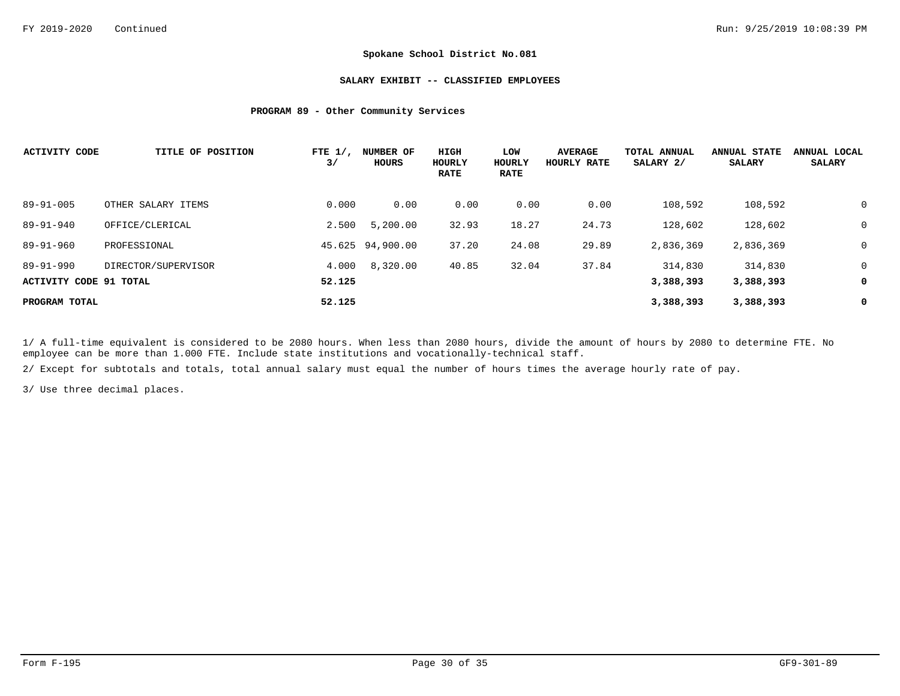#### **SALARY EXHIBIT -- CLASSIFIED EMPLOYEES**

### **PROGRAM 89 - Other Community Services**

| <b>ACTIVITY CODE</b>   | TITLE OF POSITION   | FTE $1/$ ,<br>3/ | NUMBER OF<br>HOURS | HIGH<br>HOURLY<br><b>RATE</b> | LOW<br>HOURLY<br><b>RATE</b> | <b>AVERAGE</b><br>HOURLY RATE | TOTAL ANNUAL<br>SALARY 2/ | <b>ANNUAL STATE</b><br>SALARY | ANNUAL LOCAL<br><b>SALARY</b> |
|------------------------|---------------------|------------------|--------------------|-------------------------------|------------------------------|-------------------------------|---------------------------|-------------------------------|-------------------------------|
| $89 - 91 - 005$        | OTHER SALARY ITEMS  | 0.000            | 0.00               | 0.00                          | 0.00                         | 0.00                          | 108,592                   | 108,592                       | $\mathbf 0$                   |
| $89 - 91 - 940$        | OFFICE/CLERICAL     | 2.500            | 5,200.00           | 32.93                         | 18.27                        | 24.73                         | 128,602                   | 128,602                       | $\mathbf 0$                   |
| 89-91-960              | PROFESSIONAL        |                  | 45.625 94,900.00   | 37.20                         | 24.08                        | 29.89                         | 2,836,369                 | 2,836,369                     | $\mathbf 0$                   |
| $89 - 91 - 990$        | DIRECTOR/SUPERVISOR | 4.000            | 8,320.00           | 40.85                         | 32.04                        | 37.84                         | 314,830                   | 314,830                       | $\mathbf 0$                   |
| ACTIVITY CODE 91 TOTAL |                     | 52.125           |                    |                               |                              |                               | 3,388,393                 | 3,388,393                     | 0                             |
| PROGRAM TOTAL          |                     | 52.125           |                    |                               |                              |                               | 3,388,393                 | 3,388,393                     | 0                             |

1/ A full-time equivalent is considered to be 2080 hours. When less than 2080 hours, divide the amount of hours by 2080 to determine FTE. No employee can be more than 1.000 FTE. Include state institutions and vocationally-technical staff.

2/ Except for subtotals and totals, total annual salary must equal the number of hours times the average hourly rate of pay.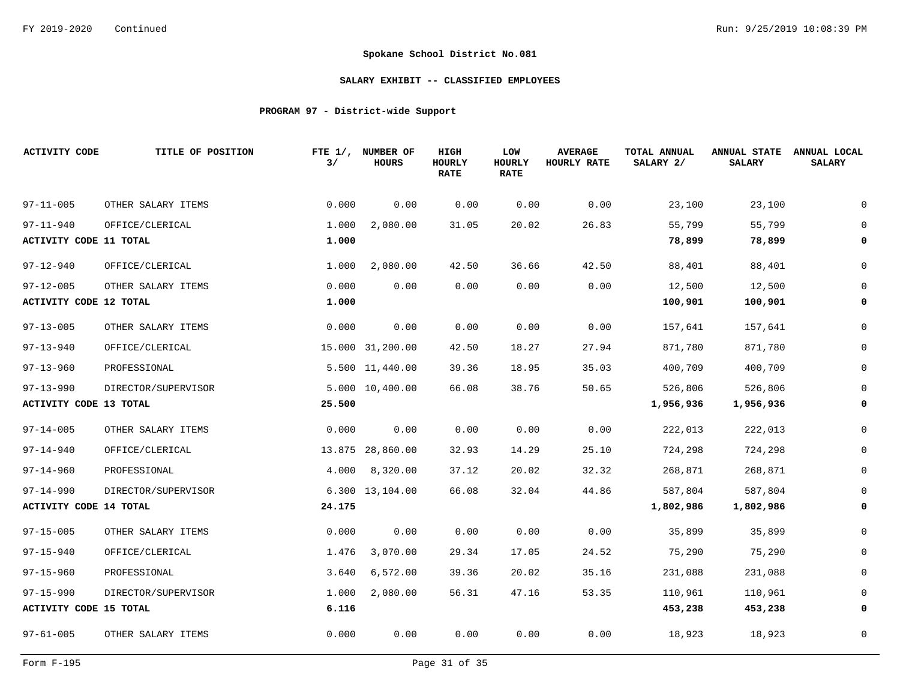## **SALARY EXHIBIT -- CLASSIFIED EMPLOYEES**

# **PROGRAM 97 - District-wide Support**

| <b>ACTIVITY CODE</b>          | TITLE OF POSITION   | 3/     | FTE 1/, NUMBER OF<br><b>HOURS</b> | HIGH<br>HOURLY<br><b>RATE</b> | LOW<br><b>HOURLY</b><br><b>RATE</b> | <b>AVERAGE</b><br>HOURLY RATE | TOTAL ANNUAL<br>SALARY 2/ | <b>ANNUAL STATE</b><br><b>SALARY</b> | ANNUAL LOCAL<br><b>SALARY</b> |
|-------------------------------|---------------------|--------|-----------------------------------|-------------------------------|-------------------------------------|-------------------------------|---------------------------|--------------------------------------|-------------------------------|
| $97 - 11 - 005$               | OTHER SALARY ITEMS  | 0.000  | 0.00                              | 0.00                          | 0.00                                | 0.00                          | 23,100                    | 23,100                               |                               |
| $97 - 11 - 940$               | OFFICE/CLERICAL     | 1.000  | 2,080.00                          | 31.05                         | 20.02                               | 26.83                         | 55,799                    | 55,799                               |                               |
| ACTIVITY CODE 11 TOTAL        |                     | 1.000  |                                   |                               |                                     |                               | 78,899                    | 78,899                               | 0                             |
| $97 - 12 - 940$               | OFFICE/CLERICAL     | 1.000  | 2,080.00                          | 42.50                         | 36.66                               | 42.50                         | 88,401                    | 88,401                               |                               |
| $97 - 12 - 005$               | OTHER SALARY ITEMS  | 0.000  | 0.00                              | 0.00                          | 0.00                                | 0.00                          | 12,500                    | 12,500                               | 0                             |
| <b>ACTIVITY CODE 12 TOTAL</b> |                     | 1.000  |                                   |                               |                                     |                               | 100,901                   | 100,901                              | 0                             |
| $97 - 13 - 005$               | OTHER SALARY ITEMS  | 0.000  | 0.00                              | 0.00                          | 0.00                                | 0.00                          | 157,641                   | 157,641                              | 0                             |
| $97 - 13 - 940$               | OFFICE/CLERICAL     |        | 15.000 31,200.00                  | 42.50                         | 18.27                               | 27.94                         | 871,780                   | 871,780                              | 0                             |
| $97 - 13 - 960$               | PROFESSIONAL        |        | 5.500 11,440.00                   | 39.36                         | 18.95                               | 35.03                         | 400,709                   | 400,709                              | $\Omega$                      |
| $97 - 13 - 990$               | DIRECTOR/SUPERVISOR |        | 5.000 10,400.00                   | 66.08                         | 38.76                               | 50.65                         | 526,806                   | 526,806                              | 0                             |
| <b>ACTIVITY CODE 13 TOTAL</b> |                     | 25.500 |                                   |                               |                                     |                               | 1,956,936                 | 1,956,936                            | 0                             |
| $97 - 14 - 005$               | OTHER SALARY ITEMS  | 0.000  | 0.00                              | 0.00                          | 0.00                                | 0.00                          | 222,013                   | 222,013                              | 0                             |
| $97 - 14 - 940$               | OFFICE/CLERICAL     |        | 13.875 28,860.00                  | 32.93                         | 14.29                               | 25.10                         | 724,298                   | 724,298                              | $\mathbf 0$                   |
| $97 - 14 - 960$               | PROFESSIONAL        | 4.000  | 8,320.00                          | 37.12                         | 20.02                               | 32.32                         | 268,871                   | 268,871                              | $\mathbf 0$                   |
| $97 - 14 - 990$               | DIRECTOR/SUPERVISOR |        | 6.300 13,104.00                   | 66.08                         | 32.04                               | 44.86                         | 587,804                   | 587,804                              |                               |
| <b>ACTIVITY CODE 14 TOTAL</b> |                     | 24.175 |                                   |                               |                                     |                               | 1,802,986                 | 1,802,986                            | 0                             |
| $97 - 15 - 005$               | OTHER SALARY ITEMS  | 0.000  | 0.00                              | 0.00                          | 0.00                                | 0.00                          | 35,899                    | 35,899                               | 0                             |
| $97 - 15 - 940$               | OFFICE/CLERICAL     | 1.476  | 3,070.00                          | 29.34                         | 17.05                               | 24.52                         | 75,290                    | 75,290                               | $\Omega$                      |
| $97 - 15 - 960$               | PROFESSIONAL        | 3.640  | 6,572.00                          | 39.36                         | 20.02                               | 35.16                         | 231,088                   | 231,088                              |                               |
| $97 - 15 - 990$               | DIRECTOR/SUPERVISOR | 1.000  | 2,080.00                          | 56.31                         | 47.16                               | 53.35                         | 110,961                   | 110,961                              |                               |
| <b>ACTIVITY CODE 15 TOTAL</b> |                     | 6.116  |                                   |                               |                                     |                               | 453,238                   | 453,238                              | 0                             |
| $97 - 61 - 005$               | OTHER SALARY ITEMS  | 0.000  | 0.00                              | 0.00                          | 0.00                                | 0.00                          | 18,923                    | 18,923                               | $\mathbf 0$                   |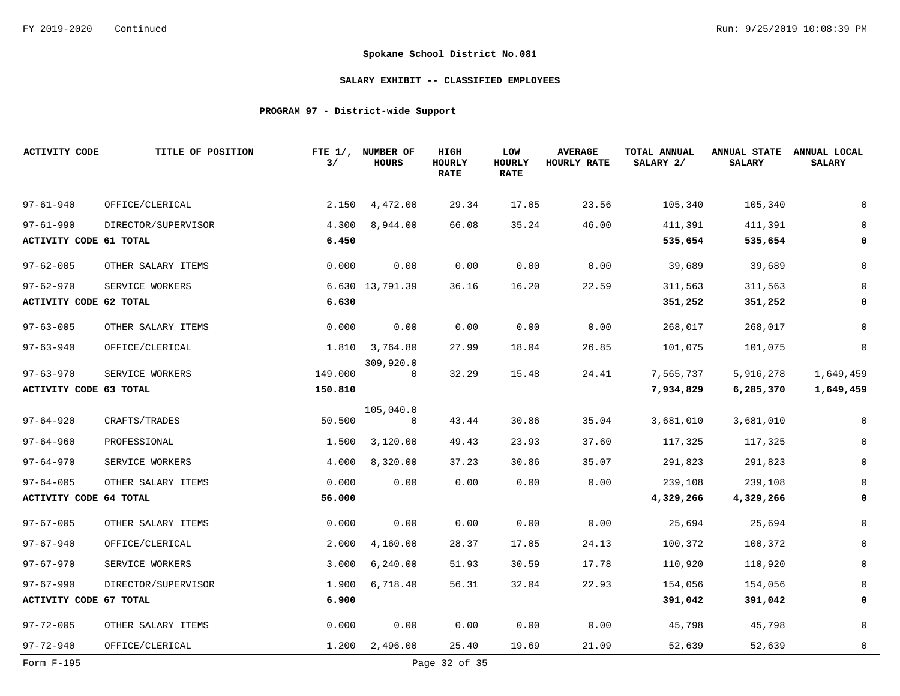## **SALARY EXHIBIT -- CLASSIFIED EMPLOYEES**

# **PROGRAM 97 - District-wide Support**

| <b>ACTIVITY CODE</b>          | TITLE OF POSITION   | 3/      | FTE 1/, NUMBER OF<br><b>HOURS</b> | HIGH<br>HOURLY<br><b>RATE</b> | <b>LOW</b><br>HOURLY<br><b>RATE</b> | <b>AVERAGE</b><br>HOURLY RATE | TOTAL ANNUAL<br>SALARY 2/ | <b>ANNUAL STATE</b><br><b>SALARY</b> | ANNUAL LOCAL<br><b>SALARY</b> |
|-------------------------------|---------------------|---------|-----------------------------------|-------------------------------|-------------------------------------|-------------------------------|---------------------------|--------------------------------------|-------------------------------|
| $97 - 61 - 940$               | OFFICE/CLERICAL     | 2.150   | 4,472.00                          | 29.34                         | 17.05                               | 23.56                         | 105,340                   | 105,340                              | $\mathbf 0$                   |
| $97 - 61 - 990$               | DIRECTOR/SUPERVISOR | 4.300   | 8,944.00                          | 66.08                         | 35.24                               | 46.00                         | 411,391                   | 411,391                              | $\overline{0}$                |
| <b>ACTIVITY CODE 61 TOTAL</b> |                     | 6.450   |                                   |                               |                                     |                               | 535,654                   | 535,654                              | 0                             |
| $97 - 62 - 005$               | OTHER SALARY ITEMS  | 0.000   | 0.00                              | 0.00                          | 0.00                                | 0.00                          | 39,689                    | 39,689                               | $\mathbf 0$                   |
| $97 - 62 - 970$               | SERVICE WORKERS     |         | 6.630 13,791.39                   | 36.16                         | 16.20                               | 22.59                         | 311,563                   | 311,563                              | 0                             |
| <b>ACTIVITY CODE 62 TOTAL</b> |                     | 6.630   |                                   |                               |                                     |                               | 351,252                   | 351,252                              | 0                             |
| $97 - 63 - 005$               | OTHER SALARY ITEMS  | 0.000   | 0.00                              | 0.00                          | 0.00                                | 0.00                          | 268,017                   | 268,017                              | $\mathbf 0$                   |
| $97 - 63 - 940$               | OFFICE/CLERICAL     |         | 1.810 3,764.80                    | 27.99                         | 18.04                               | 26.85                         | 101,075                   | 101,075                              | $\mathbf 0$                   |
| $97 - 63 - 970$               | SERVICE WORKERS     | 149.000 | 309,920.0<br>$\mathbf 0$          | 32.29                         | 15.48                               | 24.41                         | 7,565,737                 | 5,916,278                            | 1,649,459                     |
| <b>ACTIVITY CODE 63 TOTAL</b> |                     | 150.810 |                                   |                               |                                     |                               | 7,934,829                 | 6,285,370                            | 1,649,459                     |
| $97 - 64 - 920$               | CRAFTS/TRADES       | 50.500  | 105,040.0<br>0                    | 43.44                         | 30.86                               | 35.04                         | 3,681,010                 | 3,681,010                            | 0                             |
| $97 - 64 - 960$               | PROFESSIONAL        | 1.500   | 3,120.00                          | 49.43                         | 23.93                               | 37.60                         | 117,325                   | 117,325                              | $\mathbf 0$                   |
| $97 - 64 - 970$               | SERVICE WORKERS     | 4.000   | 8,320.00                          | 37.23                         | 30.86                               | 35.07                         | 291,823                   | 291,823                              | $\mathbf 0$                   |
| $97 - 64 - 005$               | OTHER SALARY ITEMS  | 0.000   | 0.00                              | 0.00                          | 0.00                                | 0.00                          | 239,108                   | 239,108                              | $\mathbf 0$                   |
| <b>ACTIVITY CODE 64 TOTAL</b> |                     | 56.000  |                                   |                               |                                     |                               | 4,329,266                 | 4,329,266                            | 0                             |
| $97 - 67 - 005$               | OTHER SALARY ITEMS  | 0.000   | 0.00                              | 0.00                          | 0.00                                | 0.00                          | 25,694                    | 25,694                               | $\mathbf 0$                   |
| $97 - 67 - 940$               | OFFICE/CLERICAL     | 2.000   | 4,160.00                          | 28.37                         | 17.05                               | 24.13                         | 100,372                   | 100,372                              | 0                             |
| $97 - 67 - 970$               | SERVICE WORKERS     | 3.000   | 6, 240.00                         | 51.93                         | 30.59                               | 17.78                         | 110,920                   | 110,920                              | 0                             |
| $97 - 67 - 990$               | DIRECTOR/SUPERVISOR | 1.900   | 6,718.40                          | 56.31                         | 32.04                               | 22.93                         | 154,056                   | 154,056                              | 0                             |
| ACTIVITY CODE 67 TOTAL        |                     | 6.900   |                                   |                               |                                     |                               | 391,042                   | 391,042                              | $\mathbf 0$                   |
| $97 - 72 - 005$               | OTHER SALARY ITEMS  | 0.000   | 0.00                              | 0.00                          | 0.00                                | 0.00                          | 45,798                    | 45,798                               | $\mathbf 0$                   |
| $97 - 72 - 940$               | OFFICE/CLERICAL     | 1.200   | 2,496.00                          | 25.40                         | 19.69                               | 21.09                         | 52,639                    | 52,639                               | $\mathbf{0}$                  |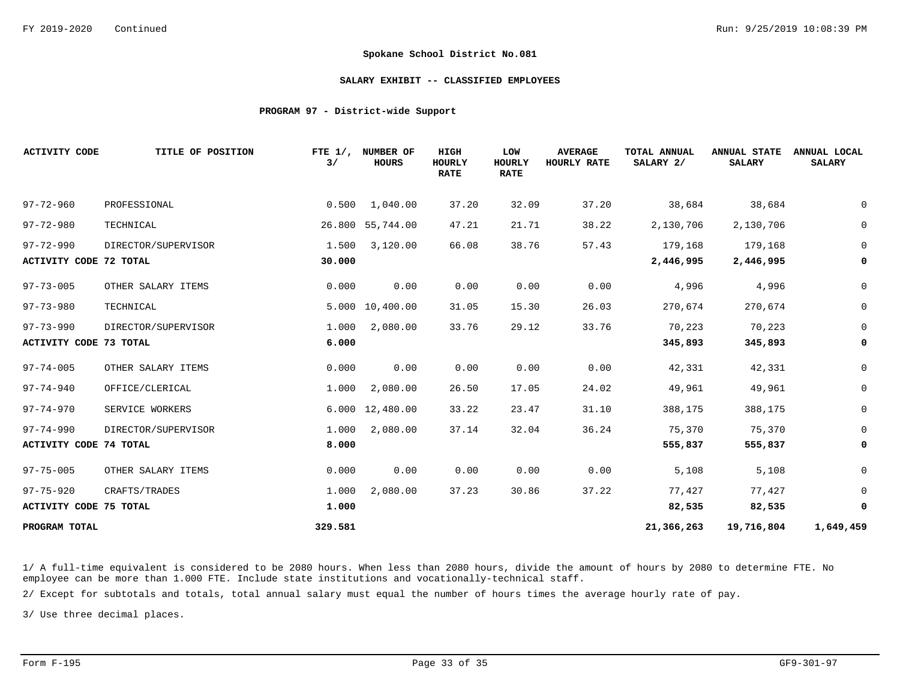#### **SALARY EXHIBIT -- CLASSIFIED EMPLOYEES**

#### **PROGRAM 97 - District-wide Support**

| <b>ACTIVITY CODE</b>          | TITLE OF POSITION   | FTE $1/$ ,<br>3/ | NUMBER OF<br><b>HOURS</b> | HIGH<br><b>HOURLY</b><br><b>RATE</b> | LOW<br><b>HOURLY</b><br><b>RATE</b> | <b>AVERAGE</b><br>HOURLY RATE | <b>TOTAL ANNUAL</b><br>SALARY 2/ | <b>ANNUAL STATE</b><br><b>SALARY</b> | ANNUAL LOCAL<br><b>SALARY</b> |
|-------------------------------|---------------------|------------------|---------------------------|--------------------------------------|-------------------------------------|-------------------------------|----------------------------------|--------------------------------------|-------------------------------|
| $97 - 72 - 960$               | PROFESSIONAL        | 0.500            | 1,040.00                  | 37.20                                | 32.09                               | 37.20                         | 38,684                           | 38,684                               | 0                             |
| $97 - 72 - 980$               | TECHNICAL           |                  | 26.800 55,744.00          | 47.21                                | 21.71                               | 38.22                         | 2,130,706                        | 2,130,706                            | 0                             |
| $97 - 72 - 990$               | DIRECTOR/SUPERVISOR | 1.500            | 3,120.00                  | 66.08                                | 38.76                               | 57.43                         | 179,168                          | 179,168                              | $\mathbf 0$                   |
| <b>ACTIVITY CODE 72 TOTAL</b> |                     | 30.000           |                           |                                      |                                     |                               | 2,446,995                        | 2,446,995                            | 0                             |
| $97 - 73 - 005$               | OTHER SALARY ITEMS  | 0.000            | 0.00                      | 0.00                                 | 0.00                                | 0.00                          | 4,996                            | 4,996                                | $\mathsf{O}$                  |
| $97 - 73 - 980$               | TECHNICAL           |                  | 5.000 10,400.00           | 31.05                                | 15.30                               | 26.03                         | 270,674                          | 270,674                              | $\mathsf{O}$                  |
| $97 - 73 - 990$               | DIRECTOR/SUPERVISOR | 1.000            | 2,080.00                  | 33.76                                | 29.12                               | 33.76                         | 70,223                           | 70,223                               | $\mathbf 0$                   |
| ACTIVITY CODE 73 TOTAL        |                     | 6.000            |                           |                                      |                                     |                               | 345,893                          | 345,893                              | 0                             |
| $97 - 74 - 005$               | OTHER SALARY ITEMS  | 0.000            | 0.00                      | 0.00                                 | 0.00                                | 0.00                          | 42,331                           | 42,331                               | 0                             |
| $97 - 74 - 940$               | OFFICE/CLERICAL     | 1.000            | 2,080.00                  | 26.50                                | 17.05                               | 24.02                         | 49,961                           | 49,961                               | $\mathsf{O}$                  |
| $97 - 74 - 970$               | SERVICE WORKERS     |                  | 6.000 12,480.00           | 33.22                                | 23.47                               | 31.10                         | 388,175                          | 388,175                              | $\mathsf{O}$                  |
| $97 - 74 - 990$               | DIRECTOR/SUPERVISOR | 1.000            | 2,080.00                  | 37.14                                | 32.04                               | 36.24                         | 75,370                           | 75,370                               | $\mathbf 0$                   |
| ACTIVITY CODE 74 TOTAL        |                     | 8.000            |                           |                                      |                                     |                               | 555,837                          | 555,837                              | 0                             |
| $97 - 75 - 005$               | OTHER SALARY ITEMS  | 0.000            | 0.00                      | 0.00                                 | 0.00                                | 0.00                          | 5,108                            | 5,108                                | 0                             |
| $97 - 75 - 920$               | CRAFTS/TRADES       | 1.000            | 2,080.00                  | 37.23                                | 30.86                               | 37.22                         | 77,427                           | 77,427                               | $\mathbf 0$                   |
| <b>ACTIVITY CODE 75 TOTAL</b> |                     | 1.000            |                           |                                      |                                     |                               | 82,535                           | 82,535                               | 0                             |
| PROGRAM TOTAL                 |                     | 329.581          |                           |                                      |                                     |                               | 21,366,263                       | 19,716,804                           | 1,649,459                     |

1/ A full-time equivalent is considered to be 2080 hours. When less than 2080 hours, divide the amount of hours by 2080 to determine FTE. No employee can be more than 1.000 FTE. Include state institutions and vocationally-technical staff.

2/ Except for subtotals and totals, total annual salary must equal the number of hours times the average hourly rate of pay.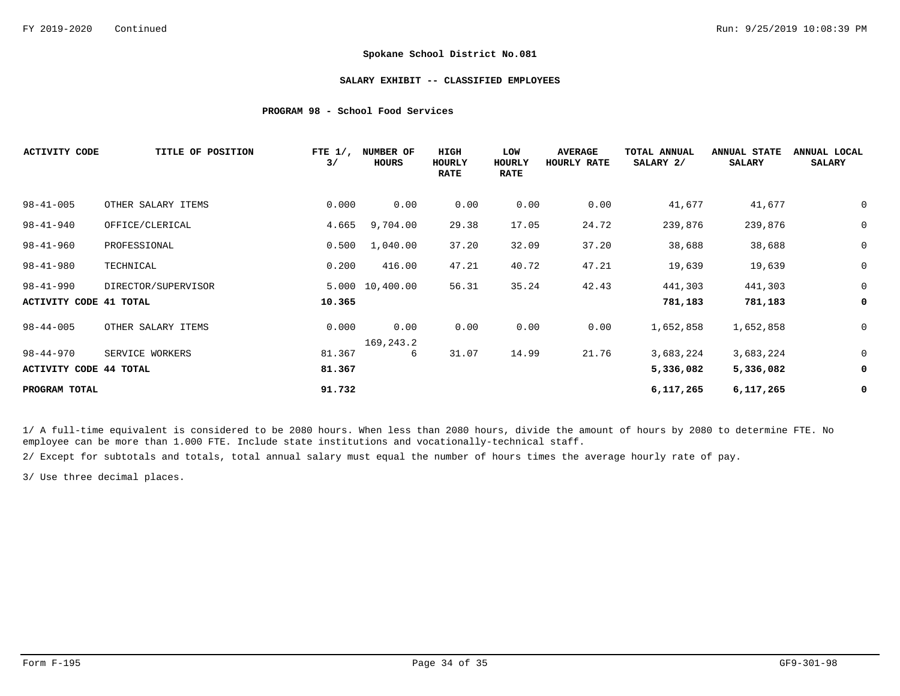#### **SALARY EXHIBIT -- CLASSIFIED EMPLOYEES**

### **PROGRAM 98 - School Food Services**

| <b>ACTIVITY CODE</b>   | TITLE OF POSITION   | FTE $1/$ ,<br>3/ | NUMBER OF<br><b>HOURS</b> | HIGH<br>HOURLY<br><b>RATE</b> | LOW<br>HOURLY<br><b>RATE</b> | <b>AVERAGE</b><br>HOURLY RATE | TOTAL ANNUAL<br>SALARY 2/ | <b>ANNUAL STATE</b><br><b>SALARY</b> | ANNUAL LOCAL<br><b>SALARY</b> |
|------------------------|---------------------|------------------|---------------------------|-------------------------------|------------------------------|-------------------------------|---------------------------|--------------------------------------|-------------------------------|
| $98 - 41 - 005$        | OTHER SALARY ITEMS  | 0.000            | 0.00                      | 0.00                          | 0.00                         | 0.00                          | 41,677                    | 41,677                               | 0                             |
| $98 - 41 - 940$        | OFFICE/CLERICAL     | 4.665            | 9,704.00                  | 29.38                         | 17.05                        | 24.72                         | 239,876                   | 239,876                              | $\mathsf 0$                   |
| $98 - 41 - 960$        | PROFESSIONAL        | 0.500            | 1,040.00                  | 37.20                         | 32.09                        | 37.20                         | 38,688                    | 38,688                               | $\mathbf 0$                   |
| $98 - 41 - 980$        | TECHNICAL           | 0.200            | 416.00                    | 47.21                         | 40.72                        | 47.21                         | 19,639                    | 19,639                               | $\mathsf 0$                   |
| $98 - 41 - 990$        | DIRECTOR/SUPERVISOR |                  | 5.000 10,400.00           | 56.31                         | 35.24                        | 42.43                         | 441,303                   | 441,303                              | $\mathbf 0$                   |
| ACTIVITY CODE 41 TOTAL |                     | 10.365           |                           |                               |                              |                               | 781,183                   | 781,183                              | 0                             |
| $98 - 44 - 005$        | OTHER SALARY ITEMS  | 0.000            | 0.00<br>169,243.2         | 0.00                          | 0.00                         | 0.00                          | 1,652,858                 | 1,652,858                            | 0                             |
| 98-44-970              | SERVICE WORKERS     | 81.367           | 6                         | 31.07                         | 14.99                        | 21.76                         | 3,683,224                 | 3,683,224                            | 0                             |
| ACTIVITY CODE 44 TOTAL |                     | 81.367           |                           |                               |                              |                               | 5,336,082                 | 5,336,082                            | 0                             |
| PROGRAM TOTAL          |                     | 91.732           |                           |                               |                              |                               | 6,117,265                 | 6,117,265                            | 0                             |

1/ A full-time equivalent is considered to be 2080 hours. When less than 2080 hours, divide the amount of hours by 2080 to determine FTE. No employee can be more than 1.000 FTE. Include state institutions and vocationally-technical staff.

2/ Except for subtotals and totals, total annual salary must equal the number of hours times the average hourly rate of pay.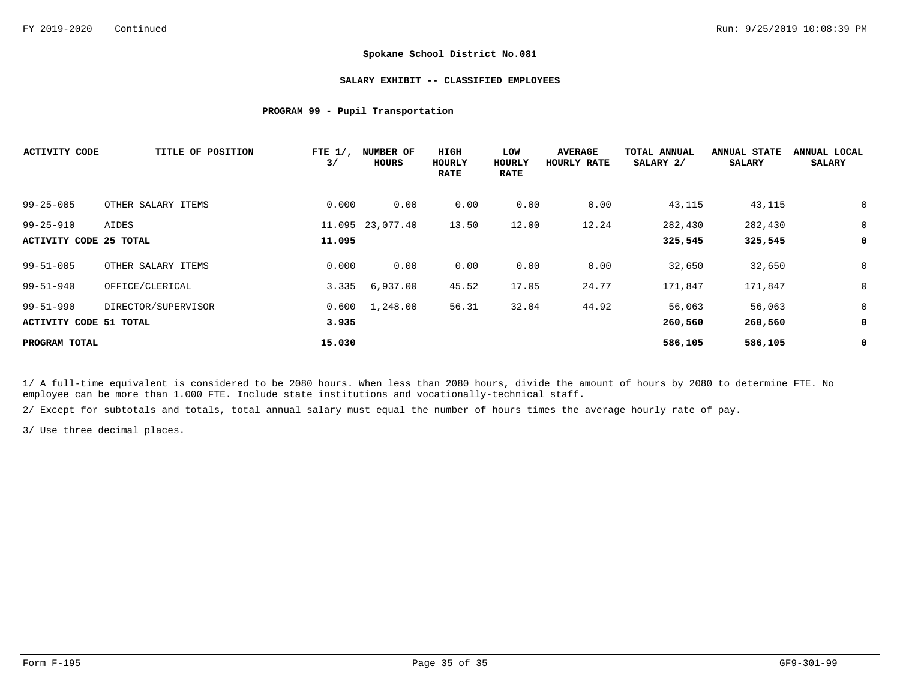#### **SALARY EXHIBIT -- CLASSIFIED EMPLOYEES**

## **PROGRAM 99 - Pupil Transportation**

| <b>ACTIVITY CODE</b>   | TITLE OF POSITION   | FTE $1/$ ,<br>3/ | NUMBER OF<br>HOURS | HIGH<br>HOURLY<br><b>RATE</b> | LOW<br>HOURLY<br><b>RATE</b> | <b>AVERAGE</b><br>HOURLY RATE | TOTAL ANNUAL<br>SALARY 2/ | <b>ANNUAL STATE</b><br><b>SALARY</b> | ANNUAL LOCAL<br><b>SALARY</b> |
|------------------------|---------------------|------------------|--------------------|-------------------------------|------------------------------|-------------------------------|---------------------------|--------------------------------------|-------------------------------|
| $99 - 25 - 005$        | OTHER SALARY ITEMS  | 0.000            | 0.00               | 0.00                          | 0.00                         | 0.00                          | 43,115                    | 43,115                               | 0                             |
| $99 - 25 - 910$        | AIDES               |                  | 11.095 23,077.40   | 13.50                         | 12.00                        | 12.24                         | 282,430                   | 282,430                              | 0                             |
| ACTIVITY CODE 25 TOTAL |                     | 11.095           |                    |                               |                              |                               | 325,545                   | 325,545                              | 0                             |
| $99 - 51 - 005$        | OTHER SALARY ITEMS  | 0.000            | 0.00               | 0.00                          | 0.00                         | 0.00                          | 32,650                    | 32,650                               | 0                             |
| $99 - 51 - 940$        | OFFICE/CLERICAL     | 3.335            | 6,937.00           | 45.52                         | 17.05                        | 24.77                         | 171,847                   | 171,847                              | 0                             |
| $99 - 51 - 990$        | DIRECTOR/SUPERVISOR | 0.600            | 1,248.00           | 56.31                         | 32.04                        | 44.92                         | 56,063                    | 56,063                               | 0                             |
| ACTIVITY CODE 51 TOTAL |                     | 3.935            |                    |                               |                              |                               | 260,560                   | 260,560                              | 0                             |
| PROGRAM TOTAL          |                     | 15.030           |                    |                               |                              |                               | 586,105                   | 586,105                              | 0                             |

1/ A full-time equivalent is considered to be 2080 hours. When less than 2080 hours, divide the amount of hours by 2080 to determine FTE. No employee can be more than 1.000 FTE. Include state institutions and vocationally-technical staff.

2/ Except for subtotals and totals, total annual salary must equal the number of hours times the average hourly rate of pay.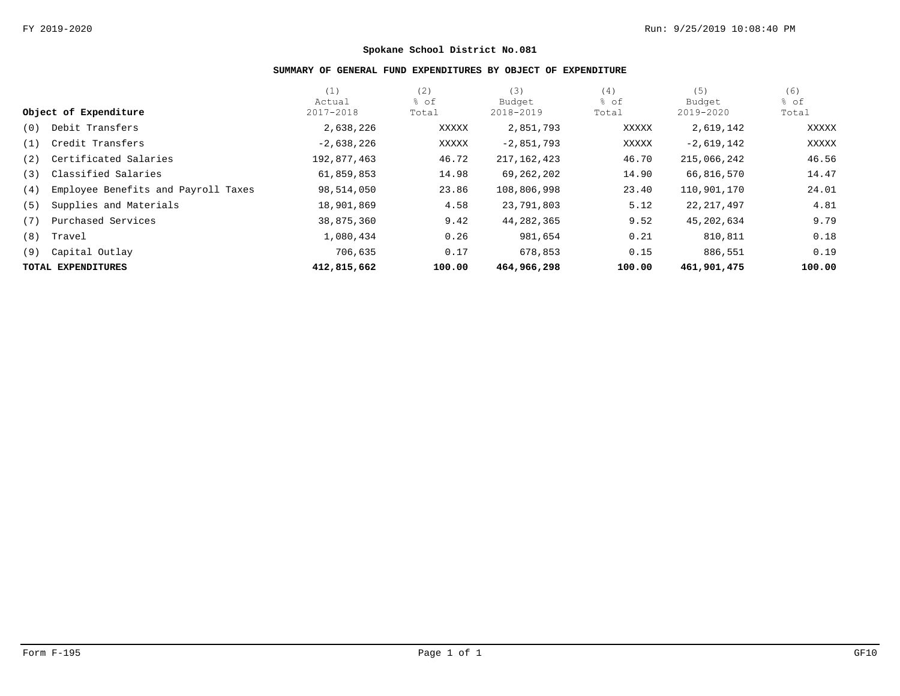# **SUMMARY OF GENERAL FUND EXPENDITURES BY OBJECT OF EXPENDITURE**

|     |                                     | (1)          | (2)    | (3)           | (4)    | (5)          | (6)    |
|-----|-------------------------------------|--------------|--------|---------------|--------|--------------|--------|
|     |                                     | Actual       | % of   | Budget        | % of   | Budget       | % of   |
|     | Object of Expenditure               | 2017-2018    | Total  | 2018-2019     | Total  | 2019-2020    | Total  |
| (0) | Debit Transfers                     | 2,638,226    | XXXXX  | 2,851,793     | XXXXX  | 2,619,142    | XXXXX  |
| (1) | Credit Transfers                    | $-2,638,226$ | XXXXX  | $-2,851,793$  | XXXXX  | $-2,619,142$ | XXXXX  |
| (2) | Certificated Salaries               | 192,877,463  | 46.72  | 217, 162, 423 | 46.70  | 215,066,242  | 46.56  |
| (3) | Classified Salaries                 | 61,859,853   | 14.98  | 69, 262, 202  | 14.90  | 66,816,570   | 14.47  |
| (4) | Employee Benefits and Payroll Taxes | 98,514,050   | 23.86  | 108,806,998   | 23.40  | 110,901,170  | 24.01  |
| (5) | Supplies and Materials              | 18,901,869   | 4.58   | 23,791,803    | 5.12   | 22, 217, 497 | 4.81   |
| (7) | Purchased Services                  | 38,875,360   | 9.42   | 44, 282, 365  | 9.52   | 45,202,634   | 9.79   |
| (8) | Travel                              | 1,080,434    | 0.26   | 981,654       | 0.21   | 810,811      | 0.18   |
| (9) | Capital Outlay                      | 706,635      | 0.17   | 678,853       | 0.15   | 886,551      | 0.19   |
|     | TOTAL EXPENDITURES                  | 412,815,662  | 100.00 | 464,966,298   | 100.00 | 461,901,475  | 100.00 |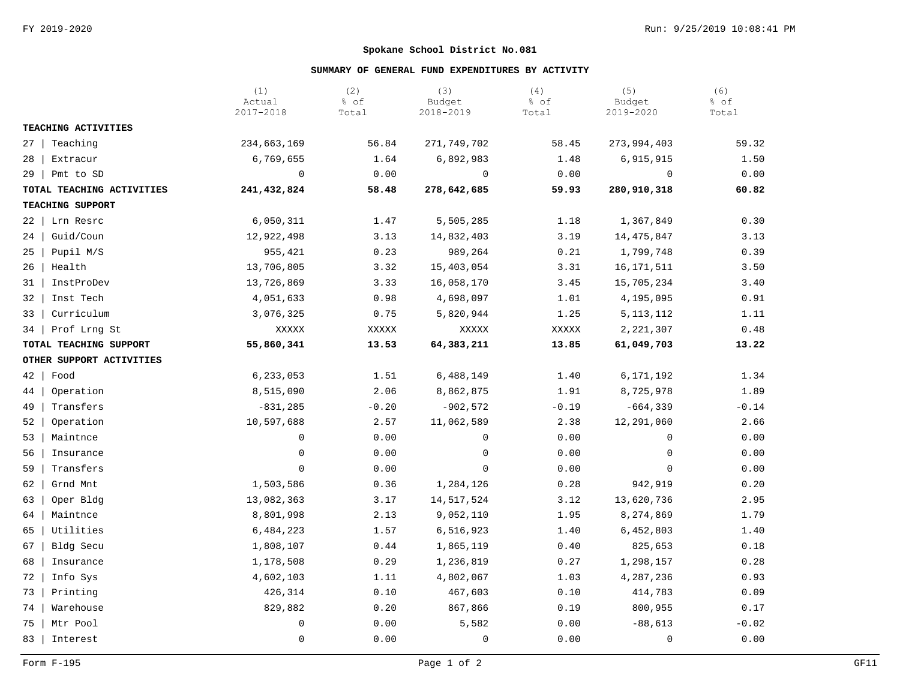# **SUMMARY OF GENERAL FUND EXPENDITURES BY ACTIVITY**

|                           | (1)<br>Actual<br>2017-2018 | (2)<br>% of<br>Total | (3)<br>Budget<br>2018-2019 | (4)<br>% of<br>Total | (5)<br>Budget<br>2019-2020 | (6)<br>% of<br>Total |
|---------------------------|----------------------------|----------------------|----------------------------|----------------------|----------------------------|----------------------|
| TEACHING ACTIVITIES       |                            |                      |                            |                      |                            |                      |
| Teaching<br>$27 \mid$     | 234,663,169                | 56.84                | 271,749,702                | 58.45                | 273,994,403                | 59.32                |
| 28 l<br>Extracur          | 6,769,655                  | 1.64                 | 6,892,983                  | 1.48                 | 6,915,915                  | 1.50                 |
| $29$   Pmt to SD          | $\mathsf 0$                | 0.00                 | $\mathbf 0$                | 0.00                 | 0                          | 0.00                 |
| TOTAL TEACHING ACTIVITIES | 241,432,824                | 58.48                | 278,642,685                | 59.93                | 280,910,318                | 60.82                |
| TEACHING SUPPORT          |                            |                      |                            |                      |                            |                      |
| Lrn Resrc<br>22           | 6,050,311                  | 1.47                 | 5,505,285                  | 1.18                 | 1,367,849                  | 0.30                 |
| 24<br>Guid/Coun           | 12,922,498                 | 3.13                 | 14,832,403                 | 3.19                 | 14, 475, 847               | 3.13                 |
| Pupil M/S<br>25           | 955,421                    | 0.23                 | 989,264                    | 0.21                 | 1,799,748                  | 0.39                 |
| Health<br>26              | 13,706,805                 | 3.32                 | 15,403,054                 | 3.31                 | 16, 171, 511               | 3.50                 |
| InstProDev<br>31          | 13,726,869                 | 3.33                 | 16,058,170                 | 3.45                 | 15,705,234                 | 3.40                 |
| Inst Tech<br>32           | 4,051,633                  | 0.98                 | 4,698,097                  | 1.01                 | 4,195,095                  | 0.91                 |
| Curriculum<br>33          | 3,076,325                  | 0.75                 | 5,820,944                  | 1.25                 | 5, 113, 112                | 1.11                 |
| Prof Lrng St<br>34 l      | XXXXX                      | XXXXX                | XXXXX                      | XXXXX                | 2, 221, 307                | 0.48                 |
| TOTAL TEACHING SUPPORT    | 55,860,341                 | 13.53                | 64,383,211                 | 13.85                | 61,049,703                 | 13.22                |
| OTHER SUPPORT ACTIVITIES  |                            |                      |                            |                      |                            |                      |
| $42 \mid$<br>Food         | 6, 233, 053                | 1.51                 | 6,488,149                  | 1.40                 | 6,171,192                  | 1.34                 |
| 44  <br>Operation         | 8,515,090                  | 2.06                 | 8,862,875                  | 1.91                 | 8,725,978                  | 1.89                 |
| Transfers<br>49           | $-831, 285$                | $-0.20$              | $-902,572$                 | $-0.19$              | $-664, 339$                | $-0.14$              |
| 52<br>Operation           | 10,597,688                 | 2.57                 | 11,062,589                 | 2.38                 | 12,291,060                 | 2.66                 |
| 53<br>Maintnce            | 0                          | 0.00                 | 0                          | 0.00                 | $\mathbf 0$                | 0.00                 |
| Insurance<br>56           | 0                          | 0.00                 | $\mathbf 0$                | 0.00                 | 0                          | 0.00                 |
| 59<br>Transfers           | $\mathbf 0$                | 0.00                 | $\mathbf 0$                | 0.00                 | $\mathbf 0$                | 0.00                 |
| Grnd Mnt<br>62            | 1,503,586                  | 0.36                 | 1,284,126                  | 0.28                 | 942,919                    | 0.20                 |
| Oper Bldg<br>63           | 13,082,363                 | 3.17                 | 14,517,524                 | 3.12                 | 13,620,736                 | 2.95                 |
| Maintnce<br>64            | 8,801,998                  | 2.13                 | 9,052,110                  | 1.95                 | 8,274,869                  | 1.79                 |
| Utilities<br>65           | 6,484,223                  | 1.57                 | 6,516,923                  | 1.40                 | 6,452,803                  | 1.40                 |
| Bldg Secu<br>67           | 1,808,107                  | 0.44                 | 1,865,119                  | 0.40                 | 825,653                    | 0.18                 |
| 68<br>Insurance           | 1,178,508                  | 0.29                 | 1,236,819                  | 0.27                 | 1,298,157                  | 0.28                 |
| 72<br>Info Sys            | 4,602,103                  | 1.11                 | 4,802,067                  | 1.03                 | 4,287,236                  | 0.93                 |
| 73<br>Printing            | 426,314                    | 0.10                 | 467,603                    | 0.10                 | 414,783                    | 0.09                 |
| Warehouse<br>74           | 829,882                    | 0.20                 | 867,866                    | 0.19                 | 800,955                    | 0.17                 |
| Mtr Pool<br>75            | 0                          | 0.00                 | 5,582                      | 0.00                 | $-88,613$                  | $-0.02$              |
| 83<br>Interest            | $\mathbf 0$                | 0.00                 | 0                          | 0.00                 | $\mathbf 0$                | 0.00                 |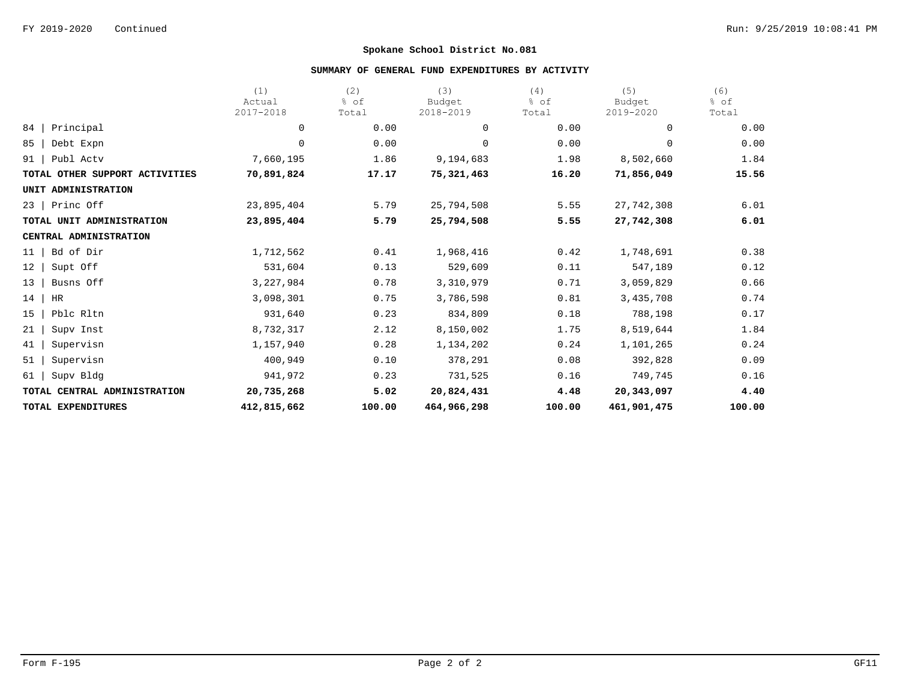## **SUMMARY OF GENERAL FUND EXPENDITURES BY ACTIVITY**

|                                | (1)<br>Actual | (2)<br>% of | (3)<br>Budget | (4)<br>% of | (5)<br>Budget | (6)<br>% of |
|--------------------------------|---------------|-------------|---------------|-------------|---------------|-------------|
|                                | 2017-2018     | Total       | 2018-2019     | Total       | 2019-2020     | Total       |
| Principal<br>84                | 0             | 0.00        | 0             | 0.00        | 0             | 0.00        |
| 85<br>Debt Expn                | 0             | 0.00        | $\mathbf 0$   | 0.00        | 0             | 0.00        |
| 91<br>Publ Actv                | 7,660,195     | 1.86        | 9,194,683     | 1.98        | 8,502,660     | 1.84        |
| TOTAL OTHER SUPPORT ACTIVITIES | 70,891,824    | 17.17       | 75,321,463    | 16.20       | 71,856,049    | 15.56       |
| UNIT ADMINISTRATION            |               |             |               |             |               |             |
| Princ Off<br>23                | 23,895,404    | 5.79        | 25,794,508    | 5.55        | 27,742,308    | 6.01        |
| TOTAL UNIT ADMINISTRATION      | 23,895,404    | 5.79        | 25,794,508    | 5.55        | 27,742,308    | 6.01        |
| CENTRAL ADMINISTRATION         |               |             |               |             |               |             |
| Bd of Dir<br>11                | 1,712,562     | 0.41        | 1,968,416     | 0.42        | 1,748,691     | 0.38        |
| 12<br>Supt Off                 | 531,604       | 0.13        | 529,609       | 0.11        | 547,189       | 0.12        |
| Busns Off<br>13                | 3,227,984     | 0.78        | 3,310,979     | 0.71        | 3,059,829     | 0.66        |
| 14<br>HR                       | 3,098,301     | 0.75        | 3,786,598     | 0.81        | 3,435,708     | 0.74        |
| Pblc Rltn<br>15                | 931,640       | 0.23        | 834,809       | 0.18        | 788,198       | 0.17        |
| 21<br>Supv Inst                | 8,732,317     | 2.12        | 8,150,002     | 1.75        | 8,519,644     | 1.84        |
| 41<br>Supervisn                | 1,157,940     | 0.28        | 1,134,202     | 0.24        | 1,101,265     | 0.24        |
| 51<br>Supervisn                | 400,949       | 0.10        | 378,291       | 0.08        | 392,828       | 0.09        |
| Supv Bldg<br>61                | 941,972       | 0.23        | 731,525       | 0.16        | 749,745       | 0.16        |
| TOTAL CENTRAL ADMINISTRATION   | 20,735,268    | 5.02        | 20,824,431    | 4.48        | 20,343,097    | 4.40        |
| TOTAL EXPENDITURES             | 412,815,662   | 100.00      | 464,966,298   | 100.00      | 461,901,475   | 100.00      |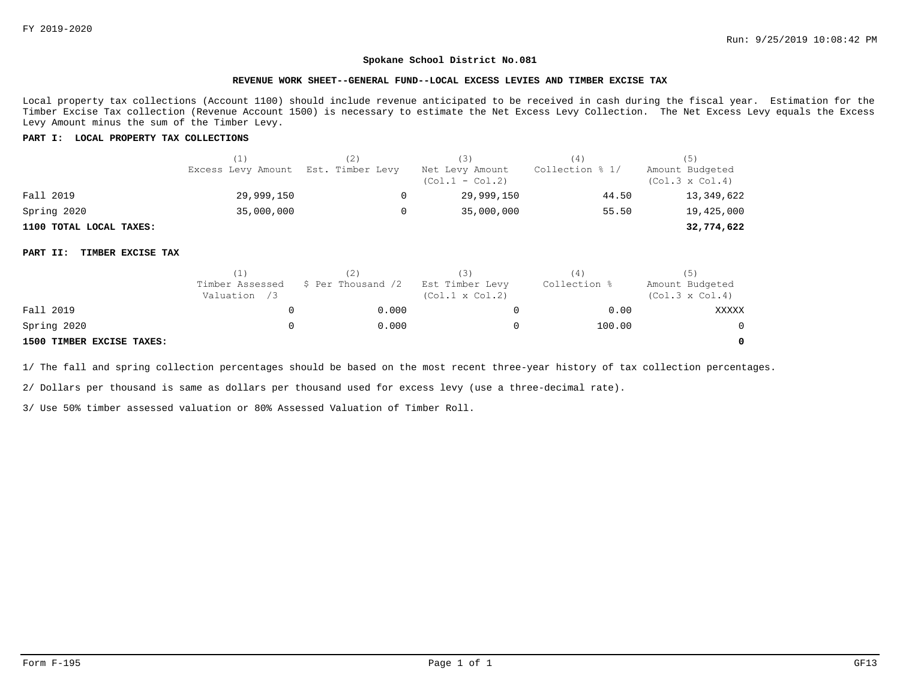#### **REVENUE WORK SHEET--GENERAL FUND--LOCAL EXCESS LEVIES AND TIMBER EXCISE TAX**

Local property tax collections (Account 1100) should include revenue anticipated to be received in cash during the fiscal year. Estimation for the Timber Excise Tax collection (Revenue Account 1500) is necessary to estimate the Net Excess Levy Collection. The Net Excess Levy equals the Excess Levy Amount minus the sum of the Timber Levy.

## **PART I: LOCAL PROPERTY TAX COLLECTIONS**

|                         |                                     | (Z) | (3)                                  | (4)             | (5)                                       |
|-------------------------|-------------------------------------|-----|--------------------------------------|-----------------|-------------------------------------------|
|                         | Excess Levy Amount Est. Timber Levy |     | Net Levy Amount<br>$(Co1.1 - Col.2)$ | Collection % 1/ | Amount Budgeted<br>$(Col.3 \times Col.4)$ |
| Fall 2019               | 29,999,150                          |     | 29,999,150                           | 44.50           | 13,349,622                                |
| Spring 2020             | 35,000,000                          |     | 35,000,000                           | 55.50           | 19,425,000                                |
| 1100 TOTAL LOCAL TAXES: |                                     |     |                                      |                 | 32,774,622                                |

### **PART II: TIMBER EXCISE TAX**

|                           | (1)                             |                    |                                           | 4            | (5)                                       |
|---------------------------|---------------------------------|--------------------|-------------------------------------------|--------------|-------------------------------------------|
|                           | Timber Assessed<br>Valuation /3 | \$ Per Thousand /2 | Est Timber Levy<br>$(Col.1 \times Col.2)$ | Collection % | Amount Budgeted<br>$(Col.3 \times Col.4)$ |
| Fall 2019                 |                                 | 0.000              |                                           | 0.00         | XXXXX                                     |
| Spring 2020               |                                 | 0.000              |                                           | 100.00       | $\Omega$                                  |
| 1500 TIMBER EXCISE TAXES: |                                 |                    |                                           |              | $\Omega$                                  |

1/ The fall and spring collection percentages should be based on the most recent three-year history of tax collection percentages.

2/ Dollars per thousand is same as dollars per thousand used for excess levy (use a three-decimal rate).

3/ Use 50% timber assessed valuation or 80% Assessed Valuation of Timber Roll.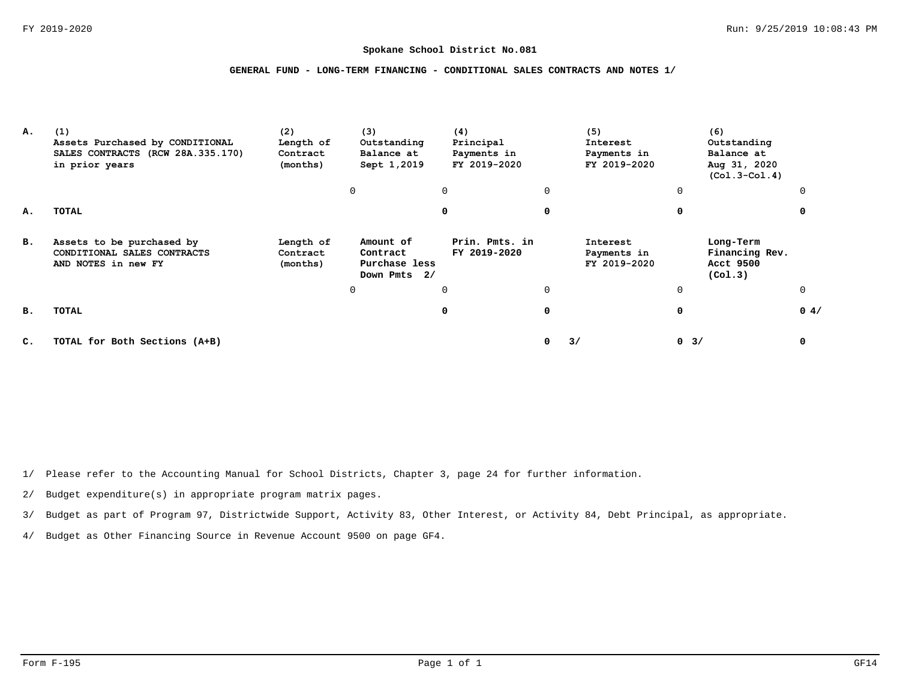# **GENERAL FUND - LONG-TERM FINANCING - CONDITIONAL SALES CONTRACTS AND NOTES 1/**

| А.             | (1)<br>Assets Purchased by CONDITIONAL<br>SALES CONTRACTS (RCW 28A.335.170)<br>in prior years | (2)<br>Length of<br>Contract<br>(months) | (3)<br>Outstanding<br>Balance at<br>Sept 1,2019        | (4)<br>Principal<br>Payments in<br>FY 2019-2020 |   | (5)<br>Interest<br>Payments in<br>FY 2019-2020 |             | (6)<br>Outstanding<br>Balance at<br>Aug 31, 2020<br>$(Co1.3-Co1.4)$ |          |
|----------------|-----------------------------------------------------------------------------------------------|------------------------------------------|--------------------------------------------------------|-------------------------------------------------|---|------------------------------------------------|-------------|---------------------------------------------------------------------|----------|
|                |                                                                                               |                                          | 0                                                      | $\mathbf 0$                                     | 0 |                                                | $\Omega$    |                                                                     |          |
| А.             | TOTAL                                                                                         |                                          |                                                        | 0                                               | 0 |                                                |             |                                                                     |          |
| в.             | Assets to be purchased by<br>CONDITIONAL SALES CONTRACTS<br>AND NOTES in new FY               | Length of<br>Contract<br>(months)        | Amount of<br>Contract<br>Purchase less<br>Down Pmts 2/ | Prin. Pmts. in<br>FY 2019-2020                  |   | Interest<br>Payments in<br>FY 2019-2020        |             | Long-Term<br>Financing Rev.<br>Acct 9500<br>(Co1.3)                 |          |
|                |                                                                                               |                                          | 0                                                      | $\Omega$                                        | 0 |                                                | $\mathbf 0$ |                                                                     | $\Omega$ |
| в.             | TOTAL                                                                                         |                                          |                                                        | 0                                               | 0 |                                                | 0           |                                                                     | 0.4/     |
| $\mathbf{C}$ . | TOTAL for Both Sections (A+B)                                                                 |                                          |                                                        |                                                 | 0 | 3/                                             | $0 \t3/$    |                                                                     | 0        |

1/ Please refer to the Accounting Manual for School Districts, Chapter 3, page 24 for further information.

2/ Budget expenditure(s) in appropriate program matrix pages.

3/ Budget as part of Program 97, Districtwide Support, Activity 83, Other Interest, or Activity 84, Debt Principal, as appropriate.

4/ Budget as Other Financing Source in Revenue Account 9500 on page GF4.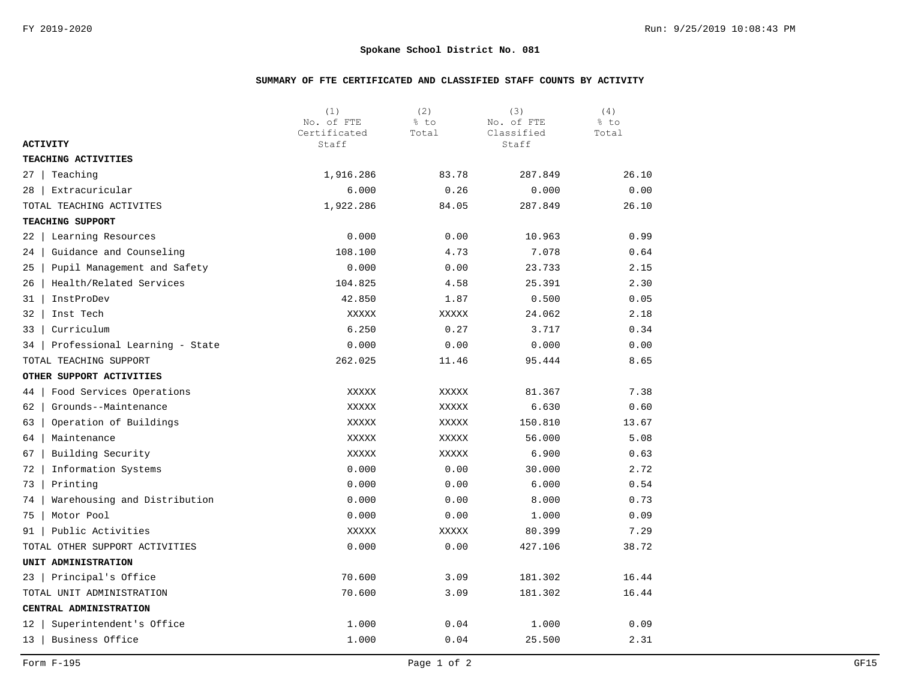# **SUMMARY OF FTE CERTIFICATED AND CLASSIFIED STAFF COUNTS BY ACTIVITY**

|                                     | (1)<br>No. of FTE<br>Certificated | (2)<br>% to<br>Total | (3)<br>No. of FTE<br>Classified | (4)<br>% to<br>Total |
|-------------------------------------|-----------------------------------|----------------------|---------------------------------|----------------------|
| <b>ACTIVITY</b>                     | Staff                             |                      | Staff                           |                      |
| TEACHING ACTIVITIES                 |                                   |                      |                                 |                      |
| Teaching<br>27                      | 1,916.286                         | 83.78                | 287.849                         | 26.10                |
| Extracuricular<br>28                | 6.000                             | 0.26                 | 0.000                           | 0.00                 |
| TOTAL TEACHING ACTIVITES            | 1,922.286                         | 84.05                | 287.849                         | 26.10                |
| TEACHING SUPPORT                    |                                   |                      |                                 |                      |
| Learning Resources<br>22            | 0.000                             | 0.00                 | 10.963                          | 0.99                 |
| Guidance and Counseling<br>24       | 108.100                           | 4.73                 | 7.078                           | 0.64                 |
| Pupil Management and Safety<br>25   | 0.000                             | 0.00                 | 23.733                          | 2.15                 |
| Health/Related Services<br>26       | 104.825                           | 4.58                 | 25.391                          | 2.30                 |
| InstProDev<br>31 I                  | 42.850                            | 1.87                 | 0.500                           | 0.05                 |
| 32<br>Inst Tech                     | XXXXX                             | XXXXX                | 24.062                          | 2.18                 |
| Curriculum<br>33                    | 6.250                             | 0.27                 | 3.717                           | 0.34                 |
| Professional Learning - State<br>34 | 0.000                             | 0.00                 | 0.000                           | 0.00                 |
| TOTAL TEACHING SUPPORT              | 262.025                           | 11.46                | 95.444                          | 8.65                 |
| OTHER SUPPORT ACTIVITIES            |                                   |                      |                                 |                      |
| Food Services Operations<br>44      | XXXXX                             | XXXXX                | 81.367                          | 7.38                 |
| 62<br>Grounds--Maintenance          | XXXXX                             | XXXXX                | 6.630                           | 0.60                 |
| Operation of Buildings<br>63        | XXXXX                             | XXXXX                | 150.810                         | 13.67                |
| 64<br>Maintenance                   | XXXXX                             | XXXXX                | 56.000                          | 5.08                 |
| Building Security<br>67             | XXXXX                             | <b>XXXXX</b>         | 6.900                           | 0.63                 |
| Information Systems<br>72           | 0.000                             | 0.00                 | 30.000                          | 2.72                 |
| 73<br>Printing                      | 0.000                             | 0.00                 | 6.000                           | 0.54                 |
| Warehousing and Distribution<br>74  | 0.000                             | 0.00                 | 8.000                           | 0.73                 |
| Motor Pool<br>75                    | 0.000                             | 0.00                 | 1.000                           | 0.09                 |
| Public Activities<br>91             | XXXXX                             | XXXXX                | 80.399                          | 7.29                 |
| TOTAL OTHER SUPPORT ACTIVITIES      | 0.000                             | 0.00                 | 427.106                         | 38.72                |
| UNIT ADMINISTRATION                 |                                   |                      |                                 |                      |
| Principal's Office<br>23            | 70.600                            | 3.09                 | 181.302                         | 16.44                |
| TOTAL UNIT ADMINISTRATION           | 70.600                            | 3.09                 | 181.302                         | 16.44                |
| CENTRAL ADMINISTRATION              |                                   |                      |                                 |                      |
| Superintendent's Office<br>12       | 1.000                             | 0.04                 | 1.000                           | 0.09                 |
| Business Office<br>13               | 1.000                             | 0.04                 | 25.500                          | 2.31                 |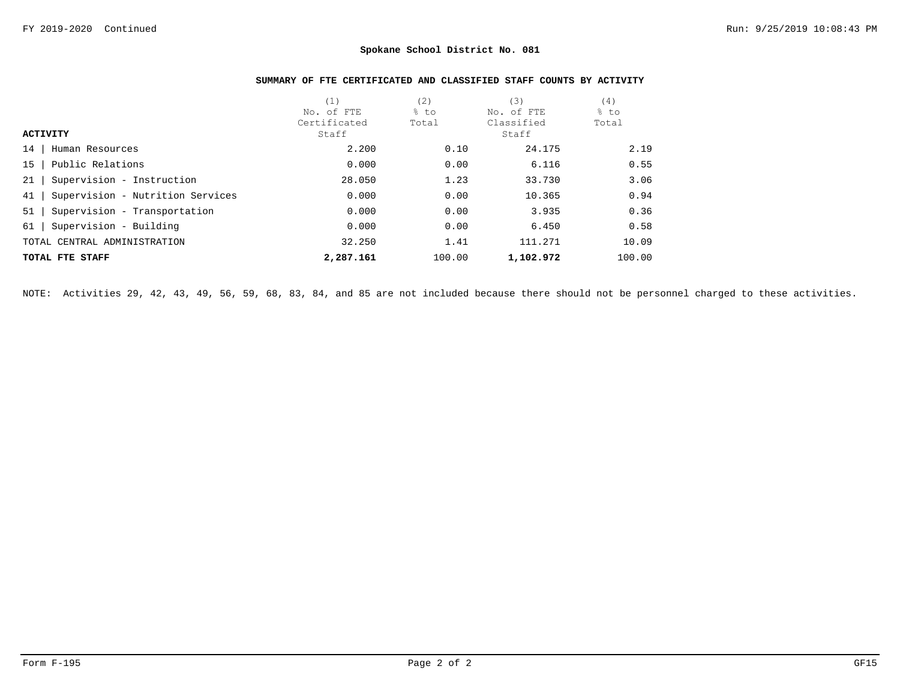# **SUMMARY OF FTE CERTIFICATED AND CLASSIFIED STAFF COUNTS BY ACTIVITY**

|                                        | (1)          | (2)    | (3)        | (4)    |
|----------------------------------------|--------------|--------|------------|--------|
|                                        | No. of FTE   | % to   | No. of FTE | % to   |
|                                        | Certificated | Total  | Classified | Total  |
| <b>ACTIVITY</b>                        | Staff        |        | Staff      |        |
| 14<br>Human Resources                  | 2.200        | 0.10   | 24.175     | 2.19   |
| Public Relations<br>15                 | 0.000        | 0.00   | 6.116      | 0.55   |
| Supervision - Instruction<br>21        | 28.050       | 1.23   | 33.730     | 3.06   |
| 41<br>Supervision - Nutrition Services | 0.000        | 0.00   | 10.365     | 0.94   |
| 51<br>Supervision - Transportation     | 0.000        | 0.00   | 3.935      | 0.36   |
| Supervision - Building<br>61           | 0.000        | 0.00   | 6.450      | 0.58   |
| TOTAL CENTRAL ADMINISTRATION           | 32.250       | 1.41   | 111.271    | 10.09  |
| TOTAL FTE STAFF                        | 2,287.161    | 100.00 | 1,102.972  | 100.00 |

NOTE: Activities 29, 42, 43, 49, 56, 59, 68, 83, 84, and 85 are not included because there should not be personnel charged to these activities.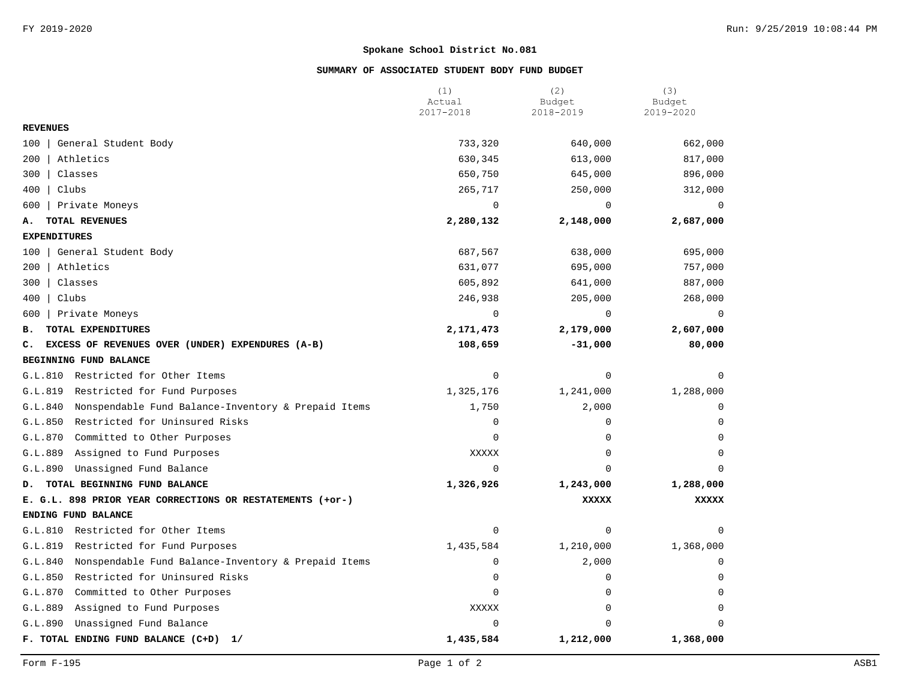# **SUMMARY OF ASSOCIATED STUDENT BODY FUND BUDGET**

|                                                                | (1)<br>Actual | (2)<br>Budget | (3)<br>Budget |
|----------------------------------------------------------------|---------------|---------------|---------------|
|                                                                | 2017-2018     | 2018-2019     | 2019-2020     |
| <b>REVENUES</b>                                                |               |               |               |
| General Student Body<br>100                                    | 733,320       | 640,000       | 662,000       |
| 200<br>Athletics                                               | 630,345       | 613,000       | 817,000       |
| 300<br>Classes                                                 | 650,750       | 645,000       | 896,000       |
| 400<br>Clubs                                                   | 265,717       | 250,000       | 312,000       |
| Private Moneys<br>600                                          | $\mathbf 0$   | $\mathbf 0$   | $\mathbf 0$   |
| TOTAL REVENUES<br>А.                                           | 2,280,132     | 2,148,000     | 2,687,000     |
| <b>EXPENDITURES</b>                                            |               |               |               |
| General Student Body<br>100                                    | 687,567       | 638,000       | 695,000       |
| Athletics<br>200                                               | 631,077       | 695,000       | 757,000       |
| 300<br>Classes                                                 | 605,892       | 641,000       | 887,000       |
| 400<br>Clubs                                                   | 246,938       | 205,000       | 268,000       |
| Private Moneys<br>600                                          | $\Omega$      | $\mathbf 0$   | $\Omega$      |
| TOTAL EXPENDITURES<br>в.                                       | 2,171,473     | 2,179,000     | 2,607,000     |
| EXCESS OF REVENUES OVER (UNDER) EXPENDURES (A-B)<br>c.         | 108,659       | $-31,000$     | 80,000        |
| BEGINNING FUND BALANCE                                         |               |               |               |
| G.L.810<br>Restricted for Other Items                          | $\mathbf 0$   | $\mathbf 0$   | $\Omega$      |
| G.L.819<br>Restricted for Fund Purposes                        | 1,325,176     | 1,241,000     | 1,288,000     |
| Nonspendable Fund Balance-Inventory & Prepaid Items<br>G.L.840 | 1,750         | 2,000         | $\Omega$      |
| G.L.850<br>Restricted for Uninsured Risks                      | $\mathsf 0$   | $\mathbf 0$   | $\Omega$      |
| G.L.870<br>Committed to Other Purposes                         | $\Omega$      | $\mathbf 0$   | $\Omega$      |
| G.L.889<br>Assigned to Fund Purposes                           | <b>XXXXX</b>  | $\Omega$      | $\Omega$      |
| G.L.890<br>Unassigned Fund Balance                             | $\mathbf 0$   | $\Omega$      | $\Omega$      |
| TOTAL BEGINNING FUND BALANCE<br>D.                             | 1,326,926     | 1,243,000     | 1,288,000     |
| E. G.L. 898 PRIOR YEAR CORRECTIONS OR RESTATEMENTS (+or-)      |               | <b>XXXXX</b>  | <b>XXXXX</b>  |
| ENDING FUND BALANCE                                            |               |               |               |
| G.L.810<br>Restricted for Other Items                          | $\mathbf 0$   | $\mathbf 0$   | O             |
| G.L.819<br>Restricted for Fund Purposes                        | 1,435,584     | 1,210,000     | 1,368,000     |
| G.L.840<br>Nonspendable Fund Balance-Inventory & Prepaid Items | $\mathbf 0$   | 2,000         | $\cap$        |
| G.L.850<br>Restricted for Uninsured Risks                      | 0             | 0             | $\Omega$      |
| G.L.870<br>Committed to Other Purposes                         | $\Omega$      | $\mathbf 0$   | $\Omega$      |
| G.L.889<br>Assigned to Fund Purposes                           | <b>XXXXX</b>  | $\mathbf 0$   | 0             |
| G.L.890<br>Unassigned Fund Balance                             | $\mathbf 0$   | $\Omega$      | n             |
| F. TOTAL ENDING FUND BALANCE (C+D)<br>1/                       | 1,435,584     | 1,212,000     | 1,368,000     |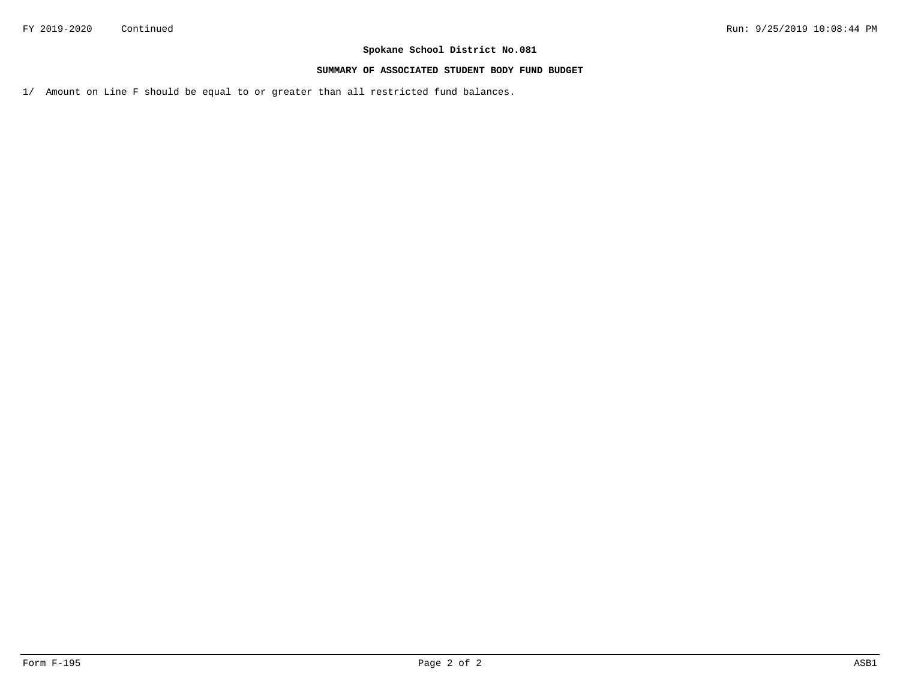## **SUMMARY OF ASSOCIATED STUDENT BODY FUND BUDGET**

1/ Amount on Line F should be equal to or greater than all restricted fund balances.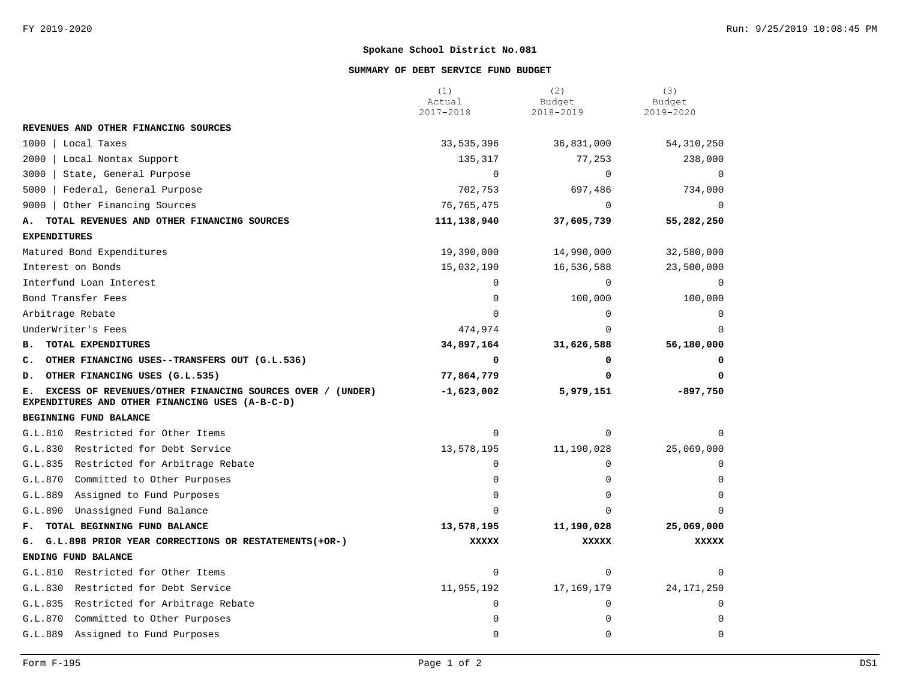## **SUMMARY OF DEBT SERVICE FUND BUDGET**

|                                                                                                                    | (1)<br>Actual<br>2017-2018 | (2)<br>Budget<br>2018-2019 | (3)<br>Budget<br>2019-2020 |
|--------------------------------------------------------------------------------------------------------------------|----------------------------|----------------------------|----------------------------|
| REVENUES AND OTHER FINANCING SOURCES                                                                               |                            |                            |                            |
| 1000   Local Taxes                                                                                                 | 33,535,396                 | 36,831,000                 | 54, 310, 250               |
| 2000<br>  Local Nontax Support                                                                                     | 135,317                    | 77,253                     | 238,000                    |
| 3000<br>State, General Purpose                                                                                     | $\mathbf 0$                | $\mathbf 0$                | $\overline{0}$             |
| 5000   Federal, General Purpose                                                                                    | 702,753                    | 697,486                    | 734,000                    |
| 9000   Other Financing Sources                                                                                     | 76, 765, 475               | $\mathbf 0$                | $\Omega$                   |
| TOTAL REVENUES AND OTHER FINANCING SOURCES<br>А.                                                                   | 111,138,940                | 37,605,739                 | 55,282,250                 |
| <b>EXPENDITURES</b>                                                                                                |                            |                            |                            |
| Matured Bond Expenditures                                                                                          | 19,390,000                 | 14,990,000                 | 32,580,000                 |
| Interest on Bonds                                                                                                  | 15,032,190                 | 16,536,588                 | 23,500,000                 |
| Interfund Loan Interest                                                                                            | $\Omega$                   | 0                          | 0                          |
| Bond Transfer Fees                                                                                                 | $\Omega$                   | 100,000                    | 100,000                    |
| Arbitrage Rebate                                                                                                   | $\Omega$                   | 0                          |                            |
| UnderWriter's Fees                                                                                                 | 474,974                    | $\Omega$                   |                            |
| TOTAL EXPENDITURES<br>в.                                                                                           | 34,897,164                 | 31,626,588                 | 56,180,000                 |
| C. OTHER FINANCING USES--TRANSFERS OUT (G.L.536)                                                                   | 0                          | 0                          |                            |
| D. OTHER FINANCING USES (G.L.535)                                                                                  | 77,864,779                 | 0                          |                            |
| EXCESS OF REVENUES/OTHER FINANCING SOURCES OVER / (UNDER)<br>Е.<br>EXPENDITURES AND OTHER FINANCING USES (A-B-C-D) | $-1,623,002$               | 5,979,151                  | $-897,750$                 |
| BEGINNING FUND BALANCE                                                                                             |                            |                            |                            |
| G.L.810 Restricted for Other Items                                                                                 | $\Omega$                   | $\mathbf 0$                |                            |
| G.L.830 Restricted for Debt Service                                                                                | 13,578,195                 | 11,190,028                 | 25,069,000                 |
| G.L.835 Restricted for Arbitrage Rebate                                                                            | $\Omega$                   | $\Omega$                   |                            |
| G.L.870 Committed to Other Purposes                                                                                | 0                          | $\Omega$                   |                            |
| G.L.889<br>Assigned to Fund Purposes                                                                               | $\Omega$                   | $\Omega$                   |                            |
| G.L.890<br>Unassigned Fund Balance                                                                                 | $\Omega$                   | $\Omega$                   |                            |
| F. TOTAL BEGINNING FUND BALANCE                                                                                    | 13,578,195                 | 11,190,028                 | 25,069,000                 |
| G. G.L.898 PRIOR YEAR CORRECTIONS OR RESTATEMENTS(+OR-)                                                            | <b>XXXXX</b>               | <b>XXXXX</b>               | <b>XXXXX</b>               |
| ENDING FUND BALANCE                                                                                                |                            |                            |                            |
| G.L.810 Restricted for Other Items                                                                                 | $\Omega$                   | $\Omega$                   |                            |
| G.L.830 Restricted for Debt Service                                                                                | 11,955,192                 | 17, 169, 179               | 24, 171, 250               |
| G.L.835 Restricted for Arbitrage Rebate                                                                            | 0                          | $\mathbf 0$                | $\Omega$                   |
| Committed to Other Purposes<br>G.L.870                                                                             | 0                          | 0                          | ∩                          |
| G.L.889<br>Assigned to Fund Purposes                                                                               | 0                          | $\mathbf 0$                | $\mathbf 0$                |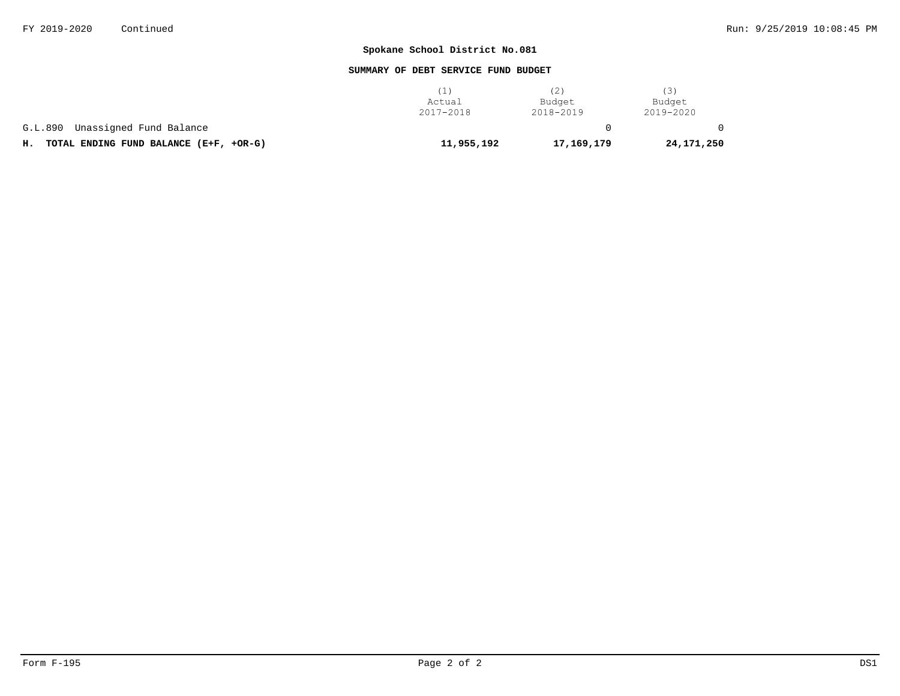## **SUMMARY OF DEBT SERVICE FUND BUDGET**

|                                              | (1)<br>Actual<br>2017-2018 | (2)<br>Budget<br>2018-2019 | 3)<br>Budget<br>2019-2020 |
|----------------------------------------------|----------------------------|----------------------------|---------------------------|
| Unassigned Fund Balance<br>G.L.890           |                            |                            |                           |
| TOTAL ENDING FUND BALANCE (E+F, +OR-G)<br>н. | 11,955,192                 | 17,169,179                 | 24,171,250                |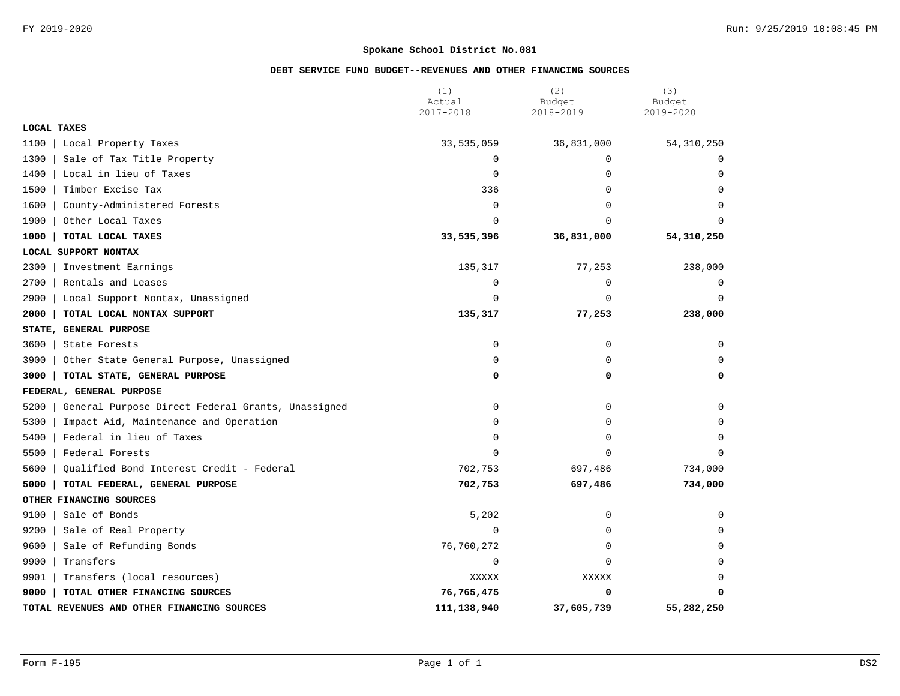# **DEBT SERVICE FUND BUDGET--REVENUES AND OTHER FINANCING SOURCES**

|                                                           | (1)                 | (2)                 | (3)                 |  |
|-----------------------------------------------------------|---------------------|---------------------|---------------------|--|
|                                                           | Actual<br>2017-2018 | Budget<br>2018-2019 | Budget<br>2019-2020 |  |
| LOCAL TAXES                                               |                     |                     |                     |  |
| 1100<br>Local Property Taxes                              | 33,535,059          | 36,831,000          | 54, 310, 250        |  |
| 1300<br>Sale of Tax Title Property                        | 0                   | $\Omega$            | $\Omega$            |  |
| 1400<br>Local in lieu of Taxes                            | 0                   | $\Omega$            | $\Omega$            |  |
| 1500<br>Timber Excise Tax                                 | 336                 | $\mathbf 0$         | 0                   |  |
| 1600<br>County-Administered Forests                       | 0                   | $\mathbf 0$         | $\Omega$            |  |
| 1900<br>Other Local Taxes                                 | $\Omega$            | $\Omega$            | $\Omega$            |  |
| 1000<br>TOTAL LOCAL TAXES                                 | 33,535,396          | 36,831,000          | 54,310,250          |  |
| LOCAL SUPPORT NONTAX                                      |                     |                     |                     |  |
| 2300<br>Investment Earnings                               | 135,317             | 77,253              | 238,000             |  |
| 2700<br>Rentals and Leases                                | 0                   | 0                   | $\mathbf{0}$        |  |
| 2900<br>Local Support Nontax, Unassigned                  | $\mathbf 0$         | $\mathbf 0$         | $\mathbf 0$         |  |
| 2000<br>TOTAL LOCAL NONTAX SUPPORT                        | 135,317             | 77,253              | 238,000             |  |
| STATE, GENERAL PURPOSE                                    |                     |                     |                     |  |
| 3600<br>State Forests                                     | $\mathbf 0$         | $\mathbf 0$         | $\mathbf 0$         |  |
| 3900<br>Other State General Purpose, Unassigned           | 0                   | $\mathbf 0$         | $\Omega$            |  |
| 3000<br>TOTAL STATE, GENERAL PURPOSE                      | 0                   | 0                   | 0                   |  |
| FEDERAL, GENERAL PURPOSE                                  |                     |                     |                     |  |
| 5200<br>General Purpose Direct Federal Grants, Unassigned | $\mathbf 0$         | $\mathbf 0$         | $\Omega$            |  |
| 5300<br>Impact Aid, Maintenance and Operation             | 0                   | $\Omega$            | $\Omega$            |  |
| 5400<br>Federal in lieu of Taxes                          | $\Omega$            | $\mathbf 0$         | $\Omega$            |  |
| 5500<br>Federal Forests                                   | $\mathbf 0$         | $\mathbf 0$         | $\mathbf 0$         |  |
| 5600<br>Qualified Bond Interest Credit - Federal          | 702,753             | 697,486             | 734,000             |  |
| 5000<br>TOTAL FEDERAL, GENERAL PURPOSE                    | 702,753             | 697,486             | 734,000             |  |
| OTHER FINANCING SOURCES                                   |                     |                     |                     |  |
| 9100<br>Sale of Bonds                                     | 5,202               | $\mathbf 0$         | $\Omega$            |  |
| 9200<br>Sale of Real Property                             | $\Omega$            | $\Omega$            | $\Omega$            |  |
| 9600<br>Sale of Refunding Bonds                           | 76,760,272          | $\mathbf 0$         | $\Omega$            |  |
| 9900<br>Transfers                                         | 0                   | $\mathbf 0$         | $\Omega$            |  |
| 9901<br>Transfers (local resources)                       | XXXXX               | XXXXX               | 0                   |  |
| 9000<br>TOTAL OTHER FINANCING SOURCES                     | 76,765,475          | 0                   | 0                   |  |
| TOTAL REVENUES AND OTHER FINANCING SOURCES                | 111,138,940         | 37,605,739          | 55,282,250          |  |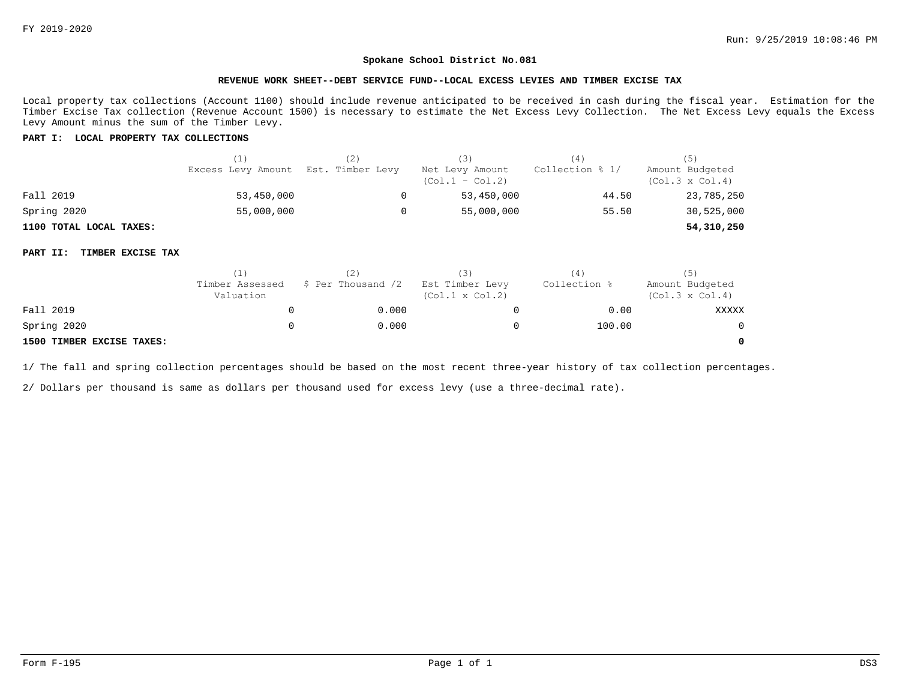## **REVENUE WORK SHEET--DEBT SERVICE FUND--LOCAL EXCESS LEVIES AND TIMBER EXCISE TAX**

Local property tax collections (Account 1100) should include revenue anticipated to be received in cash during the fiscal year. Estimation for the Timber Excise Tax collection (Revenue Account 1500) is necessary to estimate the Net Excess Levy Collection. The Net Excess Levy equals the Excess Levy Amount minus the sum of the Timber Levy.

## **PART I: LOCAL PROPERTY TAX COLLECTIONS**

|                         | (1)                                 | [2] | (3)                                  | (4)             | (5)                                       |  |
|-------------------------|-------------------------------------|-----|--------------------------------------|-----------------|-------------------------------------------|--|
|                         | Excess Levy Amount Est. Timber Levy |     | Net Levy Amount<br>$(Col.1 - Col.2)$ | Collection % 1/ | Amount Budgeted<br>$(Col.3 \times Col.4)$ |  |
| Fall 2019               | 53,450,000                          |     | 53,450,000                           | 44.50           | 23,785,250                                |  |
| Spring 2020             | 55,000,000                          |     | 55,000,000                           | 55.50           | 30,525,000                                |  |
| 1100 TOTAL LOCAL TAXES: |                                     |     |                                      |                 | 54,310,250                                |  |

#### **PART II: TIMBER EXCISE TAX**

|                           | (1)                          |                    |                                           | 4            | (5)                                       |  |
|---------------------------|------------------------------|--------------------|-------------------------------------------|--------------|-------------------------------------------|--|
|                           | Timber Assessed<br>Valuation | \$ Per Thousand /2 | Est Timber Levy<br>$(Col.1 \times Col.2)$ | Collection % | Amount Budgeted<br>$(Col.3 \times Col.4)$ |  |
| Fall 2019                 |                              | 0.000              |                                           | 0.00         | XXXXX                                     |  |
| Spring 2020               |                              | 0.000              |                                           | 100.00       | $\Omega$                                  |  |
| 1500 TIMBER EXCISE TAXES: |                              |                    |                                           |              | 0                                         |  |

1/ The fall and spring collection percentages should be based on the most recent three-year history of tax collection percentages.

2/ Dollars per thousand is same as dollars per thousand used for excess levy (use a three-decimal rate).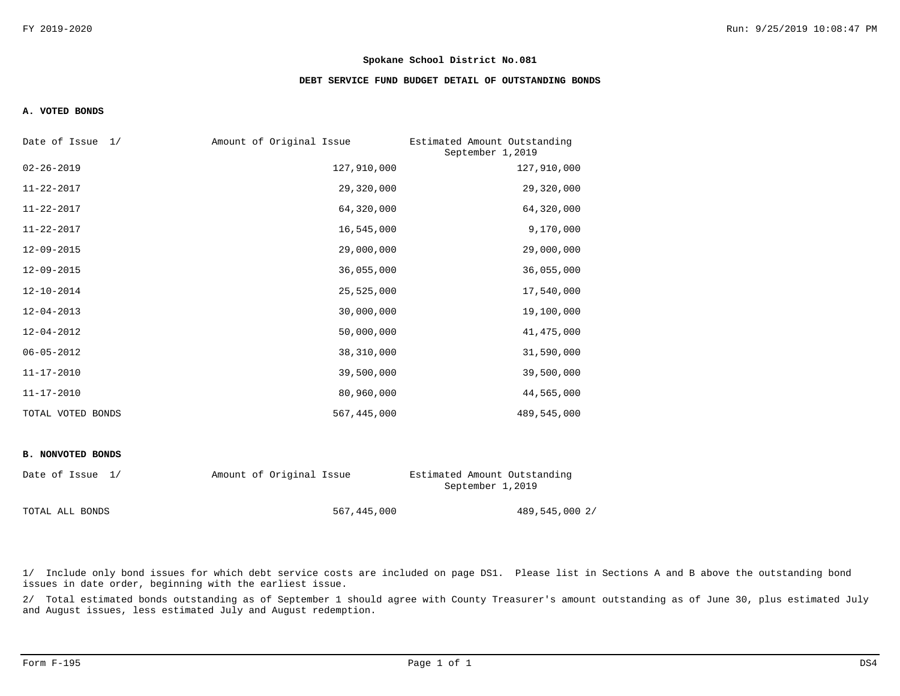## **DEBT SERVICE FUND BUDGET DETAIL OF OUTSTANDING BONDS**

### **A. VOTED BONDS**

| Date of Issue 1/  | Amount of Original Issue | Estimated Amount Outstanding<br>September 1,2019 |
|-------------------|--------------------------|--------------------------------------------------|
| $02 - 26 - 2019$  | 127,910,000              | 127,910,000                                      |
| $11 - 22 - 2017$  | 29,320,000               | 29,320,000                                       |
| $11 - 22 - 2017$  | 64,320,000               | 64,320,000                                       |
| $11 - 22 - 2017$  | 16,545,000               | 9,170,000                                        |
| $12 - 09 - 2015$  | 29,000,000               | 29,000,000                                       |
| $12 - 09 - 2015$  | 36,055,000               | 36,055,000                                       |
| $12 - 10 - 2014$  | 25,525,000               | 17,540,000                                       |
| $12 - 04 - 2013$  | 30,000,000               | 19,100,000                                       |
| $12 - 04 - 2012$  | 50,000,000               | 41, 475, 000                                     |
| $06 - 05 - 2012$  | 38,310,000               | 31,590,000                                       |
| $11 - 17 - 2010$  | 39,500,000               | 39,500,000                                       |
| $11 - 17 - 2010$  | 80,960,000               | 44,565,000                                       |
| TOTAL VOTED BONDS | 567,445,000              | 489,545,000                                      |

## **B. NONVOTED BONDS**

| Date of Issue 1/ | Amount of Original Issue | Estimated Amount Outstanding<br>September 1,2019 |  |  |
|------------------|--------------------------|--------------------------------------------------|--|--|
| TOTAL ALL BONDS  | 567,445,000              | 489,545,000 2/                                   |  |  |

1/ Include only bond issues for which debt service costs are included on page DS1. Please list in Sections A and B above the outstanding bond issues in date order, beginning with the earliest issue.

2/ Total estimated bonds outstanding as of September 1 should agree with County Treasurer's amount outstanding as of June 30, plus estimated July and August issues, less estimated July and August redemption.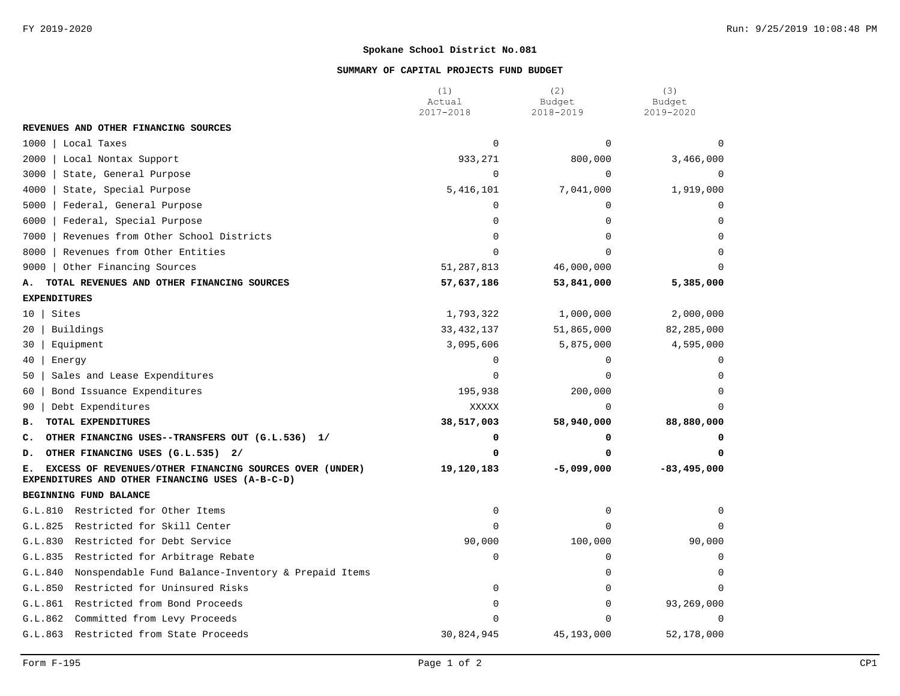## **SUMMARY OF CAPITAL PROJECTS FUND BUDGET**

|                                                                                                                  | (1)<br>Actual | (2)<br>Budget | (3)<br>Budget   |  |
|------------------------------------------------------------------------------------------------------------------|---------------|---------------|-----------------|--|
|                                                                                                                  | 2017-2018     | 2018-2019     | 2019-2020       |  |
| REVENUES AND OTHER FINANCING SOURCES                                                                             |               |               |                 |  |
| 1000<br>Local Taxes                                                                                              | $\Omega$      | $\Omega$      | $\Omega$        |  |
| 2000<br>Local Nontax Support                                                                                     | 933,271       | 800,000       | 3,466,000       |  |
| 3000<br>State, General Purpose                                                                                   | $\mathbf 0$   | $\mathbf 0$   | $\Omega$        |  |
| 4000<br>State, Special Purpose                                                                                   | 5,416,101     | 7,041,000     | 1,919,000       |  |
| 5000<br>Federal, General Purpose                                                                                 | $\Omega$      | $\Omega$      | $\Omega$        |  |
| 6000<br>Federal, Special Purpose                                                                                 | $\Omega$      | $\Omega$      | $\Omega$        |  |
| 7000<br>Revenues from Other School Districts                                                                     | $\Omega$      | $\Omega$      | $\Omega$        |  |
| 8000<br>Revenues from Other Entities                                                                             | $\Omega$      | $\cap$        |                 |  |
| 9000<br>Other Financing Sources                                                                                  | 51, 287, 813  | 46,000,000    |                 |  |
| TOTAL REVENUES AND OTHER FINANCING SOURCES<br>А.                                                                 | 57,637,186    | 53,841,000    | 5,385,000       |  |
| <b>EXPENDITURES</b>                                                                                              |               |               |                 |  |
| Sites<br>10                                                                                                      | 1,793,322     | 1,000,000     |                 |  |
| 20<br>Buildings                                                                                                  | 33, 432, 137  | 51,865,000    | 82,285,000      |  |
| Equipment<br>30                                                                                                  | 3,095,606     | 5,875,000     | 4,595,000       |  |
| 40<br>Energy                                                                                                     | $\mathbf 0$   | 0             | $\Omega$        |  |
| 50<br>Sales and Lease Expenditures                                                                               | $\Omega$      | $\Omega$      | $\Omega$        |  |
| Bond Issuance Expenditures<br>60                                                                                 | 195,938       | 200,000       | $\Omega$        |  |
| Debt Expenditures<br>90                                                                                          | <b>XXXXX</b>  | $\Omega$      | $\Omega$        |  |
| TOTAL EXPENDITURES<br>в.                                                                                         | 38,517,003    | 58,940,000    | 88,880,000      |  |
| OTHER FINANCING USES--TRANSFERS OUT (G.L.536) 1/<br>c.                                                           | 0             | 0             |                 |  |
| OTHER FINANCING USES (G.L.535) 2/<br>D.                                                                          | $\Omega$      |               |                 |  |
| EXCESS OF REVENUES/OTHER FINANCING SOURCES OVER (UNDER)<br>Е.<br>EXPENDITURES AND OTHER FINANCING USES (A-B-C-D) | 19,120,183    | $-5,099,000$  | $-83, 495, 000$ |  |
| BEGINNING FUND BALANCE                                                                                           |               |               |                 |  |
| G.L.810<br>Restricted for Other Items                                                                            | $\mathbf 0$   | $\mathbf 0$   | $\Omega$        |  |
| Restricted for Skill Center<br>G.L.825                                                                           | $\Omega$      | $\Omega$      | $\Omega$        |  |
| Restricted for Debt Service<br>G.L.830                                                                           | 90,000        | 100,000       | 90,000          |  |
| G.L.835<br>Restricted for Arbitrage Rebate                                                                       | $\mathbf 0$   | $\Omega$      | $\Omega$        |  |
| G.L.840<br>Nonspendable Fund Balance-Inventory & Prepaid Items                                                   |               | $\Omega$      | $\Omega$        |  |
| G.L.850<br>Restricted for Uninsured Risks                                                                        | $\mathbf 0$   | $\mathbf 0$   | $\Omega$        |  |
| G.L.861<br>Restricted from Bond Proceeds                                                                         | $\Omega$      | $\mathbf 0$   | 93,269,000      |  |
| G.L.862<br>Committed from Levy Proceeds                                                                          | $\Omega$      | $\cap$        | $\Omega$        |  |
| G.L.863 Restricted from State Proceeds                                                                           | 30,824,945    | 45,193,000    | 52,178,000      |  |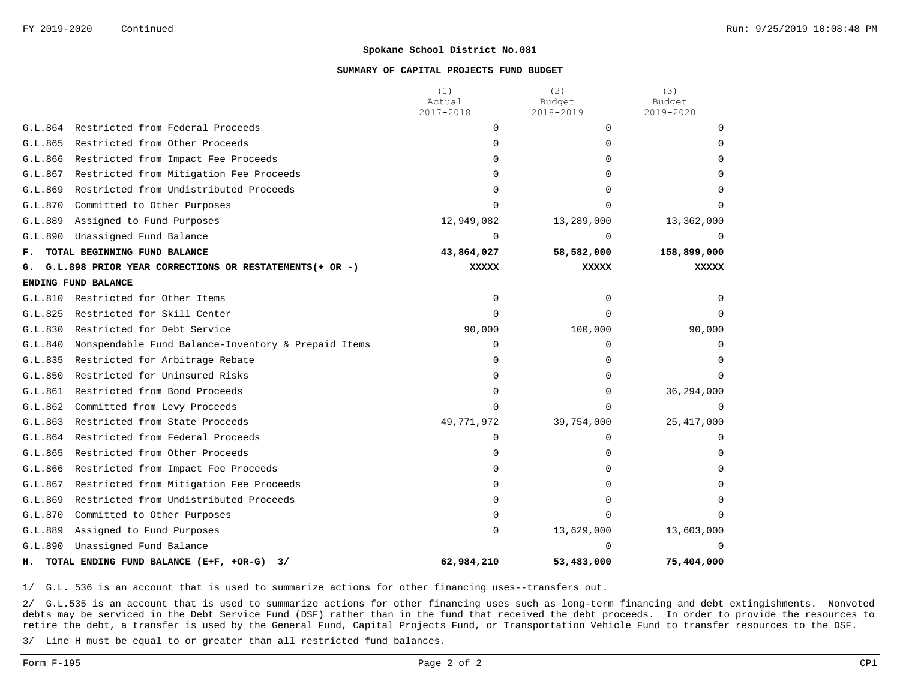## **SUMMARY OF CAPITAL PROJECTS FUND BUDGET**

|                                    |                                                        | (1)<br>Actual | (2)<br>Budget | (3)<br>Budget |
|------------------------------------|--------------------------------------------------------|---------------|---------------|---------------|
|                                    |                                                        | 2017-2018     | 2018-2019     | 2019-2020     |
| G.L.864                            | Restricted from Federal Proceeds                       | 0             | $\Omega$      |               |
| G.L.865                            | Restricted from Other Proceeds                         | $\Omega$      | <sup>0</sup>  |               |
| G.L.866                            | Restricted from Impact Fee Proceeds                    | 0             | <sup>0</sup>  |               |
| G.L.867                            | Restricted from Mitigation Fee Proceeds                | 0             | U             |               |
| G.L.869                            | Restricted from Undistributed Proceeds                 | 0             | ∩             |               |
| G.L.870                            | Committed to Other Purposes                            | $\Omega$      |               |               |
| G.L.889                            | Assigned to Fund Purposes                              | 12,949,082    | 13,289,000    | 13,362,000    |
| G.L.890                            | Unassigned Fund Balance                                | $\Omega$      | $\Omega$      |               |
| TOTAL BEGINNING FUND BALANCE<br>ғ. |                                                        | 43,864,027    | 58,582,000    | 158,899,000   |
| G.                                 | G.L.898 PRIOR YEAR CORRECTIONS OR RESTATEMENTS(+ OR -) | <b>XXXXX</b>  | <b>XXXXX</b>  | <b>XXXXX</b>  |
|                                    | ENDING FUND BALANCE                                    |               |               |               |
| G.L.810                            | Restricted for Other Items                             | $\mathbf 0$   | $\Omega$      |               |
| G.L.825                            | Restricted for Skill Center                            | $\Omega$      | $\Omega$      |               |
| G.L.830                            | Restricted for Debt Service                            | 90,000        | 100,000       | 90,000        |
| G.L.840                            | Nonspendable Fund Balance-Inventory & Prepaid Items    | $\mathbf 0$   | 0             | $\Omega$      |
| G.L.835                            | Restricted for Arbitrage Rebate                        | $\Omega$      | $\Omega$      |               |
| G.L.850                            | Restricted for Uninsured Risks                         | $\Omega$      | $\Omega$      |               |
| G.L.861                            | Restricted from Bond Proceeds                          | $\Omega$      | $\Omega$      | 36,294,000    |
| G.L.862                            | Committed from Levy Proceeds                           | $\Omega$      | $\cap$        | $\Omega$      |
| G.L.863                            | Restricted from State Proceeds                         | 49,771,972    | 39,754,000    | 25, 417, 000  |
| G.L.864                            | Restricted from Federal Proceeds                       | $\Omega$      | $\Omega$      |               |
| G.L.865                            | Restricted from Other Proceeds                         | 0             | 0             |               |
| G.L.866                            | Restricted from Impact Fee Proceeds                    | $\Omega$      | <sup>0</sup>  |               |
| G.L.867                            | Restricted from Mitigation Fee Proceeds                | $\Omega$      |               |               |
| G.L.869                            | Restricted from Undistributed Proceeds                 | $\Omega$      | ∩             |               |
| G.L.870                            | Committed to Other Purposes                            | $\Omega$      | ∩             |               |
| G.L.889                            | Assigned to Fund Purposes                              | $\mathbf 0$   | 13,629,000    | 13,603,000    |
| G.L.890                            | Unassigned Fund Balance                                |               |               | <sup>n</sup>  |
| н.                                 | TOTAL ENDING FUND BALANCE (E+F, +OR-G)<br>3/           | 62,984,210    | 53,483,000    | 75,404,000    |

1/ G.L. 536 is an account that is used to summarize actions for other financing uses--transfers out.

2/ G.L.535 is an account that is used to summarize actions for other financing uses such as long-term financing and debt extingishments. Nonvoted debts may be serviced in the Debt Service Fund (DSF) rather than in the fund that received the debt proceeds. In order to provide the resources to retire the debt, a transfer is used by the General Fund, Capital Projects Fund, or Transportation Vehicle Fund to transfer resources to the DSF.

3/ Line H must be equal to or greater than all restricted fund balances.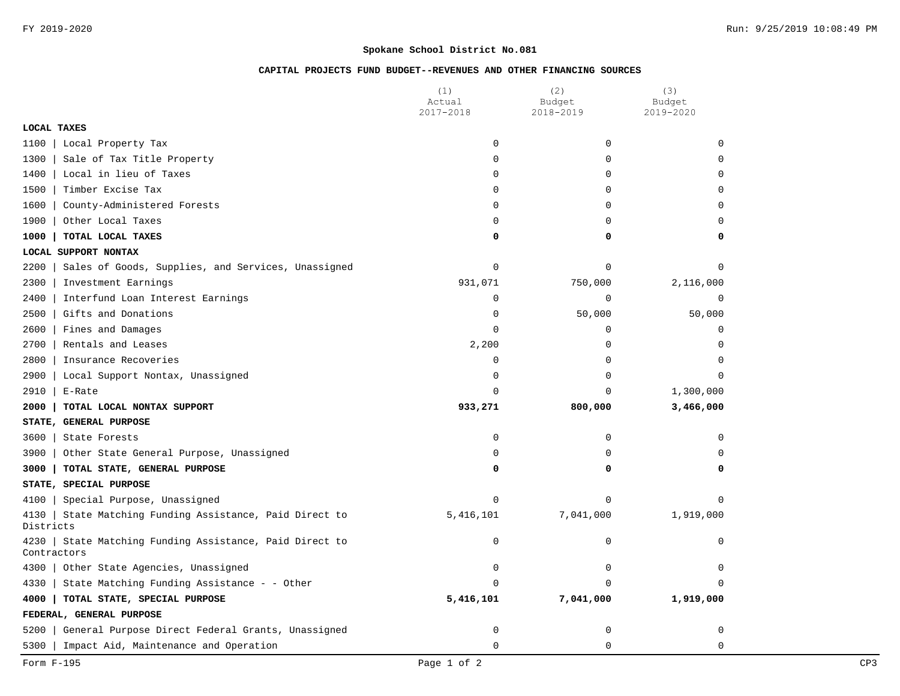# **CAPITAL PROJECTS FUND BUDGET--REVENUES AND OTHER FINANCING SOURCES**

|                                                                          | (1)<br>Actual      | (2)<br>Budget | (3)<br>Budget |
|--------------------------------------------------------------------------|--------------------|---------------|---------------|
|                                                                          | 2017-2018          | 2018-2019     | 2019-2020     |
| <b>LOCAL TAXES</b>                                                       |                    |               |               |
| 1100<br>Local Property Tax                                               | $\Omega$           | 0             | $\Omega$      |
| Sale of Tax Title Property<br>1300                                       | 0                  | $\mathbf 0$   | $\Omega$      |
| 1400<br>Local in lieu of Taxes                                           | 0                  | 0             | 0             |
| 1500<br>Timber Excise Tax                                                | 0                  | $\mathbf 0$   | 0             |
| 1600<br>County-Administered Forests                                      | 0                  | $\mathbf 0$   | $\mathbf 0$   |
| 1900<br>Other Local Taxes                                                | 0                  | $\mathbf 0$   | $\Omega$      |
| 1000<br>TOTAL LOCAL TAXES                                                | 0                  | 0             | 0             |
| LOCAL SUPPORT NONTAX                                                     |                    |               |               |
| Sales of Goods, Supplies, and Services, Unassigned<br>2200               | $\mathsf 0$        | $\Omega$      | $\Omega$      |
| 2300<br>Investment Earnings                                              | 931,071            | 750,000       | 2,116,000     |
| 2400<br>Interfund Loan Interest Earnings                                 | 0                  | $\mathbf 0$   | $\mathbf 0$   |
| 2500<br>Gifts and Donations                                              | $\mathsf 0$        | 50,000        | 50,000        |
| 2600<br>Fines and Damages                                                | 0                  | $\mathsf 0$   | $\mathbf 0$   |
| 2700<br>Rentals and Leases                                               | 2,200              | 0             | $\Omega$      |
| 2800<br>Insurance Recoveries                                             | 0                  | 0             | $\Omega$      |
| 2900<br>Local Support Nontax, Unassigned                                 | 0                  | $\mathbf 0$   | $\Omega$      |
| 2910<br>E-Rate                                                           | $\Omega$           | $\Omega$      | 1,300,000     |
| 2000<br>TOTAL LOCAL NONTAX SUPPORT                                       | 933,271<br>800,000 |               | 3,466,000     |
| STATE, GENERAL PURPOSE                                                   |                    |               |               |
| 3600<br>State Forests                                                    | 0                  | $\mathbf 0$   | $\mathbf 0$   |
| Other State General Purpose, Unassigned<br>3900                          | 0                  | $\mathbf 0$   | $\Omega$      |
| 3000<br>TOTAL STATE, GENERAL PURPOSE                                     | 0                  | 0             | 0             |
| STATE, SPECIAL PURPOSE                                                   |                    |               |               |
| 4100<br>Special Purpose, Unassigned                                      | 0                  | $\mathbf 0$   | $\mathbf 0$   |
| State Matching Funding Assistance, Paid Direct to<br>4130<br>Districts   | 5,416,101          | 7,041,000     | 1,919,000     |
| State Matching Funding Assistance, Paid Direct to<br>4230<br>Contractors | 0                  | 0             | $\mathbf 0$   |
| 4300<br>Other State Agencies, Unassigned                                 | 0                  | $\mathbf 0$   | $\mathbf 0$   |
| 4330<br>State Matching Funding Assistance - - Other                      | $\Omega$           | $\Omega$      | $\Omega$      |
| 4000<br>TOTAL STATE, SPECIAL PURPOSE                                     | 5,416,101          | 7,041,000     | 1,919,000     |
| FEDERAL, GENERAL PURPOSE                                                 |                    |               |               |
| 5200<br>General Purpose Direct Federal Grants, Unassigned                | 0                  | 0             | 0             |
| 5300<br>Impact Aid, Maintenance and Operation                            | $\mathbf 0$        | $\mathbf 0$   | 0             |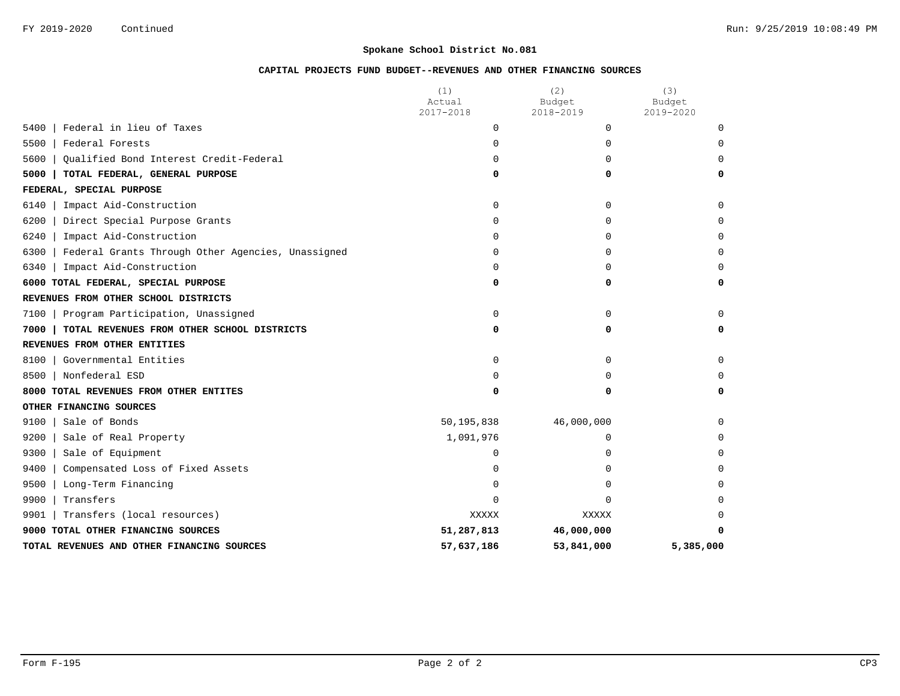# **CAPITAL PROJECTS FUND BUDGET--REVENUES AND OTHER FINANCING SOURCES**

|                                                           | (1)<br>Actual        | (2)<br>Budget | (3)<br>Budget |
|-----------------------------------------------------------|----------------------|---------------|---------------|
|                                                           | 2017-2018            | 2018-2019     | 2019-2020     |
| Federal in lieu of Taxes<br>5400                          | $\Omega$             | $\Omega$      | $\Omega$      |
| 5500<br>Federal Forests                                   | 0                    | 0             | $\Omega$      |
| 5600<br>Oualified Bond Interest Credit-Federal            | 0                    | $\Omega$      | $\Omega$      |
| 5000<br>TOTAL FEDERAL, GENERAL PURPOSE                    | 0                    | 0             | 0             |
| FEDERAL, SPECIAL PURPOSE                                  |                      |               |               |
| 6140<br>Impact Aid-Construction                           | 0                    | 0             | $\Omega$      |
| 6200<br>Direct Special Purpose Grants                     | 0                    | 0             | $\Omega$      |
| 6240<br>Impact Aid-Construction                           | 0                    | 0             | $\Omega$      |
| 6300<br>Federal Grants Through Other Agencies, Unassigned | 0                    | $\Omega$      | $\Omega$      |
| Impact Aid-Construction<br>6340                           | $\Omega$             | 0             | $\Omega$      |
| 6000 TOTAL FEDERAL, SPECIAL PURPOSE                       | 0                    | 0             | $\Omega$      |
| REVENUES FROM OTHER SCHOOL DISTRICTS                      |                      |               |               |
| Program Participation, Unassigned<br>7100                 | $\Omega$             | $\Omega$      | $\Omega$      |
| 7000<br>TOTAL REVENUES FROM OTHER SCHOOL DISTRICTS        | 0                    | 0             | 0             |
| REVENUES FROM OTHER ENTITIES                              |                      |               |               |
| Governmental Entities<br>8100                             | $\mathbf 0$          | $\Omega$      | $\Omega$      |
| Nonfederal ESD<br>8500                                    | $\Omega$<br>$\Omega$ |               | $\Omega$      |
| 8000 TOTAL REVENUES FROM OTHER ENTITES                    | 0                    | 0             | 0             |
| OTHER FINANCING SOURCES                                   |                      |               |               |
| 9100<br>Sale of Bonds                                     | 50,195,838           | 46,000,000    | $\Omega$      |
| 9200<br>Sale of Real Property                             | 1,091,976            | 0             | $\Omega$      |
| 9300<br>Sale of Equipment                                 | 0                    | 0             | $\Omega$      |
| 9400<br>Compensated Loss of Fixed Assets                  | 0                    | 0             | $\Omega$      |
| 9500<br>Long-Term Financing                               | 0                    | 0             | $\Omega$      |
| 9900<br>Transfers                                         | 0                    | 0             | $\Omega$      |
| Transfers (local resources)<br>9901                       | <b>XXXXX</b>         | XXXXX         | $\Omega$      |
| 9000 TOTAL OTHER FINANCING SOURCES                        | 51,287,813           | 46,000,000    | <sup>0</sup>  |
| TOTAL REVENUES AND OTHER FINANCING SOURCES                | 57,637,186           | 53,841,000    | 5,385,000     |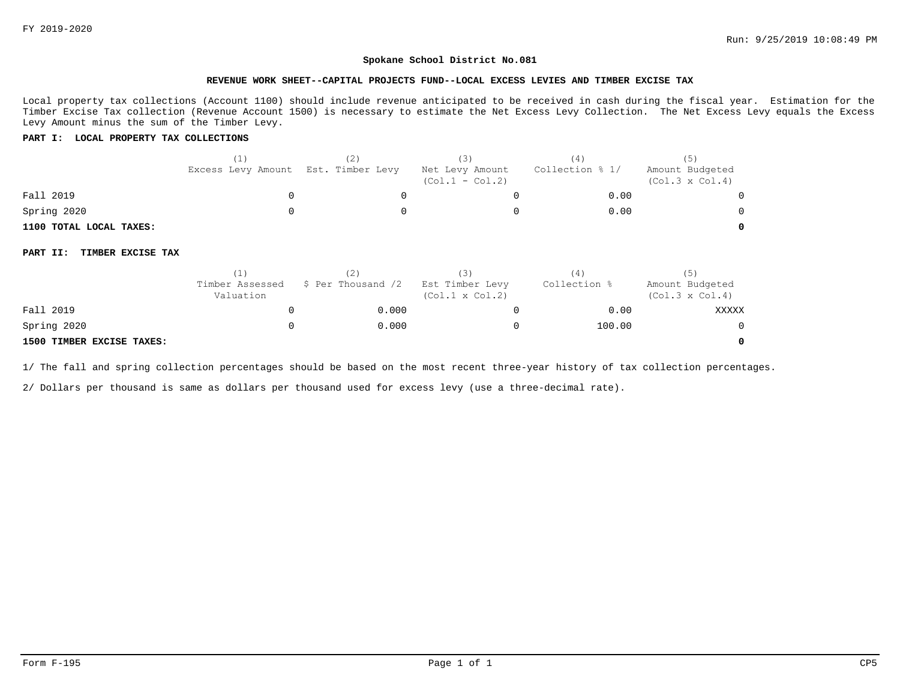**0**

#### **Spokane School District No.081**

#### **REVENUE WORK SHEET--CAPITAL PROJECTS FUND--LOCAL EXCESS LEVIES AND TIMBER EXCISE TAX**

Local property tax collections (Account 1100) should include revenue anticipated to be received in cash during the fiscal year. Estimation for the Timber Excise Tax collection (Revenue Account 1500) is necessary to estimate the Net Excess Levy Collection. The Net Excess Levy equals the Excess Levy Amount minus the sum of the Timber Levy.

## **PART I: LOCAL PROPERTY TAX COLLECTIONS**

|                               | (1)<br>Excess Levy Amount    | (2)<br>Est. Timber Levy | (3)<br>Net Levy Amount<br>$(Col.1 - Col.2)$ | (4)<br>Collection % 1/ | (5)<br>Amount Budgeted<br>$(Col.3 \times Col.4)$ |
|-------------------------------|------------------------------|-------------------------|---------------------------------------------|------------------------|--------------------------------------------------|
| Fall 2019                     | 0                            |                         |                                             | 0.00                   |                                                  |
| Spring 2020                   |                              |                         |                                             | 0.00                   |                                                  |
| 1100 TOTAL LOCAL TAXES:       |                              |                         |                                             |                        |                                                  |
| TIMBER EXCISE TAX<br>PART II: |                              |                         |                                             |                        |                                                  |
|                               | (1)                          | (2)                     | (3)                                         | (4)                    | (5)                                              |
|                               | Timber Assessed<br>Valuation | \$ Per Thousand /2      | Est Timber Levy<br>$(Col.1 \times Col.2)$   | Collection %           | Amount Budgeted<br>$(Col.3 \times Col.4)$        |
| Fall 2019                     | O                            | 0.000                   |                                             | 0.00                   | XXXXX                                            |
| Spring 2020                   |                              | 0.000                   |                                             | 100.00                 |                                                  |

#### **1500 TIMBER EXCISE TAXES:**

1/ The fall and spring collection percentages should be based on the most recent three-year history of tax collection percentages.

2/ Dollars per thousand is same as dollars per thousand used for excess levy (use a three-decimal rate).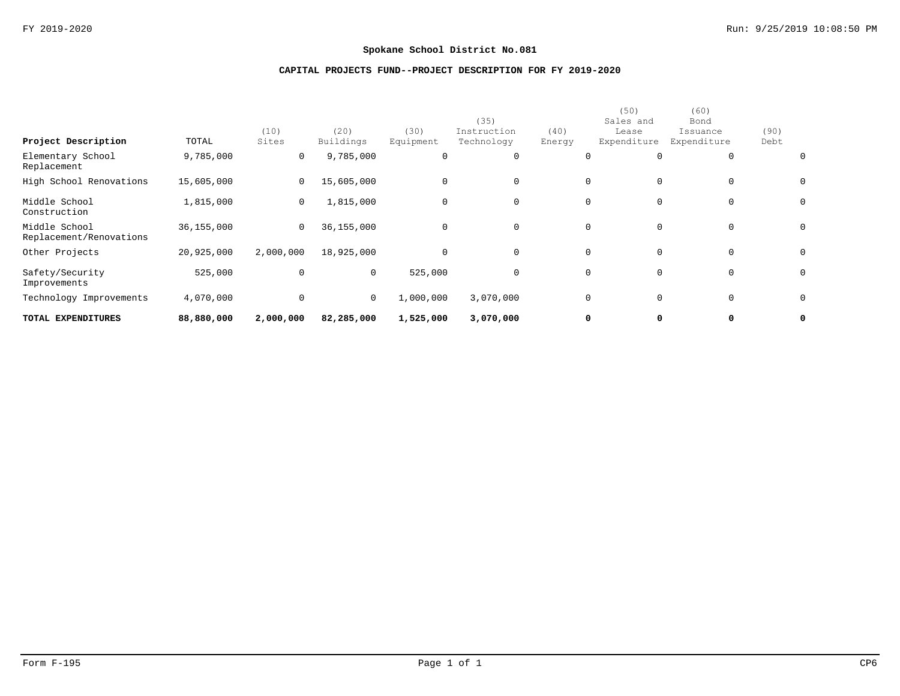# **CAPITAL PROJECTS FUND--PROJECT DESCRIPTION FOR FY 2019-2020**

| TOTAL EXPENDITURES                       | 88,880,000 | 2,000,000     | 82,285,000        | 1,525,000         | 3,070,000                         | 0              | 0                                         | 0                                       |              | 0            |
|------------------------------------------|------------|---------------|-------------------|-------------------|-----------------------------------|----------------|-------------------------------------------|-----------------------------------------|--------------|--------------|
| Technology Improvements                  | 4,070,000  | $\mathbf 0$   | 0                 | 1,000,000         | 3,070,000                         | 0              | $\mathbf 0$                               | $\mathbf{0}$                            |              | $\mathsf{O}$ |
| Safety/Security<br>Improvements          | 525,000    | $\mathbf 0$   | 0                 | 525,000           | $\Omega$                          | 0              | $\mathbf 0$                               | $\mathbf{0}$                            |              | $\mathsf{O}$ |
| Other Projects                           | 20,925,000 | 2,000,000     | 18,925,000        | $\mathbf 0$       | $\Omega$                          | 0              | $\mathbf 0$                               | $\Omega$                                |              | $\mathsf{O}$ |
| Middle School<br>Replacement/Renovations | 36,155,000 | 0             | 36,155,000        | $\mathbf 0$       | $\Omega$                          | $\mathbf{0}$   | $\mathbf 0$                               | $\mathbf{0}$                            |              | $\mathsf{O}$ |
| Middle School<br>Construction            | 1,815,000  | 0             | 1,815,000         | $\mathbf 0$       | $\Omega$                          | 0              | $\mathbf 0$                               | $\mathbf{0}$                            |              | $\mathsf{O}$ |
| High School Renovations                  | 15,605,000 | 0             | 15,605,000        | $\mathbf 0$       | $\mathbf 0$                       | 0              | $\mathbf 0$                               | $\mathbf{0}$                            |              | $\mathsf{O}$ |
| Elementary School<br>Replacement         | 9,785,000  | 0             | 9,785,000         | 0                 | $\Omega$                          |                | $\mathbf 0$                               | $\mathbf{0}$                            |              | 0            |
| Project Description                      | TOTAL      | (10)<br>Sites | (20)<br>Buildings | (30)<br>Equipment | (35)<br>Instruction<br>Technology | (40)<br>Energy | (50)<br>Sales and<br>Lease<br>Expenditure | (60)<br>Bond<br>Issuance<br>Expenditure | (90)<br>Debt |              |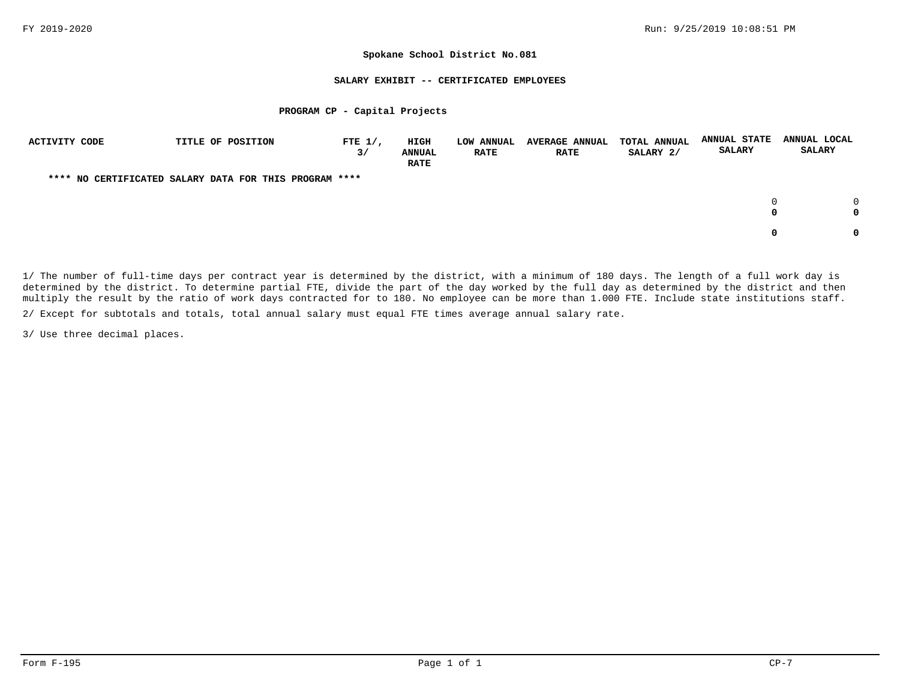#### **SALARY EXHIBIT -- CERTIFICATED EMPLOYEES**

### **PROGRAM CP - Capital Projects**

| ACTIVITY CODE | TITLE OF POSITION                                      | FTE $1/$ ,<br>3/ | <b>HIGH</b><br><b>ANNUAL</b><br><b>RATE</b> | LOW ANNUAL<br>RATE | <b>AVERAGE ANNUAL</b><br><b>RATE</b> | <b>TOTAL ANNUAL</b><br>SALARY 2/ | <b>ANNUAL STATE</b><br><b>SALARY</b> | ANNUAL LOCAL<br>SALARY |
|---------------|--------------------------------------------------------|------------------|---------------------------------------------|--------------------|--------------------------------------|----------------------------------|--------------------------------------|------------------------|
|               | **** NO CERTIFICATED SALARY DATA FOR THIS PROGRAM **** |                  |                                             |                    |                                      |                                  |                                      |                        |
|               |                                                        |                  |                                             |                    |                                      |                                  | $\Omega$<br>0                        |                        |
|               |                                                        |                  |                                             |                    |                                      |                                  | 0                                    |                        |

1/ The number of full-time days per contract year is determined by the district, with a minimum of 180 days. The length of a full work day is determined by the district. To determine partial FTE, divide the part of the day worked by the full day as determined by the district and then multiply the result by the ratio of work days contracted for to 180. No employee can be more than 1.000 FTE. Include state institutions staff.

2/ Except for subtotals and totals, total annual salary must equal FTE times average annual salary rate.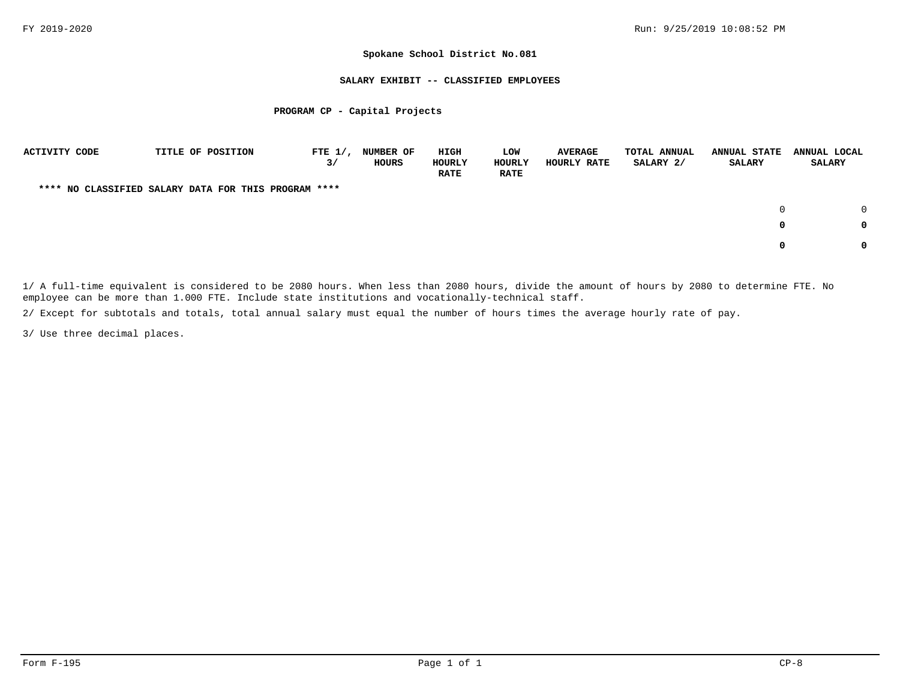### **SALARY EXHIBIT -- CLASSIFIED EMPLOYEES**

### **PROGRAM CP - Capital Projects**

| <b>ACTIVITY CODE</b> |  | TITLE OF POSITION                                    | FTE $1/$ ,<br>3/ | <b>NUMBER OF</b><br>HOURS | HIGH<br>HOURLY<br><b>RATE</b> | LOW<br><b>HOURLY</b><br><b>RATE</b> | <b>AVERAGE</b><br>HOURLY RATE | <b>TOTAL ANNUAL</b><br>SALARY 2/ | <b>ANNUAL STATE</b><br><b>SALARY</b> | ANNUAL LOCAL<br><b>SALARY</b> |          |
|----------------------|--|------------------------------------------------------|------------------|---------------------------|-------------------------------|-------------------------------------|-------------------------------|----------------------------------|--------------------------------------|-------------------------------|----------|
|                      |  | **** NO CLASSIFIED SALARY DATA FOR THIS PROGRAM **** |                  |                           |                               |                                     |                               |                                  |                                      |                               |          |
|                      |  |                                                      |                  |                           |                               |                                     |                               |                                  |                                      |                               | $\Omega$ |
|                      |  |                                                      |                  |                           |                               |                                     |                               |                                  | 0                                    |                               | 0        |
|                      |  |                                                      |                  |                           |                               |                                     |                               |                                  | 0                                    |                               | 0        |

1/ A full-time equivalent is considered to be 2080 hours. When less than 2080 hours, divide the amount of hours by 2080 to determine FTE. No employee can be more than 1.000 FTE. Include state institutions and vocationally-technical staff.

2/ Except for subtotals and totals, total annual salary must equal the number of hours times the average hourly rate of pay.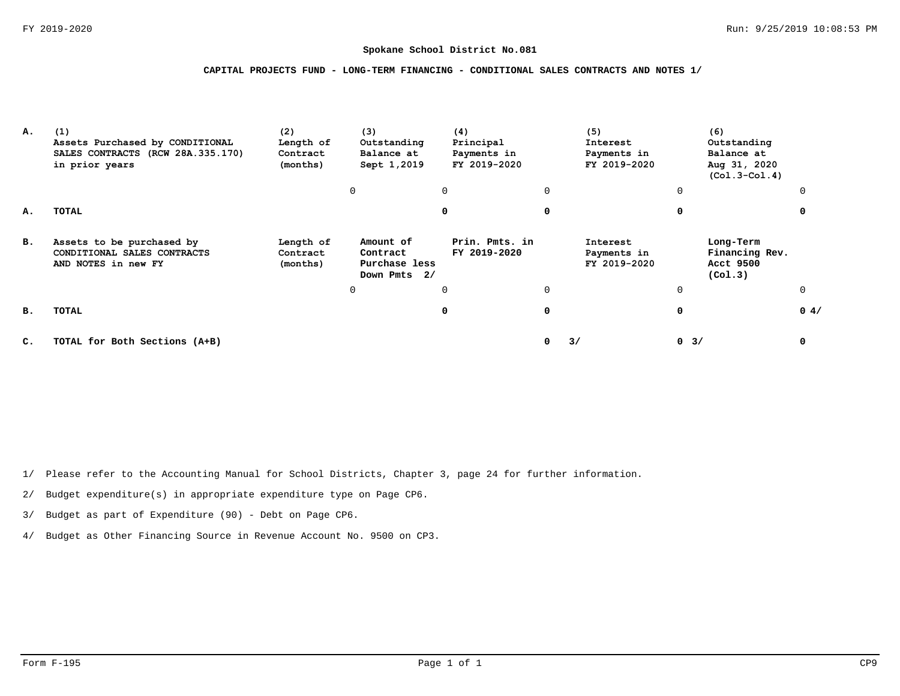## **CAPITAL PROJECTS FUND - LONG-TERM FINANCING - CONDITIONAL SALES CONTRACTS AND NOTES 1/**

| А. | (1)<br>Assets Purchased by CONDITIONAL<br>SALES CONTRACTS (RCW 28A.335.170)<br>in prior years | (2)<br>Length of<br>Contract<br>(months) | (3)<br>Outstanding<br>Balance at<br>Sept 1,2019        | (4)<br>Principal<br>Payments in<br>FY 2019-2020 |          | (5)<br>Interest<br>Payments in<br>FY 2019-2020 |          | (6)<br>Outstanding<br>Balance at<br>Aug 31, 2020<br>$(Co1.3-Co1.4)$ |      |
|----|-----------------------------------------------------------------------------------------------|------------------------------------------|--------------------------------------------------------|-------------------------------------------------|----------|------------------------------------------------|----------|---------------------------------------------------------------------|------|
|    |                                                                                               |                                          | $\Omega$                                               | $\Omega$                                        | $\Omega$ |                                                | 0        |                                                                     |      |
| А. | TOTAL                                                                                         |                                          |                                                        | $\Omega$                                        | 0        |                                                | $\Omega$ |                                                                     |      |
| в. | Assets to be purchased by<br>CONDITIONAL SALES CONTRACTS<br>AND NOTES in new FY               | Length of<br>Contract<br>(months)        | Amount of<br>Contract<br>Purchase less<br>Down Pmts 2/ | Prin. Pmts. in<br>FY 2019-2020                  |          | Interest<br>Payments in<br>FY 2019-2020        |          | Long-Term<br>Financing Rev.<br>Acct 9500<br>(Co1.3)                 |      |
|    |                                                                                               |                                          | 0                                                      | $\Omega$                                        | $\Omega$ |                                                | 0        |                                                                     |      |
| в. | TOTAL                                                                                         |                                          |                                                        | 0                                               | 0        |                                                | 0        |                                                                     | 0.4/ |
| C. | TOTAL for Both Sections (A+B)                                                                 |                                          |                                                        |                                                 | 0        | 3/                                             | $0 \t3/$ |                                                                     | 0    |

1/ Please refer to the Accounting Manual for School Districts, Chapter 3, page 24 for further information.

2/ Budget expenditure(s) in appropriate expenditure type on Page CP6.

3/ Budget as part of Expenditure (90) - Debt on Page CP6.

4/ Budget as Other Financing Source in Revenue Account No. 9500 on CP3.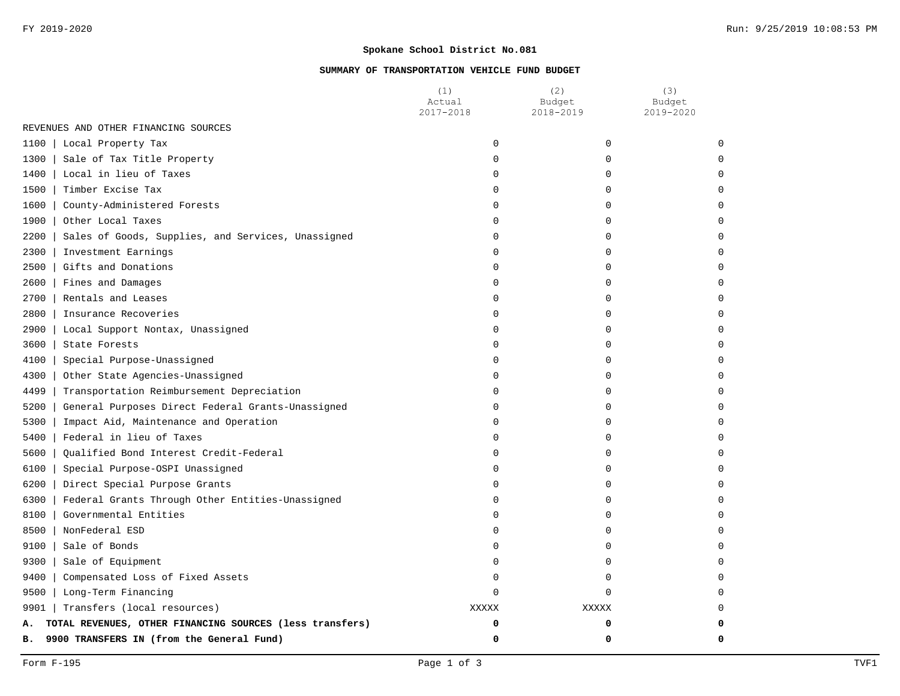# **SUMMARY OF TRANSPORTATION VEHICLE FUND BUDGET**

|                                                                | (1)<br>Actual<br>2017-2018 | (2)<br>Budget<br>2018-2019 | (3)<br>Budget<br>2019-2020 |
|----------------------------------------------------------------|----------------------------|----------------------------|----------------------------|
| REVENUES AND OTHER FINANCING SOURCES                           |                            |                            |                            |
| 1100<br>Local Property Tax                                     | $\mathbf 0$                | $\mathbf 0$                |                            |
| 1300<br>Sale of Tax Title Property                             | $\Omega$                   | $\Omega$                   |                            |
| 1400<br>Local in lieu of Taxes                                 | $\Omega$                   | $\Omega$                   |                            |
| 1500<br>Timber Excise Tax                                      | $\Omega$                   | $\Omega$                   |                            |
| 1600<br>County-Administered Forests                            | $\Omega$                   | $\Omega$                   |                            |
| 1900<br>Other Local Taxes                                      | 0                          | $\mathbf 0$                |                            |
| 2200<br>Sales of Goods, Supplies, and Services, Unassigned     | 0                          | $\mathbf 0$                |                            |
| 2300<br>Investment Earnings                                    | 0                          | 0                          |                            |
| 2500<br>Gifts and Donations                                    | $\Omega$                   | $\Omega$                   |                            |
| 2600<br>Fines and Damages                                      | $\Omega$                   | $\Omega$                   |                            |
| 2700<br>Rentals and Leases                                     | $\Omega$                   | $\Omega$                   |                            |
| 2800<br>Insurance Recoveries                                   | $\Omega$                   | $\Omega$                   |                            |
| 2900<br>Local Support Nontax, Unassigned                       | $\Omega$                   | $\Omega$                   |                            |
| 3600<br>State Forests                                          | $\Omega$                   | $\Omega$                   |                            |
| 4100<br>Special Purpose-Unassigned                             | $\Omega$                   | $\Omega$                   |                            |
| 4300<br>Other State Agencies-Unassigned                        | $\Omega$                   | $\Omega$                   |                            |
| 4499<br>Transportation Reimbursement Depreciation              | $\Omega$                   | $\Omega$                   |                            |
| 5200<br>General Purposes Direct Federal Grants-Unassigned      | $\Omega$                   | $\Omega$                   |                            |
| 5300<br>Impact Aid, Maintenance and Operation                  | 0                          | $\mathbf 0$                |                            |
| 5400<br>Federal in lieu of Taxes                               | 0                          | $\mathbf 0$                |                            |
| 5600<br>Qualified Bond Interest Credit-Federal                 | 0                          | 0                          |                            |
| 6100<br>Special Purpose-OSPI Unassigned                        | $\Omega$                   | $\Omega$                   |                            |
| 6200<br>Direct Special Purpose Grants                          | $\Omega$                   | $\Omega$                   |                            |
| 6300<br>Federal Grants Through Other Entities-Unassigned       | $\Omega$                   | $\Omega$                   |                            |
| 8100<br>Governmental Entities                                  | $\Omega$                   | $\Omega$                   |                            |
| 8500<br>NonFederal ESD                                         | $\Omega$                   | $\Omega$                   |                            |
| 9100<br>Sale of Bonds                                          | 0                          | $\Omega$                   |                            |
| 9300<br>Sale of Equipment                                      | $\mathbf 0$                | 0                          |                            |
| 9400<br>Compensated Loss of Fixed Assets                       | 0                          | $\mathbf 0$                |                            |
| 9500<br>Long-Term Financing                                    | $\Omega$                   | $\Omega$                   |                            |
| 9901  <br>Transfers (local resources)                          | <b>XXXXX</b>               | <b>XXXXX</b>               |                            |
| TOTAL REVENUES, OTHER FINANCING SOURCES (less transfers)<br>Α. | 0                          | 0                          |                            |
| 9900 TRANSFERS IN (from the General Fund)<br>в.                | 0                          | 0                          | 0                          |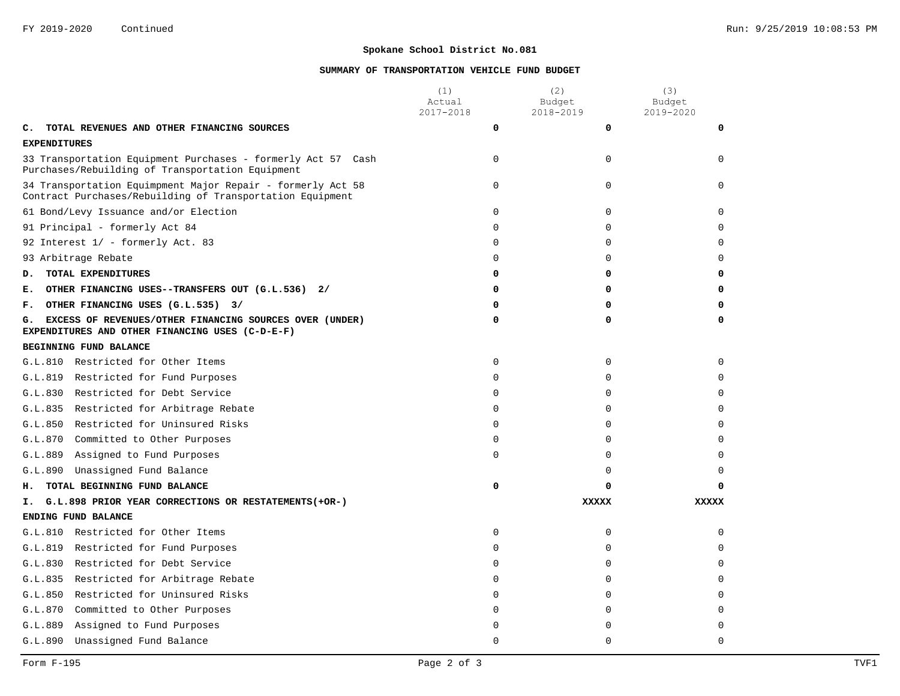# **SUMMARY OF TRANSPORTATION VEHICLE FUND BUDGET**

|                                                                                                                            | (1)<br>Actual<br>2017-2018 | (2)<br>Budget<br>2018-2019 | (3)<br>Budget<br>2019-2020 |  |
|----------------------------------------------------------------------------------------------------------------------------|----------------------------|----------------------------|----------------------------|--|
| TOTAL REVENUES AND OTHER FINANCING SOURCES<br>c.                                                                           | 0                          | 0                          | 0                          |  |
| <b>EXPENDITURES</b>                                                                                                        |                            |                            |                            |  |
| 33 Transportation Equipment Purchases - formerly Act 57 Cash<br>Purchases/Rebuilding of Transportation Equipment           | $\Omega$                   | $\Omega$                   | $\Omega$                   |  |
| 34 Transportation Equimpment Major Repair - formerly Act 58<br>Contract Purchases/Rebuilding of Transportation Equipment   | $\mathbf 0$                | 0                          | $\Omega$                   |  |
| 61 Bond/Levy Issuance and/or Election                                                                                      | $\mathbf 0$                | 0                          | $\Omega$                   |  |
| 91 Principal - formerly Act 84                                                                                             | $\Omega$                   | $\Omega$                   | $\Omega$                   |  |
| 92 Interest 1/ - formerly Act. 83                                                                                          | $\mathbf 0$                | 0                          | $\Omega$                   |  |
| 93 Arbitrage Rebate                                                                                                        | $\Omega$                   | $\Omega$                   | $\Omega$                   |  |
| TOTAL EXPENDITURES<br>D.                                                                                                   | 0                          | 0                          | 0                          |  |
| OTHER FINANCING USES--TRANSFERS OUT (G.L.536) 2/<br>Е.                                                                     | 0                          | 0                          | $\Omega$                   |  |
| OTHER FINANCING USES (G.L.535) 3/<br>F.                                                                                    | 0                          | 0                          | 0                          |  |
| EXCESS OF REVENUES/OTHER FINANCING SOURCES OVER (UNDER)<br>0<br>0<br>G.<br>EXPENDITURES AND OTHER FINANCING USES (C-D-E-F) |                            |                            |                            |  |
| BEGINNING FUND BALANCE                                                                                                     |                            |                            |                            |  |
| G.L.810 Restricted for Other Items                                                                                         | $\mathbf 0$                | 0                          | $\Omega$                   |  |
| G.L.819<br>Restricted for Fund Purposes                                                                                    | $\Omega$                   | $\Omega$                   | $\Omega$                   |  |
| G.L.830 Restricted for Debt Service                                                                                        | $\mathbf 0$                | $\Omega$                   | $\Omega$                   |  |
| G.L.835 Restricted for Arbitrage Rebate                                                                                    | $\Omega$                   | $\Omega$                   | $\Omega$                   |  |
| G.L.850<br>Restricted for Uninsured Risks                                                                                  | $\mathbf 0$                | 0                          | $\Omega$                   |  |
| G.L.870<br>Committed to Other Purposes                                                                                     | $\Omega$                   | $\Omega$                   | $\Omega$                   |  |
| G.L.889<br>Assigned to Fund Purposes                                                                                       | $\mathbf 0$                | 0                          | $\Omega$                   |  |
| Unassigned Fund Balance<br>G.L.890                                                                                         |                            | 0                          | $\Omega$                   |  |
| TOTAL BEGINNING FUND BALANCE<br>н.                                                                                         | 0                          | 0                          |                            |  |
| G.L.898 PRIOR YEAR CORRECTIONS OR RESTATEMENTS (+OR-)<br>Ι.                                                                |                            | <b>XXXXX</b>               | <b>XXXXX</b>               |  |
| ENDING FUND BALANCE                                                                                                        |                            |                            |                            |  |
| G.L.810 Restricted for Other Items                                                                                         | $\mathbf 0$                | 0                          | $\Omega$                   |  |
| G.L.819<br>Restricted for Fund Purposes                                                                                    | $\Omega$                   | 0                          | $\Omega$                   |  |
| G.L.830<br>Restricted for Debt Service                                                                                     | $\Omega$                   | $\Omega$                   | $\Omega$                   |  |
| G.L.835<br>Restricted for Arbitrage Rebate                                                                                 | $\mathbf 0$                | 0                          | $\Omega$                   |  |
| G.L.850<br>Restricted for Uninsured Risks                                                                                  | $\Omega$                   | $\Omega$                   | $\Omega$                   |  |
| G.L.870<br>Committed to Other Purposes                                                                                     | $\mathbf 0$                | 0                          | $\Omega$                   |  |
| G.L.889<br>Assigned to Fund Purposes                                                                                       | $\Omega$                   | 0                          | 0                          |  |
| G.L.890<br>Unassigned Fund Balance                                                                                         | $\Omega$                   | $\Omega$                   | $\Omega$                   |  |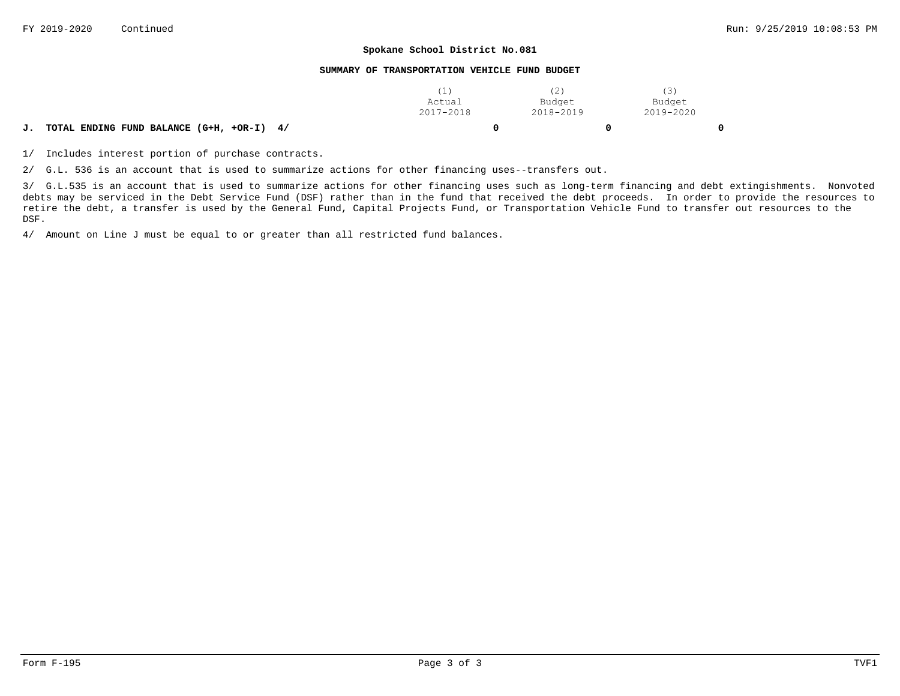#### **SUMMARY OF TRANSPORTATION VEHICLE FUND BUDGET**

|                                                 | Actual    | Budget    | Budget    |   |
|-------------------------------------------------|-----------|-----------|-----------|---|
|                                                 | 2017-2018 | 2018-2019 | 2019-2020 |   |
| TOTAL ENDING FUND BALANCE (G+H, +OR-I) 4/<br>J. |           |           |           | 0 |

1/ Includes interest portion of purchase contracts.

2/ G.L. 536 is an account that is used to summarize actions for other financing uses--transfers out.

3/ G.L.535 is an account that is used to summarize actions for other financing uses such as long-term financing and debt extingishments. Nonvoted debts may be serviced in the Debt Service Fund (DSF) rather than in the fund that received the debt proceeds. In order to provide the resources to retire the debt, a transfer is used by the General Fund, Capital Projects Fund, or Transportation Vehicle Fund to transfer out resources to the DSF.

4/ Amount on Line J must be equal to or greater than all restricted fund balances.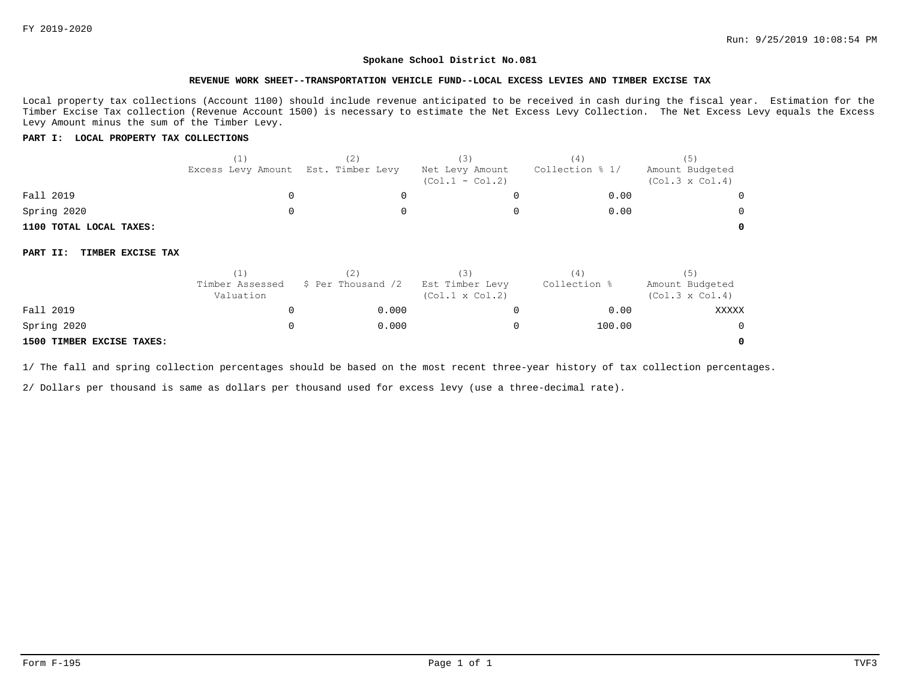**0**

#### **Spokane School District No.081**

#### **REVENUE WORK SHEET--TRANSPORTATION VEHICLE FUND--LOCAL EXCESS LEVIES AND TIMBER EXCISE TAX**

Local property tax collections (Account 1100) should include revenue anticipated to be received in cash during the fiscal year. Estimation for the Timber Excise Tax collection (Revenue Account 1500) is necessary to estimate the Net Excess Levy Collection. The Net Excess Levy equals the Excess Levy Amount minus the sum of the Timber Levy.

### **PART I: LOCAL PROPERTY TAX COLLECTIONS**

|                               | (1)<br>Excess Levy Amount    | (2)<br>Est. Timber Levy | (3)<br>Net Levy Amount<br>$(Col.1 - Col.2)$ | (4)<br>Collection % 1/ | (5)<br>Amount Budgeted<br>$(Col.3 \times Col.4)$ |
|-------------------------------|------------------------------|-------------------------|---------------------------------------------|------------------------|--------------------------------------------------|
| Fall 2019                     | 0                            |                         |                                             | 0.00                   |                                                  |
| Spring 2020                   |                              |                         |                                             | 0.00                   |                                                  |
| 1100 TOTAL LOCAL TAXES:       |                              |                         |                                             |                        |                                                  |
| TIMBER EXCISE TAX<br>PART II: |                              |                         |                                             |                        |                                                  |
|                               | (1)                          | (2)                     | (3)                                         | (4)                    | (5)                                              |
|                               | Timber Assessed<br>Valuation | \$ Per Thousand /2      | Est Timber Levy<br>$(Col.1 \times Col.2)$   | Collection %           | Amount Budgeted<br>$(Col.3 \times Col.4)$        |
| Fall 2019                     | 0                            | 0.000                   |                                             | 0.00                   | <b>XXXXX</b>                                     |
| Spring 2020                   | O                            | 0.000                   |                                             | 100.00                 |                                                  |

### **1500 TIMBER EXCISE TAXES:**

1/ The fall and spring collection percentages should be based on the most recent three-year history of tax collection percentages.

2/ Dollars per thousand is same as dollars per thousand used for excess levy (use a three-decimal rate).